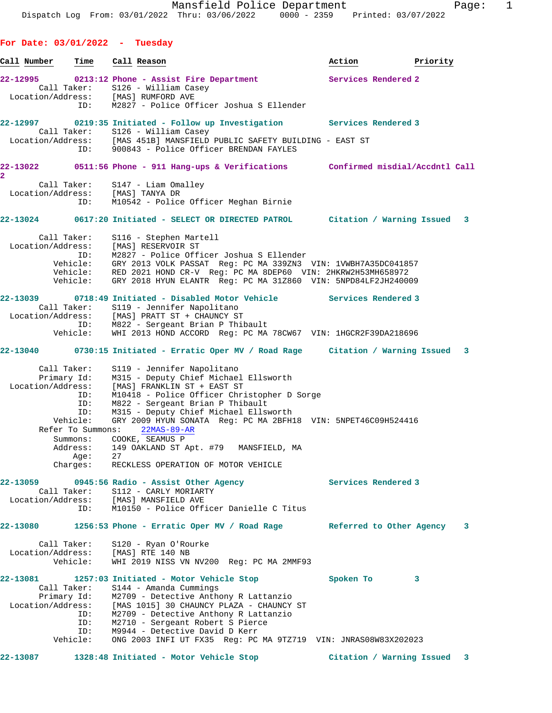**For Date: 03/01/2022 - Tuesday** <u>Call Number Time Call Reason</u> (2008) and the Mation and Priority in Priority in the Mation of Priority in the Mation of Priority in the Mation of Priority in the Mation of Priority in the Mation of Priority in the Mation **22-12995 0213:12 Phone - Assist Fire Department Services Rendered 2**  Call Taker: S126 - William Casey Location/Address: [MAS] RUMFORD AVE ID: M2827 - Police Officer Joshua S Ellender **22-12997 0219:35 Initiated - Follow up Investigation Services Rendered 3**  Call Taker: S126 - William Casey Location/Address: [MAS 451B] MANSFIELD PUBLIC SAFETY BUILDING - EAST ST ID: 900843 - Police Officer BRENDAN FAYLES **22-13022 0511:56 Phone - 911 Hang-ups & Verifications Confirmed misdial/Accdntl Call 2**  Call Taker: S147 - Liam Omalley Location/Address: [MAS] TANYA DR ID: M10542 - Police Officer Meghan Birnie **22-13024 0617:20 Initiated - SELECT OR DIRECTED PATROL Citation / Warning Issued 3** Call Taker: S116 - Stephen Martell Location/Address: [MAS] RESERVOIR ST ID: M2827 - Police Officer Joshua S Ellender Vehicle: GRY 2013 VOLK PASSAT Reg: PC MA 339ZN3 VIN: 1VWBH7A35DC041857 Vehicle: RED 2021 HOND CR-V Reg: PC MA 8DEP60 VIN: 2HKRW2H53MH658972 Vehicle: GRY 2018 HYUN ELANTR Reg: PC MA 31Z860 VIN: 5NPD84LF2JH240009 **22-13039 0718:49 Initiated - Disabled Motor Vehicle Services Rendered 3**  Call Taker: S119 - Jennifer Napolitano Location/Address: [MAS] PRATT ST + CHAUNCY ST ID: M822 - Sergeant Brian P Thibault Vehicle: WHI 2013 HOND ACCORD Reg: PC MA 78CW67 VIN: 1HGCR2F39DA218696 **22-13040 0730:15 Initiated - Erratic Oper MV / Road Rage Citation / Warning Issued 3** Call Taker: S119 - Jennifer Napolitano Primary Id: M315 - Deputy Chief Michael Ellsworth Location/Address: [MAS] FRANKLIN ST + EAST ST ID: M10418 - Police Officer Christopher D Sorge ID: M822 - Sergeant Brian P Thibault ID: M315 - Deputy Chief Michael Ellsworth Vehicle: GRY 2009 HYUN SONATA Reg: PC MA 2BFH18 VIN: 5NPET46C09H524416 Refer To Summons: 22MAS-89-AR Summons: COOKE, SEAMUS P Address: 149 OAKLAND ST Apt. #79 MANSFIELD, MA Age: 27 Charges: RECKLESS OPERATION OF MOTOR VEHICLE **22-13059 0945:56 Radio - Assist Other Agency Services Rendered 3**  Call Taker: S112 - CARLY MORIARTY Location/Address: [MAS] MANSFIELD AVE ID: M10150 - Police Officer Danielle C Titus **22-13080 1256:53 Phone - Erratic Oper MV / Road Rage Referred to Other Agency 3** Call Taker: S120 - Ryan O'Rourke Location/Address: [MAS] RTE 140 NB Vehicle: WHI 2019 NISS VN NV200 Reg: PC MA 2MMF93 **22-13081 1257:03 Initiated - Motor Vehicle Stop Spoken To 3**  Call Taker: S144 - Amanda Cummings Primary Id: M2709 - Detective Anthony R Lattanzio Location/Address: [MAS 1015] 30 CHAUNCY PLAZA - CHAUNCY ST ID: M2709 - Detective Anthony R Lattanzio ID: M2710 - Sergeant Robert S Pierce ID: M9944 - Detective David D Kerr Vehicle: ONG 2003 INFI UT FX35 Reg: PC MA 9TZ719 VIN: JNRAS08W83X202023

**22-13087 1328:48 Initiated - Motor Vehicle Stop Citation / Warning Issued 3**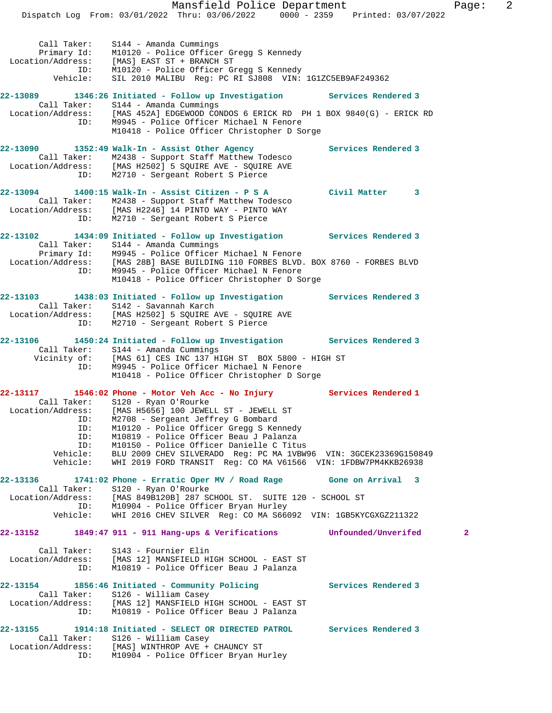Mansfield Police Department Fage: 2 Dispatch Log From: 03/01/2022 Thru: 03/06/2022 0000 - 2359 Printed: 03/07/2022 Call Taker: S144 - Amanda Cummings Primary Id: M10120 - Police Officer Gregg S Kennedy Location/Address: [MAS] EAST ST + BRANCH ST ID: M10120 - Police Officer Gregg S Kennedy Vehicle: SIL 2010 MALIBU Reg: PC RI SJ808 VIN: 1G1ZC5EB9AF249362 **22-13089 1346:26 Initiated - Follow up Investigation Services Rendered 3**  Call Taker: S144 - Amanda Cummings Location/Address: [MAS 452A] EDGEWOOD CONDOS 6 ERICK RD PH 1 BOX 9840(G) - ERICK RD ID: M9945 - Police Officer Michael N Fenore M10418 - Police Officer Christopher D Sorge **22-13090 1352:49 Walk-In - Assist Other Agency Services Rendered 3**  Call Taker: M2438 - Support Staff Matthew Todesco Location/Address: [MAS H2502] 5 SQUIRE AVE - SQUIRE AVE ID: M2710 - Sergeant Robert S Pierce **22-13094 1400:15 Walk-In - Assist Citizen - P S A Civil Matter 3**  Call Taker: M2438 - Support Staff Matthew Todesco Location/Address: [MAS H2246] 14 PINTO WAY - PINTO WAY ID: M2710 - Sergeant Robert S Pierce **22-13102 1434:09 Initiated - Follow up Investigation Services Rendered 3**  Call Taker: S144 - Amanda Cummings Primary Id: M9945 - Police Officer Michael N Fenore Location/Address: [MAS 28B] BASE BUILDING 110 FORBES BLVD. BOX 8760 - FORBES BLVD ID: M9945 - Police Officer Michael N Fenore M10418 - Police Officer Christopher D Sorge **22-13103 1438:03 Initiated - Follow up Investigation Services Rendered 3**  Call Taker: S142 - Savannah Karch Location/Address: [MAS H2502] 5 SQUIRE AVE - SQUIRE AVE ID: M2710 - Sergeant Robert S Pierce **22-13106 1450:24 Initiated - Follow up Investigation Services Rendered 3**  Call Taker: S144 - Amanda Cummings Vicinity of: [MAS 61] CES INC 137 HIGH ST BOX 5800 - HIGH ST ID: M9945 - Police Officer Michael N Fenore M10418 - Police Officer Christopher D Sorge **22-13117 1546:02 Phone - Motor Veh Acc - No Injury Services Rendered 1**  Call Taker: S120 - Ryan O'Rourke Location/Address: [MAS H5656] 100 JEWELL ST - JEWELL ST ID: M2708 - Sergeant Jeffrey G Bombard ID: M10120 - Police Officer Gregg S Kennedy ID: M10819 - Police Officer Beau J Palanza ID: M10150 - Police Officer Danielle C Titus Vehicle: BLU 2009 CHEV SILVERADO Reg: PC MA 1VBW96 VIN: 3GCEK23369G150849 Vehicle: WHI 2019 FORD TRANSIT Reg: CO MA V61566 VIN: 1FDBW7PM4KKB26938 **22-13136 1741:02 Phone - Erratic Oper MV / Road Rage Gone on Arrival 3**  Call Taker: S120 - Ryan O'Rourke Location/Address: [MAS 849B120B] 287 SCHOOL ST. SUITE 120 - SCHOOL ST ID: M10904 - Police Officer Bryan Hurley Vehicle: WHI 2016 CHEV SILVER Reg: CO MA S66092 VIN: 1GB5KYCGXGZ211322 **22-13152 1849:47 911 - 911 Hang-ups & Verifications Unfounded/Unverifed 2** Call Taker: S143 - Fournier Elin Location/Address: [MAS 12] MANSFIELD HIGH SCHOOL - EAST ST ID: M10819 - Police Officer Beau J Palanza **22-13154 1856:46 Initiated - Community Policing Services Rendered 3**  Call Taker: S126 - William Casey Location/Address: [MAS 12] MANSFIELD HIGH SCHOOL - EAST ST ID: M10819 - Police Officer Beau J Palanza **22-13155 1914:18 Initiated - SELECT OR DIRECTED PATROL Services Rendered 3**  Call Taker: S126 - William Casey Location/Address: [MAS] WINTHROP AVE + CHAUNCY ST

ID: M10904 - Police Officer Bryan Hurley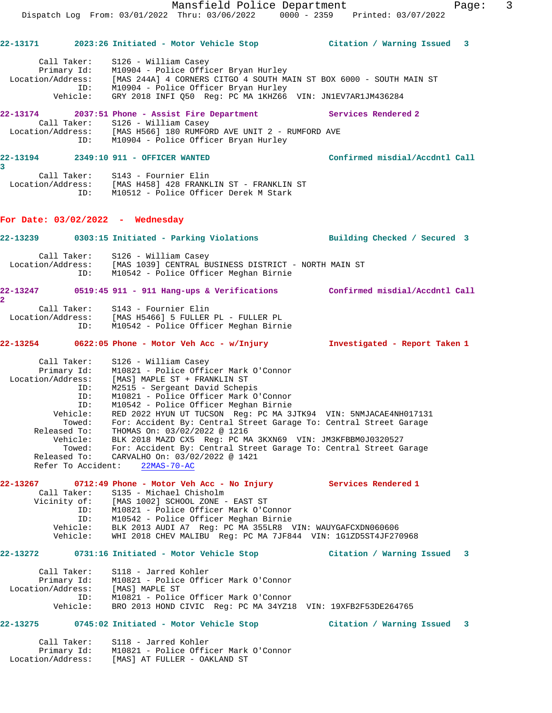|                                                                                       |                                                                                                                                    | Mansfield Police Department<br>Dispatch Log From: 03/01/2022 Thru: 03/06/2022 0000 - 2359 Printed: 03/07/2022                                                                                                                                                                                                                                                                                                                                                                                                         |                                | 3<br>Page: |
|---------------------------------------------------------------------------------------|------------------------------------------------------------------------------------------------------------------------------------|-----------------------------------------------------------------------------------------------------------------------------------------------------------------------------------------------------------------------------------------------------------------------------------------------------------------------------------------------------------------------------------------------------------------------------------------------------------------------------------------------------------------------|--------------------------------|------------|
|                                                                                       |                                                                                                                                    | 22-13171 2023:26 Initiated - Motor Vehicle Stop                 Citation / Warning Issued   3                                                                                                                                                                                                                                                                                                                                                                                                                         |                                |            |
| Call Taker:<br>Primary Id:<br>Vehicle:                                                | S126 - William Casey<br>ID:                                                                                                        | M10904 - Police Officer Bryan Hurley<br>Location/Address: [MAS 244A] 4 CORNERS CITGO 4 SOUTH MAIN ST BOX 6000 - SOUTH MAIN ST<br>M10904 - Police Officer Bryan Hurley<br>GRY 2018 INFI Q50 Reg: PC MA 1KHZ66 VIN: JN1EV7AR1JM436284                                                                                                                                                                                                                                                                                   |                                |            |
|                                                                                       | Call Taker: S126 - William Casey                                                                                                   | 22-13174 2037:51 Phone - Assist Fire Department Services Rendered 2<br>Location/Address: [MAS H566] 180 RUMFORD AVE UNIT 2 - RUMFORD AVE<br>ID: M10904 - Police Officer Bryan Hurley                                                                                                                                                                                                                                                                                                                                  |                                |            |
| 3                                                                                     | 22-13194 2349:10 911 - OFFICER WANTED                                                                                              |                                                                                                                                                                                                                                                                                                                                                                                                                                                                                                                       | Confirmed misdial/Accdntl Call |            |
|                                                                                       | Call Taker: S143 - Fournier Elin                                                                                                   | Location/Address: [MAS H458] 428 FRANKLIN ST - FRANKLIN ST<br>ID: M10512 - Police Officer Derek M Stark                                                                                                                                                                                                                                                                                                                                                                                                               |                                |            |
|                                                                                       | For Date: $03/02/2022 -$ Wednesday                                                                                                 |                                                                                                                                                                                                                                                                                                                                                                                                                                                                                                                       |                                |            |
|                                                                                       |                                                                                                                                    | 22-13239 0303:15 Initiated - Parking Violations Building Checked / Secured 3                                                                                                                                                                                                                                                                                                                                                                                                                                          |                                |            |
|                                                                                       | Call Taker: S126 - William Casey<br>ID:                                                                                            | Location/Address: [MAS 1039] CENTRAL BUSINESS DISTRICT - NORTH MAIN ST<br>M10542 - Police Officer Meghan Birnie                                                                                                                                                                                                                                                                                                                                                                                                       |                                |            |
| $\mathbf{2}$                                                                          |                                                                                                                                    | 22-13247     0519:45 911 - 911 Hang-ups & Verifications      Confirmed misdial/Accdntl Call                                                                                                                                                                                                                                                                                                                                                                                                                           |                                |            |
| Call Taker:                                                                           | S143 - Fournier Elin<br>ID:                                                                                                        | Location/Address: [MAS H5466] 5 FULLER PL - FULLER PL<br>M10542 - Police Officer Meghan Birnie                                                                                                                                                                                                                                                                                                                                                                                                                        |                                |            |
|                                                                                       |                                                                                                                                    |                                                                                                                                                                                                                                                                                                                                                                                                                                                                                                                       | Investigated - Report Taken 1  |            |
| ID:<br>Vehicle:<br>Towed:<br>Released To:<br>Vehicle:<br>Towed:<br>Refer To Accident: | Location/Address: [MAS] MAPLE ST + FRANKLIN ST<br>ID:<br>ID:<br>Released To: CARVALHO On: $03/02/2022$ @ 1421<br>$22MAS - 70 - AC$ | Call Taker: S126 - William Casey<br>Primary Id: M10821 - Police Officer Mark O'Connor<br>M2515 - Sergeant David Schepis<br>M10821 - Police Officer Mark O'Connor<br>M10542 - Police Officer Meghan Birnie<br>RED 2022 HYUN UT TUCSON Reg: PC MA 3JTK94 VIN: 5NMJACAE4NH017131<br>For: Accident By: Central Street Garage To: Central Street Garage<br>THOMAS On: 03/02/2022 @ 1216<br>BLK 2018 MAZD CX5 Reg: PC MA 3KXN69 VIN: JM3KFBBM0J0320527<br>For: Accident By: Central Street Garage To: Central Street Garage |                                |            |
| Call Taker:                                                                           | S135 - Michael Chisholm                                                                                                            | 22-13267 0712:49 Phone - Motor Veh Acc - No Injury Services Rendered 1                                                                                                                                                                                                                                                                                                                                                                                                                                                |                                |            |
| Vicinity of:<br>Vehicle:<br>Vehicle:                                                  | ID:<br>ID:                                                                                                                         | [MAS 1002] SCHOOL ZONE - EAST ST<br>M10821 - Police Officer Mark O'Connor<br>M10542 - Police Officer Meghan Birnie<br>BLK 2013 AUDI A7 Reg: PC MA 355LR8 VIN: WAUYGAFCXDN060606<br>WHI 2018 CHEV MALIBU Req: PC MA 7JF844 VIN: 1G1ZD5ST4JF270968                                                                                                                                                                                                                                                                      |                                |            |
|                                                                                       |                                                                                                                                    |                                                                                                                                                                                                                                                                                                                                                                                                                                                                                                                       | Citation / Warning Issued 3    |            |
| Call Taker:<br>Primary Id:<br>Location/Address:<br>Vehicle:                           | S118 - Jarred Kohler<br>[MAS] MAPLE ST<br>ID:                                                                                      | M10821 - Police Officer Mark O'Connor<br>M10821 - Police Officer Mark O'Connor<br>BRO 2013 HOND CIVIC Req: PC MA 34YZ18 VIN: 19XFB2F53DE264765                                                                                                                                                                                                                                                                                                                                                                        |                                |            |
|                                                                                       |                                                                                                                                    | 22-13275 0745:02 Initiated - Motor Vehicle Stop                                                                                                                                                                                                                                                                                                                                                                                                                                                                       | Citation / Warning Issued 3    |            |
|                                                                                       | Call Taker: S118 - Jarred Kohler                                                                                                   |                                                                                                                                                                                                                                                                                                                                                                                                                                                                                                                       |                                |            |

 Primary Id: M10821 - Police Officer Mark O'Connor Location/Address: [MAS] AT FULLER - OAKLAND ST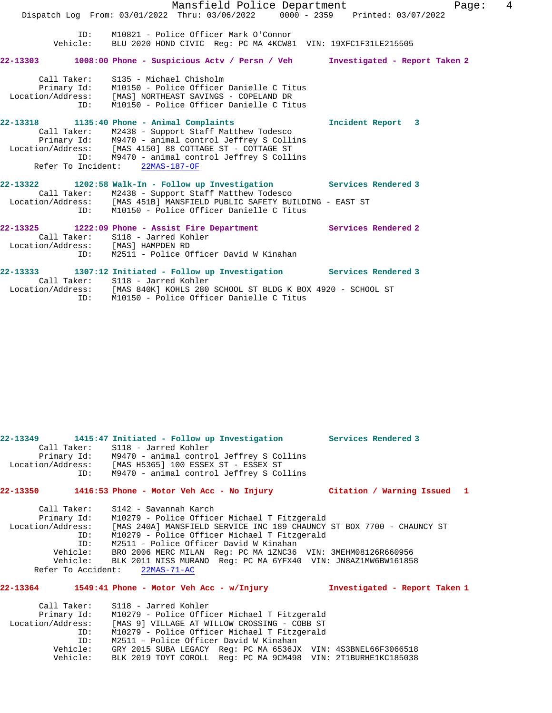|                                    | Mansfield Police Department                                                                                                                                                                                                                                                                           | 4<br>Page:        |
|------------------------------------|-------------------------------------------------------------------------------------------------------------------------------------------------------------------------------------------------------------------------------------------------------------------------------------------------------|-------------------|
|                                    | Dispatch Log From: 03/01/2022 Thru: 03/06/2022 0000 - 2359 Printed: 03/07/2022                                                                                                                                                                                                                        |                   |
| ID:                                | M10821 - Police Officer Mark O'Connor<br>Vehicle: BLU 2020 HOND CIVIC Req: PC MA 4KCW81 VIN: 19XFC1F31LE215505                                                                                                                                                                                        |                   |
|                                    | 22-13303 1008:00 Phone - Suspicious Actv / Persn / Veh Investigated - Report Taken 2                                                                                                                                                                                                                  |                   |
| ID:                                | Call Taker: S135 - Michael Chisholm<br>Primary Id: M10150 - Police Officer Danielle C Titus<br>Location/Address: [MAS] NORTHEAST SAVINGS - COPELAND DR<br>M10150 - Police Officer Danielle C Titus                                                                                                    |                   |
|                                    | 22-13318 1135:40 Phone - Animal Complaints<br>Call Taker: M2438 - Support Staff Matthew Todesco<br>Primary Id: M9470 - animal control Jeffrey S Collins<br>Location/Address: [MAS 4150] 88 COTTAGE ST - COTTAGE ST<br>ID: M9470 - animal control Jeffrey S Collins<br>Refer To Incident: 22MAS-187-OF | Incident Report 3 |
|                                    | 22-13322 1202:58 Walk-In - Follow up Investigation Services Rendered 3<br>Call Taker: M2438 - Support Staff Matthew Todesco<br>Location/Address: [MAS 451B] MANSFIELD PUBLIC SAFETY BUILDING - EAST ST<br>ID: M10150 - Police Officer Danielle C Titus                                                |                   |
| Location/Address: [MAS] HAMPDEN RD | 22-13325 1222:09 Phone - Assist Fire Department 5ervices Rendered 2<br>Call Taker: S118 - Jarred Kohler<br>ID: M2511 - Police Officer David W Kinahan                                                                                                                                                 |                   |
|                                    | 22-13333 1307:12 Initiated - Follow up Investigation Services Rendered 3<br>Call Taker: S118 - Jarred Kohler                                                                                                                                                                                          |                   |

 Location/Address: [MAS 840K] KOHLS 280 SCHOOL ST BLDG K BOX 4920 - SCHOOL ST ID: M10150 - Police Officer Danielle C Titus

**22-13349 1415:47 Initiated - Follow up Investigation Services Rendered 3** 

Call Taker: S118 - Jarred Kohler<br>Primary Id: M9470 - animal contro<br>Location/Address: [MAS H5365] 100 ESSE M9470 - animal control Jeffrey S Collins [MAS H5365] 100 ESSEX ST - ESSEX ST ID: M9470 - animal control Jeffrey S Collins **22-13350 1416:53 Phone - Motor Veh Acc - No Injury Citation / Warning Issued 1** Call Taker: S142 - Savannah Karch<br>Primary Id: M10279 - Police Office M10279 - Police Officer Michael T Fitzgerald Location/Address: [MAS 240A] MANSFIELD SERVICE INC 189 CHAUNCY ST BOX 7700 - CHAUNCY ST ID: M10279 - Police Officer Michael T Fitzgerald ID: M2511 - Police Officer David W Kinahan<br>Vehicle: BRO 2006 MERC MILAN Reg: PC MA 1ZNC36 Vehicle: BRO 2006 MERC MILAN Reg: PC MA 1ZNC36 VIN: 3MEHM08126R660956<br>Vehicle: BLK 2011 NISS MURANO Reg: PC MA 6YFX40 VIN: JN8AZ1MW6BW161858 BLK 2011 NISS MURANO Reg: PC MA 6YFX40 VIN: JN8AZ1MW6BW161858<br>nt: 22MAS-71-AC Refer To Accident:

### **22-13364 1549:41 Phone - Motor Veh Acc - w/Injury Investigated - Report Taken 1**

 Call Taker: S118 - Jarred Kohler Primary Id: M10279 - Police Officer Michael T Fitzgerald<br>Location/Address: [MAS 9] VILLAGE AT WILLOW CROSSING - COBB ST SS: [MAS 9] VILLAGE AT WILLOW CROSSING - COBB ST:<br>ID: M10279 - Police Officer Michael T Fitzgerald ID: M10279 - Police Officer Michael T Fitzgerald ID: M2511 - Police Officer David W Kinahan<br>Vehicle: GRY 2015 SUBA LEGACY Reg: PC MA 6536JX Vehicle: GRY 2015 SUBA LEGACY Reg: PC MA 6536JX VIN: 4S3BNEL66F3066518 Vehicle: BLK 2019 TOYT COROLL Reg: PC MA 9CM498 VIN: 2T1BURHE1KC185038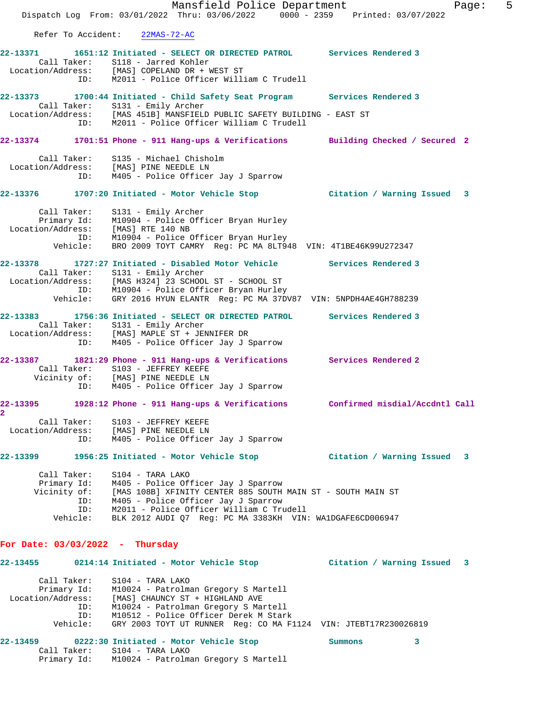Mansfield Police Department Fage: 5 Dispatch Log From: 03/01/2022 Thru: 03/06/2022 0000 - 2359 Printed: 03/07/2022 Refer To Accident: 22MAS-72-AC **22-13371 1651:12 Initiated - SELECT OR DIRECTED PATROL Services Rendered 3**  Call Taker: S118 - Jarred Kohler Location/Address: [MAS] COPELAND DR + WEST ST ID: M2011 - Police Officer William C Trudell **22-13373 1700:44 Initiated - Child Safety Seat Program Services Rendered 3**  Call Taker: S131 - Emily Archer Location/Address: [MAS 451B] MANSFIELD PUBLIC SAFETY BUILDING - EAST ST ID: M2011 - Police Officer William C Trudell **22-13374 1701:51 Phone - 911 Hang-ups & Verifications Building Checked / Secured 2** Call Taker: S135 - Michael Chisholm Location/Address: [MAS] PINE NEEDLE LN ID: M405 - Police Officer Jay J Sparrow **22-13376 1707:20 Initiated - Motor Vehicle Stop Citation / Warning Issued 3** Call Taker: S131 - Emily Archer Primary Id: M10904 - Police Officer Bryan Hurley Location/Address: [MAS] RTE 140 NB ID: M10904 - Police Officer Bryan Hurley Vehicle: BRO 2009 TOYT CAMRY Reg: PC MA 8LT948 VIN: 4T1BE46K99U272347 **22-13378 1727:27 Initiated - Disabled Motor Vehicle Services Rendered 3**  Call Taker: S131 - Emily Archer Location/Address: [MAS H324] 23 SCHOOL ST - SCHOOL ST ID: M10904 - Police Officer Bryan Hurley Vehicle: GRY 2016 HYUN ELANTR Reg: PC MA 37DV87 VIN: 5NPDH4AE4GH788239 **22-13383 1756:36 Initiated - SELECT OR DIRECTED PATROL Services Rendered 3**  Call Taker: S131 - Emily Archer Location/Address: [MAS] MAPLE ST + JENNIFER DR ID: M405 - Police Officer Jay J Sparrow **22-13387 1821:29 Phone - 911 Hang-ups & Verifications Services Rendered 2**  Call Taker: S103 - JEFFREY KEEFE Vicinity of: [MAS] PINE NEEDLE LN ID: M405 - Police Officer Jay J Sparrow **22-13395 1928:12 Phone - 911 Hang-ups & Verifications Confirmed misdial/Accdntl Call 2**  Call Taker: S103 - JEFFREY KEEFE Location/Address: [MAS] PINE NEEDLE LN ID: M405 - Police Officer Jay J Sparrow **22-13399 1956:25 Initiated - Motor Vehicle Stop Citation / Warning Issued 3** Call Taker: S104 - TARA LAKO Primary Id: M405 - Police Officer Jay J Sparrow Vicinity of: [MAS 108B] XFINITY CENTER 885 SOUTH MAIN ST - SOUTH MAIN ST ID: M405 - Police Officer Jay J Sparrow ID: M2011 - Police Officer William C Trudell Vehicle: BLK 2012 AUDI Q7 Reg: PC MA 3383KH VIN: WA1DGAFE6CD006947 **For Date: 03/03/2022 - Thursday 22-13455 0214:14 Initiated - Motor Vehicle Stop Citation / Warning Issued 3** Call Taker: S104 - TARA LAKO Primary Id: M10024 - Patrolman Gregory S Martell Location/Address: [MAS] CHAUNCY ST + HIGHLAND AVE ID: M10024 - Patrolman Gregory S Martell ID: M10512 - Police Officer Derek M Stark Vehicle: GRY 2003 TOYT UT RUNNER Reg: CO MA F1124 VIN: JTEBT17R230026819

### **22-13459 0222:30 Initiated - Motor Vehicle Stop Summons 3**  Call Taker: S104 - TARA LAKO Primary Id: M10024 - Patrolman Gregory S Martell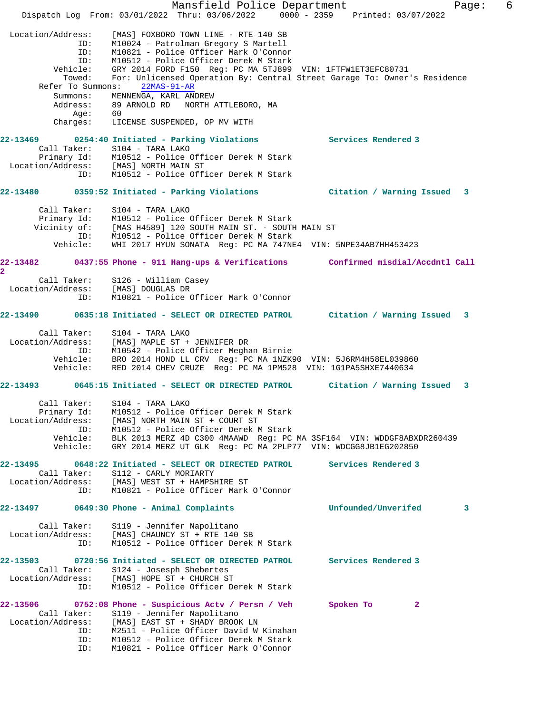Mansfield Police Department Fage: 6 Dispatch Log From: 03/01/2022 Thru: 03/06/2022 0000 - 2359 Printed: 03/07/2022 Location/Address: [MAS] FOXBORO TOWN LINE - RTE 140 SB ID: M10024 - Patrolman Gregory S Martell ID: M10821 - Police Officer Mark O'Connor ID: M10512 - Police Officer Derek M Stark Vehicle: GRY 2014 FORD F150 Reg: PC MA 5TJ899 VIN: 1FTFW1ET3EFC80731 Towed: For: Unlicensed Operation By: Central Street Garage To: Owner's Residence Refer To Summons: 22MAS-91-AR Summons: MENNENGA, KARL ANDREW Address: 89 ARNOLD RD NORTH ATTLEBORO, MA Age: 60 Charges: LICENSE SUSPENDED, OP MV WITH **22-13469 0254:40 Initiated - Parking Violations Services Rendered 3**  Call Taker: S104 - TARA LAKO Primary Id: M10512 - Police Officer Derek M Stark Location/Address: [MAS] NORTH MAIN ST ID: M10512 - Police Officer Derek M Stark **22-13480 0359:52 Initiated - Parking Violations Citation / Warning Issued 3** Call Taker: S104 - TARA LAKO Primary Id: M10512 - Police Officer Derek M Stark Vicinity of: [MAS H4589] 120 SOUTH MAIN ST. - SOUTH MAIN ST ID: M10512 - Police Officer Derek M Stark Vehicle: WHI 2017 HYUN SONATA Reg: PC MA 747NE4 VIN: 5NPE34AB7HH453423 **22-13482 0437:55 Phone - 911 Hang-ups & Verifications Confirmed misdial/Accdntl Call 2**  Call Taker: S126 - William Casey Location/Address: [MAS] DOUGLAS DR ID: M10821 - Police Officer Mark O'Connor **22-13490 0635:18 Initiated - SELECT OR DIRECTED PATROL Citation / Warning Issued 3** Call Taker: S104 - TARA LAKO Location/Address: [MAS] MAPLE ST + JENNIFER DR ID: M10542 - Police Officer Meghan Birnie Vehicle: BRO 2014 HOND LL CRV Reg: PC MA 1NZK90 VIN: 5J6RM4H58EL039860 Vehicle: RED 2014 CHEV CRUZE Reg: PC MA 1PM528 VIN: 1G1PA5SHXE7440634 **22-13493 0645:15 Initiated - SELECT OR DIRECTED PATROL Citation / Warning Issued 3** Call Taker: S104 - TARA LAKO Primary Id: M10512 - Police Officer Derek M Stark Location/Address: [MAS] NORTH MAIN ST + COURT ST ID: M10512 - Police Officer Derek M Stark Vehicle: BLK 2013 MERZ 4D C300 4MAAWD Reg: PC MA 3SF164 VIN: WDDGF8ABXDR260439 Vehicle: GRY 2014 MERZ UT GLK Reg: PC MA 2PLP77 VIN: WDCGG8JB1EG202850 **22-13495 0648:22 Initiated - SELECT OR DIRECTED PATROL Services Rendered 3**  Call Taker: S112 - CARLY MORIARTY Location/Address: [MAS] WEST ST + HAMPSHIRE ST ID: M10821 - Police Officer Mark O'Connor **22-13497 0649:30 Phone - Animal Complaints Unfounded/Unverifed 3** Call Taker: S119 - Jennifer Napolitano Location/Address: [MAS] CHAUNCY ST + RTE 140 SB ID: M10512 - Police Officer Derek M Stark **22-13503 0720:56 Initiated - SELECT OR DIRECTED PATROL Services Rendered 3**  Call Taker: S124 - Josesph Shebertes Location/Address: [MAS] HOPE ST + CHURCH ST ID: M10512 - Police Officer Derek M Stark **22-13506 0752:08 Phone - Suspicious Actv / Persn / Veh Spoken To 2**  Call Taker: S119 - Jennifer Napolitano Location/Address: [MAS] EAST ST + SHADY BROOK LN ID: M2511 - Police Officer David W Kinahan ID: M10512 - Police Officer Derek M Stark ID: M10821 - Police Officer Mark O'Connor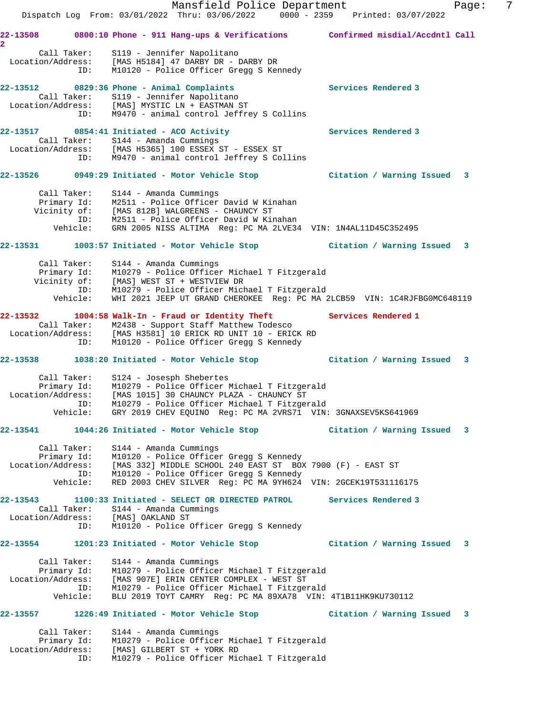Mansfield Police Department Fage: 7 Dispatch Log From: 03/01/2022 Thru: 03/06/2022 0000 - 2359 Printed: 03/07/2022 **22-13508 0800:10 Phone - 911 Hang-ups & Verifications Confirmed misdial/Accdntl Call 2**  Call Taker: S119 - Jennifer Napolitano Location/Address: [MAS H5184] 47 DARBY DR - DARBY DR ID: M10120 - Police Officer Gregg S Kennedy **22-13512 0829:36 Phone - Animal Complaints Services Rendered 3**  Call Taker: S119 - Jennifer Napolitano Location/Address: [MAS] MYSTIC LN + EASTMAN ST ID: M9470 - animal control Jeffrey S Collins **22-13517 0854:41 Initiated - ACO Activity Services Rendered 3**  Call Taker: S144 - Amanda Cummings Location/Address: [MAS H5365] 100 ESSEX ST - ESSEX ST ID: M9470 - animal control Jeffrey S Collins **22-13526 0949:29 Initiated - Motor Vehicle Stop Citation / Warning Issued 3** Call Taker: S144 - Amanda Cummings Primary Id: M2511 - Police Officer David W Kinahan Vicinity of: [MAS 812B] WALGREENS - CHAUNCY ST ID: M2511 - Police Officer David W Kinahan Vehicle: GRN 2005 NISS ALTIMA Reg: PC MA 2LVE34 VIN: 1N4AL11D45C352495 **22-13531 1003:57 Initiated - Motor Vehicle Stop Citation / Warning Issued 3** Call Taker: S144 - Amanda Cummings Primary Id: M10279 - Police Officer Michael T Fitzgerald Vicinity of: [MAS] WEST ST + WESTVIEW DR ID: M10279 - Police Officer Michael T Fitzgerald Vehicle: WHI 2021 JEEP UT GRAND CHEROKEE Reg: PC MA 2LCB59 VIN: 1C4RJFBG0MC648119 **22-13532 1004:58 Walk-In - Fraud or Identity Theft Services Rendered 1**  Call Taker: M2438 - Support Staff Matthew Todesco Location/Address: [MAS H3581] 10 ERICK RD UNIT 10 - ERICK RD ID: M10120 - Police Officer Gregg S Kennedy **22-13538 1038:20 Initiated - Motor Vehicle Stop Citation / Warning Issued 3** Call Taker: S124 - Josesph Shebertes Primary Id: M10279 - Police Officer Michael T Fitzgerald Location/Address: [MAS 1015] 30 CHAUNCY PLAZA - CHAUNCY ST ID: M10279 - Police Officer Michael T Fitzgerald Vehicle: GRY 2019 CHEV EQUINO Reg: PC MA 2VRS71 VIN: 3GNAXSEV5KS641969 **22-13541 1044:26 Initiated - Motor Vehicle Stop Citation / Warning Issued 3** Call Taker: S144 - Amanda Cummings Primary Id: M10120 - Police Officer Gregg S Kennedy Location/Address: [MAS 332] MIDDLE SCHOOL 240 EAST ST BOX 7900 (F) - EAST ST ID: M10120 - Police Officer Gregg S Kennedy Vehicle: RED 2003 CHEV SILVER Reg: PC MA 9YH624 VIN: 2GCEK19T531116175 **22-13543 1100:33 Initiated - SELECT OR DIRECTED PATROL Services Rendered 3**  Call Taker: S144 - Amanda Cummings Location/Address: [MAS] OAKLAND ST ID: M10120 - Police Officer Gregg S Kennedy **22-13554 1201:23 Initiated - Motor Vehicle Stop Citation / Warning Issued 3** Call Taker: S144 - Amanda Cummings Primary Id: M10279 - Police Officer Michael T Fitzgerald Location/Address: [MAS 907E] ERIN CENTER COMPLEX - WEST ST ID: M10279 - Police Officer Michael T Fitzgerald Vehicle: BLU 2019 TOYT CAMRY Reg: PC MA 89XA78 VIN: 4T1B11HK9KU730112 **22-13557 1226:49 Initiated - Motor Vehicle Stop Citation / Warning Issued 3** Call Taker: S144 - Amanda Cummings Primary Id: M10279 - Police Officer Michael T Fitzgerald Location/Address: [MAS] GILBERT ST + YORK RD ID: M10279 - Police Officer Michael T Fitzgerald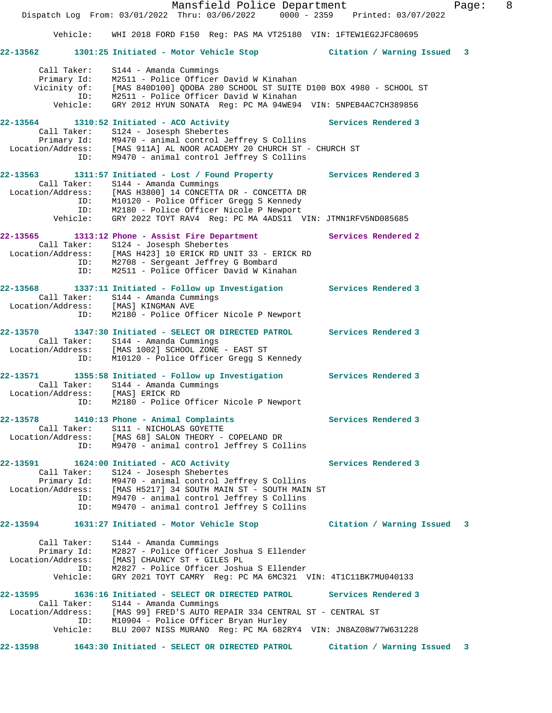|                   |                                                               | Mansfield Police Department<br>Dispatch Log From: 03/01/2022 Thru: 03/06/2022 0000 - 2359 Printed: 03/07/2022                                                                                                                                                                                                       |                             | Page: | 8 |
|-------------------|---------------------------------------------------------------|---------------------------------------------------------------------------------------------------------------------------------------------------------------------------------------------------------------------------------------------------------------------------------------------------------------------|-----------------------------|-------|---|
|                   | Vehicle:                                                      | WHI 2018 FORD F150 Reg: PAS MA VT25180 VIN: 1FTEW1EG2JFC80695                                                                                                                                                                                                                                                       |                             |       |   |
| $22 - 13562$      |                                                               | 1301:25 Initiated - Motor Vehicle Stop                                                                                                                                                                                                                                                                              | Citation / Warning Issued 3 |       |   |
|                   | Call Taker:<br>Primary Id:<br>Vicinity of:<br>ID:<br>Vehicle: | $S144$ - Amanda Cummings<br>M2511 - Police Officer David W Kinahan<br>[MAS 840D100] ODOBA 280 SCHOOL ST SUITE D100 BOX 4980 - SCHOOL ST<br>M2511 - Police Officer David W Kinahan<br>GRY 2012 HYUN SONATA Reg: PC MA 94WE94 VIN: 5NPEB4AC7CH389856                                                                  |                             |       |   |
| Location/Address: | Call Taker:<br>Primary Id:<br>ID:                             | $22-13564$ 1310:52 Initiated - ACO Activity<br>S124 - Josesph Shebertes<br>M9470 - animal control Jeffrey S Collins<br>[MAS 911A] AL NOOR ACADEMY 20 CHURCH ST - CHURCH ST<br>M9470 - animal control Jeffrey S Collins                                                                                              | Services Rendered 3         |       |   |
|                   | Call Taker:<br>ID:<br>ID:<br>Vehicle:                         | 22-13563 1311:57 Initiated - Lost / Found Property Services Rendered 3<br>S144 - Amanda Cummings<br>Location/Address: [MAS H3800] 14 CONCETTA DR - CONCETTA DR<br>M10120 - Police Officer Gregg S Kennedy<br>M2180 - Police Officer Nicole P Newport<br>GRY 2022 TOYT RAV4 Req: PC MA 4ADS11 VIN: JTMN1RFV5ND085685 |                             |       |   |
| 22-13565          | Call Taker:<br>ID:<br>ID:                                     | 1313:12 Phone - Assist Fire Department<br>S124 - Josesph Shebertes<br>Location/Address: [MAS H423] 10 ERICK RD UNIT 33 - ERICK RD<br>M2708 - Sergeant Jeffrey G Bombard<br>M2511 - Police Officer David W Kinahan                                                                                                   | Services Rendered 2         |       |   |
| 22-13568          | ID:                                                           | 1337:11 Initiated - Follow up Investigation Services Rendered 3<br>Call Taker: S144 - Amanda Cummings<br>Location/Address: [MAS] KINGMAN AVE<br>M2180 - Police Officer Nicole P Newport                                                                                                                             |                             |       |   |
| 22-13570          | ID:                                                           | 1347:30 Initiated - SELECT OR DIRECTED PATROL Services Rendered 3<br>Call Taker: S144 - Amanda Cummings<br>Location/Address: [MAS 1002] SCHOOL ZONE - EAST ST<br>M10120 - Police Officer Gregg S Kennedy                                                                                                            |                             |       |   |
| 22-13571          | Call Taker:<br>ID:                                            | 1355:58 Initiated - Follow up Investigation Services Rendered 3<br>S144 - Amanda Cummings<br>Location/Address: [MAS] ERICK RD<br>M2180 - Police Officer Nicole P Newport                                                                                                                                            |                             |       |   |
|                   | Call Taker:<br>ID:                                            | $22-13578$ 1410:13 Phone - Animal Complaints<br>S111 - NICHOLAS GOYETTE<br>Location/Address: [MAS 68] SALON THEORY - COPELAND DR<br>M9470 - animal control Jeffrey S Collins                                                                                                                                        | Services Rendered 3         |       |   |
|                   | ID:                                                           | 22-13591 1624:00 Initiated - ACO Activity<br>Call Taker: S124 - Josesph Shebertes<br>Primary Id: M9470 - animal control Jeffrey S Collins<br>Location/Address: [MAS H5217] 34 SOUTH MAIN ST - SOUTH MAIN ST<br>M9470 - animal control Jeffrey S Collins<br>ID: M9470 - animal control Jeffrey S Collins             | Services Rendered 3         |       |   |
| 22-13594          |                                                               | 1631:27 Initiated - Motor Vehicle Stop                                                                                                                                                                                                                                                                              | Citation / Warning Issued 3 |       |   |
|                   | Call Taker:<br>Primary Id:<br>ID:<br>Vehicle:                 | S144 - Amanda Cummings<br>M2827 - Police Officer Joshua S Ellender<br>Location/Address: [MAS] CHAUNCY ST + GILES PL<br>M2827 - Police Officer Joshua S Ellender<br>GRY 2021 TOYT CAMRY Reg: PC MA 6MC321 VIN: 4T1C11BK7MU040133                                                                                     |                             |       |   |
|                   |                                                               | 22-13595   1636:16 Initiated - SELECT OR DIRECTED PATROL<br>Call Taker: S144 - Amanda Cummings<br>Location/Address: [MAS 99] FRED'S AUTO REPAIR 334 CENTRAL ST - CENTRAL ST<br>ID: M10904 - Police Officer Bryan Hurley<br>Vehicle: BLU 2007 NISS MURANO Reg: PC MA 682RY4 VIN: JN8AZ08W77W631228                   | Services Rendered 3         |       |   |
| 22-13598          |                                                               | 1643:30 Initiated - SELECT OR DIRECTED PATROL                                                                                                                                                                                                                                                                       | Citation / Warning Issued   | 3     |   |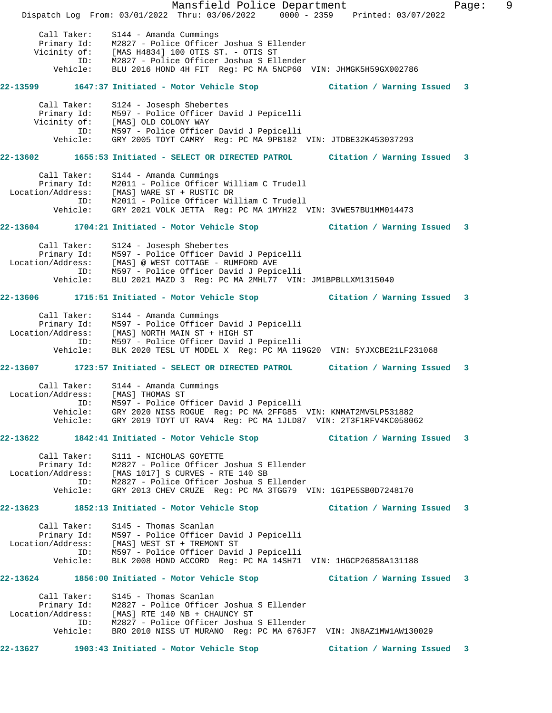Mansfield Police Department Fage: 9 Dispatch Log From: 03/01/2022 Thru: 03/06/2022 0000 - 2359 Printed: 03/07/2022 Call Taker: S144 - Amanda Cummings Primary Id: M2827 - Police Officer Joshua S Ellender Vicinity of: [MAS H4834] 100 OTIS ST. - OTIS ST ID: M2827 - Police Officer Joshua S Ellender Vehicle: BLU 2016 HOND 4H FIT Reg: PC MA 5NCP60 VIN: JHMGK5H59GX002786 **22-13599 1647:37 Initiated - Motor Vehicle Stop Citation / Warning Issued 3** Call Taker: S124 - Josesph Shebertes Primary Id: M597 - Police Officer David J Pepicelli Vicinity of: [MAS] OLD COLONY WAY ID: M597 - Police Officer David J Pepicelli Vehicle: GRY 2005 TOYT CAMRY Reg: PC MA 9PB182 VIN: JTDBE32K453037293 **22-13602 1655:53 Initiated - SELECT OR DIRECTED PATROL Citation / Warning Issued 3** Call Taker: S144 - Amanda Cummings Primary Id: M2011 - Police Officer William C Trudell Location/Address: [MAS] WARE ST + RUSTIC DR ID: M2011 - Police Officer William C Trudell Vehicle: GRY 2021 VOLK JETTA Reg: PC MA 1MYH22 VIN: 3VWE57BU1MM014473 **22-13604 1704:21 Initiated - Motor Vehicle Stop Citation / Warning Issued 3** Call Taker: S124 - Josesph Shebertes Primary Id: M597 - Police Officer David J Pepicelli Location/Address: [MAS] @ WEST COTTAGE - RUMFORD AVE ID: M597 - Police Officer David J Pepicelli Vehicle: BLU 2021 MAZD 3 Reg: PC MA 2MHL77 VIN: JM1BPBLLXM1315040 **22-13606 1715:51 Initiated - Motor Vehicle Stop Citation / Warning Issued 3** Call Taker: S144 - Amanda Cummings Primary Id: M597 - Police Officer David J Pepicelli Location/Address: [MAS] NORTH MAIN ST + HIGH ST ID: M597 - Police Officer David J Pepicelli Vehicle: BLK 2020 TESL UT MODEL X Reg: PC MA 119G20 VIN: 5YJXCBE21LF231068 **22-13607 1723:57 Initiated - SELECT OR DIRECTED PATROL Citation / Warning Issued 3** Call Taker: S144 - Amanda Cummings Location/Address: [MAS] THOMAS ST ID: M597 - Police Officer David J Pepicelli Vehicle: GRY 2020 NISS ROGUE Reg: PC MA 2FFG85 VIN: KNMAT2MV5LP531882 Vehicle: GRY 2019 TOYT UT RAV4 Reg: PC MA 1JLD87 VIN: 2T3F1RFV4KC058062 **22-13622 1842:41 Initiated - Motor Vehicle Stop Citation / Warning Issued 3** Call Taker: S111 - NICHOLAS GOYETTE Primary Id: M2827 - Police Officer Joshua S Ellender Location/Address: [MAS 1017] S CURVES - RTE 140 SB ID: M2827 - Police Officer Joshua S Ellender Vehicle: GRY 2013 CHEV CRUZE Reg: PC MA 3TGG79 VIN: 1G1PE5SB0D7248170 **22-13623 1852:13 Initiated - Motor Vehicle Stop Citation / Warning Issued 3** Call Taker: S145 - Thomas Scanlan Primary Id: M597 - Police Officer David J Pepicelli Location/Address: [MAS] WEST ST + TREMONT ST ID: M597 - Police Officer David J Pepicelli Vehicle: BLK 2008 HOND ACCORD Reg: PC MA 14SH71 VIN: 1HGCP26858A131188 **22-13624 1856:00 Initiated - Motor Vehicle Stop Citation / Warning Issued 3** Call Taker: S145 - Thomas Scanlan Primary Id: M2827 - Police Officer Joshua S Ellender Location/Address: [MAS] RTE 140 NB + CHAUNCY ST ID: M2827 - Police Officer Joshua S Ellender Vehicle: BRO 2010 NISS UT MURANO Reg: PC MA 676JF7 VIN: JN8AZ1MW1AW130029 **22-13627 1903:43 Initiated - Motor Vehicle Stop Citation / Warning Issued 3**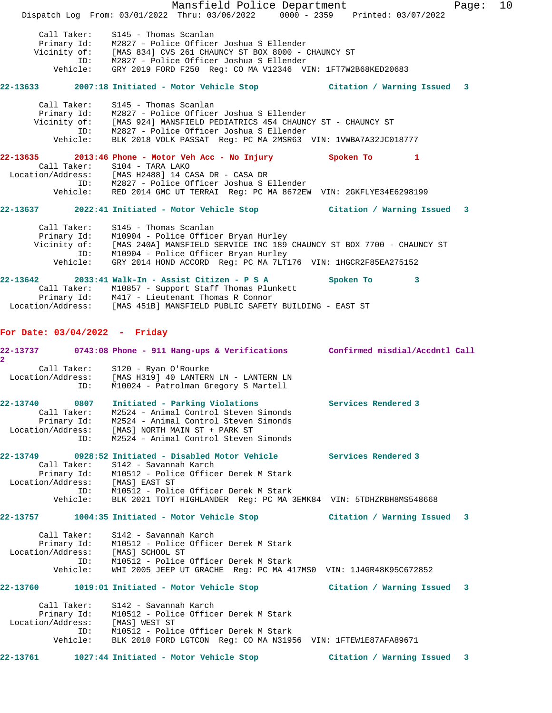Mansfield Police Department Fage: 10 Dispatch Log From: 03/01/2022 Thru: 03/06/2022 0000 - 2359 Printed: 03/07/2022 Call Taker: S145 - Thomas Scanlan Primary Id: M2827 - Police Officer Joshua S Ellender Vicinity of: [MAS 834] CVS 261 CHAUNCY ST BOX 8000 - CHAUNCY ST ID: M2827 - Police Officer Joshua S Ellender Vehicle: GRY 2019 FORD F250 Reg: CO MA V12346 VIN: 1FT7W2B68KED20683 **22-13633 2007:18 Initiated - Motor Vehicle Stop Citation / Warning Issued 3** Call Taker: S145 - Thomas Scanlan Primary Id: M2827 - Police Officer Joshua S Ellender Vicinity of: [MAS 924] MANSFIELD PEDIATRICS 454 CHAUNCY ST - CHAUNCY ST ID: M2827 - Police Officer Joshua S Ellender Vehicle: BLK 2018 VOLK PASSAT Reg: PC MA 2MSR63 VIN: 1VWBA7A32JC018777 **22-13635 2013:46 Phone - Motor Veh Acc - No Injury Spoken To 1**  Call Taker: S104 - TARA LAKO Location/Address: [MAS H2488] 14 CASA DR - CASA DR ID: M2827 - Police Officer Joshua S Ellender Vehicle: RED 2014 GMC UT TERRAI Reg: PC MA 8672EW VIN: 2GKFLYE34E6298199 **22-13637 2022:41 Initiated - Motor Vehicle Stop Citation / Warning Issued 3** Call Taker: S145 - Thomas Scanlan Primary Id: M10904 - Police Officer Bryan Hurley Vicinity of: [MAS 240A] MANSFIELD SERVICE INC 189 CHAUNCY ST BOX 7700 - CHAUNCY ST ID: M10904 - Police Officer Bryan Hurley Vehicle: GRY 2014 HOND ACCORD Reg: PC MA 7LT176 VIN: 1HGCR2F85EA275152 **22-13642 2033:41 Walk-In - Assist Citizen - P S A Spoken To 3**  Call Taker: M10857 - Support Staff Thomas Plunkett Primary Id: M417 - Lieutenant Thomas R Connor Location/Address: [MAS 451B] MANSFIELD PUBLIC SAFETY BUILDING - EAST ST **For Date: 03/04/2022 - Friday 22-13737 0743:08 Phone - 911 Hang-ups & Verifications Confirmed misdial/Accdntl Call 2**  Call Taker: S120 - Ryan O'Rourke Location/Address: [MAS H319] 40 LANTERN LN - LANTERN LN ID: M10024 - Patrolman Gregory S Martell **22-13740 0807 Initiated - Parking Violations Services Rendered 3**  Call Taker: M2524 - Animal Control Steven Simonds Primary Id: M2524 - Animal Control Steven Simonds Location/Address: [MAS] NORTH MAIN ST + PARK ST ID: M2524 - Animal Control Steven Simonds **22-13749 0928:52 Initiated - Disabled Motor Vehicle Services Rendered 3**  Call Taker: S142 - Savannah Karch Primary Id: M10512 - Police Officer Derek M Stark Location/Address: [MAS] EAST ST ID: M10512 - Police Officer Derek M Stark Vehicle: BLK 2021 TOYT HIGHLANDER Reg: PC MA 3EMK84 VIN: 5TDHZRBH8MS548668 **22-13757 1004:35 Initiated - Motor Vehicle Stop Citation / Warning Issued 3** Call Taker: S142 - Savannah Karch Primary Id: M10512 - Police Officer Derek M Stark Location/Address: [MAS] SCHOOL ST ID: M10512 - Police Officer Derek M Stark Vehicle: WHI 2005 JEEP UT GRACHE Reg: PC MA 417MS0 VIN: 1J4GR48K95C672852 **22-13760 1019:01 Initiated - Motor Vehicle Stop Citation / Warning Issued 3** Call Taker: S142 - Savannah Karch Primary Id: M10512 - Police Officer Derek M Stark Location/Address: [MAS] WEST ST ID: M10512 - Police Officer Derek M Stark Vehicle: BLK 2010 FORD LGTCON Reg: CO MA N31956 VIN: 1FTEW1E87AFA89671 **22-13761 1027:44 Initiated - Motor Vehicle Stop Citation / Warning Issued 3**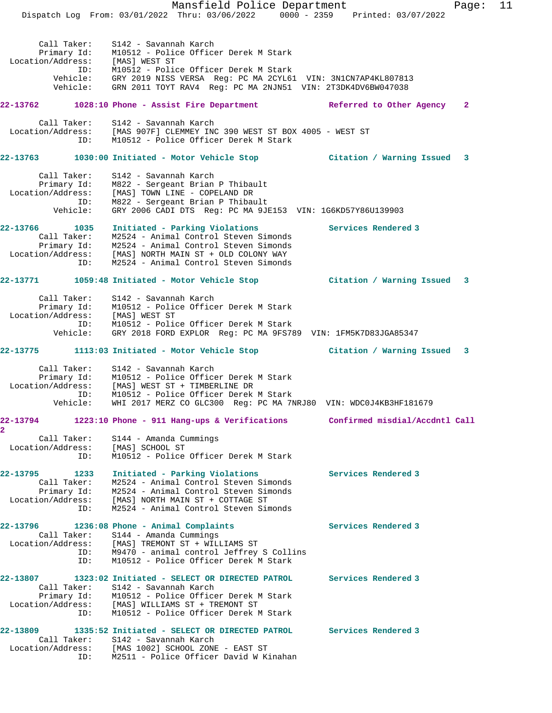Mansfield Police Department Fage: 11 Dispatch Log From: 03/01/2022 Thru: 03/06/2022 0000 - 2359 Printed: 03/07/2022 Call Taker: S142 - Savannah Karch Primary Id: M10512 - Police Officer Derek M Stark Location/Address: [MAS] WEST ST ID: M10512 - Police Officer Derek M Stark Vehicle: GRY 2019 NISS VERSA Reg: PC MA 2CYL61 VIN: 3N1CN7AP4KL807813 Vehicle: GRN 2011 TOYT RAV4 Reg: PC MA 2NJN51 VIN: 2T3DK4DV6BW047038 **22-13762 1028:10 Phone - Assist Fire Department Referred to Other Agency 2** Call Taker: S142 - Savannah Karch Location/Address: [MAS 907F] CLEMMEY INC 390 WEST ST BOX 4005 - WEST ST ID: M10512 - Police Officer Derek M Stark **22-13763 1030:00 Initiated - Motor Vehicle Stop Citation / Warning Issued 3** Call Taker: S142 - Savannah Karch Primary Id: M822 - Sergeant Brian P Thibault Location/Address: [MAS] TOWN LINE - COPELAND DR ID: M822 - Sergeant Brian P Thibault Vehicle: GRY 2006 CADI DTS Reg: PC MA 9JE153 VIN: 1G6KD57Y86U139903 **22-13766 1035 Initiated - Parking Violations Services Rendered 3**  Call Taker: M2524 - Animal Control Steven Simonds Primary Id: M2524 - Animal Control Steven Simonds Location/Address: [MAS] NORTH MAIN ST + OLD COLONY WAY ID: M2524 - Animal Control Steven Simonds **22-13771 1059:48 Initiated - Motor Vehicle Stop Citation / Warning Issued 3** Call Taker: S142 - Savannah Karch Primary Id: M10512 - Police Officer Derek M Stark Location/Address: [MAS] WEST ST ID: M10512 - Police Officer Derek M Stark Vehicle: GRY 2018 FORD EXPLOR Reg: PC MA 9FS789 VIN: 1FM5K7D83JGA85347 **22-13775 1113:03 Initiated - Motor Vehicle Stop Citation / Warning Issued 3** Call Taker: S142 - Savannah Karch Primary Id: M10512 - Police Officer Derek M Stark Location/Address: [MAS] WEST ST + TIMBERLINE DR ID: M10512 - Police Officer Derek M Stark Vehicle: WHI 2017 MERZ CO GLC300 Reg: PC MA 7NRJ80 VIN: WDC0J4KB3HF181679 **22-13794 1223:10 Phone - 911 Hang-ups & Verifications Confirmed misdial/Accdntl Call 2**  Call Taker: S144 - Amanda Cummings Location/Address: [MAS] SCHOOL ST ID: M10512 - Police Officer Derek M Stark **22-13795 1233 Initiated - Parking Violations Services Rendered 3**  Call Taker: M2524 - Animal Control Steven Simonds Primary Id: M2524 - Animal Control Steven Simonds Location/Address: [MAS] NORTH MAIN ST + COTTAGE ST ID: M2524 - Animal Control Steven Simonds **22-13796 1236:08 Phone - Animal Complaints Services Rendered 3**  Call Taker: S144 - Amanda Cummings Location/Address: [MAS] TREMONT ST + WILLIAMS ST ID: M9470 - animal control Jeffrey S Collins ID: M10512 - Police Officer Derek M Stark **22-13807 1323:02 Initiated - SELECT OR DIRECTED PATROL Services Rendered 3**  Call Taker: S142 - Savannah Karch Primary Id: M10512 - Police Officer Derek M Stark Location/Address: [MAS] WILLIAMS ST + TREMONT ST ID: M10512 - Police Officer Derek M Stark **22-13809 1335:52 Initiated - SELECT OR DIRECTED PATROL Services Rendered 3**  Call Taker: S142 - Savannah Karch Location/Address: [MAS 1002] SCHOOL ZONE - EAST ST ID: M2511 - Police Officer David W Kinahan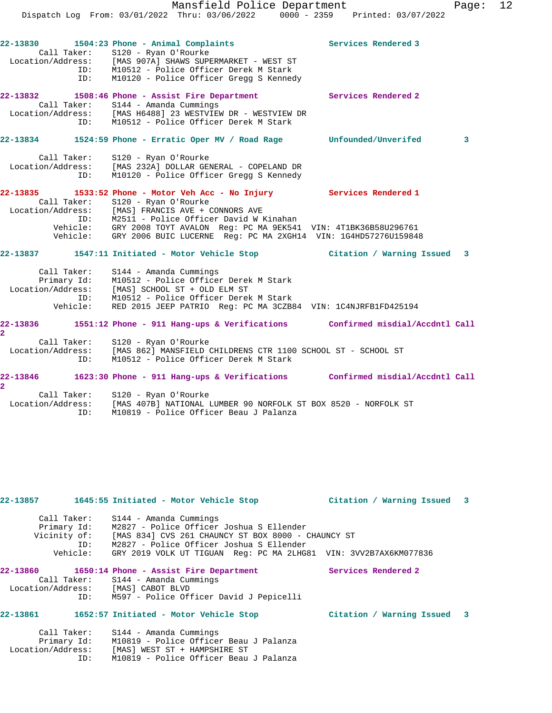|                                                             | ID:      | $22-13830$ $1504:23$ Phone - Animal Complaints<br>Call Taker: S120 - Ryan O'Rourke<br>Location/Address: [MAS 907A] SHAWS SUPERMARKET - WEST ST<br>ID: M10512 - Police Officer Derek M Stark<br>M10120 - Police Officer Gregg S Kennedy                                                                                                        | Services Rendered 3            |  |
|-------------------------------------------------------------|----------|-----------------------------------------------------------------------------------------------------------------------------------------------------------------------------------------------------------------------------------------------------------------------------------------------------------------------------------------------|--------------------------------|--|
| 22-13832                                                    |          | 1508:46 Phone - Assist Fire Department<br>Call Taker: S144 - Amanda Cummings<br>Location/Address: [MAS H6488] 23 WESTVIEW DR - WESTVIEW DR<br>ID: M10512 - Police Officer Derek M Stark                                                                                                                                                       | Services Rendered 2            |  |
| 22-13834                                                    |          | 1524:59 Phone - Erratic Oper MV / Road Rage                                                                                                                                                                                                                                                                                                   | Unfounded/Unverifed<br>3       |  |
| Call Taker:                                                 | ID:      | S120 - Ryan O'Rourke<br>Location/Address: [MAS 232A] DOLLAR GENERAL - COPELAND DR<br>M10120 - Police Officer Gregg S Kennedy                                                                                                                                                                                                                  |                                |  |
| Call Taker:                                                 | Vehicle: | 22-13835 1533:52 Phone - Motor Veh Acc - No Injury Services Rendered 1<br>S120 - Ryan O'Rourke<br>Location/Address: [MAS] FRANCIS AVE + CONNORS AVE<br>ID: M2511 - Police Officer David W Kinahan<br>Vehicle: GRY 2008 TOYT AVALON Reg: PC MA 9EK541 VIN: 4T1BK36B58U296761<br>GRY 2006 BUIC LUCERNE Reg: PC MA 2XGH14 VIN: 1G4HD57276U159848 |                                |  |
|                                                             |          | 22-13837 1547:11 Initiated - Motor Vehicle Stop                                                                                                                                                                                                                                                                                               | Citation / Warning Issued 3    |  |
| Call Taker:<br>Vehicle:                                     |          | S144 - Amanda Cummings<br>Primary Id: M10512 - Police Officer Derel<br>Location/Address: [MAS] SCHOOL ST + OLD ELM ST<br>M10512 - Police Officer Derek M Stark<br>ID: M10512 - Police Officer Derek M Stark<br>RED 2015 JEEP PATRIO Req: PC MA 3CZB84 VIN: 1C4NJRFB1FD425194                                                                  |                                |  |
| 22-13836<br>$\overline{\mathbf{2}}$                         |          | 1551:12 Phone - 911 Hang-ups & Verifications                                                                                                                                                                                                                                                                                                  | Confirmed misdial/Accdntl Call |  |
|                                                             | ID:      | Call Taker: S120 - Ryan O'Rourke<br>Location/Address: [MAS 862] MANSFIELD CHILDRENS CTR 1100 SCHOOL ST - SCHOOL ST<br>ID: M10512 - Police Officer Derek M Stark<br>M10512 - Police Officer Derek M Stark                                                                                                                                      |                                |  |
|                                                             |          | 22-13846 1623:30 Phone - 911 Hang-ups & Verifications Confirmed misdial/Accdntl Call                                                                                                                                                                                                                                                          |                                |  |
| $\overline{\mathbf{2}}$<br>Call Taker:<br>Location/Address: | ID:      | S120 - Ryan O'Rourke<br>[MAS 407B] NATIONAL LUMBER 90 NORFOLK ST BOX 8520 - NORFOLK ST<br>M10819 - Police Officer Beau J Palanza                                                                                                                                                                                                              |                                |  |

| 22-13857     |             | 1645:55 Initiated - Motor Vehicle Stop                           | Citation / Warning Issued 3 |  |  |
|--------------|-------------|------------------------------------------------------------------|-----------------------------|--|--|
|              | Call Taker: | S144 - Amanda Cummings                                           |                             |  |  |
|              | Primary Id: | M2827 - Police Officer Joshua S Ellender                         |                             |  |  |
| Vicinity of: |             | [MAS 834] CVS 261 CHAUNCY ST BOX 8000 - CHAUNCY ST               |                             |  |  |
|              | ID:         | M2827 - Police Officer Joshua S Ellender                         |                             |  |  |
|              | Vehicle:    | GRY 2019 VOLK UT TIGUAN Req: PC MA 2LHG81 VIN: 3VV2B7AX6KM077836 |                             |  |  |
|              |             |                                                                  |                             |  |  |

#### **22-13860** 1650:14 Phone - Assist Fire Department Services Rendered 2 Call Taker: S144 - Amanda Cummings Location/Address: [MAS] CABOT BLVD

# ID: M597 - Police Officer David J Pepicelli

# **22-13861 1652:57 Initiated - Motor Vehicle Stop Citation / Warning Issued 3**

| Call Taker:       | S144 - Amanda Cummings                 |
|-------------------|----------------------------------------|
| Primary Id:       | M10819 - Police Officer Beau J Palanza |
| Location/Address: | [MAS] WEST ST + HAMPSHIRE ST           |
| TD:               | M10819 - Police Officer Beau J Palanza |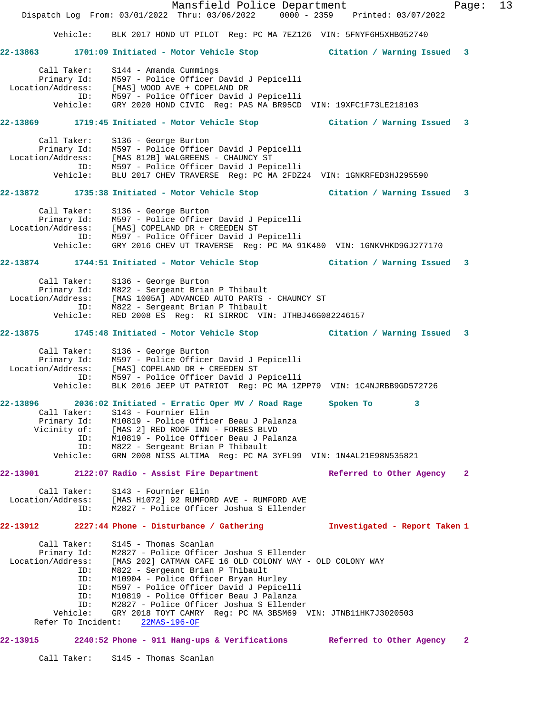Mansfield Police Department Fage: 13 Dispatch Log From: 03/01/2022 Thru: 03/06/2022 0000 - 2359 Printed: 03/07/2022 Vehicle: BLK 2017 HOND UT PILOT Reg: PC MA 7EZ126 VIN: 5FNYF6H5XHB052740 **22-13863 1701:09 Initiated - Motor Vehicle Stop Citation / Warning Issued 3** Call Taker: S144 - Amanda Cummings Primary Id: M597 - Police Officer David J Pepicelli Location/Address: [MAS] WOOD AVE + COPELAND DR ID: M597 - Police Officer David J Pepicelli Vehicle: GRY 2020 HOND CIVIC Reg: PAS MA BR95CD VIN: 19XFC1F73LE218103 **22-13869 1719:45 Initiated - Motor Vehicle Stop Citation / Warning Issued 3** Call Taker: S136 - George Burton Primary Id: M597 - Police Officer David J Pepicelli Location/Address: [MAS 812B] WALGREENS - CHAUNCY ST ID: M597 - Police Officer David J Pepicelli Vehicle: BLU 2017 CHEV TRAVERSE Reg: PC MA 2FDZ24 VIN: 1GNKRFED3HJ295590 **22-13872 1735:38 Initiated - Motor Vehicle Stop Citation / Warning Issued 3** Call Taker: S136 - George Burton Primary Id: M597 - Police Officer David J Pepicelli Location/Address: [MAS] COPELAND DR + CREEDEN ST ID: M597 - Police Officer David J Pepicelli Vehicle: GRY 2016 CHEV UT TRAVERSE Reg: PC MA 91K480 VIN: 1GNKVHKD9GJ277170 **22-13874 1744:51 Initiated - Motor Vehicle Stop Citation / Warning Issued 3** Call Taker: S136 - George Burton Primary Id: M822 - Sergeant Brian P Thibault Location/Address: [MAS 1005A] ADVANCED AUTO PARTS - CHAUNCY ST ID: M822 - Sergeant Brian P Thibault Vehicle: RED 2008 ES Reg: RI SIRROC VIN: JTHBJ46G082246157 **22-13875 1745:48 Initiated - Motor Vehicle Stop Citation / Warning Issued 3** Call Taker: S136 - George Burton Primary Id: M597 - Police Officer David J Pepicelli Location/Address: [MAS] COPELAND DR + CREEDEN ST ID: M597 - Police Officer David J Pepicelli Vehicle: BLK 2016 JEEP UT PATRIOT Reg: PC MA 1ZPP79 VIN: 1C4NJRBB9GD572726 **22-13896 2036:02 Initiated - Erratic Oper MV / Road Rage Spoken To 3**  Call Taker: S143 - Fournier Elin Primary Id: M10819 - Police Officer Beau J Palanza Vicinity of: [MAS 2] RED ROOF INN - FORBES BLVD ID: M10819 - Police Officer Beau J Palanza ID: M822 - Sergeant Brian P Thibault Vehicle: GRN 2008 NISS ALTIMA Reg: PC MA 3YFL99 VIN: 1N4AL21E98N535821 **22-13901 2122:07 Radio - Assist Fire Department Referred to Other Agency 2** Call Taker: S143 - Fournier Elin Location/Address: [MAS H1072] 92 RUMFORD AVE - RUMFORD AVE ID: M2827 - Police Officer Joshua S Ellender **22-13912 2227:44 Phone - Disturbance / Gathering Investigated - Report Taken 1** Call Taker: S145 - Thomas Scanlan Primary Id: M2827 - Police Officer Joshua S Ellender Location/Address: [MAS 202] CATMAN CAFE 16 OLD COLONY WAY - OLD COLONY WAY ID: M822 - Sergeant Brian P Thibault ID: M10904 - Police Officer Bryan Hurley ID: M597 - Police Officer David J Pepicelli ID: M10819 - Police Officer Beau J Palanza ID: M2827 - Police Officer Joshua S Ellender Vehicle: GRY 2018 TOYT CAMRY Reg: PC MA 3BSM69 VIN: JTNB11HK7J3020503 Refer To Incident: 22MAS-196-OF **22-13915 2240:52 Phone - 911 Hang-ups & Verifications Referred to Other Agency 2** Call Taker: S145 - Thomas Scanlan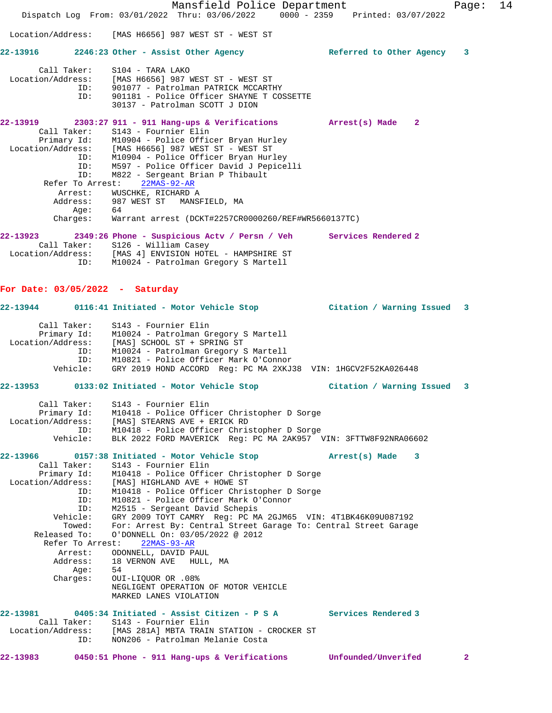Mansfield Police Department Fage: 14 Dispatch Log From: 03/01/2022 Thru: 03/06/2022 0000 - 2359 Printed: 03/07/2022 Location/Address: [MAS H6656] 987 WEST ST - WEST ST **22-13916 2246:23 Other - Assist Other Agency Referred to Other Agency 3** Call Taker: S104 - TARA LAKO Location/Address: [MAS H6656] 987 WEST ST - WEST ST ID: 901077 - Patrolman PATRICK MCCARTHY ID: 901181 - Police Officer SHAYNE T COSSETTE 30137 - Patrolman SCOTT J DION **22-13919 2303:27 911 - 911 Hang-ups & Verifications Arrest(s) Made 2**  Call Taker: S143 - Fournier Elin Primary Id: M10904 - Police Officer Bryan Hurley Location/Address: [MAS H6656] 987 WEST ST - WEST ST ID: M10904 - Police Officer Bryan Hurley ID: M597 - Police Officer David J Pepicelli ID: M822 - Sergeant Brian P Thibault Refer To Arrest: 22MAS-92-AR Arrest: WUSCHKE, RICHARD A Address: 987 WEST ST MANSFIELD, MA Age: 64 Charges: Warrant arrest (DCKT#2257CR0000260/REF#WR5660137TC) **22-13923 2349:26 Phone - Suspicious Actv / Persn / Veh Services Rendered 2**  Call Taker: S126 - William Casey Location/Address: [MAS 4] ENVISION HOTEL - HAMPSHIRE ST ID: M10024 - Patrolman Gregory S Martell **For Date: 03/05/2022 - Saturday 22-13944 0116:41 Initiated - Motor Vehicle Stop Citation / Warning Issued 3** Call Taker: S143 - Fournier Elin Primary Id: M10024 - Patrolman Gregory S Martell Location/Address: [MAS] SCHOOL ST + SPRING ST ID: M10024 - Patrolman Gregory S Martell ID: M10821 - Police Officer Mark O'Connor Vehicle: GRY 2019 HOND ACCORD Reg: PC MA 2XKJ38 VIN: 1HGCV2F52KA026448 **22-13953 0133:02 Initiated - Motor Vehicle Stop Citation / Warning Issued 3** Call Taker: S143 - Fournier Elin Primary Id: M10418 - Police Officer Christopher D Sorge Location/Address: [MAS] STEARNS AVE + ERICK RD ID: M10418 - Police Officer Christopher D Sorge Vehicle: BLK 2022 FORD MAVERICK Reg: PC MA 2AK957 VIN: 3FTTW8F92NRA06602 **22-13966 0157:38 Initiated - Motor Vehicle Stop Arrest(s) Made 3**  Call Taker: S143 - Fournier Elin Primary Id: M10418 - Police Officer Christopher D Sorge Location/Address: [MAS] HIGHLAND AVE + HOWE ST ID: M10418 - Police Officer Christopher D Sorge ID: M10821 - Police Officer Mark O'Connor ID: M2515 - Sergeant David Schepis Vehicle: GRY 2009 TOYT CAMRY Reg: PC MA 2GJM65 VIN: 4T1BK46K09U087192 Towed: For: Arrest By: Central Street Garage To: Central Street Garage Released To: O'DONNELL On: 03/05/2022 @ 2012 Refer To Arrest: 22MAS-93-AR Arrest: ODONNELL, DAVID PAUL<br>Address: 18 VERNON AVE HULL 18 VERNON AVE HULL, MA Age: 54 Charges: OUI-LIQUOR OR .08% NEGLIGENT OPERATION OF MOTOR VEHICLE MARKED LANES VIOLATION **22-13981 0405:34 Initiated - Assist Citizen - P S A Services Rendered 3**  Call Taker: S143 - Fournier Elin Location/Address: [MAS 281A] MBTA TRAIN STATION - CROCKER ST ID: NON206 - Patrolman Melanie Costa **22-13983 0450:51 Phone - 911 Hang-ups & Verifications Unfounded/Unverifed 2**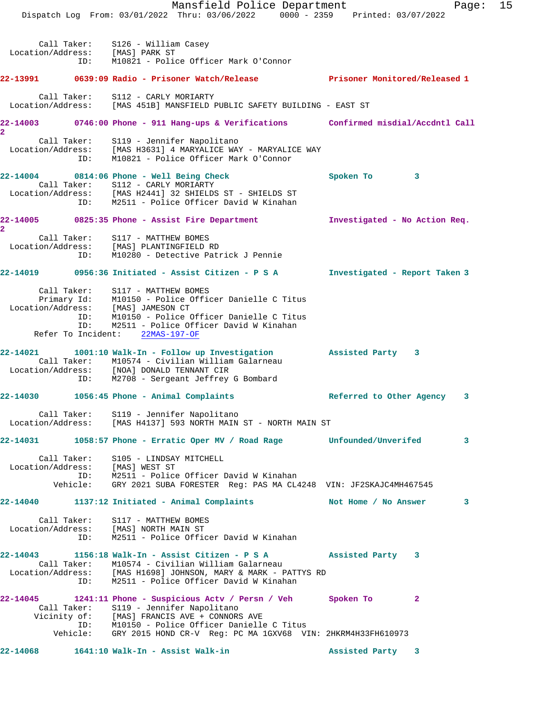Mansfield Police Department Fage: 15 Dispatch Log From: 03/01/2022 Thru: 03/06/2022 0000 - 2359 Printed: 03/07/2022 Call Taker: S126 - William Casey Location/Address: [MAS] PARK ST ID: M10821 - Police Officer Mark O'Connor **22-13991 0639:09 Radio - Prisoner Watch/Release Prisoner Monitored/Released 1** Call Taker: S112 - CARLY MORIARTY Location/Address: [MAS 451B] MANSFIELD PUBLIC SAFETY BUILDING - EAST ST **22-14003 0746:00 Phone - 911 Hang-ups & Verifications Confirmed misdial/Accdntl Call 2**  Call Taker: S119 - Jennifer Napolitano Location/Address: [MAS H3631] 4 MARYALICE WAY - MARYALICE WAY ID: M10821 - Police Officer Mark O'Connor **22-14004 0814:06 Phone - Well Being Check Spoken To 3**  Call Taker: S112 - CARLY MORIARTY Location/Address: [MAS H2441] 32 SHIELDS ST - SHIELDS ST ID: M2511 - Police Officer David W Kinahan **22-14005 0825:35 Phone - Assist Fire Department Investigated - No Action Req. 2**  Call Taker: S117 - MATTHEW BOMES Location/Address: [MAS] PLANTINGFIELD RD ID: M10280 - Detective Patrick J Pennie **22-14019 0956:36 Initiated - Assist Citizen - P S A Investigated - Report Taken 3** Call Taker: S117 - MATTHEW BOMES Primary Id: M10150 - Police Officer Danielle C Titus Location/Address: [MAS] JAMESON CT ID: M10150 - Police Officer Danielle C Titus ID: M2511 - Police Officer David W Kinahan Refer To Incident: 22MAS-197-OF **22-14021 1001:10 Walk-In - Follow up Investigation Assisted Party 3**  Call Taker: M10574 - Civilian William Galarneau Location/Address: [NOA] DONALD TENNANT CIR ID: M2708 - Sergeant Jeffrey G Bombard **22-14030 1056:45 Phone - Animal Complaints Referred to Other Agency 3** Call Taker: S119 - Jennifer Napolitano Location/Address: [MAS H4137] 593 NORTH MAIN ST - NORTH MAIN ST **22-14031 1058:57 Phone - Erratic Oper MV / Road Rage Unfounded/Unverifed 3** Call Taker: S105 - LINDSAY MITCHELL Location/Address: [MAS] WEST ST ID: M2511 - Police Officer David W Kinahan Vehicle: GRY 2021 SUBA FORESTER Reg: PAS MA CL4248 VIN: JF2SKAJC4MH467545 **22-14040 1137:12 Initiated - Animal Complaints Not Home / No Answer 3** Call Taker: S117 - MATTHEW BOMES Location/Address: [MAS] NORTH MAIN ST ID: M2511 - Police Officer David W Kinahan **22-14043 1156:18 Walk-In - Assist Citizen - P S A Assisted Party 3**  Call Taker: M10574 - Civilian William Galarneau Location/Address: [MAS H1698] JOHNSON, MARY & MARK - PATTYS RD ID: M2511 - Police Officer David W Kinahan **22-14045 1241:11 Phone - Suspicious Actv / Persn / Veh Spoken To 2**  Call Taker: S119 - Jennifer Napolitano Vicinity of: [MAS] FRANCIS AVE + CONNORS AVE ID: M10150 - Police Officer Danielle C Titus Vehicle: GRY 2015 HOND CR-V Reg: PC MA 1GXV68 VIN: 2HKRM4H33FH610973 **22-14068 1641:10 Walk-In - Assist Walk-in Assisted Party 3**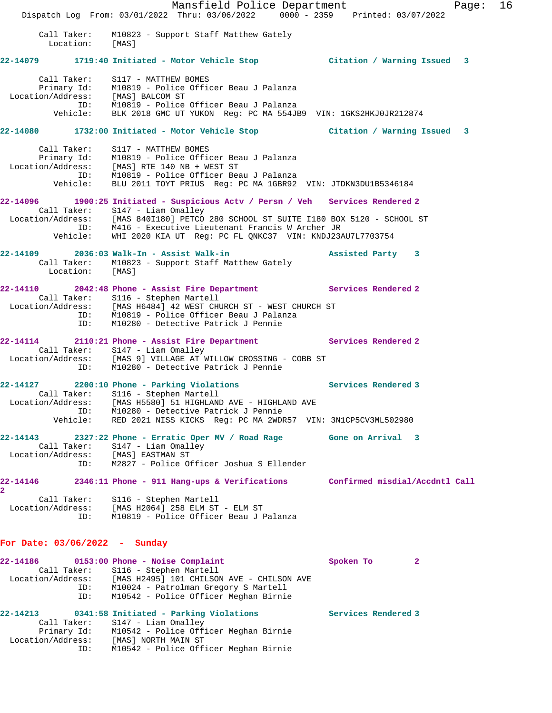Mansfield Police Department Fage: 16 Dispatch Log From: 03/01/2022 Thru: 03/06/2022 0000 - 2359 Printed: 03/07/2022 Call Taker: M10823 - Support Staff Matthew Gately Location: [MAS] **22-14079 1719:40 Initiated - Motor Vehicle Stop Citation / Warning Issued 3** Call Taker: S117 - MATTHEW BOMES Primary Id: M10819 - Police Officer Beau J Palanza Location/Address: [MAS] BALCOM ST ID: M10819 - Police Officer Beau J Palanza Vehicle: BLK 2018 GMC UT YUKON Reg: PC MA 554JB9 VIN: 1GKS2HKJ0JR212874 **22-14080 1732:00 Initiated - Motor Vehicle Stop Citation / Warning Issued 3** Call Taker: S117 - MATTHEW BOMES Primary Id: M10819 - Police Officer Beau J Palanza Location/Address: [MAS] RTE 140 NB + WEST ST ID: M10819 - Police Officer Beau J Palanza Vehicle: BLU 2011 TOYT PRIUS Reg: PC MA 1GBR92 VIN: JTDKN3DU1B5346184 **22-14096 1900:25 Initiated - Suspicious Actv / Persn / Veh Services Rendered 2**  Call Taker: S147 - Liam Omalley Location/Address: [MAS 840I180] PETCO 280 SCHOOL ST SUITE I180 BOX 5120 - SCHOOL ST ID: M416 - Executive Lieutenant Francis W Archer JR Vehicle: WHI 2020 KIA UT Reg: PC FL QNKC37 VIN: KNDJ23AU7L7703754 **22-14109 2036:03 Walk-In - Assist Walk-in Assisted Party 3**  Call Taker: M10823 - Support Staff Matthew Gately Location: [MAS] **22-14110 2042:48 Phone - Assist Fire Department Services Rendered 2**  Call Taker: S116 - Stephen Martell Location/Address: [MAS H6484] 42 WEST CHURCH ST - WEST CHURCH ST ID: M10819 - Police Officer Beau J Palanza ID: M10280 - Detective Patrick J Pennie **22-14114 2110:21 Phone - Assist Fire Department Services Rendered 2**  Call Taker: S147 - Liam Omalley Location/Address: [MAS 9] VILLAGE AT WILLOW CROSSING - COBB ST ID: M10280 - Detective Patrick J Pennie **22-14127 2200:10 Phone - Parking Violations Services Rendered 3**  Call Taker: S116 - Stephen Martell Location/Address: [MAS H5580] 51 HIGHLAND AVE - HIGHLAND AVE ID: M10280 - Detective Patrick J Pennie Vehicle: RED 2021 NISS KICKS Reg: PC MA 2WDR57 VIN: 3N1CP5CV3ML502980 **22-14143 2327:22 Phone - Erratic Oper MV / Road Rage Gone on Arrival 3**  Call Taker: S147 - Liam Omalley Location/Address: [MAS] EASTMAN ST ID: M2827 - Police Officer Joshua S Ellender **22-14146 2346:11 Phone - 911 Hang-ups & Verifications Confirmed misdial/Accdntl Call 2**  Call Taker: S116 - Stephen Martell Location/Address: [MAS H2064] 258 ELM ST - ELM ST ID: M10819 - Police Officer Beau J Palanza **For Date: 03/06/2022 - Sunday** 22-14186 0153:00 Phone - Noise Complaint **Spoken To** 2 Call Taker: S116 - Stephen Martell Location/Address: [MAS H2495] 101 CHILSON AVE - CHILSON AVE ID: M10024 - Patrolman Gregory S Martell ID: M10542 - Police Officer Meghan Birnie **22-14213 0341:58 Initiated - Parking Violations Services Rendered 3**  Call Taker: S147 - Liam Omalley Primary Id: M10542 - Police Officer Meghan Birnie Location/Address: [MAS] NORTH MAIN ST ID: M10542 - Police Officer Meghan Birnie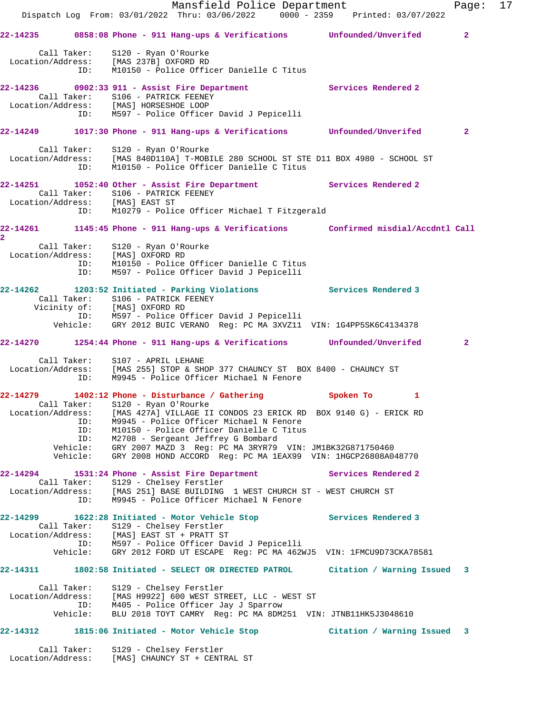|                                                                                                                                                                  |                        | Dispatch Log From: 03/01/2022 Thru: 03/06/2022 0000 - 2359 Printed: 03/07/2022                                                                                                                                                                                                                                                         |  | Mansfield Police Department |             |                             | Page: 17       |  |
|------------------------------------------------------------------------------------------------------------------------------------------------------------------|------------------------|----------------------------------------------------------------------------------------------------------------------------------------------------------------------------------------------------------------------------------------------------------------------------------------------------------------------------------------|--|-----------------------------|-------------|-----------------------------|----------------|--|
| 22-14235 0858:08 Phone - 911 Hang-ups & Verifications Unfounded/Unverifed                                                                                        |                        |                                                                                                                                                                                                                                                                                                                                        |  |                             |             |                             | $\overline{2}$ |  |
| Location/Address: [MAS 237B] OXFORD RD                                                                                                                           | ID:                    | Call Taker: S120 - Ryan O'Rourke<br>M10150 - Police Officer Danielle C Titus                                                                                                                                                                                                                                                           |  |                             |             |                             |                |  |
| 22-14236 0902:33 911 - Assist Fire Department Services Rendered 2<br>Location/Address: [MAS] HORSESHOE LOOP                                                      |                        | Call Taker: S106 - PATRICK FEENEY<br>ID: M597 - Police Officer David J Pepicelli                                                                                                                                                                                                                                                       |  |                             |             |                             |                |  |
| 22-14249 1017:30 Phone - 911 Hang-ups & Verifications Unfounded/Unverifed                                                                                        |                        |                                                                                                                                                                                                                                                                                                                                        |  |                             |             |                             | $\mathbf{2}$   |  |
| Location/Address: [MAS 840D110A] T-MOBILE 280 SCHOOL ST STE D11 BOX 4980 - SCHOOL ST                                                                             | ID:                    | Call Taker: S120 - Ryan O'Rourke<br>M10150 - Police Officer Danielle C Titus                                                                                                                                                                                                                                                           |  |                             |             |                             |                |  |
| 22-14251 1052:40 Other - Assist Fire Department Services Rendered 2<br>Location/Address: [MAS] EAST ST                                                           |                        | Call Taker: S106 - PATRICK FEENEY                                                                                                                                                                                                                                                                                                      |  |                             |             |                             |                |  |
|                                                                                                                                                                  |                        | ID: M10279 - Police Officer Michael T Fitzgerald                                                                                                                                                                                                                                                                                       |  |                             |             |                             |                |  |
| 22-14261 1145:45 Phone - 911 Hang-ups & Verifications Confirmed misdial/Accdntl Call<br>$\overline{2}$                                                           |                        |                                                                                                                                                                                                                                                                                                                                        |  |                             |             |                             |                |  |
| Location/Address: [MAS] OXFORD RD<br>ID: M10150 - Police Officer Danielle C Titus                                                                                |                        | Call Taker: S120 - Ryan O'Rourke<br>ID: M597 - Police Officer David J Pepicelli                                                                                                                                                                                                                                                        |  |                             |             |                             |                |  |
| 22-14262 1203:52 Initiated - Parking Violations Services Rendered 3                                                                                              |                        | Call Taker: S106 - PATRICK FEENEY<br>Vicinity of: [MAS] OXFORD RD<br>ID: M597 - Police Officer David J Pepicelli                                                                                                                                                                                                                       |  |                             |             |                             |                |  |
|                                                                                                                                                                  |                        | Vehicle: GRY 2012 BUIC VERANO Reg: PC MA 3XVZ11 VIN: 1G4PP5SK6C4134378                                                                                                                                                                                                                                                                 |  |                             |             |                             |                |  |
| 22-14270 1254:44 Phone - 911 Hang-ups & Verifications Unfounded/Unverifed                                                                                        |                        |                                                                                                                                                                                                                                                                                                                                        |  |                             |             |                             | $\mathbf{2}$   |  |
| Location/Address: [MAS 255] STOP & SHOP 377 CHAUNCY ST BOX 8400 - CHAUNCY ST                                                                                     |                        | Call Taker: S107 - APRIL LEHANE<br>ID: M9945 - Police Officer Michael N Fenore                                                                                                                                                                                                                                                         |  |                             |             |                             |                |  |
| 22-14279 1402:12 Phone - Disturbance / Gathering<br>Call Taker: S120 - Ryan O'Rourke                                                                             |                        |                                                                                                                                                                                                                                                                                                                                        |  |                             | Spoken To 1 |                             |                |  |
| Location/Address:                                                                                                                                                | ID:<br>ID:<br>Vehicle: | [MAS 427A] VILLAGE II CONDOS 23 ERICK RD BOX 9140 G) - ERICK RD<br>M9945 - Police Officer Michael N Fenore<br>M10150 - Police Officer Danielle C Titus<br>ID: M2708 - Sergeant Jeffrey G Bombard<br>Vehicle: GRY 2007 MAZD 3 Reg: PC MA 3RYR79 VIN: JM1BK32G871750460<br>GRY 2008 HOND ACCORD Reg: PC MA 1EAX99 VIN: 1HGCP26808A048770 |  |                             |             |                             |                |  |
| 22-14294 1531:24 Phone - Assist Fire Department Services Rendered 2                                                                                              |                        |                                                                                                                                                                                                                                                                                                                                        |  |                             |             |                             |                |  |
| Location/Address: [MAS 251] BASE BUILDING 1 WEST CHURCH ST - WEST CHURCH ST                                                                                      |                        | Call Taker: S129 - Chelsey Ferstler<br>ID: M9945 - Police Officer Michael N Fenore                                                                                                                                                                                                                                                     |  |                             |             |                             |                |  |
| 22-14299 1622:28 Initiated - Motor Vehicle Stop Services Rendered 3<br>Location/Address: [MAS] EAST ST + PRATT ST<br>ID: M597 - Police Officer David J Pepicelli |                        | Call Taker: S129 - Chelsey Ferstler<br>Vehicle: GRY 2012 FORD UT ESCAPE Reg: PC MA 462WJ5 VIN: 1FMCU9D73CKA78581                                                                                                                                                                                                                       |  |                             |             |                             |                |  |
| 22-14311 1802:58 Initiated - SELECT OR DIRECTED PATROL Citation / Warning Issued 3                                                                               |                        |                                                                                                                                                                                                                                                                                                                                        |  |                             |             |                             |                |  |
| Location/Address: [MAS H9922] 600 WEST STREET, LLC - WEST ST                                                                                                     |                        | Call Taker: S129 - Chelsey Ferstler<br>ID: M405 - Police Officer Jay J Sparrow<br>Vehicle: BLU 2018 TOYT CAMRY Reg: PC MA 8DM251 VIN: JTNB11HK5J3048610                                                                                                                                                                                |  |                             |             |                             |                |  |
| 22-14312 1815:06 Initiated - Motor Vehicle Stop                                                                                                                  |                        |                                                                                                                                                                                                                                                                                                                                        |  |                             |             | Citation / Warning Issued 3 |                |  |
|                                                                                                                                                                  |                        |                                                                                                                                                                                                                                                                                                                                        |  |                             |             |                             |                |  |

 Call Taker: S129 - Chelsey Ferstler Location/Address: [MAS] CHAUNCY ST + CENTRAL ST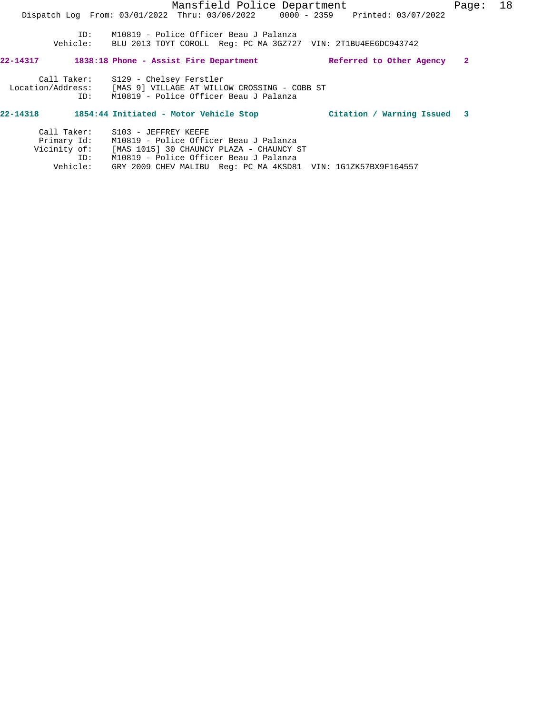## **22-14318 1854:44 Initiated - Motor Vehicle Stop Citation / Warning Issued 3**

| Call Taker:  | S103 - JEFFREY KEEFE                                          |
|--------------|---------------------------------------------------------------|
| Primary Id:  | M10819 - Police Officer Beau J Palanza                        |
| Vicinity of: | [MAS 1015] 30 CHAUNCY PLAZA - CHAUNCY ST                      |
| TD:          | M10819 - Police Officer Beau J Palanza                        |
| Vehicle:     | GRY 2009 CHEV MALIBU Req: PC MA 4KSD81 VIN: 1G1ZK57BX9F164557 |
|              |                                                               |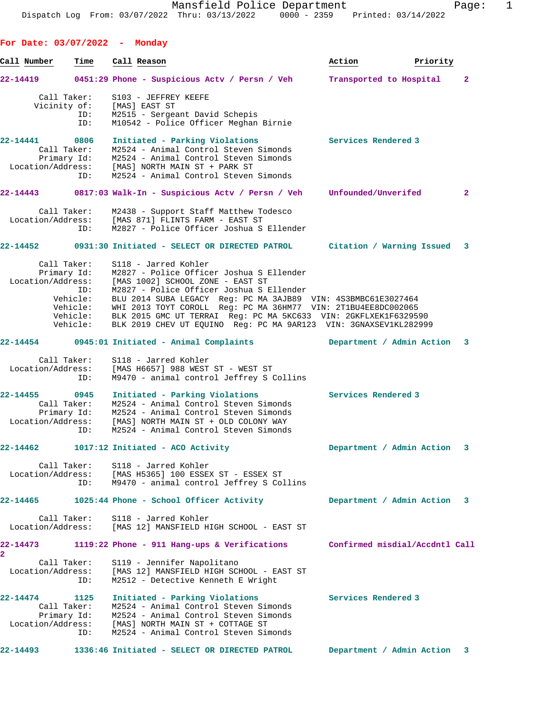**For Date: 03/07/2022 - Monday Call Number Time Call Reason Action Priority 22-14419 0451:29 Phone - Suspicious Actv / Persn / Veh Transported to Hospital 2** Call Taker: S103 - JEFFREY KEEFE Vicinity of: [MAS] EAST ST ID: M2515 - Sergeant David Schepis ID: M10542 - Police Officer Meghan Birnie **22-14441 0806 Initiated - Parking Violations Services Rendered 3**  Call Taker: M2524 - Animal Control Steven Simonds Primary Id: M2524 - Animal Control Steven Simonds Location/Address: [MAS] NORTH MAIN ST + PARK ST ID: M2524 - Animal Control Steven Simonds **22-14443 0817:03 Walk-In - Suspicious Actv / Persn / Veh Unfounded/Unverifed 2** Call Taker: M2438 - Support Staff Matthew Todesco Location/Address: [MAS 871] FLINTS FARM - EAST ST ID: M2827 - Police Officer Joshua S Ellender **22-14452 0931:30 Initiated - SELECT OR DIRECTED PATROL Citation / Warning Issued 3** Call Taker: S118 - Jarred Kohler Primary Id: M2827 - Police Officer Joshua S Ellender Location/Address: [MAS 1002] SCHOOL ZONE - EAST ST ID: M2827 - Police Officer Joshua S Ellender Vehicle: BLU 2014 SUBA LEGACY Reg: PC MA 3AJB89 VIN: 4S3BMBC61E3027464 Vehicle: WHI 2013 TOYT COROLL Reg: PC MA 36HM77 VIN: 2T1BU4EE8DC002065 Vehicle: BLK 2015 GMC UT TERRAI Reg: PC MA 5KC633 VIN: 2GKFLXEK1F6329590 Vehicle: BLK 2019 CHEV UT EQUINO Reg: PC MA 9AR123 VIN: 3GNAXSEV1KL282999 **22-14454 0945:01 Initiated - Animal Complaints Department / Admin Action 3** Call Taker: S118 - Jarred Kohler Location/Address: [MAS H6657] 988 WEST ST - WEST ST ID: M9470 - animal control Jeffrey S Collins **22-14455 0945 Initiated - Parking Violations Services Rendered 3**  Call Taker: M2524 - Animal Control Steven Simonds Primary Id: M2524 - Animal Control Steven Simonds Location/Address: [MAS] NORTH MAIN ST + OLD COLONY WAY ID: M2524 - Animal Control Steven Simonds **22-14462 1017:12 Initiated - ACO Activity Department / Admin Action 3** Call Taker: S118 - Jarred Kohler Location/Address: [MAS H5365] 100 ESSEX ST - ESSEX ST ID: M9470 - animal control Jeffrey S Collins **22-14465 1025:44 Phone - School Officer Activity Department / Admin Action 3** Call Taker: S118 - Jarred Kohler Location/Address: [MAS 12] MANSFIELD HIGH SCHOOL - EAST ST **22-14473 1119:22 Phone - 911 Hang-ups & Verifications Confirmed misdial/Accdntl Call 2**  Call Taker: S119 - Jennifer Napolitano Location/Address: [MAS 12] MANSFIELD HIGH SCHOOL - EAST ST ID: M2512 - Detective Kenneth E Wright **22-14474 1125 Initiated - Parking Violations Services Rendered 3**  Call Taker: M2524 - Animal Control Steven Simonds Primary Id: M2524 - Animal Control Steven Simonds Location/Address: [MAS] NORTH MAIN ST + COTTAGE ST ID: M2524 - Animal Control Steven Simonds **22-14493 1336:46 Initiated - SELECT OR DIRECTED PATROL Department / Admin Action 3**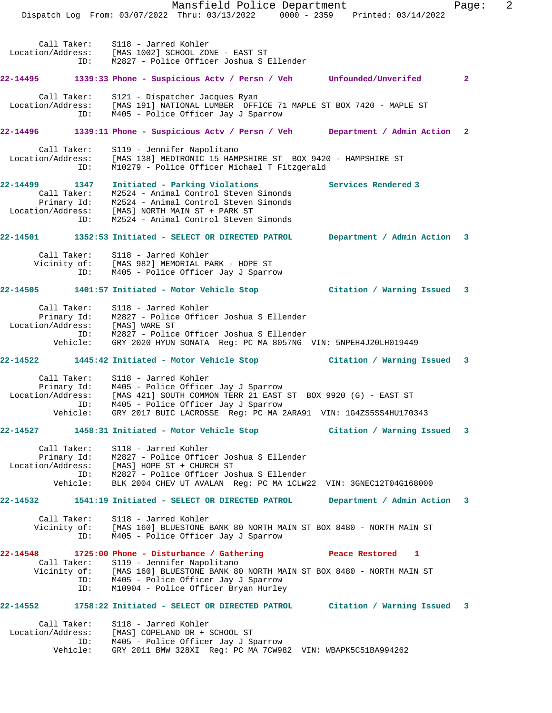Mansfield Police Department Fage: 2 Dispatch Log From: 03/07/2022 Thru: 03/13/2022 0000 - 2359 Printed: 03/14/2022 Call Taker: S118 - Jarred Kohler Location/Address: [MAS 1002] SCHOOL ZONE - EAST ST ID: M2827 - Police Officer Joshua S Ellender **22-14495 1339:33 Phone - Suspicious Actv / Persn / Veh Unfounded/Unverifed 2** Call Taker: S121 - Dispatcher Jacques Ryan Location/Address: [MAS 191] NATIONAL LUMBER OFFICE 71 MAPLE ST BOX 7420 - MAPLE ST ID: M405 - Police Officer Jay J Sparrow **22-14496 1339:11 Phone - Suspicious Actv / Persn / Veh Department / Admin Action 2** Call Taker: S119 - Jennifer Napolitano Location/Address: [MAS 138] MEDTRONIC 15 HAMPSHIRE ST BOX 9420 - HAMPSHIRE ST ID: M10279 - Police Officer Michael T Fitzgerald **22-14499 1347 Initiated - Parking Violations Services Rendered 3**  Call Taker: M2524 - Animal Control Steven Simonds Primary Id: M2524 - Animal Control Steven Simonds Location/Address: [MAS] NORTH MAIN ST + PARK ST ID: M2524 - Animal Control Steven Simonds **22-14501 1352:53 Initiated - SELECT OR DIRECTED PATROL Department / Admin Action 3** Call Taker: S118 - Jarred Kohler Vicinity of: [MAS 982] MEMORIAL PARK - HOPE ST ID: M405 - Police Officer Jay J Sparrow **22-14505 1401:57 Initiated - Motor Vehicle Stop Citation / Warning Issued 3** Call Taker: S118 - Jarred Kohler Primary Id: M2827 - Police Officer Joshua S Ellender Location/Address: [MAS] WARE ST ID: M2827 - Police Officer Joshua S Ellender Vehicle: GRY 2020 HYUN SONATA Reg: PC MA 8057NG VIN: 5NPEH4J20LH019449 **22-14522 1445:42 Initiated - Motor Vehicle Stop Citation / Warning Issued 3** Call Taker: S118 - Jarred Kohler Primary Id: M405 - Police Officer Jay J Sparrow Location/Address: [MAS 421] SOUTH COMMON TERR 21 EAST ST BOX 9920 (G) - EAST ST ID: M405 - Police Officer Jay J Sparrow Vehicle: GRY 2017 BUIC LACROSSE Reg: PC MA 2ARA91 VIN: 1G4ZS5SS4HU170343 **22-14527 1458:31 Initiated - Motor Vehicle Stop Citation / Warning Issued 3** Call Taker: S118 - Jarred Kohler Primary Id: M2827 - Police Officer Joshua S Ellender Location/Address: [MAS] HOPE ST + CHURCH ST ID: M2827 - Police Officer Joshua S Ellender Vehicle: BLK 2004 CHEV UT AVALAN Reg: PC MA 1CLW22 VIN: 3GNEC12T04G168000 **22-14532 1541:19 Initiated - SELECT OR DIRECTED PATROL Department / Admin Action 3** Call Taker: S118 - Jarred Kohler Vicinity of: [MAS 160] BLUESTONE BANK 80 NORTH MAIN ST BOX 8480 - NORTH MAIN ST ID: M405 - Police Officer Jay J Sparrow **22-14548 1725:00 Phone - Disturbance / Gathering Peace Restored 1**  Call Taker: S119 - Jennifer Napolitano Vicinity of: [MAS 160] BLUESTONE BANK 80 NORTH MAIN ST BOX 8480 - NORTH MAIN ST ID: M405 - Police Officer Jay J Sparrow ID: M10904 - Police Officer Bryan Hurley **22-14552 1758:22 Initiated - SELECT OR DIRECTED PATROL Citation / Warning Issued 3** Call Taker: S118 - Jarred Kohler Location/Address: [MAS] COPELAND DR + SCHOOL ST ID: M405 - Police Officer Jay J Sparrow Vehicle: GRY 2011 BMW 328XI Reg: PC MA 7CW982 VIN: WBAPK5C51BA994262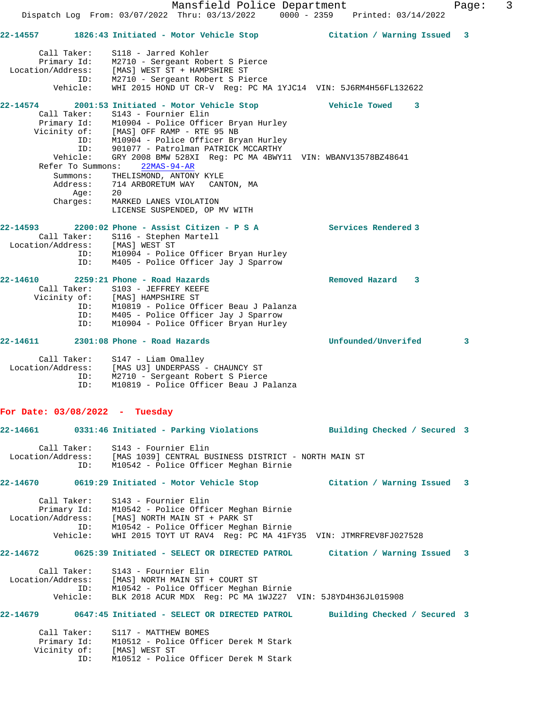**22-14557 1826:43 Initiated - Motor Vehicle Stop Citation / Warning Issued 3** Call Taker: S118 - Jarred Kohler Primary Id: M2710 - Sergeant Robert S Pierce Location/Address: [MAS] WEST ST + HAMPSHIRE ST ID: M2710 - Sergeant Robert S Pierce Vehicle: WHI 2015 HOND UT CR-V Reg: PC MA 1YJC14 VIN: 5J6RM4H56FL132622 **22-14574 2001:53 Initiated - Motor Vehicle Stop Vehicle Towed 3**  Call Taker: S143 - Fournier Elin Primary Id: M10904 - Police Officer Bryan Hurley Vicinity of: [MAS] OFF RAMP - RTE 95 NB ID: M10904 - Police Officer Bryan Hurley ID: 901077 - Patrolman PATRICK MCCARTHY Vehicle: GRY 2008 BMW 528XI Reg: PC MA 4BWY11 VIN: WBANV13578BZ48641 Refer To Summons: 22MAS-94-AR Summons: THELISMOND, ANTONY KYLE Address: 714 ARBORETUM WAY CANTON, MA Age: 20 Charges: MARKED LANES VIOLATION LICENSE SUSPENDED, OP MV WITH **22-14593 2200:02 Phone - Assist Citizen - P S A Services Rendered 3**  Call Taker: S116 - Stephen Martell Location/Address: [MAS] WEST ST ID: M10904 - Police Officer Bryan Hurley ID: M405 - Police Officer Jay J Sparrow **22-14610 2259:21 Phone - Road Hazards Removed Hazard 3**  Call Taker: S103 - JEFFREY KEEFE Vicinity of: [MAS] HAMPSHIRE ST ID: M10819 - Police Officer Beau J Palanza ID: M405 - Police Officer Jay J Sparrow M10904 - Police Officer Bryan Hurley **22-14611 2301:08 Phone - Road Hazards Unfounded/Unverifed 3** Call Taker: S147 - Liam Omalley Location/Address: [MAS U3] UNDERPASS - CHAUNCY ST ID: M2710 - Sergeant Robert S Pierce ID: M10819 - Police Officer Beau J Palanza **For Date: 03/08/2022 - Tuesday 22-14661 0331:46 Initiated - Parking Violations Building Checked / Secured 3** Call Taker: S143 - Fournier Elin Location/Address: [MAS 1039] CENTRAL BUSINESS DISTRICT - NORTH MAIN ST ID: M10542 - Police Officer Meghan Birnie **22-14670 0619:29 Initiated - Motor Vehicle Stop Citation / Warning Issued 3** Call Taker: S143 - Fournier Elin Primary Id: M10542 - Police Officer Meghan Birnie Location/Address: [MAS] NORTH MAIN ST + PARK ST ID: M10542 - Police Officer Meghan Birnie Vehicle: WHI 2015 TOYT UT RAV4 Reg: PC MA 41FY35 VIN: JTMRFREV8FJ027528 **22-14672 0625:39 Initiated - SELECT OR DIRECTED PATROL Citation / Warning Issued 3** Call Taker: S143 - Fournier Elin Location/Address: [MAS] NORTH MAIN ST + COURT ST ID: M10542 - Police Officer Meghan Birnie Vehicle: BLK 2018 ACUR MDX Reg: PC MA 1WJZ27 VIN: 5J8YD4H36JL015908 **22-14679 0647:45 Initiated - SELECT OR DIRECTED PATROL Building Checked / Secured 3** Call Taker: S117 - MATTHEW BOMES Primary Id: M10512 - Police Officer Derek M Stark Vicinity of: [MAS] WEST ST ID: M10512 - Police Officer Derek M Stark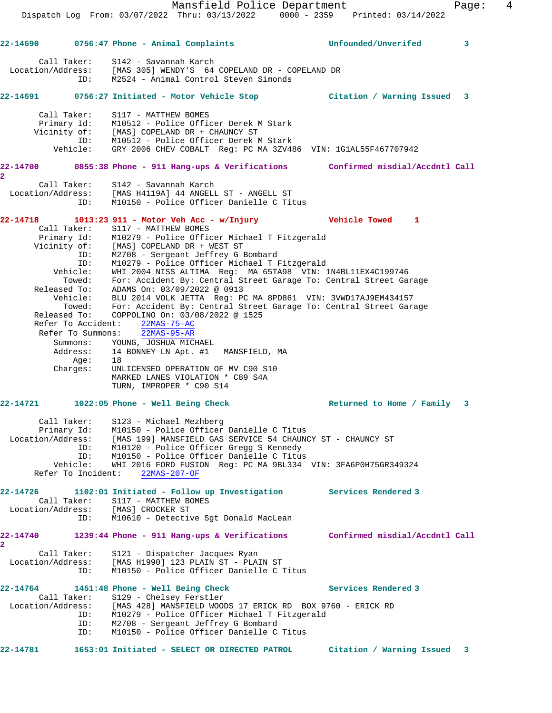Mansfield Police Department Fage: 4 Dispatch Log From: 03/07/2022 Thru: 03/13/2022 0000 - 2359 Printed: 03/14/2022 **22-14690 0756:47 Phone - Animal Complaints Unfounded/Unverifed 3** Call Taker: S142 - Savannah Karch Location/Address: [MAS 305] WENDY'S 64 COPELAND DR - COPELAND DR ID: M2524 - Animal Control Steven Simonds **22-14691 0756:27 Initiated - Motor Vehicle Stop Citation / Warning Issued 3** Call Taker: S117 - MATTHEW BOMES Primary Id: M10512 - Police Officer Derek M Stark Vicinity of: [MAS] COPELAND DR + CHAUNCY ST ID: M10512 - Police Officer Derek M Stark Vehicle: GRY 2006 CHEV COBALT Reg: PC MA 3ZV486 VIN: 1G1AL55F467707942 **22-14700 0855:38 Phone - 911 Hang-ups & Verifications Confirmed misdial/Accdntl Call 2**  Call Taker: S142 - Savannah Karch Location/Address: [MAS H4119A] 44 ANGELL ST - ANGELL ST ID: M10150 - Police Officer Danielle C Titus **22-14718 1013:23 911 - Motor Veh Acc - w/Injury Vehicle Towed 1**  Call Taker: S117 - MATTHEW BOMES Primary Id: M10279 - Police Officer Michael T Fitzgerald Vicinity of: [MAS] COPELAND DR + WEST ST ID: M2708 - Sergeant Jeffrey G Bombard ID: M10279 - Police Officer Michael T Fitzgerald Vehicle: WHI 2004 NISS ALTIMA Reg: MA 65TA98 VIN: 1N4BL11EX4C199746 Towed: For: Accident By: Central Street Garage To: Central Street Garage Released To: ADAMS On: 03/09/2022 @ 0913 Vehicle: BLU 2014 VOLK JETTA Reg: PC MA 8PD861 VIN: 3VWD17AJ9EM434157 Towed: For: Accident By: Central Street Garage To: Central Street Garage Released To: COPPOLINO On: 03/08/2022 @ 1525 Refer To Accident: 22MAS-75-AC Refer To Summons: 22MAS-95-AR Summons: YOUNG, JOSHUA MICHAEL Address: 14 BONNEY LN Apt. #1 MANSFIELD, MA Age: 18 Charges: UNLICENSED OPERATION OF MV C90 S10 MARKED LANES VIOLATION \* C89 S4A TURN, IMPROPER \* C90 S14 **22-14721 1022:05 Phone - Well Being Check Returned to Home / Family 3** Call Taker: S123 - Michael Mezhberg Primary Id: M10150 - Police Officer Danielle C Titus Location/Address: [MAS 199] MANSFIELD GAS SERVICE 54 CHAUNCY ST - CHAUNCY ST ID: M10120 - Police Officer Gregg S Kennedy ID: M10150 - Police Officer Danielle C Titus Vehicle: WHI 2016 FORD FUSION Reg: PC MA 9BL334 VIN: 3FA6P0H75GR349324 Refer To Incident: 22MAS-207-OF **22-14726 1102:01 Initiated - Follow up Investigation Services Rendered 3**  Call Taker: S117 - MATTHEW BOMES Location/Address: [MAS] CROCKER ST ID: M10610 - Detective Sgt Donald MacLean **22-14740 1239:44 Phone - 911 Hang-ups & Verifications Confirmed misdial/Accdntl Call 2**  Call Taker: S121 - Dispatcher Jacques Ryan Location/Address: [MAS H1990] 123 PLAIN ST - PLAIN ST ID: M10150 - Police Officer Danielle C Titus **22-14764 1451:48 Phone - Well Being Check Services Rendered 3**  Call Taker: S129 - Chelsey Ferstler Location/Address: [MAS 428] MANSFIELD WOODS 17 ERICK RD BOX 9760 - ERICK RD ID: M10279 - Police Officer Michael T Fitzgerald ID: M2708 - Sergeant Jeffrey G Bombard ID: M10150 - Police Officer Danielle C Titus **22-14781 1653:01 Initiated - SELECT OR DIRECTED PATROL Citation / Warning Issued 3**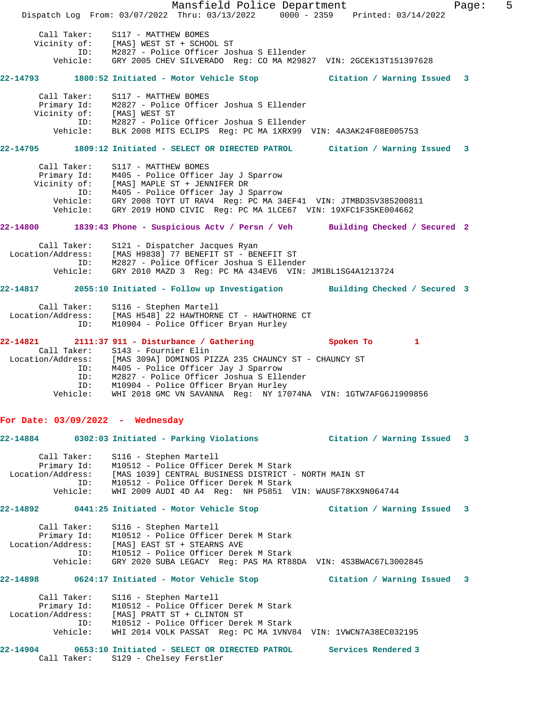Mansfield Police Department Fage: 5 Dispatch Log From: 03/07/2022 Thru: 03/13/2022 0000 - 2359 Printed: 03/14/2022 Call Taker: S117 - MATTHEW BOMES Vicinity of: [MAS] WEST ST + SCHOOL ST ID: M2827 - Police Officer Joshua S Ellender Vehicle: GRY 2005 CHEV SILVERADO Reg: CO MA M29827 VIN: 2GCEK13T151397628 **22-14793 1800:52 Initiated - Motor Vehicle Stop Citation / Warning Issued 3** Call Taker: S117 - MATTHEW BOMES Primary Id: M2827 - Police Officer Joshua S Ellender Vicinity of: [MAS] WEST ST ID: M2827 - Police Officer Joshua S Ellender Vehicle: BLK 2008 MITS ECLIPS Reg: PC MA 1XRX99 VIN: 4A3AK24F08E005753 **22-14795 1809:12 Initiated - SELECT OR DIRECTED PATROL Citation / Warning Issued 3** Call Taker: S117 - MATTHEW BOMES Primary Id: M405 - Police Officer Jay J Sparrow Vicinity of: [MAS] MAPLE ST + JENNIFER DR ID: M405 - Police Officer Jay J Sparrow Vehicle: GRY 2008 TOYT UT RAV4 Reg: PC MA 34EF41 VIN: JTMBD35V385200811 Vehicle: GRY 2019 HOND CIVIC Reg: PC MA 1LCE67 VIN: 19XFC1F35KE004662 **22-14800 1839:43 Phone - Suspicious Actv / Persn / Veh Building Checked / Secured 2** Call Taker: S121 - Dispatcher Jacques Ryan Location/Address: [MAS H9838] 77 BENEFIT ST - BENEFIT ST ID: M2827 - Police Officer Joshua S Ellender Vehicle: GRY 2010 MAZD 3 Reg: PC MA 434EV6 VIN: JM1BL1SG4A1213724 **22-14817 2055:10 Initiated - Follow up Investigation Building Checked / Secured 3** Call Taker: S116 - Stephen Martell Location/Address: [MAS H548] 22 HAWTHORNE CT - HAWTHORNE CT ID: M10904 - Police Officer Bryan Hurley **22-14821 2111:37 911 - Disturbance / Gathering Spoken To 1**  Call Taker: S143 - Fournier Elin Location/Address: [MAS 309A] DOMINOS PIZZA 235 CHAUNCY ST - CHAUNCY ST ID: M405 - Police Officer Jay J Sparrow ID: M2827 - Police Officer Joshua S Ellender ID: M10904 - Police Officer Bryan Hurley Vehicle: WHI 2018 GMC VN SAVANNA Reg: NY 17074NA VIN: 1GTW7AFG6J1909856 **For Date: 03/09/2022 - Wednesday 22-14884 0302:03 Initiated - Parking Violations Citation / Warning Issued 3** Call Taker: S116 - Stephen Martell Primary Id: M10512 - Police Officer Derek M Stark Location/Address: [MAS 1039] CENTRAL BUSINESS DISTRICT - NORTH MAIN ST ID: M10512 - Police Officer Derek M Stark Vehicle: WHI 2009 AUDI 4D A4 Reg: NH P5851 VIN: WAUSF78KX9N064744 **22-14892 0441:25 Initiated - Motor Vehicle Stop Citation / Warning Issued 3** Call Taker: S116 - Stephen Martell Primary Id: M10512 - Police Officer Derek M Stark Location/Address: [MAS] EAST ST + STEARNS AVE ID: M10512 - Police Officer Derek M Stark Vehicle: GRY 2020 SUBA LEGACY Reg: PAS MA RT88DA VIN: 4S3BWAC67L3002845 **22-14898 0624:17 Initiated - Motor Vehicle Stop Citation / Warning Issued 3** Call Taker: S116 - Stephen Martell Primary Id: M10512 - Police Officer Derek M Stark Location/Address: [MAS] PRATT ST + CLINTON ST ID: M10512 - Police Officer Derek M Stark Vehicle: WHI 2014 VOLK PASSAT Reg: PC MA 1VNV84 VIN: 1VWCN7A38EC032195 **22-14904 0653:10 Initiated - SELECT OR DIRECTED PATROL Services Rendered 3**  Call Taker: S129 - Chelsey Ferstler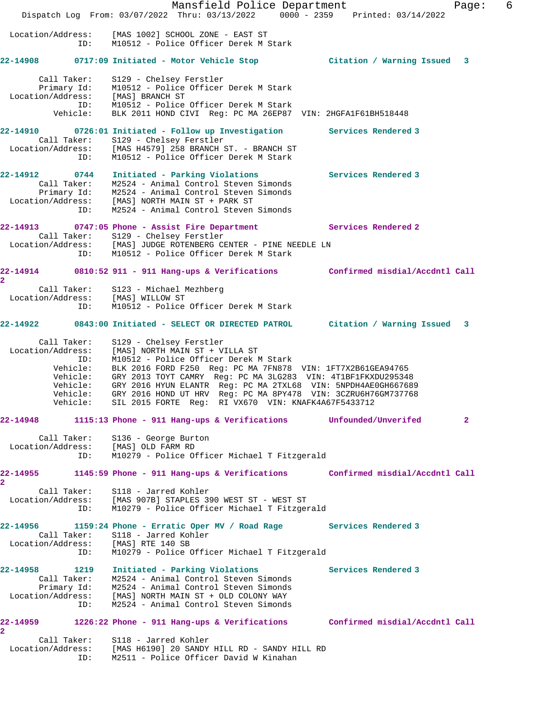Mansfield Police Department Fage: 6 Dispatch Log From: 03/07/2022 Thru: 03/13/2022 0000 - 2359 Printed: 03/14/2022 Location/Address: [MAS 1002] SCHOOL ZONE - EAST ST ID: M10512 - Police Officer Derek M Stark **22-14908 0717:09 Initiated - Motor Vehicle Stop Citation / Warning Issued 3** Call Taker: S129 - Chelsey Ferstler Primary Id: M10512 - Police Officer Derek M Stark Location/Address: [MAS] BRANCH ST ID: M10512 - Police Officer Derek M Stark Vehicle: BLK 2011 HOND CIVI Reg: PC MA 26EP87 VIN: 2HGFA1F61BH518448 **22-14910 0726:01 Initiated - Follow up Investigation Services Rendered 3**  Call Taker: S129 - Chelsey Ferstler Location/Address: [MAS H4579] 258 BRANCH ST. - BRANCH ST ID: M10512 - Police Officer Derek M Stark **22-14912 0744 Initiated - Parking Violations Services Rendered 3**  Call Taker: M2524 - Animal Control Steven Simonds Primary Id: M2524 - Animal Control Steven Simonds Location/Address: [MAS] NORTH MAIN ST + PARK ST ID: M2524 - Animal Control Steven Simonds **22-14913 0747:05 Phone - Assist Fire Department Services Rendered 2**  Call Taker: S129 - Chelsey Ferstler Location/Address: [MAS] JUDGE ROTENBERG CENTER - PINE NEEDLE LN ID: M10512 - Police Officer Derek M Stark **22-14914 0810:52 911 - 911 Hang-ups & Verifications Confirmed misdial/Accdntl Call 2**  Call Taker: S123 - Michael Mezhberg Location/Address: [MAS] WILLOW ST ID: M10512 - Police Officer Derek M Stark **22-14922 0843:00 Initiated - SELECT OR DIRECTED PATROL Citation / Warning Issued 3** Call Taker: S129 - Chelsey Ferstler Location/Address: [MAS] NORTH MAIN ST + VILLA ST ID: M10512 - Police Officer Derek M Stark Vehicle: BLK 2016 FORD F250 Reg: PC MA 7FN878 VIN: 1FT7X2B61GEA94765 Vehicle: GRY 2013 TOYT CAMRY Reg: PC MA 3LG283 VIN: 4T1BF1FKXDU295348 Vehicle: GRY 2016 HYUN ELANTR Reg: PC MA 2TXL68 VIN: 5NPDH4AE0GH667689 Vehicle: GRY 2016 HOND UT HRV Reg: PC MA 8PY478 VIN: 3CZRU6H76GM737768 Vehicle: SIL 2015 FORTE Reg: RI VX670 VIN: KNAFK4A67F5433712 **22-14948 1115:13 Phone - 911 Hang-ups & Verifications Unfounded/Unverifed 2** Call Taker: S136 - George Burton Location/Address: [MAS] OLD FARM RD ID: M10279 - Police Officer Michael T Fitzgerald **22-14955 1145:59 Phone - 911 Hang-ups & Verifications Confirmed misdial/Accdntl Call 2**  Call Taker: S118 - Jarred Kohler Location/Address: [MAS 907B] STAPLES 390 WEST ST - WEST ST ID: M10279 - Police Officer Michael T Fitzgerald **22-14956 1159:24 Phone - Erratic Oper MV / Road Rage Services Rendered 3**  Call Taker: S118 - Jarred Kohler Location/Address: [MAS] RTE 140 SB ID: M10279 - Police Officer Michael T Fitzgerald **22-14958 1219 Initiated - Parking Violations Services Rendered 3**  Call Taker: M2524 - Animal Control Steven Simonds Primary Id: M2524 - Animal Control Steven Simonds Location/Address: [MAS] NORTH MAIN ST + OLD COLONY WAY ID: M2524 - Animal Control Steven Simonds **22-14959 1226:22 Phone - 911 Hang-ups & Verifications Confirmed misdial/Accdntl Call 2**  Call Taker: S118 - Jarred Kohler Location/Address: [MAS H6190] 20 SANDY HILL RD - SANDY HILL RD

ID: M2511 - Police Officer David W Kinahan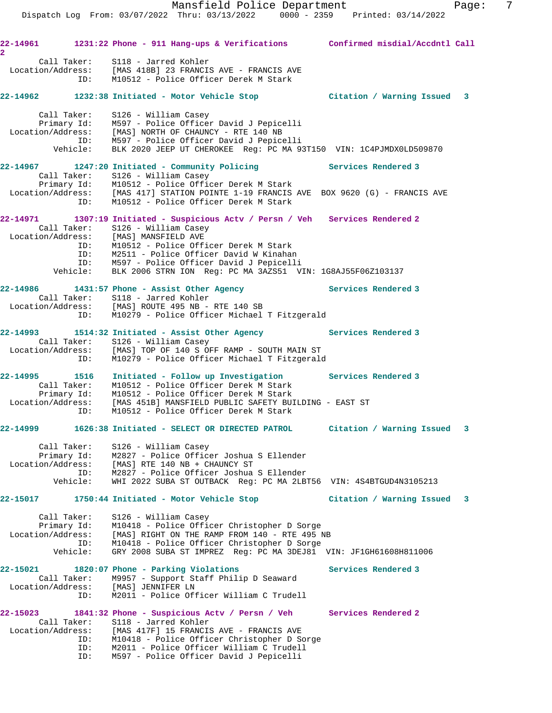Mansfield Police Department Fage: 7 Dispatch Log From: 03/07/2022 Thru: 03/13/2022 0000 - 2359 Printed: 03/14/2022 **22-14961 1231:22 Phone - 911 Hang-ups & Verifications Confirmed misdial/Accdntl Call 2**  Call Taker: S118 - Jarred Kohler Location/Address: [MAS 418B] 23 FRANCIS AVE - FRANCIS AVE ID: M10512 - Police Officer Derek M Stark **22-14962 1232:38 Initiated - Motor Vehicle Stop Citation / Warning Issued 3** Call Taker: S126 - William Casey Primary Id: M597 - Police Officer David J Pepicelli Location/Address: [MAS] NORTH OF CHAUNCY - RTE 140 NB ID: M597 - Police Officer David J Pepicelli Vehicle: BLK 2020 JEEP UT CHEROKEE Reg: PC MA 93T150 VIN: 1C4PJMDX0LD509870 **22-14967 1247:20 Initiated - Community Policing Services Rendered 3**  Call Taker: S126 - William Casey Primary Id: M10512 - Police Officer Derek M Stark Location/Address: [MAS 417] STATION POINTE 1-19 FRANCIS AVE BOX 9620 (G) - FRANCIS AVE ID: M10512 - Police Officer Derek M Stark **22-14971 1307:19 Initiated - Suspicious Actv / Persn / Veh Services Rendered 2**  Call Taker: S126 - William Casey<br>Location/Address: [MAS] MANSFIELD AVE [MAS] MANSFIELD AVE ID: M10512 - Police Officer Derek M Stark ID: M2511 - Police Officer David W Kinahan ID: M597 - Police Officer David J Pepicelli Vehicle: BLK 2006 STRN ION Reg: PC MA 3AZS51 VIN: 1G8AJ55F06Z103137 22-14986 1431:57 Phone - Assist Other Agency **Services Rendered 3**  Call Taker: S118 - Jarred Kohler Location/Address: [MAS] ROUTE 495 NB - RTE 140 SB ID: M10279 - Police Officer Michael T Fitzgerald **22-14993 1514:32 Initiated - Assist Other Agency Services Rendered 3**  Call Taker: S126 - William Casey<br>Location/Address: [MAS] TOP OF 140 S OF [MAS] TOP OF 140 S OFF RAMP - SOUTH MAIN ST ID: M10279 - Police Officer Michael T Fitzgerald **22-14995 1516 Initiated - Follow up Investigation Services Rendered 3**  Call Taker: M10512 - Police Officer Derek M Stark Primary Id: M10512 - Police Officer Derek M Stark Location/Address: [MAS 451B] MANSFIELD PUBLIC SAFETY BUILDING - EAST ST ID: M10512 - Police Officer Derek M Stark **22-14999 1626:38 Initiated - SELECT OR DIRECTED PATROL Citation / Warning Issued 3** Call Taker: S126 - William Casey Primary Id: M2827 - Police Officer Joshua S Ellender Location/Address: [MAS] RTE 140 NB + CHAUNCY ST ID: M2827 - Police Officer Joshua S Ellender Vehicle: WHI 2022 SUBA ST OUTBACK Reg: PC MA 2LBT56 VIN: 4S4BTGUD4N3105213

### **22-15017 1750:44 Initiated - Motor Vehicle Stop Citation / Warning Issued 3**

 Call Taker: S126 - William Casey Primary Id: M10418 - Police Officer Christopher D Sorge Location/Address: [MAS] RIGHT ON THE RAMP FROM 140 - RTE 495 NB ID: M10418 - Police Officer Christopher D Sorge Vehicle: GRY 2008 SUBA ST IMPREZ Reg: PC MA 3DEJ81 VIN: JF1GH61608H811006

### 22-15021 1820:07 Phone - Parking Violations **Services Rendered 3**  Call Taker: M9957 - Support Staff Philip D Seaward Location/Address: [MAS] JENNIFER LN ID: M2011 - Police Officer William C Trudell

**22-15023 1841:32 Phone - Suspicious Actv / Persn / Veh Services Rendered 2**  Call Taker: S118 - Jarred Kohler Location/Address: [MAS 417F] 15 FRANCIS AVE - FRANCIS AVE ID: M10418 - Police Officer Christopher D Sorge ID: M2011 - Police Officer William C Trudell ID: M597 - Police Officer David J Pepicelli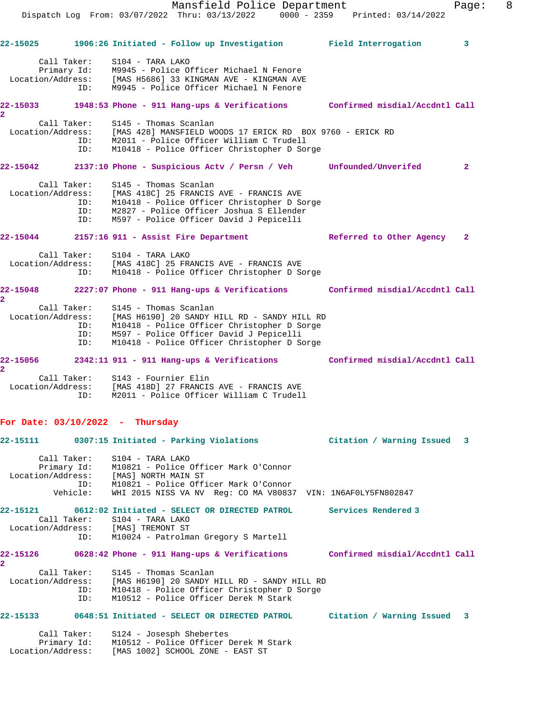Mansfield Police Department Fage: 8 Dispatch Log From: 03/07/2022 Thru: 03/13/2022 0000 - 2359 Printed: 03/14/2022 **22-15025 1906:26 Initiated - Follow up Investigation Field Interrogation 3** Call Taker: S104 - TARA LAKO Primary Id: M9945 - Police Officer Michael N Fenore Location/Address: [MAS H5686] 33 KINGMAN AVE - KINGMAN AVE ID: M9945 - Police Officer Michael N Fenore **22-15033 1948:53 Phone - 911 Hang-ups & Verifications Confirmed misdial/Accdntl Call 2**  Call Taker: S145 - Thomas Scanlan Location/Address: [MAS 428] MANSFIELD WOODS 17 ERICK RD BOX 9760 - ERICK RD ID: M2011 - Police Officer William C Trudell ID: M10418 - Police Officer Christopher D Sorge **22-15042 2137:10 Phone - Suspicious Actv / Persn / Veh Unfounded/Unverifed 2** Call Taker: S145 - Thomas Scanlan Location/Address: [MAS 418C] 25 FRANCIS AVE - FRANCIS AVE ID: M10418 - Police Officer Christopher D Sorge ID: M2827 - Police Officer Joshua S Ellender ID: M597 - Police Officer David J Pepicelli **22-15044 2157:16 911 - Assist Fire Department Referred to Other Agency 2** Call Taker: S104 - TARA LAKO Location/Address: [MAS 418C] 25 FRANCIS AVE - FRANCIS AVE ID: M10418 - Police Officer Christopher D Sorge **22-15048 2227:07 Phone - 911 Hang-ups & Verifications Confirmed misdial/Accdntl Call 2**  Call Taker: S145 - Thomas Scanlan Location/Address: [MAS H6190] 20 SANDY HILL RD - SANDY HILL RD ID: M10418 - Police Officer Christopher D Sorge ID: M597 - Police Officer David J Pepicelli ID: M10418 - Police Officer Christopher D Sorge **22-15056 2342:11 911 - 911 Hang-ups & Verifications Confirmed misdial/Accdntl Call 2**  Call Taker: S143 - Fournier Elin Location/Address: [MAS 418D] 27 FRANCIS AVE - FRANCIS AVE ID: M2011 - Police Officer William C Trudell **For Date: 03/10/2022 - Thursday 22-15111 0307:15 Initiated - Parking Violations Citation / Warning Issued 3** Call Taker: S104 - TARA LAKO Primary Id: M10821 - Police Officer Mark O'Connor Location/Address: [MAS] NORTH MAIN ST ID: M10821 - Police Officer Mark O'Connor Vehicle: WHI 2015 NISS VA NV Reg: CO MA V80837 VIN: 1N6AF0LY5FN802847 **22-15121 0612:02 Initiated - SELECT OR DIRECTED PATROL Services Rendered 3**  Call Taker: S104 - TARA LAKO Location/Address: [MAS] TREMONT ST ID: M10024 - Patrolman Gregory S Martell **22-15126 0628:42 Phone - 911 Hang-ups & Verifications Confirmed misdial/Accdntl Call 2**  Call Taker: S145 - Thomas Scanlan Location/Address: [MAS H6190] 20 SANDY HILL RD - SANDY HILL RD ID: M10418 - Police Officer Christopher D Sorge ID: M10512 - Police Officer Derek M Stark

### **22-15133 0648:51 Initiated - SELECT OR DIRECTED PATROL Citation / Warning Issued 3**

 Call Taker: S124 - Josesph Shebertes Primary Id: M10512 - Police Officer Derek M Stark Location/Address: [MAS 1002] SCHOOL ZONE - EAST ST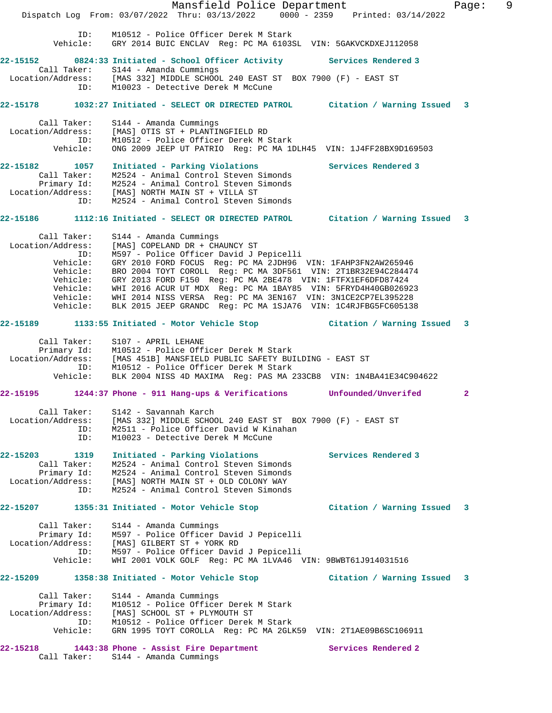Mansfield Police Department Fage: 9 Dispatch Log From: 03/07/2022 Thru: 03/13/2022 0000 - 2359 Printed: 03/14/2022 ID: M10512 - Police Officer Derek M Stark Vehicle: GRY 2014 BUIC ENCLAV Reg: PC MA 6103SL VIN: 5GAKVCKDXEJ112058 **22-15152 0824:33 Initiated - School Officer Activity Services Rendered 3**  Call Taker: S144 - Amanda Cummings Location/Address: [MAS 332] MIDDLE SCHOOL 240 EAST ST BOX 7900 (F) - EAST ST ID: M10023 - Detective Derek M McCune **22-15178 1032:27 Initiated - SELECT OR DIRECTED PATROL Citation / Warning Issued 3** Call Taker: S144 - Amanda Cummings Location/Address: [MAS] OTIS ST + PLANTINGFIELD RD ID: M10512 - Police Officer Derek M Stark Vehicle: ONG 2009 JEEP UT PATRIO Reg: PC MA 1DLH45 VIN: 1J4FF28BX9D169503 **22-15182 1057 Initiated - Parking Violations Services Rendered 3**  Call Taker: M2524 - Animal Control Steven Simonds Primary Id: M2524 - Animal Control Steven Simonds Location/Address: [MAS] NORTH MAIN ST + VILLA ST ID: M2524 - Animal Control Steven Simonds **22-15186 1112:16 Initiated - SELECT OR DIRECTED PATROL Citation / Warning Issued 3** Call Taker: S144 - Amanda Cummings Location/Address: [MAS] COPELAND DR + CHAUNCY ST ID: M597 - Police Officer David J Pepicelli Vehicle: GRY 2010 FORD FOCUS Reg: PC MA 2JDH96 VIN: 1FAHP3FN2AW265946 Vehicle: BRO 2004 TOYT COROLL Reg: PC MA 3DF561 VIN: 2T1BR32E94C284474 Vehicle: GRY 2013 FORD F150 Reg: PC MA 2BE478 VIN: 1FTFX1EF6DFD87424 Vehicle: WHI 2016 ACUR UT MDX Reg: PC MA 1BAY85 VIN: 5FRYD4H40GB026923 Vehicle: WHI 2014 NISS VERSA Reg: PC MA 3EN167 VIN: 3N1CE2CP7EL395228 Vehicle: BLK 2015 JEEP GRANDC Reg: PC MA 1SJA76 VIN: 1C4RJFBG5FC605138 **22-15189 1133:55 Initiated - Motor Vehicle Stop Citation / Warning Issued 3** Call Taker: S107 - APRIL LEHANE Primary Id: M10512 - Police Officer Derek M Stark Location/Address: [MAS 451B] MANSFIELD PUBLIC SAFETY BUILDING - EAST ST ID: M10512 - Police Officer Derek M Stark Vehicle: BLK 2004 NISS 4D MAXIMA Reg: PAS MA 233CB8 VIN: 1N4BA41E34C904622 **22-15195 1244:37 Phone - 911 Hang-ups & Verifications Unfounded/Unverifed 2** Call Taker: S142 - Savannah Karch Location/Address: [MAS 332] MIDDLE SCHOOL 240 EAST ST BOX 7900 (F) - EAST ST ID: M2511 - Police Officer David W Kinahan ID: M10023 - Detective Derek M McCune **22-15203 1319 Initiated - Parking Violations Services Rendered 3**  Call Taker: M2524 - Animal Control Steven Simonds Primary Id: M2524 - Animal Control Steven Simonds Location/Address: [MAS] NORTH MAIN ST + OLD COLONY WAY ID: M2524 - Animal Control Steven Simonds **22-15207 1355:31 Initiated - Motor Vehicle Stop Citation / Warning Issued 3** Call Taker: S144 - Amanda Cummings Primary Id: M597 - Police Officer David J Pepicelli Location/Address: [MAS] GILBERT ST + YORK RD ID: M597 - Police Officer David J Pepicelli Vehicle: WHI 2001 VOLK GOLF Reg: PC MA 1LVA46 VIN: 9BWBT61J914031516 **22-15209 1358:38 Initiated - Motor Vehicle Stop Citation / Warning Issued 3** Call Taker: S144 - Amanda Cummings Primary Id: M10512 - Police Officer Derek M Stark Location/Address: [MAS] SCHOOL ST + PLYMOUTH ST ID: M10512 - Police Officer Derek M Stark Vehicle: GRN 1995 TOYT COROLLA Reg: PC MA 2GLK59 VIN: 2T1AE09B6SC106911 **22-15218 1443:38 Phone - Assist Fire Department Services Rendered 2**  Call Taker: S144 - Amanda Cummings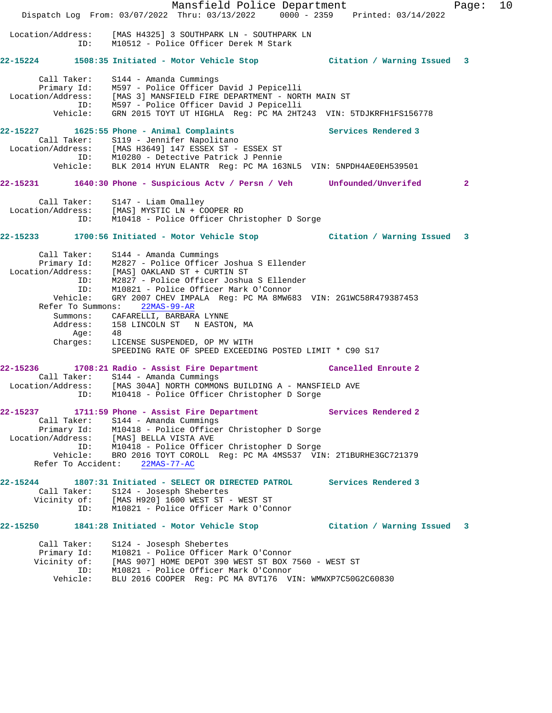Mansfield Police Department Fage: 10 Dispatch Log From: 03/07/2022 Thru: 03/13/2022 0000 - 2359 Printed: 03/14/2022 Location/Address: [MAS H4325] 3 SOUTHPARK LN - SOUTHPARK LN ID: M10512 - Police Officer Derek M Stark **22-15224 1508:35 Initiated - Motor Vehicle Stop Citation / Warning Issued 3** Call Taker: S144 - Amanda Cummings Primary Id: M597 - Police Officer David J Pepicelli Location/Address: [MAS 3] MANSFIELD FIRE DEPARTMENT - NORTH MAIN ST ID: M597 - Police Officer David J Pepicelli Vehicle: GRN 2015 TOYT UT HIGHLA Reg: PC MA 2HT243 VIN: 5TDJKRFH1FS156778 **22-15227 1625:55 Phone - Animal Complaints Services Rendered 3**  Call Taker: S119 - Jennifer Napolitano Location/Address: [MAS H3649] 147 ESSEX ST - ESSEX ST ID: M10280 - Detective Patrick J Pennie Vehicle: BLK 2014 HYUN ELANTR Reg: PC MA 163NL5 VIN: 5NPDH4AE0EH539501 **22-15231 1640:30 Phone - Suspicious Actv / Persn / Veh Unfounded/Unverifed 2** Call Taker: S147 - Liam Omalley Location/Address: [MAS] MYSTIC LN + COOPER RD ID: M10418 - Police Officer Christopher D Sorge **22-15233 1700:56 Initiated - Motor Vehicle Stop Citation / Warning Issued 3** Call Taker: S144 - Amanda Cummings Primary Id: M2827 - Police Officer Joshua S Ellender Location/Address: [MAS] OAKLAND ST + CURTIN ST ID: M2827 - Police Officer Joshua S Ellender ID: M10821 - Police Officer Mark O'Connor Vehicle: GRY 2007 CHEV IMPALA Reg: PC MA 8MW683 VIN: 2G1WC58R479387453 Refer To Summons: 22MAS-99-AR Summons: CAFARELLI, BARBARA LYNNE Address: 158 LINCOLN ST N EASTON, MA Age: 48 Charges: LICENSE SUSPENDED, OP MV WITH SPEEDING RATE OF SPEED EXCEEDING POSTED LIMIT \* C90 S17 **22-15236 1708:21 Radio - Assist Fire Department Cancelled Enroute 2**  Call Taker: S144 - Amanda Cummings Location/Address: [MAS 304A] NORTH COMMONS BUILDING A - MANSFIELD AVE ID: M10418 - Police Officer Christopher D Sorge **22-15237 1711:59 Phone - Assist Fire Department Services Rendered 2**  Call Taker: S144 - Amanda Cummings Primary Id: M10418 - Police Officer Christopher D Sorge Location/Address: [MAS] BELLA VISTA AVE ID: M10418 - Police Officer Christopher D Sorge Vehicle: BRO 2016 TOYT COROLL Reg: PC MA 4MS537 VIN: 2T1BURHE3GC721379 Refer To Accident: 22MAS-77-AC **22-15244 1807:31 Initiated - SELECT OR DIRECTED PATROL Services Rendered 3**  Call Taker: S124 - Josesph Shebertes Vicinity of: [MAS H920] 1600 WEST ST - WEST ST ID: M10821 - Police Officer Mark O'Connor **22-15250 1841:28 Initiated - Motor Vehicle Stop Citation / Warning Issued 3** Call Taker: S124 - Josesph Shebertes Primary Id: M10821 - Police Officer Mark O'Connor Vicinity of: [MAS 907] HOME DEPOT 390 WEST ST BOX 7560 - WEST ST ID: M10821 - Police Officer Mark O'Connor Vehicle: BLU 2016 COOPER Reg: PC MA 8VT176 VIN: WMWXP7C50G2C60830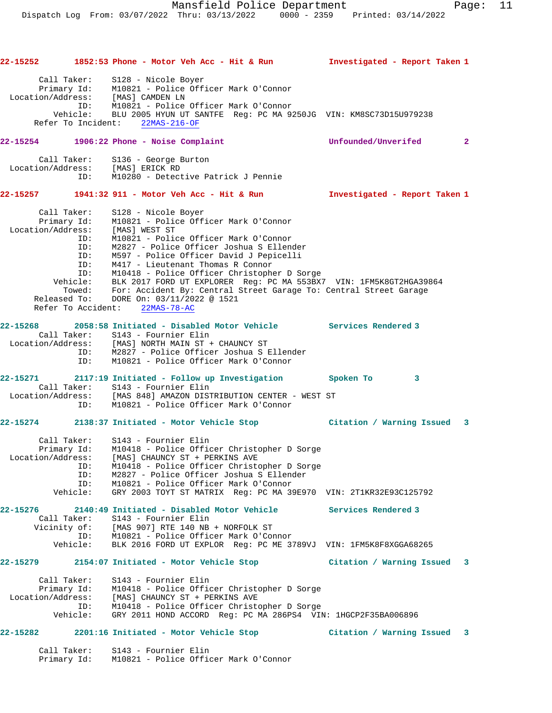| 22-15252          |                            | 1852:53 Phone - Motor Veh Acc - Hit & Run                                                                     | Investigated - Report Taken 1 |              |
|-------------------|----------------------------|---------------------------------------------------------------------------------------------------------------|-------------------------------|--------------|
|                   | Call Taker:                | S128 - Nicole Boyer<br>Primary Id: M10821 - Police Officer Mark O'Connor<br>Location/Address: [MAS] CAMDEN LN |                               |              |
|                   |                            | ID: M10821 - Police Officer Mark O'Connor                                                                     |                               |              |
|                   |                            | Vehicle: BLU 2005 HYUN UT SANTFE Reg: PC MA 9250JG VIN: KM8SC73D15U979238                                     |                               |              |
|                   | Refer To Incident:         | 22MAS-216-OF                                                                                                  |                               |              |
| 22-15254          |                            | 1906:22 Phone - Noise Complaint                                                                               | Unfounded/Unverifed           | $\mathbf{2}$ |
|                   |                            | Call Taker: S136 - George Burton                                                                              |                               |              |
|                   |                            | Location/Address: [MAS] ERICK RD<br>ID: M10280 - Detect<br>M10280 - Detective Patrick J Pennie                |                               |              |
|                   |                            | 22-15257 1941:32 911 - Motor Veh Acc - Hit & Run                                                              | Investigated - Report Taken 1 |              |
|                   |                            |                                                                                                               |                               |              |
| Call Taker:       | ∪a⊥1 Taker:<br>Primary Id: | S128 - Nicole Boyer                                                                                           |                               |              |
| Location/Address: |                            | M10821 - Police Officer Mark O'Connor                                                                         |                               |              |
|                   | ID:                        | [MAS] WEST ST<br>M10821 - Police Officer Mark O'Connor                                                        |                               |              |
|                   | ID:                        | M2827 - Police Officer Joshua S Ellender                                                                      |                               |              |
|                   | ID:                        | M597 - Police Officer David J Pepicelli                                                                       |                               |              |
|                   | ID:                        | M417 - Lieutenant Thomas R Connor                                                                             |                               |              |
|                   | ID:                        | M10418 - Police Officer Christopher D Sorge                                                                   |                               |              |
|                   | Vehicle:                   | BLK 2017 FORD UT EXPLORER Reg: PC MA 553BX7 VIN: 1FM5K8GT2HGA39864                                            |                               |              |
|                   |                            | Towed: For: Accident By: Central Street Garage To: Central Street Garage                                      |                               |              |
| Released To:      | Refer To Accident:         | DORE On: 03/11/2022 @ 1521                                                                                    |                               |              |
|                   |                            | 22MAS-78-AC                                                                                                   |                               |              |
|                   |                            | 22-15268 2058:58 Initiated - Disabled Motor Vehicle Services Rendered 3                                       |                               |              |
|                   |                            | Call Taker: S143 - Fournier Elin                                                                              |                               |              |
|                   |                            | Location/Address: [MAS] NORTH MAIN ST + CHAUNCY ST                                                            |                               |              |
|                   | ID:<br>ID:                 | M2827 - Police Officer Joshua S Ellender<br>M10821 - Police Officer Mark O'Connor                             |                               |              |
|                   |                            |                                                                                                               |                               |              |
| 22-15271          |                            | 2117:19 Initiated - Follow up Investigation                                                                   | Spoken To<br>3                |              |
|                   |                            | Call Taker: S143 - Fournier Elin                                                                              |                               |              |
|                   |                            | Location/Address: [MAS 848] AMAZON DISTRIBUTION CENTER - WEST ST                                              |                               |              |
|                   | ID:                        | M10821 - Police Officer Mark O'Connor                                                                         |                               |              |
|                   |                            | 22-15274 2138:37 Initiated - Motor Vehicle Stop                 Citation / Warning Issued   3                 |                               |              |
|                   | Call Taker:                | S143 - Fournier Elin                                                                                          |                               |              |
|                   | Primary Id:                | M10418 - Police Officer Christopher D Sorge                                                                   |                               |              |
|                   |                            | Location/Address: [MAS] CHAUNCY ST + PERKINS AVE                                                              |                               |              |
|                   | ID:<br>ID:                 | M10418 - Police Officer Christopher D Sorge<br>M2827 - Police Officer Joshua S Ellender                       |                               |              |
|                   | ID:                        | M10821 - Police Officer Mark O'Connor                                                                         |                               |              |
|                   | Vehicle:                   | GRY 2003 TOYT ST MATRIX Req: PC MA 39E970 VIN: 2T1KR32E93C125792                                              |                               |              |
|                   |                            |                                                                                                               |                               |              |
| 22-15276          |                            | 2140:49 Initiated - Disabled Motor Vehicle                                                                    | Services Rendered 3           |              |
|                   | Call Taker:                | S143 - Fournier Elin                                                                                          |                               |              |
|                   |                            | Vicinity of: [MAS 907] RTE 140 NB + NORFOLK ST<br>M10821 - Police Officer Mark O'Connor                       |                               |              |
|                   | ID:<br>:Vehicle            | BLK 2016 FORD UT EXPLOR Req: PC ME 3789VJ VIN: 1FM5K8F8XGGA68265                                              |                               |              |
|                   |                            |                                                                                                               |                               |              |
|                   |                            | 22-15279 2154:07 Initiated - Motor Vehicle Stop                                                               | Citation / Warning Issued 3   |              |
| Call Taker:       |                            | S143 - Fournier Elin                                                                                          |                               |              |
|                   | Primary Id:                | M10418 - Police Officer Christopher D Sorge                                                                   |                               |              |
|                   |                            | Location/Address: [MAS] CHAUNCY ST + PERKINS AVE                                                              |                               |              |
|                   | ID:                        | M10418 - Police Officer Christopher D Sorge                                                                   |                               |              |
|                   | Vehicle:                   | GRY 2011 HOND ACCORD Req: PC MA 286PS4 VIN: 1HGCP2F35BA006896                                                 |                               |              |
| 22-15282          |                            | 2201:16 Initiated - Motor Vehicle Stop                                                                        | Citation / Warning Issued     | 3            |
|                   |                            |                                                                                                               |                               |              |

 Call Taker: S143 - Fournier Elin Primary Id: M10821 - Police Officer Mark O'Connor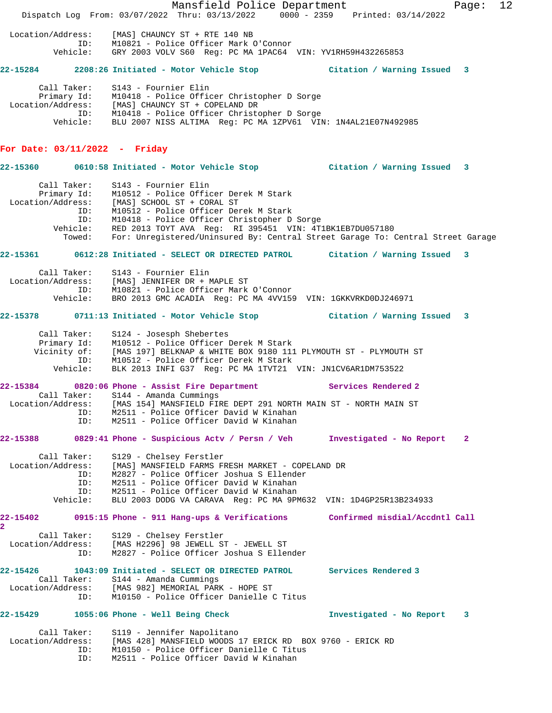Mansfield Police Department Fage: 12 Dispatch Log From: 03/07/2022 Thru: 03/13/2022 0000 - 2359 Printed: 03/14/2022 Location/Address: [MAS] CHAUNCY ST + RTE 140 NB ID: M10821 - Police Officer Mark O'Connor Vehicle: GRY 2003 VOLV S60 Reg: PC MA 1PAC64 VIN: YV1RH59H432265853 **22-15284 2208:26 Initiated - Motor Vehicle Stop Citation / Warning Issued 3** Call Taker: S143 - Fournier Elin Primary Id: M10418 - Police Officer Christopher D Sorge Location/Address: [MAS] CHAUNCY ST + COPELAND DR ID: M10418 - Police Officer Christopher D Sorge Vehicle: BLU 2007 NISS ALTIMA Reg: PC MA 1ZPV61 VIN: 1N4AL21E07N492985 **For Date: 03/11/2022 - Friday 22-15360 0610:58 Initiated - Motor Vehicle Stop Citation / Warning Issued 3** Call Taker: S143 - Fournier Elin Primary Id: M10512 - Police Officer Derek M Stark Location/Address: [MAS] SCHOOL ST + CORAL ST ID: M10512 - Police Officer Derek M Stark ID: M10418 - Police Officer Christopher D Sorge Vehicle: RED 2013 TOYT AVA Reg: RI 395451 VIN: 4T1BK1EB7DU057180 Towed: For: Unregistered/Uninsured By: Central Street Garage To: Central Street Garage **22-15361 0612:28 Initiated - SELECT OR DIRECTED PATROL Citation / Warning Issued 3** Call Taker: S143 - Fournier Elin Location/Address: [MAS] JENNIFER DR + MAPLE ST ID: M10821 - Police Officer Mark O'Connor Vehicle: BRO 2013 GMC ACADIA Reg: PC MA 4VV159 VIN: 1GKKVRKD0DJ246971 **22-15378 0711:13 Initiated - Motor Vehicle Stop Citation / Warning Issued 3** Call Taker: S124 - Josesph Shebertes Primary Id: M10512 - Police Officer Derek M Stark Vicinity of: [MAS 197] BELKNAP & WHITE BOX 9180 111 PLYMOUTH ST - PLYMOUTH ST ID: M10512 - Police Officer Derek M Stark Vehicle: BLK 2013 INFI G37 Reg: PC MA 1TVT21 VIN: JN1CV6AR1DM753522 **22-15384 0820:06 Phone - Assist Fire Department Services Rendered 2**  Call Taker: S144 - Amanda Cummings Location/Address: [MAS 154] MANSFIELD FIRE DEPT 291 NORTH MAIN ST - NORTH MAIN ST ID: M2511 - Police Officer David W Kinahan ID: M2511 - Police Officer David W Kinahan **22-15388 0829:41 Phone - Suspicious Actv / Persn / Veh Investigated - No Report 2** Call Taker: S129 - Chelsey Ferstler Location/Address: [MAS] MANSFIELD FARMS FRESH MARKET - COPELAND DR ID: M2827 - Police Officer Joshua S Ellender ID: M2511 - Police Officer David W Kinahan ID: M2511 - Police Officer David W Kinahan Vehicle: BLU 2003 DODG VA CARAVA Reg: PC MA 9PM632 VIN: 1D4GP25R13B234933 **22-15402 0915:15 Phone - 911 Hang-ups & Verifications Confirmed misdial/Accdntl Call 2**  Call Taker: S129 - Chelsey Ferstler Location/Address: [MAS H2296] 98 JEWELL ST - JEWELL ST ID: M2827 - Police Officer Joshua S Ellender **22-15426 1043:09 Initiated - SELECT OR DIRECTED PATROL Services Rendered 3**  Call Taker: S144 - Amanda Cummings Location/Address: [MAS 982] MEMORIAL PARK - HOPE ST ID: M10150 - Police Officer Danielle C Titus **22-15429 1055:06 Phone - Well Being Check Investigated - No Report 3** Call Taker: S119 - Jennifer Napolitano Location/Address: [MAS 428] MANSFIELD WOODS 17 ERICK RD BOX 9760 - ERICK RD ID: M10150 - Police Officer Danielle C Titus ID: M2511 - Police Officer David W Kinahan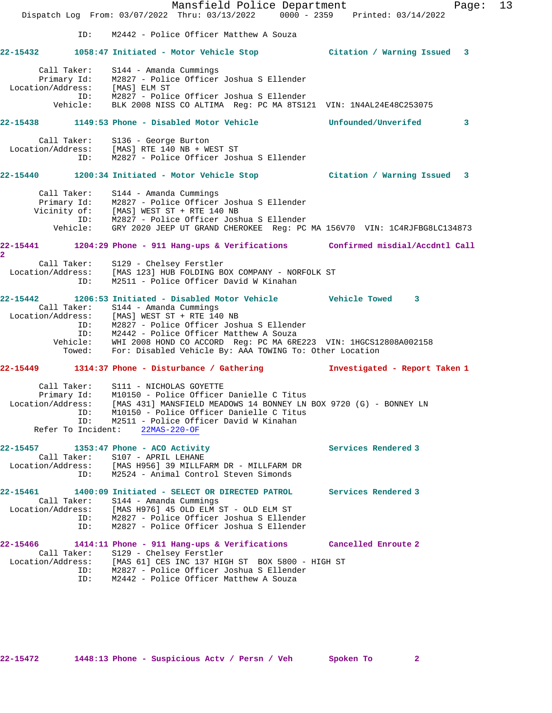Mansfield Police Department Fage: 13 Dispatch Log From: 03/07/2022 Thru: 03/13/2022 0000 - 2359 Printed: 03/14/2022 ID: M2442 - Police Officer Matthew A Souza **22-15432 1058:47 Initiated - Motor Vehicle Stop Citation / Warning Issued 3** Call Taker: S144 - Amanda Cummings Primary Id: M2827 - Police Officer Joshua S Ellender Location/Address: [MAS] ELM ST ID: M2827 - Police Officer Joshua S Ellender Vehicle: BLK 2008 NISS CO ALTIMA Reg: PC MA 8TS121 VIN: 1N4AL24E48C253075 **22-15438 1149:53 Phone - Disabled Motor Vehicle Unfounded/Unverifed 3** Call Taker: S136 - George Burton Location/Address: [MAS] RTE 140 NB + WEST ST ID: M2827 - Police Officer Joshua S Ellender **22-15440 1200:34 Initiated - Motor Vehicle Stop Citation / Warning Issued 3** Call Taker: S144 - Amanda Cummings Primary Id: M2827 - Police Officer Joshua S Ellender Vicinity of: [MAS] WEST ST + RTE 140 NB ID: M2827 - Police Officer Joshua S Ellender Vehicle: GRY 2020 JEEP UT GRAND CHEROKEE Reg: PC MA 156V70 VIN: 1C4RJFBG8LC134873 **22-15441 1204:29 Phone - 911 Hang-ups & Verifications Confirmed misdial/Accdntl Call 2**  Call Taker: S129 - Chelsey Ferstler Location/Address: [MAS 123] HUB FOLDING BOX COMPANY - NORFOLK ST ID: M2511 - Police Officer David W Kinahan **22-15442 1206:53 Initiated - Disabled Motor Vehicle Vehicle Towed 3**  Call Taker: S144 - Amanda Cummings Location/Address: [MAS] WEST ST + RTE 140 NB ID: M2827 - Police Officer Joshua S Ellender ID: M2442 - Police Officer Matthew A Souza Vehicle: WHI 2008 HOND CO ACCORD Reg: PC MA 6RE223 VIN: 1HGCS12808A002158 Towed: For: Disabled Vehicle By: AAA TOWING To: Other Location **22-15449 1314:37 Phone - Disturbance / Gathering Investigated - Report Taken 1** Call Taker: S111 - NICHOLAS GOYETTE Primary Id: M10150 - Police Officer Danielle C Titus Location/Address: [MAS 431] MANSFIELD MEADOWS 14 BONNEY LN BOX 9720 (G) - BONNEY LN ID: M10150 - Police Officer Danielle C Titus ID: M2511 - Police Officer David W Kinahan Refer To Incident: 22MAS-220-OF **22-15457 1353:47 Phone - ACO Activity Services Rendered 3**  Call Taker: S107 - APRIL LEHANE Location/Address: [MAS H956] 39 MILLFARM DR - MILLFARM DR ID: M2524 - Animal Control Steven Simonds **22-15461 1400:09 Initiated - SELECT OR DIRECTED PATROL Services Rendered 3**  Call Taker: S144 - Amanda Cummings Location/Address: [MAS H976] 45 OLD ELM ST - OLD ELM ST ID: M2827 - Police Officer Joshua S Ellender ID: M2827 - Police Officer Joshua S Ellender **22-15466 1414:11 Phone - 911 Hang-ups & Verifications Cancelled Enroute 2**  Call Taker: S129 - Chelsey Ferstler Location/Address: [MAS 61] CES INC 137 HIGH ST BOX 5800 - HIGH ST ID: M2827 - Police Officer Joshua S Ellender ID: M2442 - Police Officer Matthew A Souza

**22-15472 1448:13 Phone - Suspicious Actv / Persn / Veh Spoken To 2**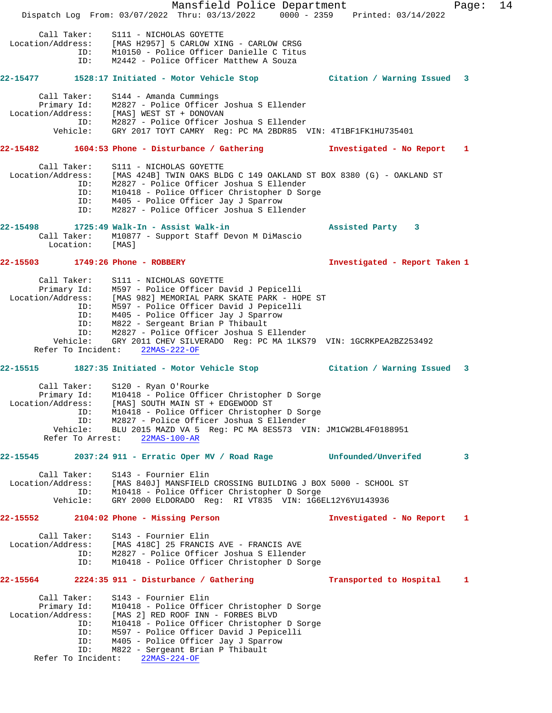Mansfield Police Department Fage: 14 Dispatch Log From: 03/07/2022 Thru: 03/13/2022 0000 - 2359 Printed: 03/14/2022 Call Taker: S111 - NICHOLAS GOYETTE Location/Address: [MAS H2957] 5 CARLOW XING - CARLOW CRSG ID: M10150 - Police Officer Danielle C Titus ID: M2442 - Police Officer Matthew A Souza **22-15477 1528:17 Initiated - Motor Vehicle Stop Citation / Warning Issued 3** Call Taker: S144 - Amanda Cummings Primary Id: M2827 - Police Officer Joshua S Ellender Location/Address: [MAS] WEST ST + DONOVAN ID: M2827 - Police Officer Joshua S Ellender Vehicle: GRY 2017 TOYT CAMRY Reg: PC MA 2BDR85 VIN: 4T1BF1FK1HU735401 **22-15482 1604:53 Phone - Disturbance / Gathering Investigated - No Report 1** Call Taker: S111 - NICHOLAS GOYETTE Location/Address: [MAS 424B] TWIN OAKS BLDG C 149 OAKLAND ST BOX 8380 (G) - OAKLAND ST ID: M2827 - Police Officer Joshua S Ellender ID: M10418 - Police Officer Christopher D Sorge ID: M405 - Police Officer Jay J Sparrow ID: M2827 - Police Officer Joshua S Ellender **22-15498 1725:49 Walk-In - Assist Walk-in Assisted Party 3**  Call Taker: M10877 - Support Staff Devon M DiMascio Location: [MAS] **22-15503 1749:26 Phone - ROBBERY Investigated - Report Taken 1** Call Taker: S111 - NICHOLAS GOYETTE Primary Id: M597 - Police Officer David J Pepicelli Location/Address: [MAS 982] MEMORIAL PARK SKATE PARK - HOPE ST ID: M597 - Police Officer David J Pepicelli ID: M405 - Police Officer Jay J Sparrow ID: M822 - Sergeant Brian P Thibault ID: M2827 - Police Officer Joshua S Ellender Vehicle: GRY 2011 CHEV SILVERADO Reg: PC MA 1LKS79 VIN: 1GCRKPEA2BZ253492 Refer To Incident: 22MAS-222-OF **22-15515 1827:35 Initiated - Motor Vehicle Stop Citation / Warning Issued 3** Call Taker: S120 - Ryan O'Rourke Primary Id: M10418 - Police Officer Christopher D Sorge Location/Address: [MAS] SOUTH MAIN ST + EDGEWOOD ST ID: M10418 - Police Officer Christopher D Sorge ID: M2827 - Police Officer Joshua S Ellender Vehicle: BLU 2015 MAZD VA 5 Reg: PC MA 8ES573 VIN: JM1CW2BL4F0188951 Refer To Arrest: 22MAS-100-AR **22-15545 2037:24 911 - Erratic Oper MV / Road Rage Unfounded/Unverifed 3** Call Taker: S143 - Fournier Elin Location/Address: [MAS 840J] MANSFIELD CROSSING BUILDING J BOX 5000 - SCHOOL ST ID: M10418 - Police Officer Christopher D Sorge Vehicle: GRY 2000 ELDORADO Reg: RI VT835 VIN: 1G6EL12Y6YU143936 **22-15552 2104:02 Phone - Missing Person Investigated - No Report 1** Call Taker: S143 - Fournier Elin Location/Address: [MAS 418C] 25 FRANCIS AVE - FRANCIS AVE ID: M2827 - Police Officer Joshua S Ellender ID: M10418 - Police Officer Christopher D Sorge **22-15564 2224:35 911 - Disturbance / Gathering Transported to Hospital 1** Call Taker: S143 - Fournier Elin Primary Id: M10418 - Police Officer Christopher D Sorge Location/Address: [MAS 2] RED ROOF INN - FORBES BLVD ID: M10418 - Police Officer Christopher D Sorge ID: M597 - Police Officer David J Pepicelli<br>ID: M405 - Police Officer Jav J Sparrow M405 - Police Officer Jay J Sparrow ID: M822 - Sergeant Brian P Thibault Refer To Incident: 22MAS-224-OF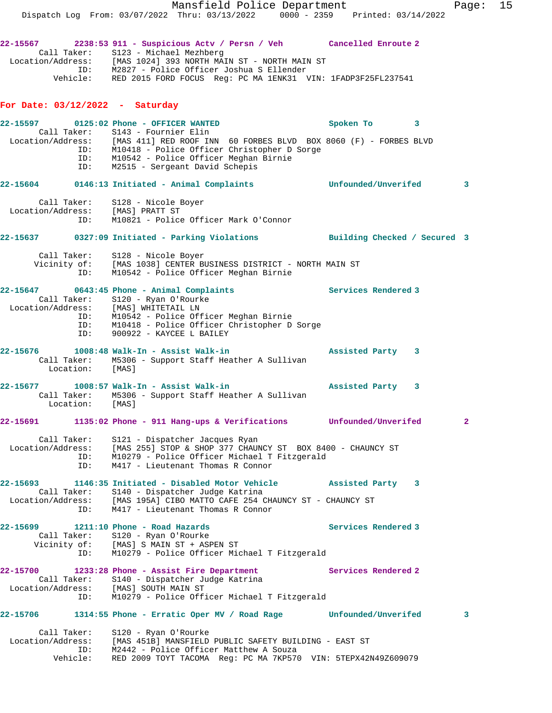Mansfield Police Department Fage: 15 Dispatch Log From: 03/07/2022 Thru: 03/13/2022 0000 - 2359 Printed: 03/14/2022 **22-15567 2238:53 911 - Suspicious Actv / Persn / Veh Cancelled Enroute 2**  Call Taker: S123 - Michael Mezhberg Location/Address: [MAS 1024] 393 NORTH MAIN ST - NORTH MAIN ST ID: M2827 - Police Officer Joshua S Ellender Vehicle: RED 2015 FORD FOCUS Reg: PC MA 1ENK31 VIN: 1FADP3F25FL237541 **For Date: 03/12/2022 - Saturday 22-15597 0125:02 Phone - OFFICER WANTED Spoken To 3**  Call Taker: S143 - Fournier Elin Location/Address: [MAS 411] RED ROOF INN 60 FORBES BLVD BOX 8060 (F) - FORBES BLVD ID: M10418 - Police Officer Christopher D Sorge ID: M10542 - Police Officer Meghan Birnie ID: M2515 - Sergeant David Schepis **22-15604 0146:13 Initiated - Animal Complaints Unfounded/Unverifed 3** Call Taker: S128 - Nicole Boyer Location/Address: [MAS] PRATT ST ID: M10821 - Police Officer Mark O'Connor **22-15637 0327:09 Initiated - Parking Violations Building Checked / Secured 3** Call Taker: S128 - Nicole Boyer Vicinity of: [MAS 1038] CENTER BUSINESS DISTRICT - NORTH MAIN ST ID: M10542 - Police Officer Meghan Birnie **22-15647 0643:45 Phone - Animal Complaints Services Rendered 3**  Call Taker: S120 - Ryan O'Rourke Location/Address: [MAS] WHITETAIL LN ID: M10542 - Police Officer Meghan Birnie ID: M10418 - Police Officer Christopher D Sorge ID: 900922 - KAYCEE L BAILEY **22-15676 1008:48 Walk-In - Assist Walk-in Assisted Party 3**  Call Taker: M5306 - Support Staff Heather A Sullivan Location: [MAS] **22-15677 1008:57 Walk-In - Assist Walk-in Assisted Party 3**  Call Taker: M5306 - Support Staff Heather A Sullivan Location: [MAS] **22-15691 1135:02 Phone - 911 Hang-ups & Verifications Unfounded/Unverifed 2** Call Taker: S121 - Dispatcher Jacques Ryan Location/Address: [MAS 255] STOP & SHOP 377 CHAUNCY ST BOX 8400 - CHAUNCY ST ID: M10279 - Police Officer Michael T Fitzgerald ID: M417 - Lieutenant Thomas R Connor **22-15693 1146:35 Initiated - Disabled Motor Vehicle Assisted Party 3**  Call Taker: S140 - Dispatcher Judge Katrina Location/Address: [MAS 195A] CIBO MATTO CAFE 254 CHAUNCY ST - CHAUNCY ST ID: M417 - Lieutenant Thomas R Connor 22-15699 1211:10 Phone - Road Hazards **1200 1211:10 Phone - Road Hazards** 1 Call Taker: S120 - Ryan O'Rourke Vicinity of: [MAS] S MAIN ST + ASPEN ST ID: M10279 - Police Officer Michael T Fitzgerald **22-15700** 1233:28 Phone - Assist Fire Department Services Rendered 2 Call Taker: S140 - Dispatcher Judge Katrina Location/Address: [MAS] SOUTH MAIN ST ID: M10279 - Police Officer Michael T Fitzgerald **22-15706 1314:55 Phone - Erratic Oper MV / Road Rage Unfounded/Unverifed 3** Call Taker: S120 - Ryan O'Rourke Location/Address: [MAS 451B] MANSFIELD PUBLIC SAFETY BUILDING - EAST ST ID: M2442 - Police Officer Matthew A Souza Vehicle: RED 2009 TOYT TACOMA Reg: PC MA 7KP570 VIN: 5TEPX42N49Z609079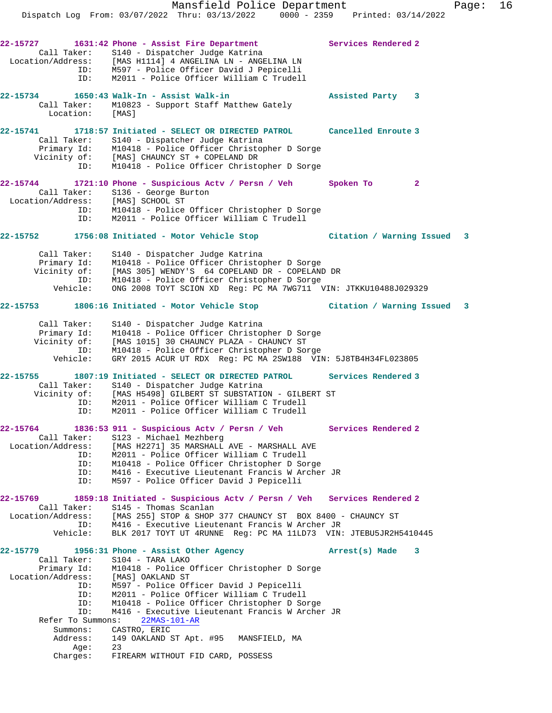**22-15727 1631:42 Phone - Assist Fire Department Services Rendered 2**  Call Taker: S140 - Dispatcher Judge Katrina Location/Address: [MAS H1114] 4 ANGELINA LN - ANGELINA LN ID: M597 - Police Officer David J Pepicelli ID: M2011 - Police Officer William C Trudell **22-15734 1650:43 Walk-In - Assist Walk-in Assisted Party 3**  Call Taker: M10823 - Support Staff Matthew Gately Location: [MAS] **22-15741 1718:57 Initiated - SELECT OR DIRECTED PATROL Cancelled Enroute 3**  Call Taker: S140 - Dispatcher Judge Katrina Primary Id: M10418 - Police Officer Christopher D Sorge Vicinity of: [MAS] CHAUNCY ST + COPELAND DR ID: M10418 - Police Officer Christopher D Sorge **22-15744 1721:10 Phone - Suspicious Actv / Persn / Veh Spoken To 2**  Call Taker: S136 - George Burton Location/Address: [MAS] SCHOOL ST ID: M10418 - Police Officer Christopher D Sorge ID: M2011 - Police Officer William C Trudell **22-15752 1756:08 Initiated - Motor Vehicle Stop Citation / Warning Issued 3** Call Taker: S140 - Dispatcher Judge Katrina Primary Id: M10418 - Police Officer Christopher D Sorge Vicinity of: [MAS 305] WENDY'S 64 COPELAND DR - COPELAND DR ID: M10418 - Police Officer Christopher D Sorge Vehicle: ONG 2008 TOYT SCION XD Reg: PC MA 7WG711 VIN: JTKKU10488J029329 **22-15753 1806:16 Initiated - Motor Vehicle Stop Citation / Warning Issued 3** Call Taker: S140 - Dispatcher Judge Katrina Primary Id: M10418 - Police Officer Christopher D Sorge Vicinity of: [MAS 1015] 30 CHAUNCY PLAZA - CHAUNCY ST ID: M10418 - Police Officer Christopher D Sorge Vehicle: GRY 2015 ACUR UT RDX Reg: PC MA 2SW188 VIN: 5J8TB4H34FL023805 **22-15755 1807:19 Initiated - SELECT OR DIRECTED PATROL Services Rendered 3**  Call Taker: S140 - Dispatcher Judge Katrina Vicinity of: [MAS H5498] GILBERT ST SUBSTATION - GILBERT ST ID: M2011 - Police Officer William C Trudell ID: M2011 - Police Officer William C Trudell **22-15764 1836:53 911 - Suspicious Actv / Persn / Veh Services Rendered 2**  Call Taker: S123 - Michael Mezhberg<br>Location/Address: [MAS H2271] 35 MARSHALL [MAS H2271] 35 MARSHALL AVE - MARSHALL AVE ess: IMAS B22/11 JJ FRINCHELL<br>ID: M2011 - Police Officer William C Trudell<br>ID: M2011 - Police Officer William D So ID: M10418 - Police Officer Christopher D Sorge ID: M416 - Executive Lieutenant Francis W Archer JR ID: M597 - Police Officer David J Pepicelli **22-15769 1859:18 Initiated - Suspicious Actv / Persn / Veh Services Rendered 2**  Call Taker: S145 - Thomas Scanlan Location/Address: [MAS 255] STOP & SHOP 377 CHAUNCY ST BOX 8400 - CHAUNCY ST ID: M416 - Executive Lieutenant Francis W Archer JR Vehicle: BLK 2017 TOYT UT 4RUNNE Reg: PC MA 11LD73 VIN: JTEBU5JR2H5410445 **22-15779 1956:31 Phone - Assist Other Agency Arrest(s) Made 3**  Call Taker: S104 - TARA LAKO Primary Id: M10418 - Police Officer Christopher D Sorge Location/Address: [MAS] OAKLAND ST ID: M597 - Police Officer David J Pepicelli ID: M2011 - Police Officer William C Trudell ID: M10418 - Police Officer Christopher D Sorge ID: M416 - Executive Lieutenant Francis W Archer JR Refer To Summons: 22MAS-101-AR Summons: CASTRO, ERIC Address: 149 OAKLAND ST Apt. #95 MANSFIELD, MA Age: 23 Charges: FIREARM WITHOUT FID CARD, POSSESS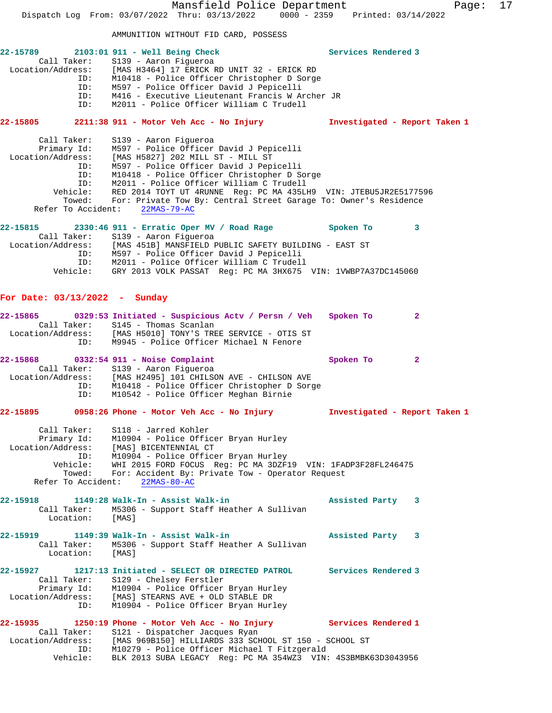Mansfield Police Department Fage: 17 Dispatch Log From: 03/07/2022 Thru: 03/13/2022 0000 - 2359 Printed: 03/14/2022 AMMUNITION WITHOUT FID CARD, POSSESS **22-15789 2103:01 911 - Well Being Check Services Rendered 3**  Call Taker: S139 - Aaron Figueroa Location/Address: [MAS H3464] 17 ERICK RD UNIT 32 - ERICK RD ID: M10418 - Police Officer Christopher D Sorge ID: M597 - Police Officer David J Pepicelli ID: M416 - Executive Lieutenant Francis W Archer JR M2011 - Police Officer William C Trudell **22-15805 2211:38 911 - Motor Veh Acc - No Injury Investigated - Report Taken 1** Call Taker: S139 - Aaron Figueroa Primary Id: M597 - Police Officer David J Pepicelli Location/Address: [MAS H5827] 202 MILL ST - MILL ST ID: M597 - Police Officer David J Pepicelli ID: M10418 - Police Officer Christopher D Sorge ID: M2011 - Police Officer William C Trudell Vehicle: RED 2014 TOYT UT 4RUNNE Reg: PC MA 435LH9 VIN: JTEBU5JR2E5177596 Towed: For: Private Tow By: Central Street Garage To: Owner's Residence Refer To Accident: 22MAS-79-AC **22-15815 2330:46 911 - Erratic Oper MV / Road Rage Spoken To 3**  Call Taker: S139 - Aaron Figueroa Location/Address: [MAS 451B] MANSFIELD PUBLIC SAFETY BUILDING - EAST ST ID: M597 - Police Officer David J Pepicelli ID: M2011 - Police Officer William C Trudell Vehicle: GRY 2013 VOLK PASSAT Reg: PC MA 3HX675 VIN: 1VWBP7A37DC145060 **For Date: 03/13/2022 - Sunday 22-15865 0329:53 Initiated - Suspicious Actv / Persn / Veh Spoken To 2**  Call Taker: S145 - Thomas Scanlan Location/Address: [MAS H5010] TONY'S TREE SERVICE - OTIS ST ID: M9945 - Police Officer Michael N Fenore 22-15868 0332:54 911 - Noise Complaint **Spoken To** 2 Call Taker: S139 - Aaron Figueroa Location/Address: [MAS H2495] 101 CHILSON AVE - CHILSON AVE ID: M10418 - Police Officer Christopher D Sorge ID: M10542 - Police Officer Meghan Birnie **22-15895 0958:26 Phone - Motor Veh Acc - No Injury Investigated - Report Taken 1** Call Taker: S118 - Jarred Kohler Primary Id: M10904 - Police Officer Bryan Hurley Location/Address: [MAS] BICENTENNIAL CT ID: M10904 - Police Officer Bryan Hurley Vehicle: WHI 2015 FORD FOCUS Reg: PC MA 3DZF19 VIN: 1FADP3F28FL246475 Towed: For: Accident By: Private Tow - Operator Request Refer To Accident: 22MAS-80-AC **22-15918 1149:28 Walk-In - Assist Walk-in Assisted Party 3**  Call Taker: M5306 - Support Staff Heather A Sullivan Location: [MAS] **22-15919 1149:39 Walk-In - Assist Walk-in Assisted Party 3**  Call Taker: M5306 - Support Staff Heather A Sullivan Location: [MAS] **22-15927 1217:13 Initiated - SELECT OR DIRECTED PATROL Services Rendered 3**  Call Taker: S129 - Chelsey Ferstler Primary Id: M10904 - Police Officer Bryan Hurley Location/Address: [MAS] STEARNS AVE + OLD STABLE DR ID: M10904 - Police Officer Bryan Hurley **22-15935 1250:19 Phone - Motor Veh Acc - No Injury Services Rendered 1**  Call Taker: S121 - Dispatcher Jacques Ryan Location/Address: [MAS 969B150] HILLIARDS 333 SCHOOL ST 150 - SCHOOL ST ID: M10279 - Police Officer Michael T Fitzgerald Vehicle: BLK 2013 SUBA LEGACY Reg: PC MA 354WZ3 VIN: 4S3BMBK63D3043956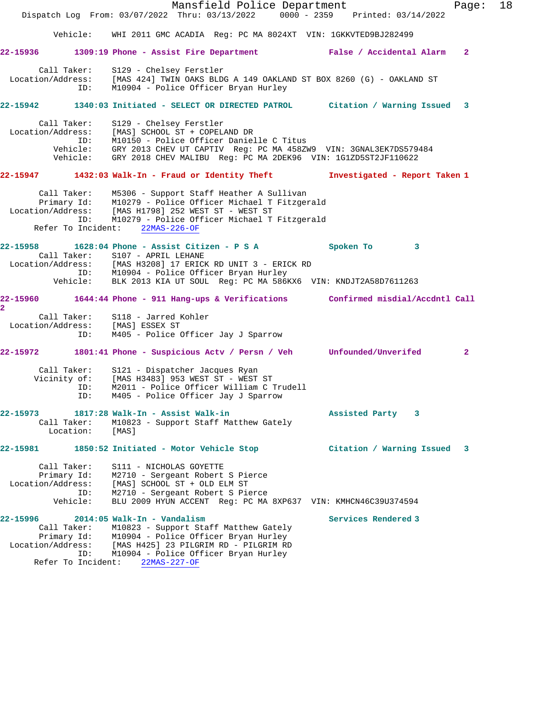

Refer To Incident: 22MAS-227-OF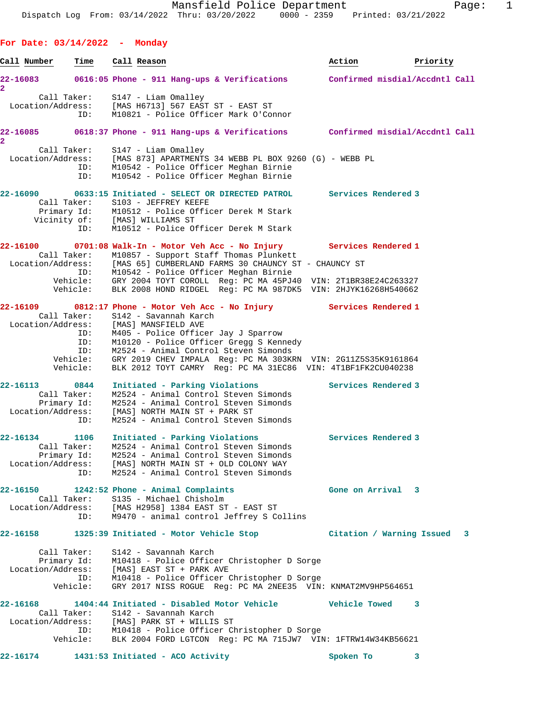**For Date: 03/14/2022 - Monday** Call Number **Time Call Reason Action Action** Priority **22-16083 0616:05 Phone - 911 Hang-ups & Verifications Confirmed misdial/Accdntl Call 2**  Call Taker: S147 - Liam Omalley Location/Address: [MAS H6713] 567 EAST ST - EAST ST ID: M10821 - Police Officer Mark O'Connor **22-16085 0618:37 Phone - 911 Hang-ups & Verifications Confirmed misdial/Accdntl Call 2**  Call Taker: S147 - Liam Omalley Location/Address: [MAS 873] APARTMENTS 34 WEBB PL BOX 9260 (G) - WEBB PL ID: M10542 - Police Officer Meghan Birnie ID: M10542 - Police Officer Meghan Birnie **22-16090 0633:15 Initiated - SELECT OR DIRECTED PATROL Services Rendered 3**  Call Taker: S103 - JEFFREY KEEFE Primary Id: M10512 - Police Officer Derek M Stark Vicinity of: [MAS] WILLIAMS ST ID: M10512 - Police Officer Derek M Stark **22-16100 0701:08 Walk-In - Motor Veh Acc - No Injury Services Rendered 1**  Call Taker: M10857 - Support Staff Thomas Plunkett Location/Address: [MAS 65] CUMBERLAND FARMS 30 CHAUNCY ST - CHAUNCY ST ID: M10542 - Police Officer Meghan Birnie Vehicle: GRY 2004 TOYT COROLL Reg: PC MA 45PJ40 VIN: 2T1BR38E24C263327 Vehicle: BLK 2008 HOND RIDGEL Reg: PC MA 987DK5 VIN: 2HJYK16268H540662 **22-16109 0812:17 Phone - Motor Veh Acc - No Injury Services Rendered 1**  Call Taker: S142 - Savannah Karch Location/Address: [MAS] MANSFIELD AVE ID: M405 - Police Officer Jay J Sparrow ID: M10120 - Police Officer Gregg S Kennedy ID: M2524 - Animal Control Steven Simonds Vehicle: GRY 2019 CHEV IMPALA Reg: PC MA 303KRN VIN: 2G11Z5S35K9161864 Vehicle: BLK 2012 TOYT CAMRY Reg: PC MA 31EC86 VIN: 4T1BF1FK2CU040238 **22-16113 0844 Initiated - Parking Violations Services Rendered 3**  Call Taker: M2524 - Animal Control Steven Simonds Primary Id: M2524 - Animal Control Steven Simonds Location/Address: [MAS] NORTH MAIN ST + PARK ST ID: M2524 - Animal Control Steven Simonds **22-16134 1106 Initiated - Parking Violations Services Rendered 3**  Call Taker: M2524 - Animal Control Steven Simonds Primary Id: M2524 - Animal Control Steven Simonds Location/Address: [MAS] NORTH MAIN ST + OLD COLONY WAY ID: M2524 - Animal Control Steven Simonds **22-16150 1242:52 Phone - Animal Complaints Gone on Arrival 3**  Call Taker: S135 - Michael Chisholm Location/Address: [MAS H2958] 1384 EAST ST - EAST ST ID: M9470 - animal control Jeffrey S Collins **22-16158 1325:39 Initiated - Motor Vehicle Stop Citation / Warning Issued 3** Call Taker: S142 - Savannah Karch Primary Id: M10418 - Police Officer Christopher D Sorge Location/Address: [MAS] EAST ST + PARK AVE ID: M10418 - Police Officer Christopher D Sorge Vehicle: GRY 2017 NISS ROGUE Reg: PC MA 2NEE35 VIN: KNMAT2MV9HP564651 **22-16168 1404:44 Initiated - Disabled Motor Vehicle Vehicle Towed 3**  Call Taker: S142 - Savannah Karch Location/Address: [MAS] PARK ST + WILLIS ST ID: M10418 - Police Officer Christopher D Sorge Vehicle: BLK 2004 FORD LGTCON Reg: PC MA 715JW7 VIN: 1FTRW14W34KB56621

**22-16174 1431:53 Initiated - ACO Activity Spoken To 3**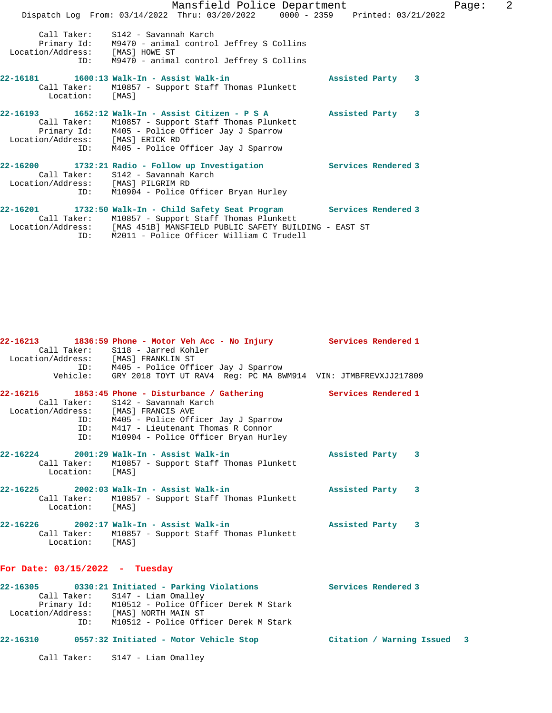|                                         | Mansfield Police Department                                                                                                                                                                                                       |                     | Page: | 2 |
|-----------------------------------------|-----------------------------------------------------------------------------------------------------------------------------------------------------------------------------------------------------------------------------------|---------------------|-------|---|
|                                         | Dispatch Log From: 03/14/2022 Thru: 03/20/2022 0000 - 2359 Printed: 03/21/2022                                                                                                                                                    |                     |       |   |
| Location/Address: [MAS] HOWE ST         | Call Taker: S142 - Savannah Karch<br>Primary Id: M9470 - animal control Jeffrey S Collins<br>ID: M9470 - animal control Jeffrey S Collins                                                                                         |                     |       |   |
| Location: [MAS]                         | Call Taker: M10857 - Support Staff Thomas Plunkett                                                                                                                                                                                | Assisted Party 3    |       |   |
| Location/Address: [MAS] ERICK RD<br>ID: | 22-16193 1652:12 Walk-In - Assist Citizen - P S A 318 Assisted Party 3<br>Call Taker: M10857 - Support Staff Thomas Plunkett<br>Primary Id: M405 - Police Officer Jay J Sparrow<br>M405 - Police Officer Jay J Sparrow            |                     |       |   |
| Location/Address: [MAS] PILGRIM RD      | 22-16200 1732:21 Radio - Follow up Investigation<br>Call Taker: S142 - Savannah Karch<br>ID: M10904 - Police Officer Bryan Hurley                                                                                                 | Services Rendered 3 |       |   |
| ID:                                     | 22-16201 1732:50 Walk-In - Child Safety Seat Program<br>Call Taker: M10857 - Support Staff Thomas Plunkett<br>Location/Address: [MAS 451B] MANSFIELD PUBLIC SAFETY BUILDING - EAST ST<br>M2011 - Police Officer William C Trudell | Services Rendered 3 |       |   |

| Location/Address: [MAS] FRANKLIN ST | 22-16213 1836:59 Phone - Motor Veh Acc - No Injury<br>Call Taker: S118 - Jarred Kohler<br>ID: M405 - Police Officer Jay J Sparrow                                                                                         | Services Rendered 1 |
|-------------------------------------|---------------------------------------------------------------------------------------------------------------------------------------------------------------------------------------------------------------------------|---------------------|
|                                     | Vehicle: GRY 2018 TOYT UT RAV4 Req: PC MA 8WM914 VIN: JTMBFREVXJJ217809                                                                                                                                                   |                     |
| Location/Address: [MAS] FRANCIS AVE | 22-16215 1853:45 Phone - Disturbance / Gathering<br>Call Taker: S142 - Savannah Karch<br>ID: M405 - Police Officer Jay J Sparrow<br>$ID:$ $M417$ - Lieutenant Thomas R Connor<br>ID: M10904 - Police Officer Bryan Hurley | Services Rendered 1 |
| Location: [MAS]                     | 22-16224 2001:29 Walk-In - Assist Walk-in<br>Call Taker: M10857 - Support Staff Thomas Plunkett                                                                                                                           | Assisted Party 3    |
| Location: [MAS]                     | 22-16225  2002:03  Walk-In - Assist Walk-in<br>Call Taker: M10857 - Support Staff Thomas Plunkett                                                                                                                         | Assisted Party 3    |
| Location: [MAS]                     | 22-16226  2002:17 Walk-In - Assist Walk-in<br>Call Taker: M10857 - Support Staff Thomas Plunkett                                                                                                                          | Assisted Party 3    |

## **For Date: 03/15/2022 - Tuesday**

| 22-16305          | 0330:21 Initiated - Parking Violations | Services Rendered 3 |
|-------------------|----------------------------------------|---------------------|
|                   | Call Taker: S147 - Liam Omalley        |                     |
| Primary Id:       | M10512 - Police Officer Derek M Stark  |                     |
| Location/Address: | [MAS] NORTH MAIN ST                    |                     |
| ID:               | M10512 - Police Officer Derek M Stark  |                     |
|                   |                                        |                     |

# **22-16310 0557:32 Initiated - Motor Vehicle Stop Citation / Warning Issued 3**

Call Taker: S147 - Liam Omalley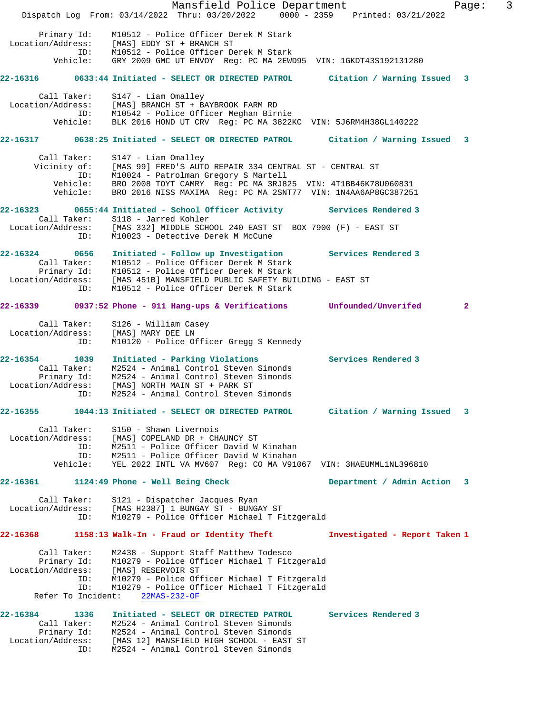Mansfield Police Department Fage: 3 Dispatch Log From: 03/14/2022 Thru: 03/20/2022 0000 - 2359 Printed: 03/21/2022 Primary Id: M10512 - Police Officer Derek M Stark Location/Address: [MAS] EDDY ST + BRANCH ST ID: M10512 - Police Officer Derek M Stark Vehicle: GRY 2009 GMC UT ENVOY Reg: PC MA 2EWD95 VIN: 1GKDT43S192131280 **22-16316 0633:44 Initiated - SELECT OR DIRECTED PATROL Citation / Warning Issued 3** Call Taker: S147 - Liam Omalley Location/Address: [MAS] BRANCH ST + BAYBROOK FARM RD ID: M10542 - Police Officer Meghan Birnie Vehicle: BLK 2016 HOND UT CRV Reg: PC MA 3822KC VIN: 5J6RM4H38GL140222 **22-16317 0638:25 Initiated - SELECT OR DIRECTED PATROL Citation / Warning Issued 3** Call Taker: S147 - Liam Omalley Vicinity of: [MAS 99] FRED'S AUTO REPAIR 334 CENTRAL ST - CENTRAL ST ID: M10024 - Patrolman Gregory S Martell Vehicle: BRO 2008 TOYT CAMRY Reg: PC MA 3RJ825 VIN: 4T1BB46K78U060831 Vehicle: BRO 2016 NISS MAXIMA Reg: PC MA 2SNT77 VIN: 1N4AA6AP8GC387251 **22-16323 0655:44 Initiated - School Officer Activity Services Rendered 3**  Call Taker: S118 - Jarred Kohler Location/Address: [MAS 332] MIDDLE SCHOOL 240 EAST ST BOX 7900 (F) - EAST ST ID: M10023 - Detective Derek M McCune **22-16324 0656 Initiated - Follow up Investigation Services Rendered 3**  Call Taker: M10512 - Police Officer Derek M Stark Primary Id: M10512 - Police Officer Derek M Stark Location/Address: [MAS 451B] MANSFIELD PUBLIC SAFETY BUILDING - EAST ST ID: M10512 - Police Officer Derek M Stark **22-16339 0937:52 Phone - 911 Hang-ups & Verifications Unfounded/Unverifed 2** Call Taker: S126 - William Casey Location/Address: [MAS] MARY DEE LN ID: M10120 - Police Officer Gregg S Kennedy **22-16354 1039 Initiated - Parking Violations Services Rendered 3**  Call Taker: M2524 - Animal Control Steven Simonds Primary Id: M2524 - Animal Control Steven Simonds Location/Address: [MAS] NORTH MAIN ST + PARK ST ID: M2524 - Animal Control Steven Simonds **22-16355 1044:13 Initiated - SELECT OR DIRECTED PATROL Citation / Warning Issued 3** Call Taker: S150 - Shawn Livernois Location/Address: [MAS] COPELAND DR + CHAUNCY ST ID: M2511 - Police Officer David W Kinahan ID: M2511 - Police Officer David W Kinahan Vehicle: YEL 2022 INTL VA MV607 Reg: CO MA V91067 VIN: 3HAEUMML1NL396810 **22-16361 1124:49 Phone - Well Being Check Department / Admin Action 3** Call Taker: S121 - Dispatcher Jacques Ryan Location/Address: [MAS H2387] 1 BUNGAY ST - BUNGAY ST ID: M10279 - Police Officer Michael T Fitzgerald **22-16368 1158:13 Walk-In - Fraud or Identity Theft Investigated - Report Taken 1** Call Taker: M2438 - Support Staff Matthew Todesco Primary Id: M10279 - Police Officer Michael T Fitzgerald Location/Address: [MAS] RESERVOIR ST ID: M10279 - Police Officer Michael T Fitzgerald ID: M10279 - Police Officer Michael T Fitzgerald Refer To Incident: 22MAS-232-OF **22-16384 1336 Initiated - SELECT OR DIRECTED PATROL Services Rendered 3**  Call Taker: M2524 - Animal Control Steven Simonds Primary Id: M2524 - Animal Control Steven Simonds Location/Address: [MAS 12] MANSFIELD HIGH SCHOOL - EAST ST ID: M2524 - Animal Control Steven Simonds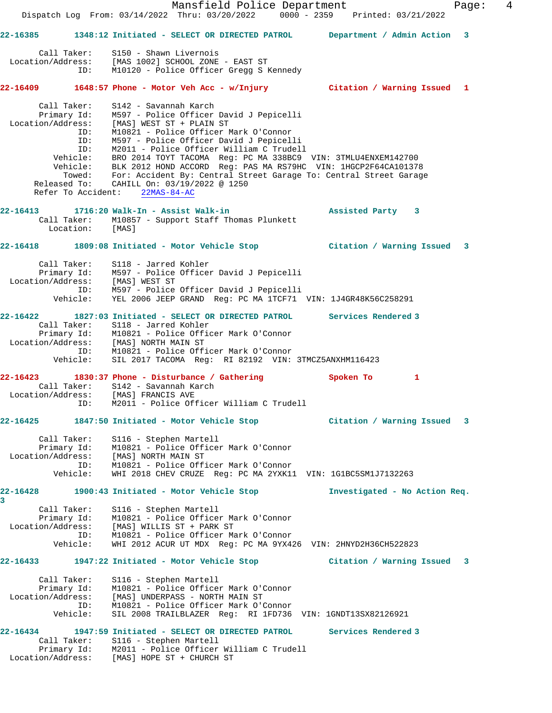|                                                             |                               | Mansfield Police Department<br>Dispatch Log From: 03/14/2022 Thru: 03/20/2022 0000 - 2359 Printed: 03/21/2022                                                                                                                                                                                                                                                                                                                                                                                                                          |                               | $\overline{4}$<br>Page: |
|-------------------------------------------------------------|-------------------------------|----------------------------------------------------------------------------------------------------------------------------------------------------------------------------------------------------------------------------------------------------------------------------------------------------------------------------------------------------------------------------------------------------------------------------------------------------------------------------------------------------------------------------------------|-------------------------------|-------------------------|
|                                                             |                               | 22-16385   1348:12 Initiated - SELECT OR DIRECTED PATROL                                                                                                                                                                                                                                                                                                                                                                                                                                                                               | Department / Admin Action 3   |                         |
|                                                             |                               | Call Taker: S150 - Shawn Livernois<br>Location/Address: [MAS 1002] SCHOOL ZONE - EAST ST<br>ID: M10120 - Police Officer Gregg S Kennedy                                                                                                                                                                                                                                                                                                                                                                                                |                               |                         |
|                                                             |                               | 22-16409 1648:57 Phone - Motor Veh Acc - w/Injury Citation / Warning Issued 1                                                                                                                                                                                                                                                                                                                                                                                                                                                          |                               |                         |
| Call Taker:                                                 | ID:<br>ID:<br>ID:<br>Vehicle: | S142 - Savannah Karch<br>M10821 - Police Officer Mark O'Connor<br>M597 - Police Officer David J Pepicelli<br>M2011 - Police Officer William C Trudell<br>BRO 2014 TOYT TACOMA Reg: PC MA 338BC9 VIN: 3TMLU4ENXEM142700<br>Vehicle: BRO 2014 TOYT TACOMA Reg: PC MA 338BC9 VIN: 3TMLU4ENXEM142700<br>Vehicle: BLK 2012 HOND ACCORD Reg: PAS MA RS79HC VIN: 1HGCP2F64CA101378<br>Towed: For: Accident By: Central Street Garage To: Central Street Garage<br>Released To: CAHILL On: 03/19/2022 @ 1250<br>Refer To Accident: 22MAS-84-AC |                               |                         |
|                                                             | Location: [MAS]               | 22-16413 1716:20 Walk-In - Assist Walk-in<br>Call Taker: M10857 - Support Staff Thomas Plunkett                                                                                                                                                                                                                                                                                                                                                                                                                                        | Assisted Party 3              |                         |
|                                                             |                               | 22-16418 1809:08 Initiated - Motor Vehicle Stop [151] Citation / Warning Issued 3                                                                                                                                                                                                                                                                                                                                                                                                                                                      |                               |                         |
|                                                             | Vehicle:                      | Call Taker: S118 - Jarred Kohler<br>Primary Id: M597 - Police Officer David J Pepicelli<br>Location/Address: [MAS] WEST ST<br>ID: M597 - Police Officer David J Pepicelli<br>YEL 2006 JEEP GRAND Req: PC MA 1TCF71 VIN: 1J4GR48K56C258291                                                                                                                                                                                                                                                                                              |                               |                         |
|                                                             | ID:<br>Vehicle:               | 22-16422 1827:03 Initiated - SELECT OR DIRECTED PATROL Services Rendered 3<br>Call Taker: S118 - Jarred Kohler<br>Primary Id: M10821 - Police Officer Mark O'Connor<br>Location/Address: [MAS] NORTH MAIN ST<br>M10821 - Police Officer Mark O'Connor<br>SIL 2017 TACOMA Req: RI 82192 VIN: 3TMCZ5ANXHM116423                                                                                                                                                                                                                          |                               |                         |
| Location/Address:                                           |                               | 22-16423 1830:37 Phone - Disturbance / Gathering<br>Call Taker: S142 - Savannah Karch<br>[MAS] FRANCIS AVE<br>ID: M2011 - Police Officer William C Trudell                                                                                                                                                                                                                                                                                                                                                                             | Spoken To 1                   |                         |
|                                                             |                               | 22-16425 1847:50 Initiated - Motor Vehicle Stop 6 (Citation / Warning Issued                                                                                                                                                                                                                                                                                                                                                                                                                                                           |                               | 3                       |
| Call Taker:<br>Primary Id:<br>Location/Address:             | ID:<br>Vehicle:               | S116 - Stephen Martell<br>M10821 - Police Officer Mark O'Connor<br>[MAS] NORTH MAIN ST<br>M10821 - Police Officer Mark O'Connor<br>WHI 2018 CHEV CRUZE Req: PC MA 2YXK11 VIN: 1G1BC5SM1J7132263                                                                                                                                                                                                                                                                                                                                        |                               |                         |
| 22-16428<br>3                                               |                               | 1900:43 Initiated - Motor Vehicle Stop                                                                                                                                                                                                                                                                                                                                                                                                                                                                                                 | Investigated - No Action Req. |                         |
| Call Taker:<br>Primary Id:<br>Location/Address:             | ID:<br>Vehicle:               | S116 - Stephen Martell<br>M10821 - Police Officer Mark O'Connor<br>[MAS] WILLIS ST + PARK ST<br>M10821 - Police Officer Mark O'Connor<br>WHI 2012 ACUR UT MDX Reg: PC MA 9YX426 VIN: 2HNYD2H36CH522823                                                                                                                                                                                                                                                                                                                                 |                               |                         |
|                                                             |                               | 22-16433 1947:22 Initiated - Motor Vehicle Stop                                                                                                                                                                                                                                                                                                                                                                                                                                                                                        | Citation / Warning Issued     | 3                       |
| Call Taker:<br>Primary Id:<br>Location/Address:             | ID:<br>Vehicle:               | S116 - Stephen Martell<br>M10821 - Police Officer Mark O'Connor<br>[MAS] UNDERPASS - NORTH MAIN ST<br>M10821 - Police Officer Mark O'Connor<br>SIL 2008 TRAILBLAZER Req: RI 1FD736 VIN: 1GNDT13SX82126921                                                                                                                                                                                                                                                                                                                              |                               |                         |
| 22-16434<br>Call Taker:<br>Primary Id:<br>Location/Address: |                               | 1947:59 Initiated - SELECT OR DIRECTED PATROL Services Rendered 3<br>S116 - Stephen Martell<br>M2011 - Police Officer William C Trudell<br>[MAS] HOPE ST + CHURCH ST                                                                                                                                                                                                                                                                                                                                                                   |                               |                         |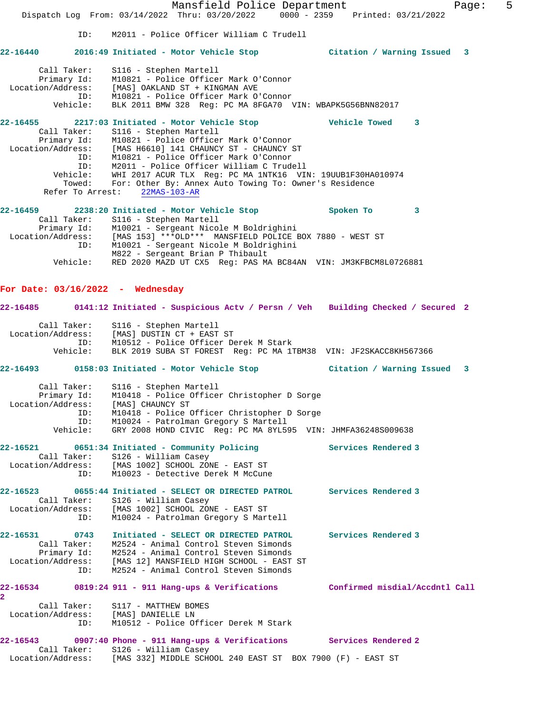Mansfield Police Department Fage: 5 Dispatch Log From: 03/14/2022 Thru: 03/20/2022 0000 - 2359 Printed: 03/21/2022 ID: M2011 - Police Officer William C Trudell **22-16440 2016:49 Initiated - Motor Vehicle Stop Citation / Warning Issued 3** Call Taker: S116 - Stephen Martell Primary Id: M10821 - Police Officer Mark O'Connor Location/Address: [MAS] OAKLAND ST + KINGMAN AVE ID: M10821 - Police Officer Mark O'Connor Vehicle: BLK 2011 BMW 328 Reg: PC MA 8FGA70 VIN: WBAPK5G56BNN82017 **22-16455 2217:03 Initiated - Motor Vehicle Stop Vehicle Towed 3**  Call Taker: S116 - Stephen Martell Primary Id: M10821 - Police Officer Mark O'Connor Location/Address: [MAS H6610] 141 CHAUNCY ST - CHAUNCY ST ID: M10821 - Police Officer Mark O'Connor ID: M2011 - Police Officer William C Trudell Vehicle: WHI 2017 ACUR TLX Reg: PC MA 1NTK16 VIN: 19UUB1F30HA010974 Towed: For: Other By: Annex Auto Towing To: Owner's Residence Refer To Arrest: 22MAS-103-AR **22-16459 2238:20 Initiated - Motor Vehicle Stop Spoken To 3**  Call Taker: S116 - Stephen Martell Primary Id: M10021 - Sergeant Nicole M Boldrighini Location/Address: [MAS 153] \*\*\*OLD\*\*\* MANSFIELD POLICE BOX 7880 - WEST ST ID: M10021 - Sergeant Nicole M Boldrighini M822 - Sergeant Brian P Thibault Vehicle: RED 2020 MAZD UT CX5 Reg: PAS MA BC84AN VIN: JM3KFBCM8L0726881 **For Date: 03/16/2022 - Wednesday 22-16485 0141:12 Initiated - Suspicious Actv / Persn / Veh Building Checked / Secured 2** Call Taker: S116 - Stephen Martell Location/Address: [MAS] DUSTIN CT + EAST ST ID: M10512 - Police Officer Derek M Stark Vehicle: BLK 2019 SUBA ST FOREST Reg: PC MA 1TBM38 VIN: JF2SKACC8KH567366 **22-16493 0158:03 Initiated - Motor Vehicle Stop Citation / Warning Issued 3** Call Taker: S116 - Stephen Martell Primary Id: M10418 - Police Officer Christopher D Sorge Location/Address: [MAS] CHAUNCY ST ID: M10418 - Police Officer Christopher D Sorge ID: M10024 - Patrolman Gregory S Martell Vehicle: GRY 2008 HOND CIVIC Reg: PC MA 8YL595 VIN: JHMFA36248S009638 **22-16521 0651:34 Initiated - Community Policing Services Rendered 3**  Call Taker: S126 - William Casey Location/Address: [MAS 1002] SCHOOL ZONE - EAST ST ID: M10023 - Detective Derek M McCune **22-16523 0655:44 Initiated - SELECT OR DIRECTED PATROL Services Rendered 3**  Call Taker: S126 - William Casey Location/Address: [MAS 1002] SCHOOL ZONE - EAST ST ID: M10024 - Patrolman Gregory S Martell **22-16531 0743 Initiated - SELECT OR DIRECTED PATROL Services Rendered 3**  Call Taker: M2524 - Animal Control Steven Simonds Primary Id: M2524 - Animal Control Steven Simonds Location/Address: [MAS 12] MANSFIELD HIGH SCHOOL - EAST ST ID: M2524 - Animal Control Steven Simonds **22-16534 0819:24 911 - 911 Hang-ups & Verifications Confirmed misdial/Accdntl Call 2**  Call Taker: S117 - MATTHEW BOMES Location/Address: [MAS] DANIELLE LN ID: M10512 - Police Officer Derek M Stark **22-16543 0907:40 Phone - 911 Hang-ups & Verifications Services Rendered 2**  Call Taker: S126 - William Casey Location/Address: [MAS 332] MIDDLE SCHOOL 240 EAST ST BOX 7900 (F) - EAST ST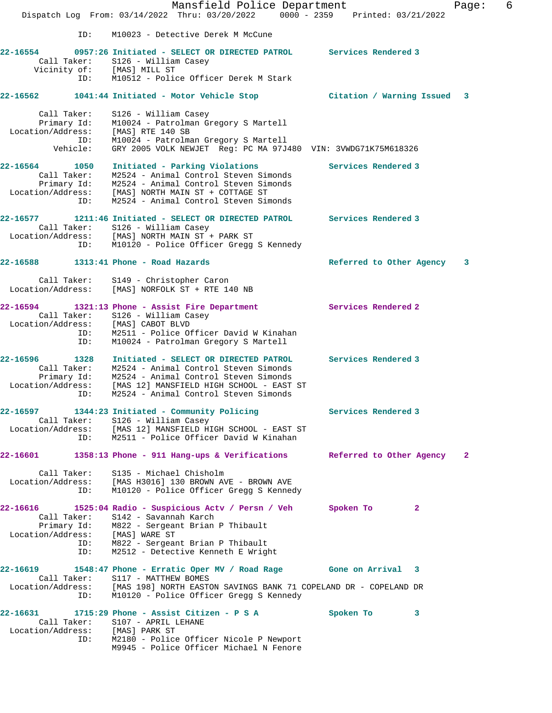Mansfield Police Department Fage: 6 Dispatch Log From: 03/14/2022 Thru: 03/20/2022 0000 - 2359 Printed: 03/21/2022 ID: M10023 - Detective Derek M McCune **22-16554 0957:26 Initiated - SELECT OR DIRECTED PATROL Services Rendered 3**  Call Taker: S126 - William Casey Vicinity of: [MAS] MILL ST ID: M10512 - Police Officer Derek M Stark **22-16562 1041:44 Initiated - Motor Vehicle Stop Citation / Warning Issued 3** Call Taker: S126 - William Casey Primary Id: M10024 - Patrolman Gregory S Martell Location/Address: [MAS] RTE 140 SB ID: M10024 - Patrolman Gregory S Martell Vehicle: GRY 2005 VOLK NEWJET Reg: PC MA 97J480 VIN: 3VWDG71K75M618326 **22-16564 1050 Initiated - Parking Violations Services Rendered 3**  Call Taker: M2524 - Animal Control Steven Simonds Primary Id: M2524 - Animal Control Steven Simonds Location/Address: [MAS] NORTH MAIN ST + COTTAGE ST ID: M2524 - Animal Control Steven Simonds **22-16577 1211:46 Initiated - SELECT OR DIRECTED PATROL Services Rendered 3**  Call Taker: S126 - William Casey Location/Address: [MAS] NORTH MAIN ST + PARK ST ID: M10120 - Police Officer Gregg S Kennedy **22-16588 1313:41 Phone - Road Hazards Referred to Other Agency 3** Call Taker: S149 - Christopher Caron Location/Address: [MAS] NORFOLK ST + RTE 140 NB **22-16594 1321:13 Phone - Assist Fire Department Services Rendered 2**  Call Taker: S126 - William Casey Location/Address: [MAS] CABOT BLVD ID: M2511 - Police Officer David W Kinahan ID: M10024 - Patrolman Gregory S Martell **22-16596 1328 Initiated - SELECT OR DIRECTED PATROL Services Rendered 3**  Call Taker: M2524 - Animal Control Steven Simonds Primary Id: M2524 - Animal Control Steven Simonds Location/Address: [MAS 12] MANSFIELD HIGH SCHOOL - EAST ST ID: M2524 - Animal Control Steven Simonds **22-16597 1344:23 Initiated - Community Policing Services Rendered 3**  Call Taker: S126 - William Casey Location/Address: [MAS 12] MANSFIELD HIGH SCHOOL - EAST ST ID: M2511 - Police Officer David W Kinahan **22-16601 1358:13 Phone - 911 Hang-ups & Verifications Referred to Other Agency 2** Call Taker: S135 - Michael Chisholm Location/Address: [MAS H3016] 130 BROWN AVE - BROWN AVE ID: M10120 - Police Officer Gregg S Kennedy **22-16616 1525:04 Radio - Suspicious Actv / Persn / Veh Spoken To 2**  Call Taker: S142 - Savannah Karch Primary Id: M822 - Sergeant Brian P Thibault Location/Address: [MAS] WARE ST ID: M822 - Sergeant Brian P Thibault ID: M2512 - Detective Kenneth E Wright **22-16619 1548:47 Phone - Erratic Oper MV / Road Rage Gone on Arrival 3**  Call Taker: S117 - MATTHEW BOMES Location/Address: [MAS 198] NORTH EASTON SAVINGS BANK 71 COPELAND DR - COPELAND DR ID: M10120 - Police Officer Gregg S Kennedy **22-16631 1715:29 Phone - Assist Citizen - P S A Spoken To 3**  Call Taker: S107 - APRIL LEHANE Location/Address: [MAS] PARK ST ID: M2180 - Police Officer Nicole P Newport M9945 - Police Officer Michael N Fenore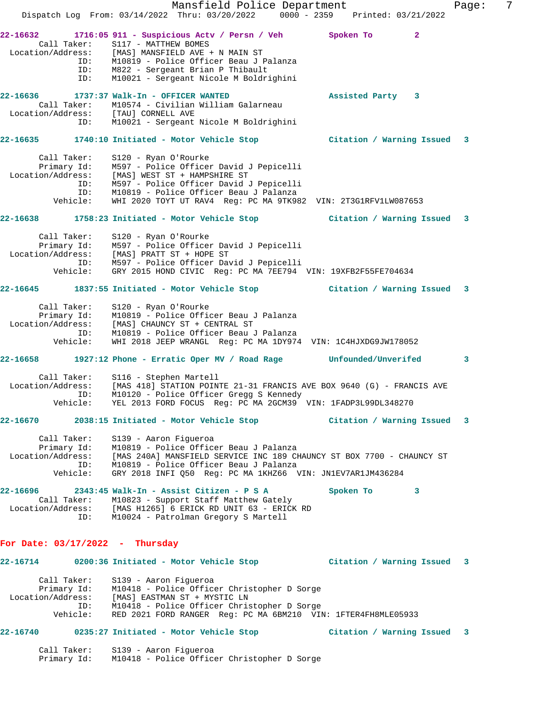Mansfield Police Department Fage: 7 Dispatch Log From: 03/14/2022 Thru: 03/20/2022 0000 - 2359 Printed: 03/21/2022 **22-16632 1716:05 911 - Suspicious Actv / Persn / Veh Spoken To 2**  Call Taker: S117 - MATTHEW BOMES Location/Address: [MAS] MANSFIELD AVE + N MAIN ST ID: M10819 - Police Officer Beau J Palanza ID: M822 - Sergeant Brian P Thibault ID: M10021 - Sergeant Nicole M Boldrighini **22-16636 1737:37 Walk-In - OFFICER WANTED Assisted Party 3**  Call Taker: M10574 - Civilian William Galarneau Location/Address: [TAU] CORNELL AVE ID: M10021 - Sergeant Nicole M Boldrighini **22-16635 1740:10 Initiated - Motor Vehicle Stop Citation / Warning Issued 3** Call Taker: S120 - Ryan O'Rourke Primary Id: M597 - Police Officer David J Pepicelli Location/Address: [MAS] WEST ST + HAMPSHIRE ST ID: M597 - Police Officer David J Pepicelli ID: M10819 - Police Officer Beau J Palanza Vehicle: WHI 2020 TOYT UT RAV4 Reg: PC MA 9TK982 VIN: 2T3G1RFV1LW087653 **22-16638 1758:23 Initiated - Motor Vehicle Stop Citation / Warning Issued 3** Call Taker: S120 - Ryan O'Rourke Primary Id: M597 - Police Officer David J Pepicelli Location/Address: [MAS] PRATT ST + HOPE ST ID: M597 - Police Officer David J Pepicelli Vehicle: GRY 2015 HOND CIVIC Reg: PC MA 7EE794 VIN: 19XFB2F55FE704634 **22-16645 1837:55 Initiated - Motor Vehicle Stop Citation / Warning Issued 3** Call Taker: S120 - Ryan O'Rourke Primary Id: M10819 - Police Officer Beau J Palanza Location/Address: [MAS] CHAUNCY ST + CENTRAL ST ID: M10819 - Police Officer Beau J Palanza Vehicle: WHI 2018 JEEP WRANGL Reg: PC MA 1DY974 VIN: 1C4HJXDG9JW178052 **22-16658 1927:12 Phone - Erratic Oper MV / Road Rage Unfounded/Unverifed 3** Call Taker: S116 - Stephen Martell Location/Address: [MAS 418] STATION POINTE 21-31 FRANCIS AVE BOX 9640 (G) - FRANCIS AVE ID: M10120 - Police Officer Gregg S Kennedy Vehicle: YEL 2013 FORD FOCUS Reg: PC MA 2GCM39 VIN: 1FADP3L99DL348270 **22-16670 2038:15 Initiated - Motor Vehicle Stop Citation / Warning Issued 3** Call Taker: S139 - Aaron Figueroa Primary Id: M10819 - Police Officer Beau J Palanza Location/Address: [MAS 240A] MANSFIELD SERVICE INC 189 CHAUNCY ST BOX 7700 - CHAUNCY ST ID: M10819 - Police Officer Beau J Palanza Vehicle: GRY 2018 INFI Q50 Reg: PC MA 1KHZ66 VIN: JN1EV7AR1JM436284 **22-16696 2343:45 Walk-In - Assist Citizen - P S A Spoken To 3**  Call Taker: M10823 - Support Staff Matthew Gately Location/Address: [MAS H1265] 6 ERICK RD UNIT 63 - ERICK RD ID: M10024 - Patrolman Gregory S Martell **For Date: 03/17/2022 - Thursday 22-16714 0200:36 Initiated - Motor Vehicle Stop Citation / Warning Issued 3** Call Taker: S139 - Aaron Figueroa Primary Id: M10418 - Police Officer Christopher D Sorge Location/Address: [MAS] EASTMAN ST + MYSTIC LN ID: M10418 - Police Officer Christopher D Sorge Vehicle: RED 2021 FORD RANGER Reg: PC MA 6BM210 VIN: 1FTER4FH8MLE05933 **22-16740 0235:27 Initiated - Motor Vehicle Stop Citation / Warning Issued 3** Call Taker: S139 - Aaron Figueroa

Primary Id: M10418 - Police Officer Christopher D Sorge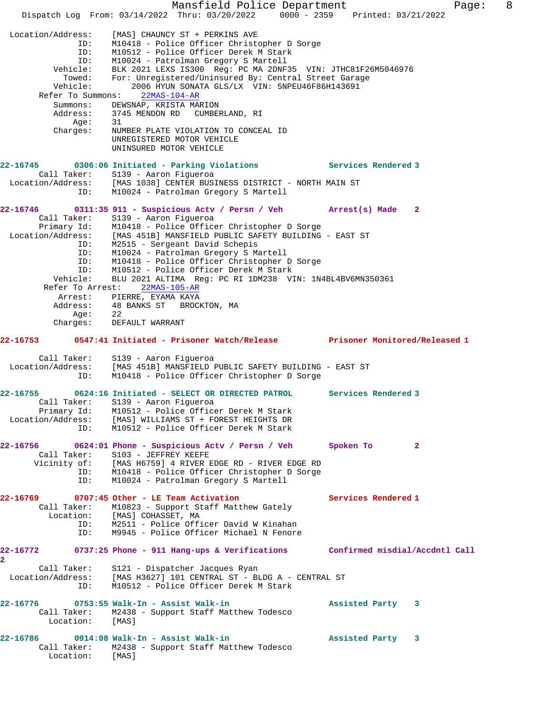Mansfield Police Department Fage: 8 Dispatch Log From: 03/14/2022 Thru: 03/20/2022 0000 - 2359 Printed: 03/21/2022 Location/Address: [MAS] CHAUNCY ST + PERKINS AVE ID: M10418 - Police Officer Christopher D Sorge ID: M10512 - Police Officer Derek M Stark ID: M10024 - Patrolman Gregory S Martell Vehicle: BLK 2021 LEXS IS300 Reg: PC MA 2DNF35 VIN: JTHC81F26M5046976 Towed: For: Unregistered/Uninsured By: Central Street Garage Vehicle: 2006 HYUN SONATA GLS/LX VIN: 5NPEU46F86H143691 Refer To Summons: 22MAS-104-AR Summons: DEWSNAP, KRISTA MARION Address: 3745 MENDON RD CUMBERLAND, RI Age: 31 Charges: NUMBER PLATE VIOLATION TO CONCEAL ID UNREGISTERED MOTOR VEHICLE UNINSURED MOTOR VEHICLE **22-16745 0306:06 Initiated - Parking Violations Services Rendered 3**  Call Taker: S139 - Aaron Figueroa Location/Address: [MAS 1038] CENTER BUSINESS DISTRICT - NORTH MAIN ST ID: M10024 - Patrolman Gregory S Martell **22-16746 0311:35 911 - Suspicious Actv / Persn / Veh Arrest(s) Made 2**  Call Taker: S139 - Aaron Figueroa Primary Id: M10418 - Police Officer Christopher D Sorge Location/Address: [MAS 451B] MANSFIELD PUBLIC SAFETY BUILDING - EAST ST ID: M2515 - Sergeant David Schepis ID: M10024 - Patrolman Gregory S Martell ID: M10418 - Police Officer Christopher D Sorge ID: M10512 - Police Officer Derek M Stark Vehicle: BLU 2021 ALTIMA Reg: PC RI 1DM238 VIN: 1N4BL4BV6MN350361 Refer To Arrest: 22MAS-105-AR Arrest: PIERRE, EYAMA KAYA Address: 48 BANKS ST BROCKTON, MA Age: 22 Charges: DEFAULT WARRANT **22-16753 0547:41 Initiated - Prisoner Watch/Release Prisoner Monitored/Released 1** Call Taker: S139 - Aaron Figueroa Location/Address: [MAS 451B] MANSFIELD PUBLIC SAFETY BUILDING - EAST ST ID: M10418 - Police Officer Christopher D Sorge **22-16755 0624:16 Initiated - SELECT OR DIRECTED PATROL Services Rendered 3**  Call Taker: S139 - Aaron Figueroa Primary Id: M10512 - Police Officer Derek M Stark Location/Address: [MAS] WILLIAMS ST + FOREST HEIGHTS DR ID: M10512 - Police Officer Derek M Stark **22-16756 0624:01 Phone - Suspicious Actv / Persn / Veh Spoken To 2**  Call Taker: S103 - JEFFREY KEEFE Vicinity of: [MAS H6759] 4 RIVER EDGE RD - RIVER EDGE RD ID: M10418 - Police Officer Christopher D Sorge ID: M10024 - Patrolman Gregory S Martell **22-16769 0707:45 Other - LE Team Activation Services Rendered 1**  Call Taker: M10823 - Support Staff Matthew Gately Location: [MAS] COHASSET, MA ID: M2511 - Police Officer David W Kinahan M9945 - Police Officer Michael N Fenore **22-16772 0737:25 Phone - 911 Hang-ups & Verifications Confirmed misdial/Accdntl Call 2**  Call Taker: S121 - Dispatcher Jacques Ryan Location/Address: [MAS H3627] 101 CENTRAL ST - BLDG A - CENTRAL ST ID: M10512 - Police Officer Derek M Stark **22-16776 0753:55 Walk-In - Assist Walk-in Assisted Party 3**  Call Taker: M2438 - Support Staff Matthew Todesco Location: [MAS] **22-16786 0914:08 Walk-In - Assist Walk-in Assisted Party 3**  Call Taker: M2438 - Support Staff Matthew Todesco Location: [MAS]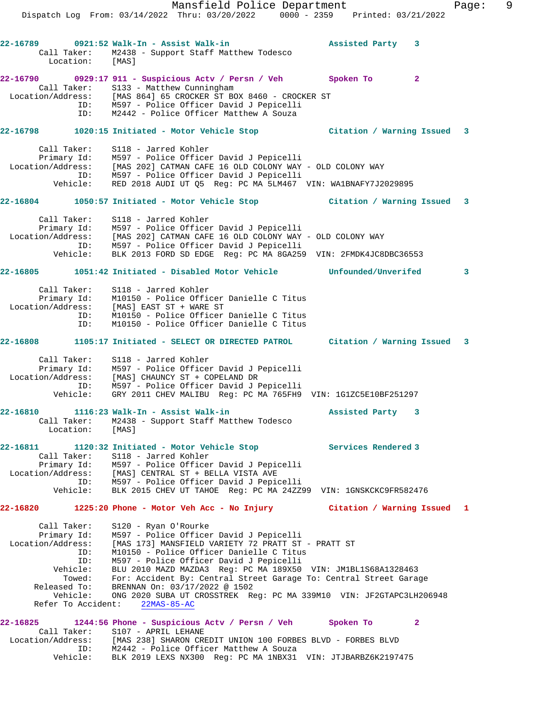Mansfield Police Department Fage: 9 Dispatch Log From: 03/14/2022 Thru: 03/20/2022 0000 - 2359 Printed: 03/21/2022 **22-16789 0921:52 Walk-In - Assist Walk-in Assisted Party 3**  Call Taker: M2438 - Support Staff Matthew Todesco Location: [MAS] **22-16790 0929:17 911 - Suspicious Actv / Persn / Veh Spoken To 2**  Call Taker: S133 - Matthew Cunningham Location/Address: [MAS 864] 65 CROCKER ST BOX 8460 - CROCKER ST ID: M597 - Police Officer David J Pepicelli ID: M2442 - Police Officer Matthew A Souza **22-16798 1020:15 Initiated - Motor Vehicle Stop Citation / Warning Issued 3** Call Taker: S118 - Jarred Kohler Primary Id: M597 - Police Officer David J Pepicelli Location/Address: [MAS 202] CATMAN CAFE 16 OLD COLONY WAY - OLD COLONY WAY ID: M597 - Police Officer David J Pepicelli Vehicle: RED 2018 AUDI UT Q5 Reg: PC MA 5LM467 VIN: WA1BNAFY7J2029895 **22-16804 1050:57 Initiated - Motor Vehicle Stop Citation / Warning Issued 3** Call Taker: S118 - Jarred Kohler Primary Id: M597 - Police Officer David J Pepicelli Location/Address: [MAS 202] CATMAN CAFE 16 OLD COLONY WAY - OLD COLONY WAY ID: M597 - Police Officer David J Pepicelli Vehicle: BLK 2013 FORD SD EDGE Reg: PC MA 8GA259 VIN: 2FMDK4JC8DBC36553 **22-16805 1051:42 Initiated - Disabled Motor Vehicle Unfounded/Unverifed 3** Call Taker: S118 - Jarred Kohler Primary Id: M10150 - Police Officer Danielle C Titus Location/Address: [MAS] EAST ST + WARE ST ID: M10150 - Police Officer Danielle C Titus ID: M10150 - Police Officer Danielle C Titus **22-16808 1105:17 Initiated - SELECT OR DIRECTED PATROL Citation / Warning Issued 3** Call Taker: S118 - Jarred Kohler Primary Id: M597 - Police Officer David J Pepicelli Location/Address: [MAS] CHAUNCY ST + COPELAND DR ID: M597 - Police Officer David J Pepicelli Vehicle: GRY 2011 CHEV MALIBU Reg: PC MA 765FH9 VIN: 1G1ZC5E10BF251297 **22-16810 1116:23 Walk-In - Assist Walk-in Assisted Party 3**  Call Taker: M2438 - Support Staff Matthew Todesco Location: [MAS] **22-16811 1120:32 Initiated - Motor Vehicle Stop Services Rendered 3**  Call Taker: S118 - Jarred Kohler Primary Id: M597 - Police Officer David J Pepicelli Location/Address: [MAS] CENTRAL ST + BELLA VISTA AVE ID: M597 - Police Officer David J Pepicelli Vehicle: BLK 2015 CHEV UT TAHOE Reg: PC MA 24ZZ99 VIN: 1GNSKCKC9FR582476 **22-16820 1225:20 Phone - Motor Veh Acc - No Injury Citation / Warning Issued 1** Call Taker: S120 - Ryan O'Rourke Primary Id: M597 - Police Officer David J Pepicelli Location/Address: [MAS 173] MANSFIELD VARIETY 72 PRATT ST - PRATT ST ID: M10150 - Police Officer Danielle C Titus ID: M597 - Police Officer David J Pepicelli Vehicle: BLU 2010 MAZD MAZDA3 Reg: PC MA 189X50 VIN: JM1BL1S68A1328463 Towed: For: Accident By: Central Street Garage To: Central Street Garage Released To: BRENNAN On: 03/17/2022 @ 1502 Vehicle: ONG 2020 SUBA UT CROSSTREK Reg: PC MA 339M10 VIN: JF2GTAPC3LH206948 Refer To Accident: 22MAS-85-AC **22-16825 1244:56 Phone - Suspicious Actv / Persn / Veh Spoken To 2**  Call Taker: S107 - APRIL LEHANE Location/Address: [MAS 238] SHARON CREDIT UNION 100 FORBES BLVD - FORBES BLVD ID: M2442 - Police Officer Matthew A Souza

Vehicle: BLK 2019 LEXS NX300 Reg: PC MA 1NBX31 VIN: JTJBARBZ6K2197475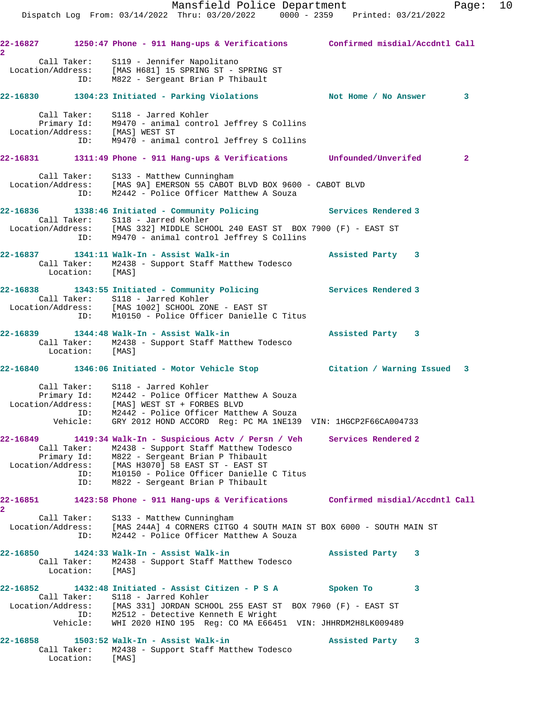| $\overline{\mathbf{2}}$                      |                                          | 22-16827 1250:47 Phone - 911 Hang-ups & Verifications Confirmed misdial/Accdntl Call                                                                                                                                                                                   |                     |
|----------------------------------------------|------------------------------------------|------------------------------------------------------------------------------------------------------------------------------------------------------------------------------------------------------------------------------------------------------------------------|---------------------|
|                                              |                                          | Call Taker: S119 - Jennifer Napolitano<br>Location/Address: [MAS H681] 15 SPRING ST - SPRING ST<br>ID: M822 - Sergeant Brian P Thibault                                                                                                                                |                     |
|                                              |                                          | 22-16830 1304:23 Initiated - Parking Violations Not Home / No Answer 3                                                                                                                                                                                                 |                     |
|                                              |                                          | Call Taker: S118 - Jarred Kohler<br>Primary Id: M9470 - animal control Jeffrey S Collins<br>Location/Address: [MAS] WEST ST<br>ID: M9470 - animal control Jeffrey S Collins                                                                                            |                     |
|                                              |                                          | 22-16831 1311:49 Phone - 911 Hang-ups & Verifications Unfounded/Unverifed                                                                                                                                                                                              | $\mathbf{2}$        |
|                                              |                                          | Call Taker: S133 - Matthew Cunningham<br>Location/Address: [MAS 9A] EMERSON 55 CABOT BLVD BOX 9600 - CABOT BLVD<br>ID: M2442 - Police Officer Matthew A Souza                                                                                                          |                     |
|                                              |                                          | 22-16836 1338:46 Initiated - Community Policing Services Rendered 3                                                                                                                                                                                                    |                     |
|                                              |                                          | Call Taker: S118 - Jarred Kohler<br>Location/Address: [MAS 332] MIDDLE SCHOOL 240 EAST ST BOX 7900 (F) - EAST ST<br>ID: M9470 - animal control Jeffrey S Collins                                                                                                       |                     |
|                                              | Location: [MAS]                          | 22-16837    1341:11    Walk-In - Assist Walk-in<br>Call Taker: M2438 - Support Staff Matthew Todesco                                                                                                                                                                   | Assisted Party 3    |
|                                              |                                          | 22-16838 1343:55 Initiated - Community Policing Services Rendered 3<br>Call Taker: S118 - Jarred Kohler<br>Location/Address: [MAS 1002] SCHOOL ZONE - EAST ST<br>ID: M10150 - Police Officer Danielle C Titus                                                          |                     |
|                                              |                                          | 22-16839 1344:48 Walk-In - Assist Walk-in<br>Call Taker: M2438 - Support Staff Matthew Todesco<br>Location: [MAS]                                                                                                                                                      | Assisted Party 3    |
|                                              |                                          | 22-16840 1346:06 Initiated - Motor Vehicle Stop [151] Citation / Warning Issued 3                                                                                                                                                                                      |                     |
|                                              |                                          | Call Taker: S118 - Jarred Kohler<br>Primary Id: M2442 - Police Officer Matthew A Souza<br>Location/Address: [MAS] WEST ST + FORBES BLVD<br>ID: M2442 - Police Officer Matthew A Souza<br>Vehicle: GRY 2012 HOND ACCORD Reg: PC MA 1NE139 VIN: 1HGCP2F66CA004733        |                     |
| 22-16849                                     |                                          | 1419:34 Walk-In - Suspicious Actv / Persn / Veh                                                                                                                                                                                                                        | Services Rendered 2 |
| Location/Address:                            | Call Taker:<br>Primary Id:<br>ID:<br>ID: | M2438 - Support Staff Matthew Todesco<br>M822 - Sergeant Brian P Thibault<br>[MAS H3070] 58 EAST ST - EAST ST<br>M10150 - Police Officer Danielle C Titus<br>M822 - Sergeant Brian P Thibault                                                                          |                     |
| 22-16851                                     |                                          | 1423:58 Phone - 911 Hang-ups & Verifications Confirmed misdial/Accdntl Call                                                                                                                                                                                            |                     |
| $\overline{\mathbf{2}}$<br>Location/Address: | Call Taker:<br>ID:                       | S133 - Matthew Cunningham<br>[MAS 244A] 4 CORNERS CITGO 4 SOUTH MAIN ST BOX 6000 - SOUTH MAIN ST<br>M2442 - Police Officer Matthew A Souza                                                                                                                             |                     |
| 22-16850                                     | Call Taker:<br>Location:                 | 1424:33 Walk-In - Assist Walk-in<br>M2438 - Support Staff Matthew Todesco<br>[MAS]                                                                                                                                                                                     | Assisted Party 3    |
| 22-16852                                     | Vehicle:                                 | 1432:48 Initiated - Assist Citizen - P S A<br>Call Taker: S118 - Jarred Kohler<br>Location/Address: [MAS 331] JORDAN SCHOOL 255 EAST ST BOX 7960 (F) - EAST ST<br>ID: M2512 - Detective Kenneth E Wright<br>WHI 2020 HINO 195 Req: CO MA E66451 VIN: JHHRDM2H8LK009489 | Spoken To<br>3      |
| 22-16858                                     |                                          | 1503:52 Walk-In - Assist Walk-in<br>Call Taker: M2438 - Support Staff Matthew Todesco                                                                                                                                                                                  | Assisted Party 3    |

Location: [MAS]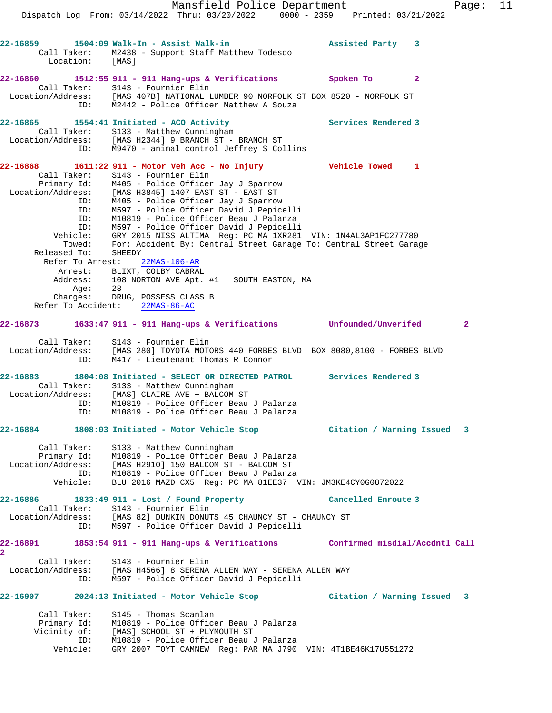Mansfield Police Department Fage: 11 Dispatch Log From: 03/14/2022 Thru: 03/20/2022 0000 - 2359 Printed: 03/21/2022 **22-16859 1504:09 Walk-In - Assist Walk-in Assisted Party 3**  Call Taker: M2438 - Support Staff Matthew Todesco Location: [MAS] **22-16860 1512:55 911 - 911 Hang-ups & Verifications Spoken To 2**  Call Taker: S143 - Fournier Elin Location/Address: [MAS 407B] NATIONAL LUMBER 90 NORFOLK ST BOX 8520 - NORFOLK ST ID: M2442 - Police Officer Matthew A Souza 22-16865 1554:41 Initiated - ACO Activity **Services Rendered 3**  Call Taker: S133 - Matthew Cunningham Location/Address: [MAS H2344] 9 BRANCH ST - BRANCH ST ID: M9470 - animal control Jeffrey S Collins **22-16868 1611:22 911 - Motor Veh Acc - No Injury Vehicle Towed 1**  Call Taker: S143 - Fournier Elin Primary Id: M405 - Police Officer Jay J Sparrow Location/Address: [MAS H3845] 1407 EAST ST - EAST ST ID: M405 - Police Officer Jay J Sparrow ID: M597 - Police Officer David J Pepicelli ID: M10819 - Police Officer Beau J Palanza ID: M597 - Police Officer David J Pepicelli Vehicle: GRY 2015 NISS ALTIMA Reg: PC MA 1XR281 VIN: 1N4AL3AP1FC277780 Towed: For: Accident By: Central Street Garage To: Central Street Garage Released To: SHEEDY Refer To Arrest: 22MAS-106-AR Arrest: BLIXT, COLBY CABRAL Address: 108 NORTON AVE Apt. #1 SOUTH EASTON, MA Age: 28 Charges: DRUG, POSSESS CLASS B Refer To Accident: 22MAS-86-AC **22-16873 1633:47 911 - 911 Hang-ups & Verifications Unfounded/Unverifed 2** Call Taker: S143 - Fournier Elin Location/Address: [MAS 280] TOYOTA MOTORS 440 FORBES BLVD BOX 8080,8100 - FORBES BLVD ID: M417 - Lieutenant Thomas R Connor **22-16883 1804:08 Initiated - SELECT OR DIRECTED PATROL Services Rendered 3**  Call Taker: S133 - Matthew Cunningham Location/Address: [MAS] CLAIRE AVE + BALCOM ST ID: M10819 - Police Officer Beau J Palanza ID: M10819 - Police Officer Beau J Palanza **22-16884 1808:03 Initiated - Motor Vehicle Stop Citation / Warning Issued 3** Call Taker: S133 - Matthew Cunningham Primary Id: M10819 - Police Officer Beau J Palanza Location/Address: [MAS H2910] 150 BALCOM ST - BALCOM ST ID: M10819 - Police Officer Beau J Palanza Vehicle: BLU 2016 MAZD CX5 Reg: PC MA 81EE37 VIN: JM3KE4CY0G0872022 **22-16886 1833:49 911 - Lost / Found Property Cancelled Enroute 3**  Call Taker: S143 - Fournier Elin Location/Address: [MAS 82] DUNKIN DONUTS 45 CHAUNCY ST - CHAUNCY ST ID: M597 - Police Officer David J Pepicelli **22-16891 1853:54 911 - 911 Hang-ups & Verifications Confirmed misdial/Accdntl Call 2**  Call Taker: S143 - Fournier Elin Location/Address: [MAS H4566] 8 SERENA ALLEN WAY - SERENA ALLEN WAY ID: M597 - Police Officer David J Pepicelli **22-16907 2024:13 Initiated - Motor Vehicle Stop Citation / Warning Issued 3** Call Taker: S145 - Thomas Scanlan Primary Id: M10819 - Police Officer Beau J Palanza Vicinity of: [MAS] SCHOOL ST + PLYMOUTH ST ID: M10819 - Police Officer Beau J Palanza

Vehicle: GRY 2007 TOYT CAMNEW Reg: PAR MA J790 VIN: 4T1BE46K17U551272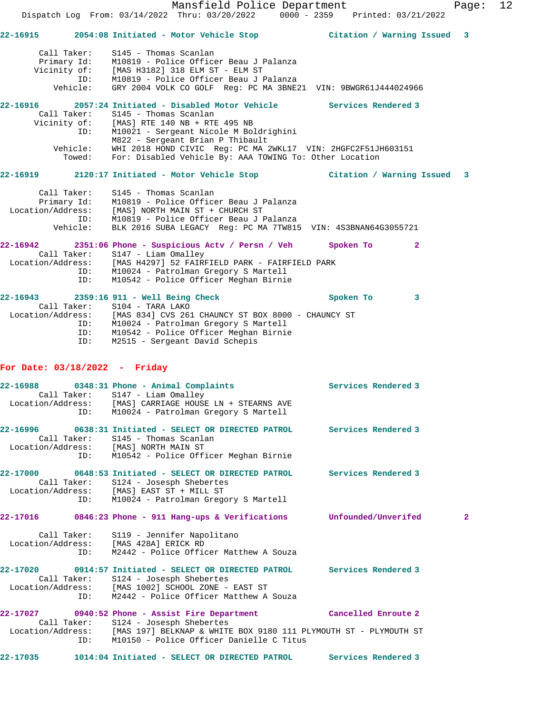Call Taker: S145 - Thomas Scanlan Primary Id: M10819 - Police Officer Beau J Palanza Vicinity of: [MAS H3182] 318 ELM ST - ELM ST ID: M10819 - Police Officer Beau J Palanza Vehicle: GRY 2004 VOLK CO GOLF Reg: PC MA 3BNE21 VIN: 9BWGR61J444024966 **22-16916 2057:24 Initiated - Disabled Motor Vehicle Services Rendered 3**  Call Taker: S145 - Thomas Scanlan Vicinity of: [MAS] RTE 140 NB + RTE 495 NB ID: M10021 - Sergeant Nicole M Boldrighini M822 - Sergeant Brian P Thibault Vehicle: WHI 2018 HOND CIVIC Reg: PC MA 2WKL17 VIN: 2HGFC2F51JH603151 Towed: For: Disabled Vehicle By: AAA TOWING To: Other Location **22-16919 2120:17 Initiated - Motor Vehicle Stop Citation / Warning Issued 3** Call Taker: S145 - Thomas Scanlan Primary Id: M10819 - Police Officer Beau J Palanza Location/Address: [MAS] NORTH MAIN ST + CHURCH ST ID: M10819 - Police Officer Beau J Palanza Vehicle: BLK 2016 SUBA LEGACY Reg: PC MA 7TW815 VIN: 4S3BNAN64G3055721 **22-16942 2351:06 Phone - Suspicious Actv / Persn / Veh Spoken To 2**  Call Taker: S147 - Liam Omalley Location/Address: [MAS H4297] 52 FAIRFIELD PARK - FAIRFIELD PARK ID: M10024 - Patrolman Gregory S Martell ID: M10542 - Police Officer Meghan Birnie **22-16943 2359:16 911 - Well Being Check Spoken To 3**  Call Taker: S104 - TARA LAKO Location/Address: [MAS 834] CVS 261 CHAUNCY ST BOX 8000 - CHAUNCY ST ID: M10024 - Patrolman Gregory S Martell ID: M10542 - Police Officer Meghan Birnie ID: M2515 - Sergeant David Schepis **For Date: 03/18/2022 - Friday 22-16988 0348:31 Phone - Animal Complaints Services Rendered 3**  Call Taker: S147 - Liam Omalley Location/Address: [MAS] CARRIAGE HOUSE LN + STEARNS AVE ID: M10024 - Patrolman Gregory S Martell **22-16996 0638:31 Initiated - SELECT OR DIRECTED PATROL Services Rendered 3**  Call Taker: S145 - Thomas Scanlan Location/Address: [MAS] NORTH MAIN ST ID: M10542 - Police Officer Meghan Birnie **22-17000 0648:53 Initiated - SELECT OR DIRECTED PATROL Services Rendered 3**  Call Taker: S124 - Josesph Shebertes Location/Address: [MAS] EAST ST + MILL ST ID: M10024 - Patrolman Gregory S Martell **22-17016 0846:23 Phone - 911 Hang-ups & Verifications Unfounded/Unverifed 2** Call Taker: S119 - Jennifer Napolitano Location/Address: [MAS 428A] ERICK RD ID: M2442 - Police Officer Matthew A Souza **22-17020 0914:57 Initiated - SELECT OR DIRECTED PATROL Services Rendered 3**  Call Taker: S124 - Josesph Shebertes Location/Address: [MAS 1002] SCHOOL ZONE - EAST ST ID: M2442 - Police Officer Matthew A Souza **22-17027 0940:52 Phone - Assist Fire Department Cancelled Enroute 2**  Call Taker: S124 - Josesph Shebertes<br>Location/Address: [MAS 197] BELKNAP & WHITE [MAS 197] BELKNAP & WHITE BOX 9180 111 PLYMOUTH ST - PLYMOUTH ST ID: M10150 - Police Officer Danielle C Titus **22-17035 1014:04 Initiated - SELECT OR DIRECTED PATROL Services Rendered 3** 

**22-16915 2054:08 Initiated - Motor Vehicle Stop Citation / Warning Issued 3**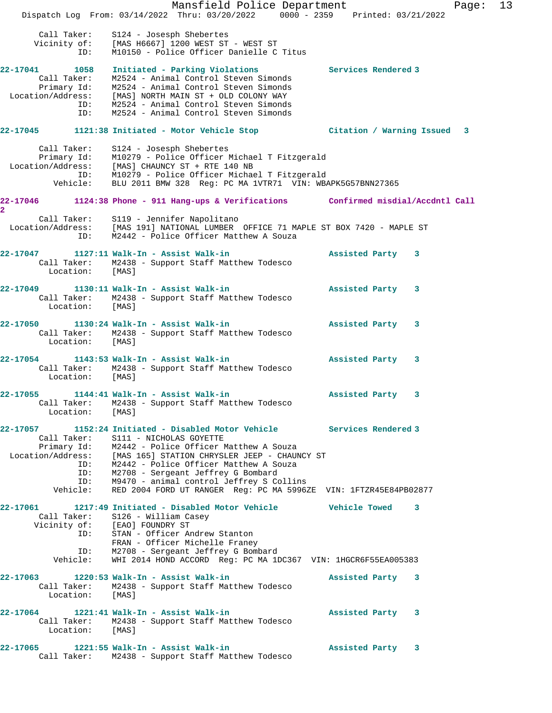Mansfield Police Department Fage: 13 Dispatch Log From: 03/14/2022 Thru: 03/20/2022 0000 - 2359 Printed: 03/21/2022 Call Taker: S124 - Josesph Shebertes Vicinity of: [MAS H6667] 1200 WEST ST - WEST ST ID: M10150 - Police Officer Danielle C Titus **22-17041 1058 Initiated - Parking Violations Services Rendered 3**  Call Taker: M2524 - Animal Control Steven Simonds Primary Id: M2524 - Animal Control Steven Simonds Location/Address: [MAS] NORTH MAIN ST + OLD COLONY WAY ID: M2524 - Animal Control Steven Simonds ID: M2524 - Animal Control Steven Simonds **22-17045 1121:38 Initiated - Motor Vehicle Stop Citation / Warning Issued 3** Call Taker: S124 - Josesph Shebertes Primary Id: M10279 - Police Officer Michael T Fitzgerald Location/Address: [MAS] CHAUNCY ST + RTE 140 NB ID: M10279 - Police Officer Michael T Fitzgerald Vehicle: BLU 2011 BMW 328 Reg: PC MA 1VTR71 VIN: WBAPK5G57BNN27365 **22-17046 1124:38 Phone - 911 Hang-ups & Verifications Confirmed misdial/Accdntl Call 2**  Call Taker: S119 - Jennifer Napolitano Location/Address: [MAS 191] NATIONAL LUMBER OFFICE 71 MAPLE ST BOX 7420 - MAPLE ST ID: M2442 - Police Officer Matthew A Souza **22-17047 1127:11 Walk-In - Assist Walk-in Assisted Party 3**  Call Taker: M2438 - Support Staff Matthew Todesco Location: [MAS] **22-17049 1130:11 Walk-In - Assist Walk-in Assisted Party 3**  Call Taker: M2438 - Support Staff Matthew Todesco Location: [MAS] **22-17050 1130:24 Walk-In - Assist Walk-in Assisted Party 3**  Call Taker: M2438 - Support Staff Matthew Todesco Location: [MAS] **22-17054 1143:53 Walk-In - Assist Walk-in Assisted Party 3**  Call Taker: M2438 - Support Staff Matthew Todesco Location: [MAS] **22-17055 1144:41 Walk-In - Assist Walk-in Assisted Party 3**  Call Taker: M2438 - Support Staff Matthew Todesco Location: [MAS] **22-17057 1152:24 Initiated - Disabled Motor Vehicle Services Rendered 3**  Call Taker: S111 - NICHOLAS GOYETTE Primary Id: M2442 - Police Officer Matthew A Souza Location/Address: [MAS 165] STATION CHRYSLER JEEP - CHAUNCY ST ID: M2442 - Police Officer Matthew A Souza ID: M2708 - Sergeant Jeffrey G Bombard ID: M9470 - animal control Jeffrey S Collins Vehicle: RED 2004 FORD UT RANGER Reg: PC MA 5996ZE VIN: 1FTZR45E84PB02877 **22-17061 1217:49 Initiated - Disabled Motor Vehicle Vehicle Towed 3**  Call Taker: S126 - William Casey Vicinity of: [EAO] FOUNDRY ST ID: STAN - Officer Andrew Stanton FRAN - Officer Michelle Franey ID: M2708 - Sergeant Jeffrey G Bombard Vehicle: WHI 2014 HOND ACCORD Reg: PC MA 1DC367 VIN: 1HGCR6F55EA005383 **22-17063 1220:53 Walk-In - Assist Walk-in Assisted Party 3**  Call Taker: M2438 - Support Staff Matthew Todesco Location: [MAS] **22-17064 1221:41 Walk-In - Assist Walk-in Assisted Party 3**  Call Taker: M2438 - Support Staff Matthew Todesco Location: [MAS] **22-17065 1221:55 Walk-In - Assist Walk-in Assisted Party 3**  Call Taker: M2438 - Support Staff Matthew Todesco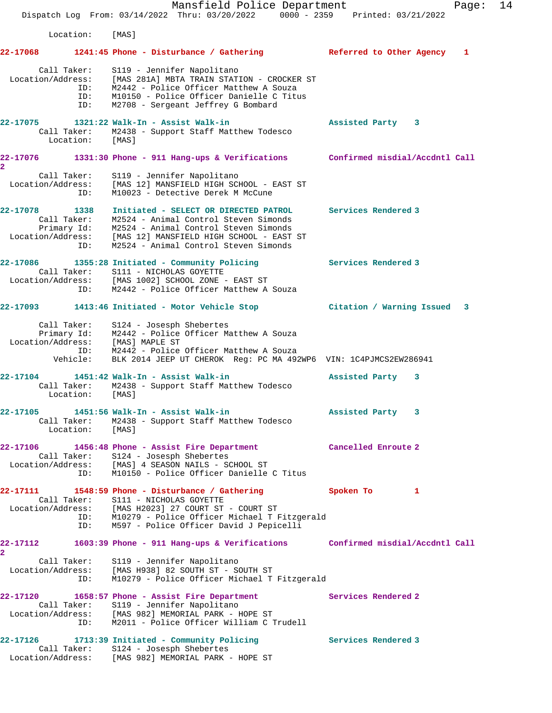Mansfield Police Department Fage: 14 Dispatch Log From: 03/14/2022 Thru: 03/20/2022 0000 - 2359 Printed: 03/21/2022 Location: [MAS] **22-17068 1241:45 Phone - Disturbance / Gathering Referred to Other Agency 1** Call Taker: S119 - Jennifer Napolitano Location/Address: [MAS 281A] MBTA TRAIN STATION - CROCKER ST ID: M2442 - Police Officer Matthew A Souza ID: M10150 - Police Officer Danielle C Titus ID: M2708 - Sergeant Jeffrey G Bombard **22-17075 1321:22 Walk-In - Assist Walk-in Assisted Party 3**  Call Taker: M2438 - Support Staff Matthew Todesco Location: [MAS] **22-17076 1331:30 Phone - 911 Hang-ups & Verifications Confirmed misdial/Accdntl Call 2**  Call Taker: S119 - Jennifer Napolitano Location/Address: [MAS 12] MANSFIELD HIGH SCHOOL - EAST ST ID: M10023 - Detective Derek M McCune **22-17078 1338 Initiated - SELECT OR DIRECTED PATROL Services Rendered 3**  Call Taker: M2524 - Animal Control Steven Simonds Primary Id: M2524 - Animal Control Steven Simonds Location/Address: [MAS 12] MANSFIELD HIGH SCHOOL - EAST ST ID: M2524 - Animal Control Steven Simonds **22-17086 1355:28 Initiated - Community Policing Services Rendered 3**  Call Taker: S111 - NICHOLAS GOYETTE Location/Address: [MAS 1002] SCHOOL ZONE - EAST ST ID: M2442 - Police Officer Matthew A Souza **22-17093 1413:46 Initiated - Motor Vehicle Stop Citation / Warning Issued 3** Call Taker: S124 - Josesph Shebertes Primary Id: M2442 - Police Officer Matthew A Souza Location/Address: [MAS] MAPLE ST ID: M2442 - Police Officer Matthew A Souza Vehicle: BLK 2014 JEEP UT CHEROK Reg: PC MA 492WP6 VIN: 1C4PJMCS2EW286941 **22-17104 1451:42 Walk-In - Assist Walk-in Assisted Party 3**  Call Taker: M2438 - Support Staff Matthew Todesco Location: [MAS] **22-17105 1451:56 Walk-In - Assist Walk-in Assisted Party 3**  Call Taker: M2438 - Support Staff Matthew Todesco Location: [MAS] **22-17106 1456:48 Phone - Assist Fire Department Cancelled Enroute 2**  Call Taker: S124 - Josesph Shebertes Location/Address: [MAS] 4 SEASON NAILS - SCHOOL ST ID: M10150 - Police Officer Danielle C Titus **22-17111 1548:59 Phone - Disturbance / Gathering Spoken To 1**  Call Taker: S111 - NICHOLAS GOYETTE Location/Address: [MAS H2023] 27 COURT ST - COURT ST ID: M10279 - Police Officer Michael T Fitzgerald ID: M597 - Police Officer David J Pepicelli **22-17112 1603:39 Phone - 911 Hang-ups & Verifications Confirmed misdial/Accdntl Call 2**  Call Taker: S119 - Jennifer Napolitano Location/Address: [MAS H938] 82 SOUTH ST - SOUTH ST ID: M10279 - Police Officer Michael T Fitzgerald **22-17120** 1658:57 Phone - Assist Fire Department Services Rendered 2<br>Call Taker: S119 - Jennifer Napolitano Call Taker: S119 - Jennifer Napolitano Location/Address: [MAS 982] MEMORIAL PARK - HOPE ST ID: M2011 - Police Officer William C Trudell **22-17126 1713:39 Initiated - Community Policing Services Rendered 3**  Call Taker: S124 - Josesph Shebertes

Location/Address: [MAS 982] MEMORIAL PARK - HOPE ST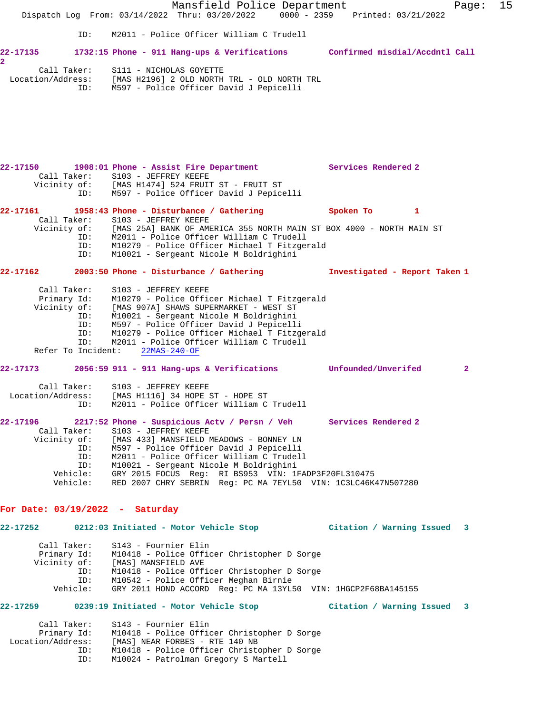Mansfield Police Department Fage: 15 Dispatch Log From: 03/14/2022 Thru: 03/20/2022 0000 - 2359 Printed: 03/21/2022 ID: M2011 - Police Officer William C Trudell **22-17135 1732:15 Phone - 911 Hang-ups & Verifications Confirmed misdial/Accdntl Call 2**  Call Taker: S111 - NICHOLAS GOYETTE Location/Address: [MAS H2196] 2 OLD NORTH TRL - OLD NORTH TRL ID: M597 - Police Officer David J Pepicelli **22-17150 1908:01 Phone - Assist Fire Department Services Rendered 2**  Call Taker: S103 - JEFFREY KEEFE Vicinity of: [MAS H1474] 524 FRUIT ST - FRUIT ST ID: M597 - Police Officer David J Pepicelli 22-17161 1958:43 Phone - Disturbance / Gathering **Spoken To** 1 Call Taker: S103 - JEFFREY KEEFE Vicinity of: [MAS 25A] BANK OF AMERICA 355 NORTH MAIN ST BOX 4000 - NORTH MAIN ST ID: M2011 - Police Officer William C Trudell ID: M10279 - Police Officer Michael T Fitzgerald ID: M10021 - Sergeant Nicole M Boldrighini **22-17162 2003:50 Phone - Disturbance / Gathering Investigated - Report Taken 1** Call Taker: S103 - JEFFREY KEEFE Primary Id: M10279 - Police Officer Michael T Fitzgerald Vicinity of: [MAS 907A] SHAWS SUPERMARKET - WEST ST ID: M10021 - Sergeant Nicole M Boldrighini ID: M597 - Police Officer David J Pepicelli<br>ID: M10279 - Police Officer Michael T Fitzge<br>ID: M2011 - Police Officer William C Trudel M10279 - Police Officer Michael T Fitzgerald M2011 - Police Officer William C Trudell<br>nt: 22MAS-240-OF Refer To Incident: **22-17173 2056:59 911 - 911 Hang-ups & Verifications Unfounded/Unverifed 2** Call Taker: S103 - JEFFREY KEEFE Location/Address: [MAS H1116] 34 HOPE ST - HOPE ST ID: M2011 - Police Officer William C Trudell **22-17196 2217:52 Phone - Suspicious Actv / Persn / Veh Services Rendered 2**  Call Taker: S103 - JEFFREY KEEFE Vicinity of: [MAS 433] MANSFIELD MEADOWS - BONNEY LN ID: M597 - Police Officer David J Pepicelli ID: M2011 - Police Officer William C Trudell ID: M10021 - Sergeant Nicole M Boldrighini Vehicle: GRY 2015 FOCUS Reg: RI BS953 VIN: 1FADP3F20FL310475 Vehicle: RED 2007 CHRY SEBRIN Reg: PC MA 7EYL50 VIN: 1C3LC46K47N507280 **For Date: 03/19/2022 - Saturday 22-17252 0212:03 Initiated - Motor Vehicle Stop Citation / Warning Issued 3** Call Taker: S143 - Fournier Elin Primary Id: M10418 - Police Officer Christopher D Sorge Vicinity of: [MAS] MANSFIELD AVE ID: M10418 - Police Officer Christopher D Sorge ID: M10542 - Police Officer Meghan Birnie Vehicle: GRY 2011 HOND ACCORD Reg: PC MA 13YL50 VIN: 1HGCP2F68BA145155 **22-17259 0239:19 Initiated - Motor Vehicle Stop Citation / Warning Issued 3** Call Taker: S143 - Fournier Elin

 Primary Id: M10418 - Police Officer Christopher D Sorge Location/Address: [MAS] NEAR FORBES - RTE 140 NB ID: M10418 - Police Officer Christopher D Sorge ID: M10024 - Patrolman Gregory S Martell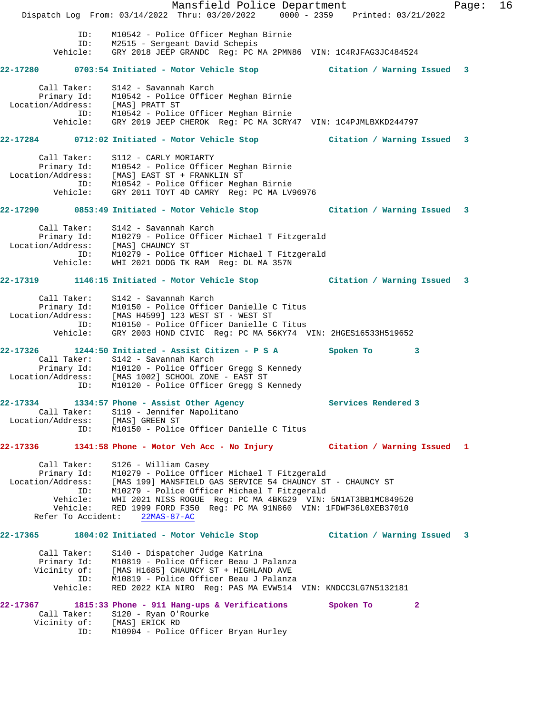Mansfield Police Department Fage: 16 Dispatch Log From: 03/14/2022 Thru: 03/20/2022 0000 - 2359 Printed: 03/21/2022 ID: M10542 - Police Officer Meghan Birnie ID: M2515 - Sergeant David Schepis Vehicle: GRY 2018 JEEP GRANDC Reg: PC MA 2PMN86 VIN: 1C4RJFAG3JC484524 **22-17280 0703:54 Initiated - Motor Vehicle Stop Citation / Warning Issued 3** Call Taker: S142 - Savannah Karch Primary Id: M10542 - Police Officer Meghan Birnie Location/Address: [MAS] PRATT ST ID: M10542 - Police Officer Meghan Birnie Vehicle: GRY 2019 JEEP CHEROK Reg: PC MA 3CRY47 VIN: 1C4PJMLBXKD244797 **22-17284 0712:02 Initiated - Motor Vehicle Stop Citation / Warning Issued 3** Call Taker: S112 - CARLY MORIARTY Primary Id: M10542 - Police Officer Meghan Birnie Location/Address: [MAS] EAST ST + FRANKLIN ST ID: M10542 - Police Officer Meghan Birnie Vehicle: GRY 2011 TOYT 4D CAMRY Reg: PC MA LV96976 **22-17290 0853:49 Initiated - Motor Vehicle Stop Citation / Warning Issued 3** Call Taker: S142 - Savannah Karch Primary Id: M10279 - Police Officer Michael T Fitzgerald Location/Address: [MAS] CHAUNCY ST ID: M10279 - Police Officer Michael T Fitzgerald Vehicle: WHI 2021 DODG TK RAM Reg: DL MA 357N **22-17319 1146:15 Initiated - Motor Vehicle Stop Citation / Warning Issued 3** Call Taker: S142 - Savannah Karch Primary Id: M10150 - Police Officer Danielle C Titus Location/Address: [MAS H4599] 123 WEST ST - WEST ST ID: M10150 - Police Officer Danielle C Titus Vehicle: GRY 2003 HOND CIVIC Reg: PC MA 56KY74 VIN: 2HGES16533H519652 **22-17326 1244:50 Initiated - Assist Citizen - P S A Spoken To 3**  Call Taker: S142 - Savannah Karch Primary Id: M10120 - Police Officer Gregg S Kennedy Location/Address: [MAS 1002] SCHOOL ZONE - EAST ST ID: M10120 - Police Officer Gregg S Kennedy **22-17334 1334:57 Phone - Assist Other Agency Services Rendered 3**  Call Taker: S119 - Jennifer Napolitano Location/Address: [MAS] GREEN ST ID: M10150 - Police Officer Danielle C Titus **22-17336 1341:58 Phone - Motor Veh Acc - No Injury Citation / Warning Issued 1** Call Taker: S126 - William Casey Primary Id: M10279 - Police Officer Michael T Fitzgerald Location/Address: [MAS 199] MANSFIELD GAS SERVICE 54 CHAUNCY ST - CHAUNCY ST ID: M10279 - Police Officer Michael T Fitzgerald Vehicle: WHI 2021 NISS ROGUE Reg: PC MA 4BKG29 VIN: 5N1AT3BB1MC849520 Vehicle: RED 1999 FORD F350 Reg: PC MA 91N860 VIN: 1FDWF36L0XEB37010 Refer To Accident: 22MAS-87-AC **22-17365 1804:02 Initiated - Motor Vehicle Stop Citation / Warning Issued 3** Call Taker: S140 - Dispatcher Judge Katrina Primary Id: M10819 - Police Officer Beau J Palanza Vicinity of: [MAS H1685] CHAUNCY ST + HIGHLAND AVE ID: M10819 - Police Officer Beau J Palanza Vehicle: RED 2022 KIA NIRO Reg: PAS MA EVW514 VIN: KNDCC3LG7N5132181 **22-17367 1815:33 Phone - 911 Hang-ups & Verifications Spoken To 2**  Call Taker: S120 - Ryan O'Rourke Vicinity of: [MAS] ERICK RD ID: M10904 - Police Officer Bryan Hurley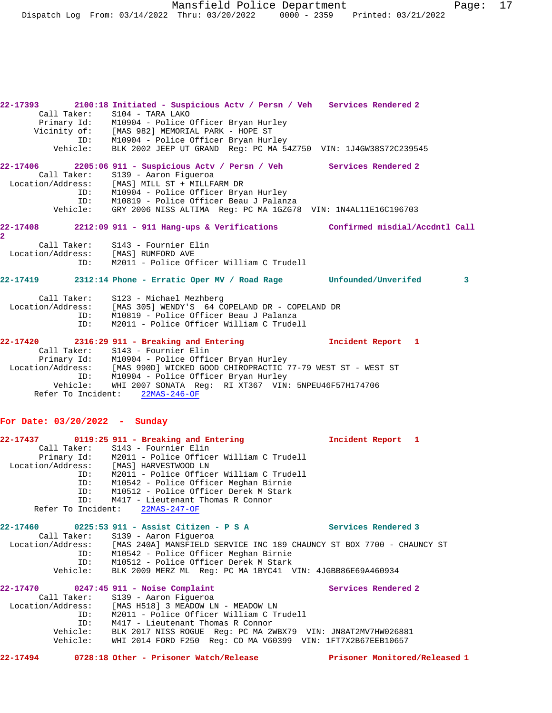Mansfield Police Department Page: 17 Dispatch Log From: 03/14/2022 Thru: 03/20/2022 0000 - 2359 Printed: 03/21/2022

**22-17393 2100:18 Initiated - Suspicious Actv / Persn / Veh Services Rendered 2**  Call Taker: S104 - TARA LAKO Primary Id: M10904 - Police Officer Bryan Hurley Vicinity of: [MAS 982] MEMORIAL PARK - HOPE ST ID: M10904 - Police Officer Bryan Hurley Vehicle: BLK 2002 JEEP UT GRAND Reg: PC MA 54Z750 VIN: 1J4GW38S72C239545 **22-17406 2205:06 911 - Suspicious Actv / Persn / Veh Services Rendered 2**  Call Taker: S139 - Aaron Figueroa Location/Address: [MAS] MILL ST + MILLFARM DR ID: M10904 - Police Officer Bryan Hurley ID: M10819 - Police Officer Beau J Palanza Vehicle: GRY 2006 NISS ALTIMA Reg: PC MA 1GZG78 VIN: 1N4AL11E16C196703 **22-17408 2212:09 911 - 911 Hang-ups & Verifications Confirmed misdial/Accdntl Call 2**  Call Taker: S143 - Fournier Elin Location/Address: [MAS] RUMFORD AVE ID: M2011 - Police Officer William C Trudell **22-17419 2312:14 Phone - Erratic Oper MV / Road Rage Unfounded/Unverifed 3** Call Taker: S123 - Michael Mezhberg Location/Address: [MAS 305] WENDY'S 64 COPELAND DR - COPELAND DR ID: M10819 - Police Officer Beau J Palanza M2011 - Police Officer William C Trudell **22-17420 2316:29 911 - Breaking and Entering Incident Report 1**  Call Taker: S143 - Fournier Elin Primary Id: M10904 - Police Officer Bryan Hurley Location/Address: [MAS 990D] WICKED GOOD CHIROPRACTIC 77-79 WEST ST - WEST ST ID: M10904 - Police Officer Bryan Hurley Vehicle: WHI 2007 SONATA Reg: RI XT367 VIN: 5NPEU46F57H174706 Refer To Incident: 22MAS-246-OF

### **For Date: 03/20/2022 - Sunday**

|          |             |                                                                                         | Incident Report 1   |                               |
|----------|-------------|-----------------------------------------------------------------------------------------|---------------------|-------------------------------|
|          |             | Call Taker: S143 - Fournier Elin                                                        |                     |                               |
|          |             | Primary Id: M2011 - Police Officer William C Trudell                                    |                     |                               |
|          |             | Location/Address: [MAS] HARVESTWOOD LN                                                  |                     |                               |
|          |             | ID: M2011 - Police Officer William C Trudell                                            |                     |                               |
|          |             | ID: M10542 - Police Officer Meghan Birnie                                               |                     |                               |
|          |             | ID: M10512 - Police Officer Derek M Stark                                               |                     |                               |
|          | ID:         | M417 - Lieutenant Thomas R Connor                                                       |                     |                               |
|          |             | Refer To Incident: 22MAS-247-OF                                                         |                     |                               |
|          |             | 22-17460 0225:53 911 - Assist Citizen - P S A                                           | Services Rendered 3 |                               |
|          | Call Taker: | S139 - Aaron Fiqueroa                                                                   |                     |                               |
|          |             | Location/Address: [MAS 240A] MANSFIELD SERVICE INC 189 CHAUNCY ST BOX 7700 - CHAUNCY ST |                     |                               |
|          |             | ID: M10542 - Police Officer Meghan Birnie                                               |                     |                               |
|          | ID:         | M10512 - Police Officer Derek M Stark                                                   |                     |                               |
|          |             | Vehicle: BLK 2009 MERZ ML Req: PC MA 1BYC41 VIN: 4JGBB86E69A460934                      |                     |                               |
|          |             | 22-17470 0247:45 911 - Noise Complaint                                                  | Services Rendered 2 |                               |
|          |             | Call Taker: S139 - Aaron Figueroa                                                       |                     |                               |
|          |             | Location/Address: [MAS H518] 3 MEADOW LN - MEADOW LN                                    |                     |                               |
|          | ID:         | M2011 - Police Officer William C Trudell                                                |                     |                               |
|          | ID:         | M417 - Lieutenant Thomas R Connor                                                       |                     |                               |
|          | Vehicle:    | BLK 2017 NISS ROGUE Req: PC MA 2WBX79 VIN: JN8AT2MV7HW026881                            |                     |                               |
|          | Vehicle:    | WHI 2014 FORD F250 Req: CO MA V60399 VIN: 1FT7X2B67EEB10657                             |                     |                               |
| 22-17494 |             | 0728:18 Other - Prisoner Watch/Release                                                  |                     | Prisoner Monitored/Released 1 |
|          |             |                                                                                         |                     |                               |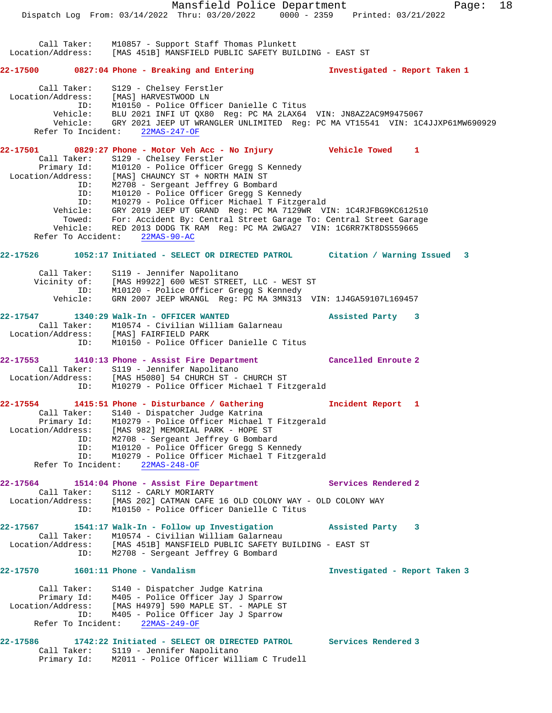Mansfield Police Department Fage: 18 Dispatch Log From: 03/14/2022 Thru: 03/20/2022 0000 - 2359 Printed: 03/21/2022 Call Taker: M10857 - Support Staff Thomas Plunkett Location/Address: [MAS 451B] MANSFIELD PUBLIC SAFETY BUILDING - EAST ST **22-17500 0827:04 Phone - Breaking and Entering Investigated - Report Taken 1** Call Taker: S129 - Chelsey Ferstler Location/Address: [MAS] HARVESTWOOD LN ID: M10150 - Police Officer Danielle C Titus Vehicle: BLU 2021 INFI UT QX80 Reg: PC MA 2LAX64 VIN: JN8AZ2AC9M9475067 Vehicle: GRY 2021 JEEP UT WRANGLER UNLIMITED Reg: PC MA VT15541 VIN: 1C4JJXP61MW690929 Refer To Incident: 22MAS-247-OF **22-17501 0829:27 Phone - Motor Veh Acc - No Injury Vehicle Towed 1**  Call Taker: S129 - Chelsey Ferstler Primary Id: M10120 - Police Officer Gregg S Kennedy Location/Address: [MAS] CHAUNCY ST + NORTH MAIN ST ID: M2708 - Sergeant Jeffrey G Bombard ID: M10120 - Police Officer Gregg S Kennedy ID: M10279 - Police Officer Michael T Fitzgerald Vehicle: GRY 2019 JEEP UT GRAND Reg: PC MA 7129WR VIN: 1C4RJFBG9KC612510 Towed: For: Accident By: Central Street Garage To: Central Street Garage Vehicle: RED 2013 DODG TK RAM Reg: PC MA 2WGA27 VIN: 1C6RR7KT8DS559665 Refer To Accident: 22MAS-90-AC **22-17526 1052:17 Initiated - SELECT OR DIRECTED PATROL Citation / Warning Issued 3** Call Taker: S119 - Jennifer Napolitano Vicinity of: [MAS H9922] 600 WEST STREET, LLC - WEST ST ID: M10120 - Police Officer Gregg S Kennedy Vehicle: GRN 2007 JEEP WRANGL Reg: PC MA 3MN313 VIN: 1J4GA59107L169457 **22-17547 1340:29 Walk-In - OFFICER WANTED Assisted Party 3**  Call Taker: M10574 - Civilian William Galarneau Location/Address: [MAS] FAIRFIELD PARK ID: M10150 - Police Officer Danielle C Titus **22-17553 1410:13 Phone - Assist Fire Department Cancelled Enroute 2**  Call Taker: S119 - Jennifer Napolitano Location/Address: [MAS H5080] 54 CHURCH ST - CHURCH ST ID: M10279 - Police Officer Michael T Fitzgerald **22-17554 1415:51 Phone - Disturbance / Gathering Incident Report 1**  Call Taker: S140 - Dispatcher Judge Katrina Primary Id: M10279 - Police Officer Michael T Fitzgerald Location/Address: [MAS 982] MEMORIAL PARK - HOPE ST ID: M2708 - Sergeant Jeffrey G Bombard ID: M10120 - Police Officer Gregg S Kennedy ID: M10279 - Police Officer Michael T Fitzgerald Refer To Incident: 22MAS-248-OF **22-17564 1514:04 Phone - Assist Fire Department Services Rendered 2**  Call Taker: S112 - CARLY MORIARTY Location/Address: [MAS 202] CATMAN CAFE 16 OLD COLONY WAY - OLD COLONY WAY ID: M10150 - Police Officer Danielle C Titus **22-17567 1541:17 Walk-In - Follow up Investigation Assisted Party 3**  Call Taker: M10574 - Civilian William Galarneau Location/Address: [MAS 451B] MANSFIELD PUBLIC SAFETY BUILDING - EAST ST ID: M2708 - Sergeant Jeffrey G Bombard **22-17570 1601:11 Phone - Vandalism Investigated - Report Taken 3** Call Taker: S140 - Dispatcher Judge Katrina Primary Id: M405 - Police Officer Jay J Sparrow Location/Address: [MAS H4979] 590 MAPLE ST. - MAPLE ST ID: M405 - Police Officer Jay J Sparrow Refer To Incident: 22MAS-249-OF **22-17586 1742:22 Initiated - SELECT OR DIRECTED PATROL Services Rendered 3**  Call Taker: S119 - Jennifer Napolitano Primary Id: M2011 - Police Officer William C Trudell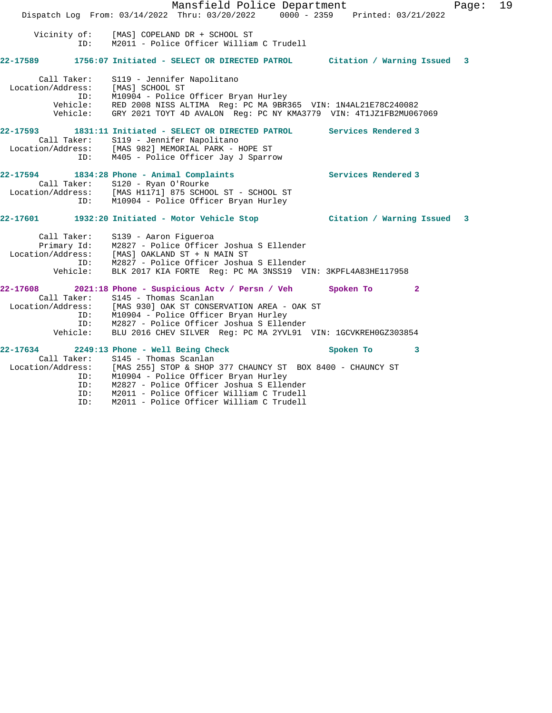Mansfield Police Department Fage: 19 Dispatch Log From: 03/14/2022 Thru: 03/20/2022 0000 - 2359 Printed: 03/21/2022 Vicinity of: [MAS] COPELAND DR + SCHOOL ST ID: M2011 - Police Officer William C Trudell **22-17589 1756:07 Initiated - SELECT OR DIRECTED PATROL Citation / Warning Issued 3** Call Taker: S119 - Jennifer Napolitano Location/Address: [MAS] SCHOOL ST ID: M10904 - Police Officer Bryan Hurley Vehicle: RED 2008 NISS ALTIMA Reg: PC MA 9BR365 VIN: 1N4AL21E78C240082 Vehicle: GRY 2021 TOYT 4D AVALON Reg: PC NY KMA3779 VIN: 4T1JZ1FB2MU067069 **22-17593 1831:11 Initiated - SELECT OR DIRECTED PATROL Services Rendered 3**  Call Taker: S119 - Jennifer Napolitano Location/Address: [MAS 982] MEMORIAL PARK - HOPE ST ID: M405 - Police Officer Jay J Sparrow **22-17594 1834:28 Phone - Animal Complaints Services Rendered 3**  Call Taker: S120 - Ryan O'Rourke Location/Address: [MAS H1171] 875 SCHOOL ST - SCHOOL ST ID: M10904 - Police Officer Bryan Hurley **22-17601 1932:20 Initiated - Motor Vehicle Stop Citation / Warning Issued 3** Call Taker: S139 - Aaron Figueroa Primary Id: M2827 - Police Officer Joshua S Ellender Location/Address: [MAS] OAKLAND ST + N MAIN ST ID: M2827 - Police Officer Joshua S Ellender Vehicle: BLK 2017 KIA FORTE Reg: PC MA 3NSS19 VIN: 3KPFL4A83HE117958 **22-17608 2021:18 Phone - Suspicious Actv / Persn / Veh Spoken To 2**  Call Taker: S145 - Thomas Scanlan Location/Address: [MAS 930] OAK ST CONSERVATION AREA - OAK ST ID: M10904 - Police Officer Bryan Hurley ID: M2827 - Police Officer Joshua S Ellender Vehicle: BLU 2016 CHEV SILVER Reg: PC MA 2YVL91 VIN: 1GCVKREH0GZ303854 **22-17634 2249:13 Phone - Well Being Check Spoken To 3**  Call Taker: S145 - Thomas Scanlan Location/Address: [MAS 255] STOP & SHOP 377 CHAUNCY ST BOX 8400 - CHAUNCY ST ID: M10904 - Police Officer Bryan Hurley ID: M2827 - Police Officer Joshua S Ellender ID: M2011 - Police Officer William C Trudell ID: M2011 - Police Officer William C Trudell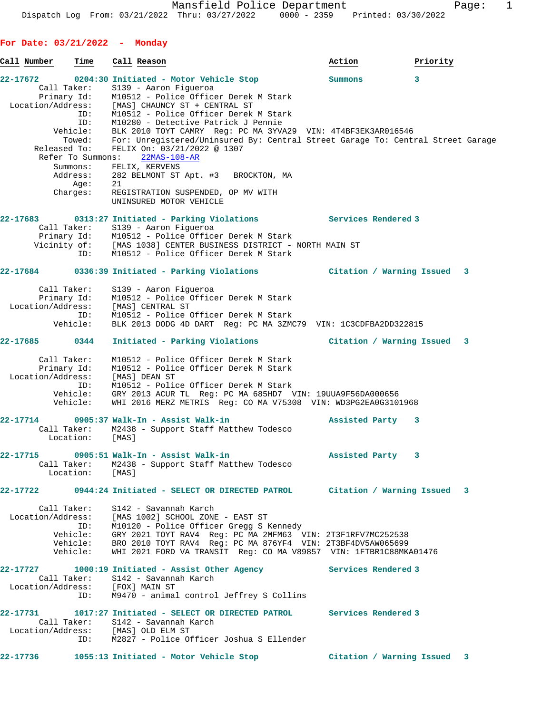**For Date: 03/21/2022 - Monday Call Number Time Call Reason Action Priority 22-17672 0204:30 Initiated - Motor Vehicle Stop Summons 3**  Call Taker: S139 - Aaron Figueroa Primary Id: M10512 - Police Officer Derek M Stark Location/Address: [MAS] CHAUNCY ST + CENTRAL ST ID: M10512 - Police Officer Derek M Stark ID: M10280 - Detective Patrick J Pennie Vehicle: BLK 2010 TOYT CAMRY Reg: PC MA 3YVA29 VIN: 4T4BF3EK3AR016546 Towed: For: Unregistered/Uninsured By: Central Street Garage To: Central Street Garage Released To: FELIX On: 03/21/2022 @ 1307 Refer To Summons: 22MAS-108-AR Summons: FELIX, KERVENS 282 BELMONT ST Apt. #3 BROCKTON, MA Age: 21 Charges: REGISTRATION SUSPENDED, OP MV WITH UNINSURED MOTOR VEHICLE **22-17683 0313:27 Initiated - Parking Violations Services Rendered 3**  Call Taker: S139 - Aaron Figueroa Primary Id: M10512 - Police Officer Derek M Stark Vicinity of: [MAS 1038] CENTER BUSINESS DISTRICT - NORTH MAIN ST ID: M10512 - Police Officer Derek M Stark **22-17684 0336:39 Initiated - Parking Violations Citation / Warning Issued 3** Call Taker: S139 - Aaron Figueroa Primary Id: M10512 - Police Officer Derek M Stark Location/Address: [MAS] CENTRAL ST ID: M10512 - Police Officer Derek M Stark Vehicle: BLK 2013 DODG 4D DART Reg: PC MA 3ZMC79 VIN: 1C3CDFBA2DD322815 **22-17685 0344 Initiated - Parking Violations Citation / Warning Issued 3** Call Taker: M10512 - Police Officer Derek M Stark Primary Id: M10512 - Police Officer Derek M Stark Location/Address: [MAS] DEAN ST ID: M10512 - Police Officer Derek M Stark Vehicle: GRY 2013 ACUR TL Reg: PC MA 685HD7 VIN: 19UUA9F56DA000656 Vehicle: WHI 2016 MERZ METRIS Reg: CO MA V75308 VIN: WD3PG2EA0G3101968 **22-17714 0905:37 Walk-In - Assist Walk-in Assisted Party 3**  Call Taker: M2438 - Support Staff Matthew Todesco Location: [MAS] **22-17715 0905:51 Walk-In - Assist Walk-in Assisted Party 3**  Call Taker: M2438 - Support Staff Matthew Todesco Location: [MAS] **22-17722 0944:24 Initiated - SELECT OR DIRECTED PATROL Citation / Warning Issued 3** Call Taker: S142 - Savannah Karch Location/Address: [MAS 1002] SCHOOL ZONE - EAST ST ID: M10120 - Police Officer Gregg S Kennedy Vehicle: GRY 2021 TOYT RAV4 Reg: PC MA 2MFM63 VIN: 2T3F1RFV7MC252538 Vehicle: BRO 2010 TOYT RAV4 Reg: PC MA 876YF4 VIN: 2T3BF4DV5AW065699 Vehicle: WHI 2021 FORD VA TRANSIT Reg: CO MA V89857 VIN: 1FTBR1C88MKA01476 **22-17727 1000:19 Initiated - Assist Other Agency Services Rendered 3**  Call Taker: S142 - Savannah Karch Location/Address: [FOX] MAIN ST ID: M9470 - animal control Jeffrey S Collins **22-17731 1017:27 Initiated - SELECT OR DIRECTED PATROL Services Rendered 3**  Call Taker: S142 - Savannah Karch

**22-17736 1055:13 Initiated - Motor Vehicle Stop Citation / Warning Issued 3**

ID: M2827 - Police Officer Joshua S Ellender

Location/Address: [MAS] OLD ELM ST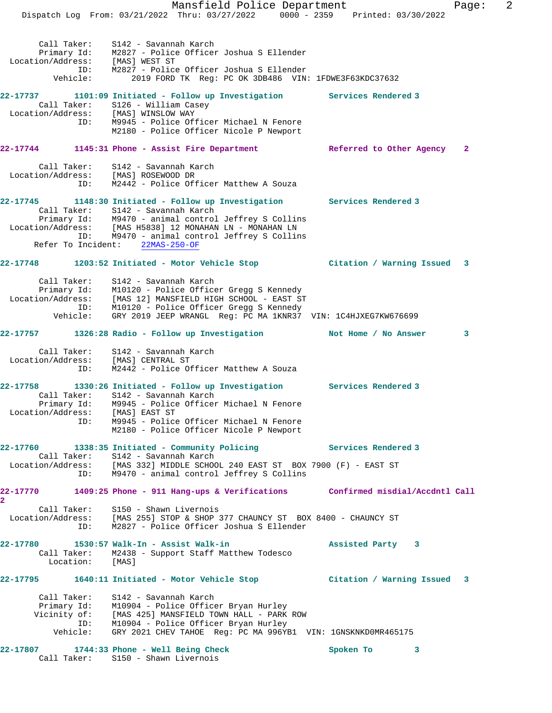Mansfield Police Department Fage: 2 Dispatch Log From: 03/21/2022 Thru: 03/27/2022 0000 - 2359 Printed: 03/30/2022 Call Taker: S142 - Savannah Karch Primary Id: M2827 - Police Officer Joshua S Ellender Location/Address: [MAS] WEST ST ID: M2827 - Police Officer Joshua S Ellender Vehicle: 2019 FORD TK Reg: PC OK 3DB486 VIN: 1FDWE3F63KDC37632 **22-17737 1101:09 Initiated - Follow up Investigation Services Rendered 3**  Call Taker: S126 - William Casey<br>tion/Address: [MAS] WINSLOW WAY Location/Address:<br>ID: M9945 - Police Officer Michael N Fenore M2180 - Police Officer Nicole P Newport **22-17744 1145:31 Phone - Assist Fire Department Referred to Other Agency 2** Call Taker: S142 - Savannah Karch Location/Address: [MAS] ROSEWOOD DR ID: M2442 - Police Officer Matthew A Souza **22-17745 1148:30 Initiated - Follow up Investigation Services Rendered 3**  Call Taker: S142 - Savannah Karch Primary Id: M9470 - animal control Jeffrey S Collins Location/Address: [MAS H5838] 12 MONAHAN LN - MONAHAN LN ID: M9470 - animal control Jeffrey S Collins Refer To Incident: 22MAS-250-OF **22-17748 1203:52 Initiated - Motor Vehicle Stop Citation / Warning Issued 3** Call Taker: S142 - Savannah Karch Primary Id: M10120 - Police Officer Gregg S Kennedy Location/Address: [MAS 12] MANSFIELD HIGH SCHOOL - EAST ST ID: M10120 - Police Officer Gregg S Kennedy Vehicle: GRY 2019 JEEP WRANGL Reg: PC MA 1KNR37 VIN: 1C4HJXEG7KW676699 **22-17757 1326:28 Radio - Follow up Investigation Not Home / No Answer 3** Call Taker: S142 - Savannah Karch Location/Address: [MAS] CENTRAL ST ID: M2442 - Police Officer Matthew A Souza **22-17758 1330:26 Initiated - Follow up Investigation Services Rendered 3**  Call Taker: S142 - Savannah Karch Primary Id: M9945 - Police Officer Michael N Fenore Location/Address: [MAS] EAST ST ID: M9945 - Police Officer Michael N Fenore M2180 - Police Officer Nicole P Newport **22-17760 1338:35 Initiated - Community Policing Services Rendered 3**  Call Taker: S142 - Savannah Karch Location/Address: [MAS 332] MIDDLE SCHOOL 240 EAST ST BOX 7900 (F) - EAST ST ID: M9470 - animal control Jeffrey S Collins **22-17770 1409:25 Phone - 911 Hang-ups & Verifications Confirmed misdial/Accdntl Call 2**  Call Taker: S150 - Shawn Livernois Location/Address: [MAS 255] STOP & SHOP 377 CHAUNCY ST BOX 8400 - CHAUNCY ST ID: M2827 - Police Officer Joshua S Ellender **22-17780 1530:57 Walk-In - Assist Walk-in Assisted Party 3**  Call Taker: M2438 - Support Staff Matthew Todesco Location: [MAS] **22-17795 1640:11 Initiated - Motor Vehicle Stop Citation / Warning Issued 3** Call Taker: S142 - Savannah Karch Primary Id: M10904 - Police Officer Bryan Hurley Vicinity of: [MAS 425] MANSFIELD TOWN HALL - PARK ROW ID: M10904 - Police Officer Bryan Hurley Vehicle: GRY 2021 CHEV TAHOE Reg: PC MA 996YB1 VIN: 1GNSKNKD0MR465175 **22-17807 1744:33 Phone - Well Being Check Spoken To 3** 

Call Taker: S150 - Shawn Livernois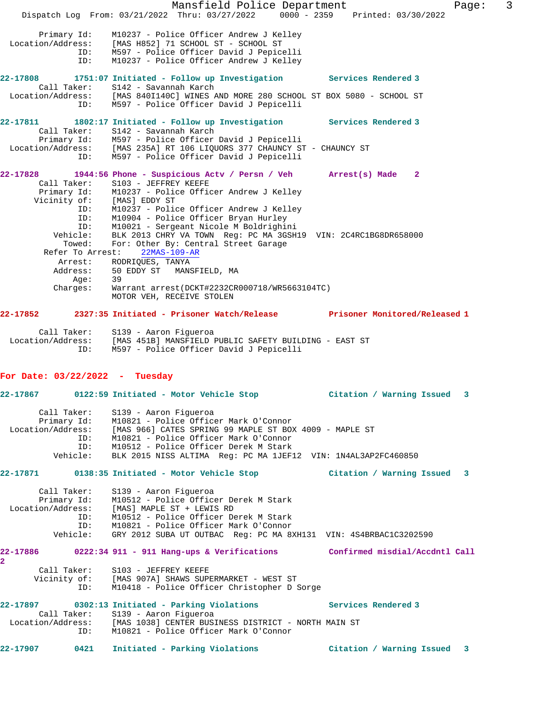Mansfield Police Department Fage: 3 Dispatch Log From: 03/21/2022 Thru: 03/27/2022 0000 - 2359 Printed: 03/30/2022 Primary Id: M10237 - Police Officer Andrew J Kelley Location/Address: [MAS H852] 71 SCHOOL ST - SCHOOL ST ID: M597 - Police Officer David J Pepicelli ID: M10237 - Police Officer Andrew J Kelley **22-17808 1751:07 Initiated - Follow up Investigation Services Rendered 3**  Call Taker: S142 - Savannah Karch Location/Address: [MAS 840I140C] WINES AND MORE 280 SCHOOL ST BOX 5080 - SCHOOL ST ID: M597 - Police Officer David J Pepicelli **22-17811 1802:17 Initiated - Follow up Investigation Services Rendered 3**  Call Taker: S142 - Savannah Karch Primary Id: M597 - Police Officer David J Pepicelli Location/Address: [MAS 235A] RT 106 LIQUORS 377 CHAUNCY ST - CHAUNCY ST ID: M597 - Police Officer David J Pepicelli **22-17828 1944:56 Phone - Suspicious Actv / Persn / Veh Arrest(s) Made 2**  Call Taker: S103 - JEFFREY KEEFE Primary Id: M10237 - Police Officer Andrew J Kelley Vicinity of: [MAS] EDDY ST<br>ID: M10237 - Polic ID: M10237 - Police Officer Andrew J Kelley ID: M10904 - Police Officer Bryan Hurley M10021 - Sergeant Nicole M Boldrighini Vehicle: BLK 2013 CHRY VA TOWN Reg: PC MA 3GSH19 VIN: 2C4RC1BG8DR658000 Towed: For: Other By: Central Street Garage Refer To Arrest: 22MAS-109-AR Arrest: RODRIQUES, TANYA<br>Address: 50 EDDY ST MANS 50 EDDY ST MANSFIELD, MA Age: 39 Charges: Warrant arrest(DCKT#2232CR000718/WR5663104TC) MOTOR VEH, RECEIVE STOLEN **22-17852 2327:35 Initiated - Prisoner Watch/Release Prisoner Monitored/Released 1** Call Taker: S139 - Aaron Figueroa Location/Address: [MAS 451B] MANSFIELD PUBLIC SAFETY BUILDING - EAST ST ID: M597 - Police Officer David J Pepicelli **For Date: 03/22/2022 - Tuesday 22-17867 0122:59 Initiated - Motor Vehicle Stop Citation / Warning Issued 3** Call Taker: S139 - Aaron Figueroa Primary Id: M10821 - Police Officer Mark O'Connor Location/Address: [MAS 966] CATES SPRING 99 MAPLE ST BOX 4009 - MAPLE ST ID: M10821 - Police Officer Mark O'Connor ID: M10512 - Police Officer Derek M Stark BLK 2015 NISS ALTIMA Reg: PC MA 1JEF12 VIN: 1N4AL3AP2FC460850 **22-17871 0138:35 Initiated - Motor Vehicle Stop Citation / Warning Issued 3** Call Taker: S139 - Aaron Figueroa Primary Id: M10512 - Police Officer Derek M Stark Location/Address: [MAS] MAPLE ST + LEWIS RD ID: M10512 - Police Officer Derek M Stark ID: M10821 - Police Officer Mark O'Connor Vehicle: GRY 2012 SUBA UT OUTBAC Reg: PC MA 8XH131 VIN: 4S4BRBAC1C3202590 **22-17886 0222:34 911 - 911 Hang-ups & Verifications Confirmed misdial/Accdntl Call 2**  Call Taker: S103 - JEFFREY KEEFE<br>Vicinity of: [MAS 907A] SHAWS SUP [MAS 907A] SHAWS SUPERMARKET - WEST ST ID: M10418 - Police Officer Christopher D Sorge **22-17897 0302:13 Initiated - Parking Violations Services Rendered 3**  Call Taker: S139 - Aaron Figueroa Location/Address: [MAS 1038] CENTER BUSINESS DISTRICT - NORTH MAIN ST ID: M10821 - Police Officer Mark O'Connor **22-17907 0421 Initiated - Parking Violations Citation / Warning Issued 3**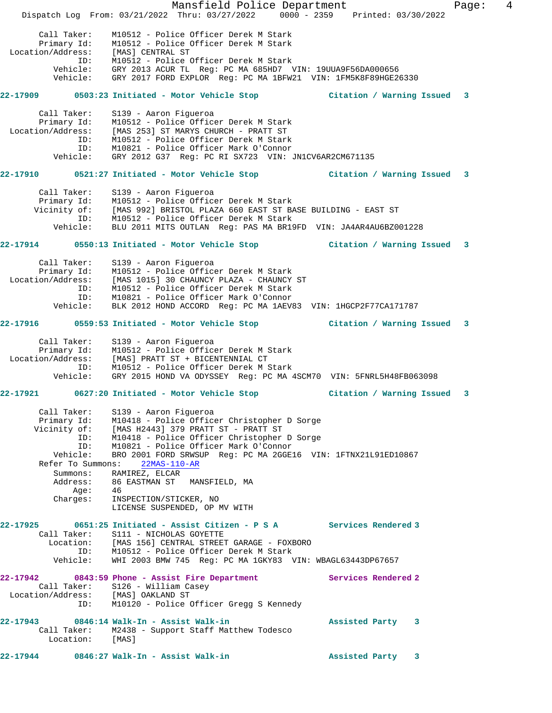Mansfield Police Department Fage: 4 Dispatch Log From: 03/21/2022 Thru: 03/27/2022 0000 - 2359 Printed: 03/30/2022 Call Taker: M10512 - Police Officer Derek M Stark Primary Id: M10512 - Police Officer Derek M Stark Location/Address: [MAS] CENTRAL ST ID: M10512 - Police Officer Derek M Stark Vehicle: GRY 2013 ACUR TL Reg: PC MA 685HD7 VIN: 19UUA9F56DA000656 Vehicle: GRY 2017 FORD EXPLOR Reg: PC MA 1BFW21 VIN: 1FM5K8F89HGE26330 **22-17909 0503:23 Initiated - Motor Vehicle Stop Citation / Warning Issued 3** Call Taker: S139 - Aaron Figueroa Primary Id: M10512 - Police Officer Derek M Stark Location/Address: [MAS 253] ST MARYS CHURCH - PRATT ST ID: M10512 - Police Officer Derek M Stark ID: M10821 - Police Officer Mark O'Connor Vehicle: GRY 2012 G37 Reg: PC RI SX723 VIN: JN1CV6AR2CM671135 **22-17910 0521:27 Initiated - Motor Vehicle Stop Citation / Warning Issued 3** Call Taker: S139 - Aaron Figueroa Primary Id: M10512 - Police Officer Derek M Stark Vicinity of: [MAS 992] BRISTOL PLAZA 660 EAST ST BASE BUILDING - EAST ST ID: M10512 - Police Officer Derek M Stark Vehicle: BLU 2011 MITS OUTLAN Reg: PAS MA BR19FD VIN: JA4AR4AU6BZ001228 **22-17914 0550:13 Initiated - Motor Vehicle Stop Citation / Warning Issued 3** Call Taker: S139 - Aaron Figueroa Primary Id: M10512 - Police Officer Derek M Stark Location/Address: [MAS 1015] 30 CHAUNCY PLAZA - CHAUNCY ST ID: M10512 - Police Officer Derek M Stark ID: M10821 - Police Officer Mark O'Connor Vehicle: BLK 2012 HOND ACCORD Reg: PC MA 1AEV83 VIN: 1HGCP2F77CA171787 **22-17916 0559:53 Initiated - Motor Vehicle Stop Citation / Warning Issued 3** Call Taker: S139 - Aaron Figueroa Primary Id: M10512 - Police Officer Derek M Stark Location/Address: [MAS] PRATT ST + BICENTENNIAL CT ID: M10512 - Police Officer Derek M Stark Vehicle: GRY 2015 HOND VA ODYSSEY Reg: PC MA 4SCM70 VIN: 5FNRL5H48FB063098 **22-17921 0627:20 Initiated - Motor Vehicle Stop Citation / Warning Issued 3** Call Taker: S139 - Aaron Figueroa Primary Id: M10418 - Police Officer Christopher D Sorge Vicinity of: [MAS H2443] 379 PRATT ST - PRATT ST ID: M10418 - Police Officer Christopher D Sorge ID: M10821 - Police Officer Mark O'Connor Vehicle: BRO 2001 FORD SRWSUP Reg: PC MA 2GGE16 VIN: 1FTNX21L91ED10867 Refer To Summons: 22MAS-110-AR Summons: RAMIREZ, ELCAR Address: 86 EASTMAN ST MANSFIELD, MA Age: 46 Charges: INSPECTION/STICKER, NO LICENSE SUSPENDED, OP MV WITH **22-17925 0651:25 Initiated - Assist Citizen - P S A Services Rendered 3**  Call Taker: S111 - NICHOLAS GOYETTE Location: [MAS 156] CENTRAL STREET GARAGE - FOXBORO ID: M10512 - Police Officer Derek M Stark Vehicle: WHI 2003 BMW 745 Reg: PC MA 1GKY83 VIN: WBAGL63443DP67657 **22-17942 0843:59 Phone - Assist Fire Department Services Rendered 2**  Call Taker: S126 - William Casey Location/Address: [MAS] OAKLAND ST ID: M10120 - Police Officer Gregg S Kennedy **22-17943 0846:14 Walk-In - Assist Walk-in Assisted Party 3**  Call Taker: M2438 - Support Staff Matthew Todesco Location: [MAS] **22-17944 0846:27 Walk-In - Assist Walk-in Assisted Party 3**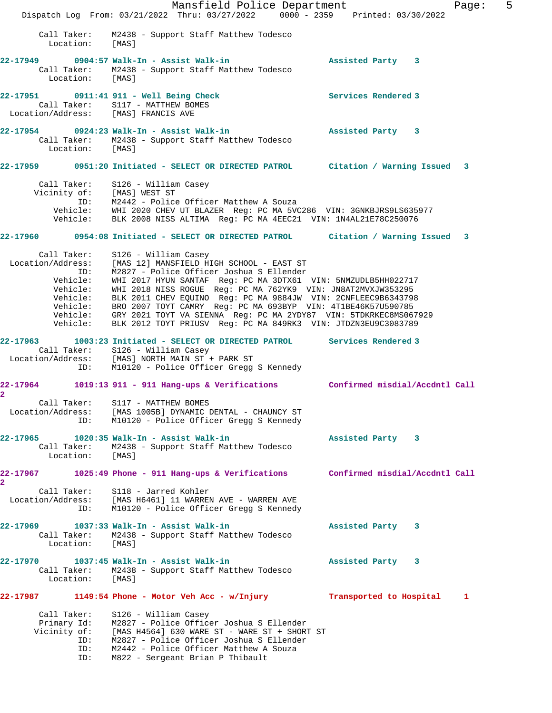Mansfield Police Department Fage: 5 Dispatch Log From: 03/21/2022 Thru: 03/27/2022 0000 - 2359 Printed: 03/30/2022 Call Taker: M2438 - Support Staff Matthew Todesco Location: [MAS] **22-17949 0904:57 Walk-In - Assist Walk-in Assisted Party 3**  Call Taker: M2438 - Support Staff Matthew Todesco Location: [MAS] **22-17951 0911:41 911 - Well Being Check Services Rendered 3**  Call Taker: S117 - MATTHEW BOMES Location/Address: [MAS] FRANCIS AVE **22-17954 0924:23 Walk-In - Assist Walk-in Assisted Party 3**  Call Taker: M2438 - Support Staff Matthew Todesco Location: [MAS] **22-17959 0951:20 Initiated - SELECT OR DIRECTED PATROL Citation / Warning Issued 3** Call Taker: S126 - William Casey Vicinity of: [MAS] WEST ST ID: M2442 - Police Officer Matthew A Souza Vehicle: WHI 2020 CHEV UT BLAZER Reg: PC MA 5VC286 VIN: 3GNKBJRS9LS635977 Vehicle: BLK 2008 NISS ALTIMA Reg: PC MA 4EEC21 VIN: 1N4AL21E78C250076 **22-17960 0954:08 Initiated - SELECT OR DIRECTED PATROL Citation / Warning Issued 3** Call Taker: S126 - William Casey Location/Address: [MAS 12] MANSFIELD HIGH SCHOOL - EAST ST ID: M2827 - Police Officer Joshua S Ellender Vehicle: WHI 2017 HYUN SANTAF Reg: PC MA 3DTX61 VIN: 5NMZUDLB5HH022717 Vehicle: WHI 2018 NISS ROGUE Reg: PC MA 762YK9 VIN: JN8AT2MVXJW353295 Vehicle: BLK 2011 CHEV EQUINO Reg: PC MA 9884JW VIN: 2CNFLEEC9B6343798 Vehicle: BRO 2007 TOYT CAMRY Reg: PC MA 693BYP VIN: 4T1BE46K57U590785 Vehicle: GRY 2021 TOYT VA SIENNA Reg: PC MA 2YDY87 VIN: 5TDKRKEC8MS067929 Vehicle: BLK 2012 TOYT PRIUSV Reg: PC MA 849RK3 VIN: JTDZN3EU9C3083789 **22-17963 1003:23 Initiated - SELECT OR DIRECTED PATROL Services Rendered 3**  Call Taker: S126 - William Casey Location/Address: [MAS] NORTH MAIN ST + PARK ST ID: M10120 - Police Officer Gregg S Kennedy **22-17964 1019:13 911 - 911 Hang-ups & Verifications Confirmed misdial/Accdntl Call 2**  Call Taker: S117 - MATTHEW BOMES Location/Address: [MAS 1005B] DYNAMIC DENTAL - CHAUNCY ST ID: M10120 - Police Officer Gregg S Kennedy **22-17965 1020:35 Walk-In - Assist Walk-in Assisted Party 3**  Call Taker: M2438 - Support Staff Matthew Todesco Location: [MAS] **22-17967 1025:49 Phone - 911 Hang-ups & Verifications Confirmed misdial/Accdntl Call 2**  Call Taker: S118 - Jarred Kohler Location/Address: [MAS H6461] 11 WARREN AVE - WARREN AVE ID: M10120 - Police Officer Gregg S Kennedy **22-17969 1037:33 Walk-In - Assist Walk-in Assisted Party 3**  Call Taker: M2438 - Support Staff Matthew Todesco Location: [MAS] **22-17970 1037:45 Walk-In - Assist Walk-in Assisted Party 3**  Call Taker: M2438 - Support Staff Matthew Todesco Location: [MAS] **22-17987 1149:54 Phone - Motor Veh Acc - w/Injury Transported to Hospital 1** Call Taker: S126 - William Casey Primary Id: M2827 - Police Officer Joshua S Ellender Vicinity of: [MAS H4564] 630 WARE ST - WARE ST + SHORT ST ID: M2827 - Police Officer Joshua S Ellender ID: M2442 - Police Officer Matthew A Souza ID: M822 - Sergeant Brian P Thibault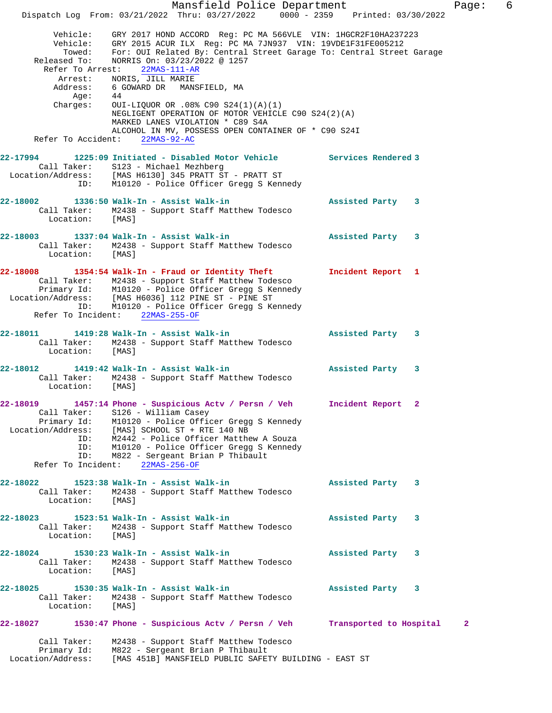Mansfield Police Department Fage: 6 Dispatch Log From: 03/21/2022 Thru: 03/27/2022 0000 - 2359 Printed: 03/30/2022 Vehicle: GRY 2017 HOND ACCORD Reg: PC MA 566VLE VIN: 1HGCR2F10HA237223 Vehicle: GRY 2015 ACUR ILX Reg: PC MA 7JN937 VIN: 19VDE1F31FE005212 Towed: For: OUI Related By: Central Street Garage To: Central Street Garage Released To: NORRIS On: 03/23/2022 @ 1257 Refer To Arrest: 22MAS-111-AR Arrest: NORIS, JILL MARIE Address: 6 GOWARD DR MANSFIELD, MA<br>Age: 44 Age:<br>:Charges OUI-LIQUOR OR .08% C90 S24(1)(A)(1) NEGLIGENT OPERATION OF MOTOR VEHICLE C90 S24(2)(A) MARKED LANES VIOLATION \* C89 S4A ALCOHOL IN MV, POSSESS OPEN CONTAINER OF \* C90 S24I<br>ht: 22MAS-92-AC Refer To Accident: **22-17994 1225:09 Initiated - Disabled Motor Vehicle Services Rendered 3**  Call Taker: S123 - Michael Mezhberg Location/Address: [MAS H6130] 345 PRATT ST - PRATT ST ID: M10120 - Police Officer Gregg S Kennedy **22-18002 1336:50 Walk-In - Assist Walk-in Assisted Party 3**  Call Taker: M2438 - Support Staff Matthew Todesco<br>Location: [MAS] Location: **22-18003 1337:04 Walk-In - Assist Walk-in Assisted Party 3**  Call Taker: M2438 - Support Staff Matthew Todesco Location: [MAS] **22-18008 1354:54 Walk-In - Fraud or Identity Theft Incident Report 1**  Call Taker: M2438 - Support Staff Matthew Todesco Primary Id: M10120 - Police Officer Gregg S Kennedy Location/Address: [MAS H6036] 112 PINE ST - PINE ST ID: M10120 - Police Officer Gregg S Kennedy<br>Co Incident: 22MAS-255-OF Refer To Incident: **22-18011 1419:28 Walk-In - Assist Walk-in Assisted Party 3**  Call Taker: M2438 - Support Staff Matthew Todesco<br>Location: [MAS] Location: **22-18012 1419:42 Walk-In - Assist Walk-in Assisted Party 3**  Call Taker: M2438 - Support Staff Matthew Todesco Location: [MAS] **22-18019 1457:14 Phone - Suspicious Actv / Persn / Veh Incident Report 2**  Call Taker: S126 - William Casey Primary Id: M10120 - Police Officer Gregg S Kennedy Location/Address: [MAS] SCHOOL ST + RTE 140 NB ID: M2442 - Police Officer Matthew A Souza M10120 - Police Officer Gregg S Kennedy ID: M822 - Sergeant Brian P Thibault Refer To Incident: 22MAS-256-OF **22-18022 1523:38 Walk-In - Assist Walk-in Assisted Party 3**  Call Taker: M2438 - Support Staff Matthew Todesco Location: [MAS] **22-18023 1523:51 Walk-In - Assist Walk-in Assisted Party 3**  Call Taker: M2438 - Support Staff Matthew Todesco Location: [MAS] **22-18024 1530:23 Walk-In - Assist Walk-in Assisted Party 3**  Call Taker: M2438 - Support Staff Matthew Todesco Location: [MAS] **22-18025 1530:35 Walk-In - Assist Walk-in Assisted Party 3**  Call Taker: M2438 - Support Staff Matthew Todesco<br>Location: [MAS] Location: **22-18027 1530:47 Phone - Suspicious Actv / Persn / Veh Transported to Hospital 2** Call Taker: M2438 - Support Staff Matthew Todesco Primary Id: M822 - Sergeant Brian P Thibault Location/Address: [MAS 451B] MANSFIELD PUBLIC SAFETY BUILDING - EAST ST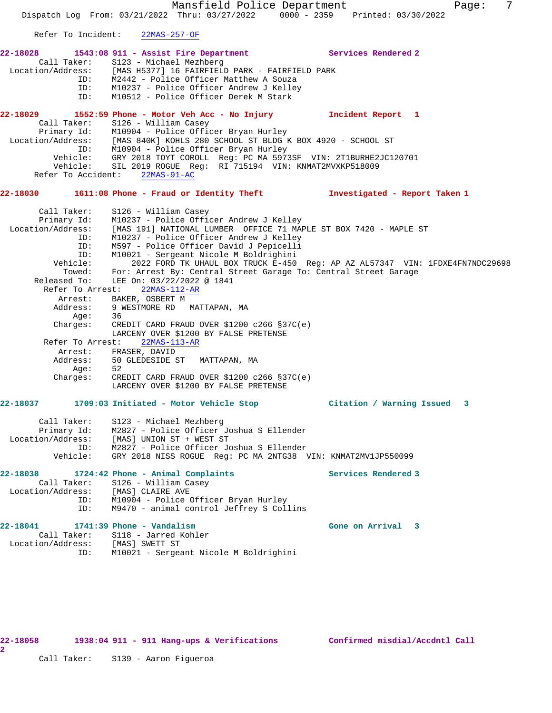Mansfield Police Department Fage: 7 Dispatch Log From: 03/21/2022 Thru: 03/27/2022 0000 - 2359 Printed: 03/30/2022 Refer To Incident: 22MAS-257-OF **22-18028 1543:08 911 - Assist Fire Department Services Rendered 2**  Call Taker: S123 - Michael Mezhberg Location/Address: [MAS H5377] 16 FAIRFIELD PARK - FAIRFIELD PARK ID: M2442 - Police Officer Matthew A Souza ID: M10237 - Police Officer Andrew J Kelley ID: M10512 - Police Officer Derek M Stark **22-18029 1552:59 Phone - Motor Veh Acc - No Injury Incident Report 1**  Call Taker: S126 - William Casey Primary Id: M10904 - Police Officer Bryan Hurley Location/Address: [MAS 840K] KOHLS 280 SCHOOL ST BLDG K BOX 4920 - SCHOOL ST ID: M10904 - Police Officer Bryan Hurley Vehicle: GRY 2018 TOYT COROLL Reg: PC MA 5973SF VIN: 2T1BURHE2JC120701 Vehicle: SIL 2019 ROGUE Reg: RI 715194 VIN: KNMAT2MVXKP518009 Refer To Accident: 22MAS-91-AC **22-18030 1611:08 Phone - Fraud or Identity Theft Investigated - Report Taken 1** Call Taker: S126 - William Casey Primary Id: M10237 - Police Officer Andrew J Kelley Location/Address: [MAS 191] NATIONAL LUMBER OFFICE 71 MAPLE ST BOX 7420 - MAPLE ST ID: M10237 - Police Officer Andrew J Kelley ID: M597 - Police Officer David J Pepicelli ID: M10021 - Sergeant Nicole M Boldrighini Vehicle: 2022 FORD TK UHAUL BOX TRUCK E-450 Reg: AP AZ AL57347 VIN: 1FDXE4FN7NDC29698 Towed: For: Arrest By: Central Street Garage To: Central Street Garage Released To: LEE On: 03/22/2022 @ 1841 Refer To Arrest: 22MAS-112-AR Arrest: BAKER, OSBERT M Address: 9 WESTMORE RD MATTAPAN, MA Age: 36 Charges: CREDIT CARD FRAUD OVER \$1200 c266 §37C(e) LARCENY OVER \$1200 BY FALSE PRETENSE Refer To Arrest: 22MAS-113-AR Arrest: FRASER, DAVID Address: 50 GLEDESIDE ST MATTAPAN, MA Age: 52 Charges: CREDIT CARD FRAUD OVER \$1200 c266 §37C(e) LARCENY OVER \$1200 BY FALSE PRETENSE **22-18037 1709:03 Initiated - Motor Vehicle Stop Citation / Warning Issued 3** Call Taker: S123 - Michael Mezhberg Primary Id: M2827 - Police Officer Joshua S Ellender Location/Address: [MAS] UNION ST + WEST ST ID: M2827 - Police Officer Joshua S Ellender Vehicle: GRY 2018 NISS ROGUE Reg: PC MA 2NTG38 VIN: KNMAT2MV1JP550099 **22-18038 1724:42 Phone - Animal Complaints Services Rendered 3**  Call Taker: S126 - William Casey Location/Address: [MAS] CLAIRE AVE ID: M10904 - Police Officer Bryan Hurley ID: M9470 - animal control Jeffrey S Collins **22-18041 1741:39 Phone - Vandalism Gone on Arrival 3**  Call Taker: S118 - Jarred Kohler Location/Address: [MAS] SWETT ST ID: M10021 - Sergeant Nicole M Boldrighini

**22-18058 1938:04 911 - 911 Hang-ups & Verifications Confirmed misdial/Accdntl Call 2**  Call Taker: S139 - Aaron Figueroa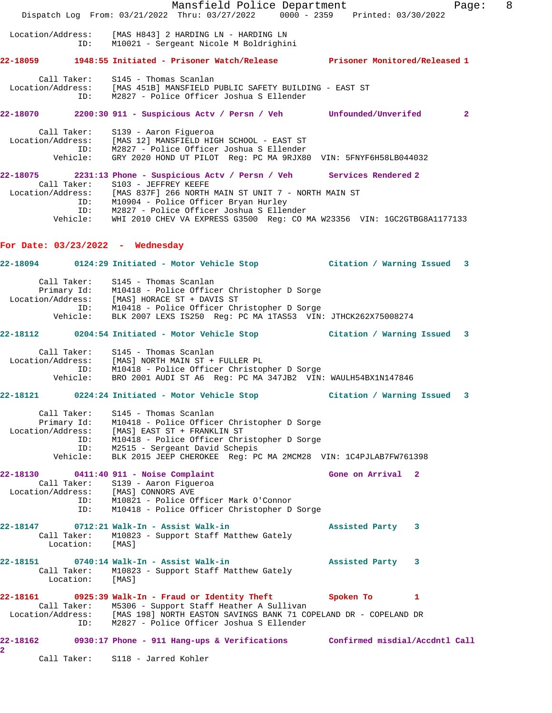Mansfield Police Department Fage: 8 Dispatch Log From: 03/21/2022 Thru: 03/27/2022 0000 - 2359 Printed: 03/30/2022 Location/Address: [MAS H843] 2 HARDING LN - HARDING LN ID: M10021 - Sergeant Nicole M Boldrighini **22-18059 1948:55 Initiated - Prisoner Watch/Release Prisoner Monitored/Released 1** Call Taker: S145 - Thomas Scanlan Location/Address: [MAS 451B] MANSFIELD PUBLIC SAFETY BUILDING - EAST ST ID: M2827 - Police Officer Joshua S Ellender **22-18070 2200:30 911 - Suspicious Actv / Persn / Veh Unfounded/Unverifed 2** Call Taker: S139 - Aaron Figueroa Location/Address: [MAS 12] MANSFIELD HIGH SCHOOL - EAST ST ID: M2827 - Police Officer Joshua S Ellender Vehicle: GRY 2020 HOND UT PILOT Reg: PC MA 9RJX80 VIN: 5FNYF6H58LB044032 **22-18075 2231:13 Phone - Suspicious Actv / Persn / Veh Services Rendered 2**  Call Taker: S103 - JEFFREY KEEFE Location/Address: [MAS 837F] 266 NORTH MAIN ST UNIT 7 - NORTH MAIN ST ID: M10904 - Police Officer Bryan Hurley ID: M2827 - Police Officer Joshua S Ellender Vehicle: WHI 2010 CHEV VA EXPRESS G3500 Reg: CO MA W23356 VIN: 1GC2GTBG8A1177133 **For Date: 03/23/2022 - Wednesday 22-18094 0124:29 Initiated - Motor Vehicle Stop Citation / Warning Issued 3** Call Taker: S145 - Thomas Scanlan Primary Id: M10418 - Police Officer Christopher D Sorge Location/Address: [MAS] HORACE ST + DAVIS ST ID: M10418 - Police Officer Christopher D Sorge Vehicle: BLK 2007 LEXS IS250 Reg: PC MA 1TAS53 VIN: JTHCK262X75008274 **22-18112 0204:54 Initiated - Motor Vehicle Stop Citation / Warning Issued 3** Call Taker: S145 - Thomas Scanlan Location/Address: [MAS] NORTH MAIN ST + FULLER PL ID: M10418 - Police Officer Christopher D Sorge Vehicle: BRO 2001 AUDI ST A6 Reg: PC MA 347JB2 VIN: WAULH54BX1N147846 **22-18121 0224:24 Initiated - Motor Vehicle Stop Citation / Warning Issued 3** Call Taker: S145 - Thomas Scanlan Primary Id: M10418 - Police Officer Christopher D Sorge Location/Address: [MAS] EAST ST + FRANKLIN ST ID: M10418 - Police Officer Christopher D Sorge ID: M2515 - Sergeant David Schepis Vehicle: BLK 2015 JEEP CHEROKEE Reg: PC MA 2MCM28 VIN: 1C4PJLAB7FW761398 **22-18130 0411:40 911 - Noise Complaint Gone on Arrival 2**  Call Taker: S139 - Aaron Figueroa Location/Address: [MAS] CONNORS AVE ID: M10821 - Police Officer Mark O'Connor ID: M10418 - Police Officer Christopher D Sorge **22-18147 0712:21 Walk-In - Assist Walk-in Assisted Party 3**  Call Taker: M10823 - Support Staff Matthew Gately Location: [MAS] **22-18151 0740:14 Walk-In - Assist Walk-in Assisted Party 3**  Call Taker: M10823 - Support Staff Matthew Gately Location: [MAS] **22-18161 0925:39 Walk-In - Fraud or Identity Theft Spoken To 1**  Call Taker: M5306 - Support Staff Heather A Sullivan Location/Address: [MAS 198] NORTH EASTON SAVINGS BANK 71 COPELAND DR - COPELAND DR ID: M2827 - Police Officer Joshua S Ellender **22-18162 0930:17 Phone - 911 Hang-ups & Verifications Confirmed misdial/Accdntl Call 2**  Call Taker: S118 - Jarred Kohler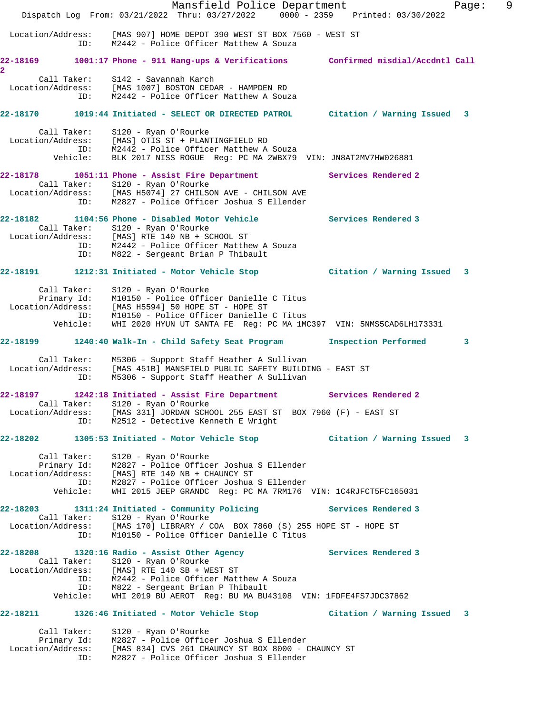|                         | Mansfield Police Department<br>Dispatch Log From: 03/21/2022 Thru: 03/27/2022 0000 - 2359 Printed: 03/30/2022                                                                                                                                                        |                      | 9<br>Page: |
|-------------------------|----------------------------------------------------------------------------------------------------------------------------------------------------------------------------------------------------------------------------------------------------------------------|----------------------|------------|
|                         | Location/Address: [MAS 907] HOME DEPOT 390 WEST ST BOX 7560 - WEST ST<br>ID: M2442 - Police Officer Matthew A Souza                                                                                                                                                  |                      |            |
| $\overline{\mathbf{2}}$ | 22-18169 1001:17 Phone - 911 Hang-ups & Verifications Confirmed misdial/Accdntl Call                                                                                                                                                                                 |                      |            |
|                         | Call Taker: S142 - Savannah Karch<br>Location/Address: [MAS 1007] BOSTON CEDAR - HAMPDEN RD<br>ID: M2442 - Police Officer Matthew A Souza                                                                                                                            |                      |            |
|                         | 22-18170 1019:44 Initiated - SELECT OR DIRECTED PATROL Citation / Warning Issued 3                                                                                                                                                                                   |                      |            |
| Location/Address:       | Call Taker: S120 - Ryan O'Rourke<br>[MAS] OTIS ST + PLANTINGFIELD RD<br>ID: M2442 - Police Officer Matthew A Souza<br>Vehicle: BLK 2017 NISS ROGUE Reg: PC MA 2WBX79 VIN: JN8AT2MV7HW026881                                                                          |                      |            |
| ID:                     | 22-18178 1051:11 Phone - Assist Fire Department<br>Call Taker: S120 - Ryan O'Rourke<br>Location/Address: [MAS H5074] 27 CHILSON AVE - CHILSON AVE<br>M2827 - Police Officer Joshua S Ellender                                                                        | Services Rendered 2  |            |
| ID:                     | Call Taker: S120 - Ryan O'Rourke<br>Location/Address: [MAS] RTE 140 NB + SCHOOL ST<br>ID: M2442 - Police Officer Matthew A Souza<br>M822 - Sergeant Brian P Thibault                                                                                                 | Services Rendered 3  |            |
|                         | 22-18191 1212:31 Initiated - Motor Vehicle Stop Citation / Warning Issued 3                                                                                                                                                                                          |                      |            |
| Vehicle:                | Call Taker: S120 - Ryan O'Rourke<br>Primary Id: M10150 - Police Officer Danielle C Titus<br>Location/Address: [MAS H5594] 50 HOPE ST - HOPE ST<br>ID: M10150 - Police Officer Danielle C Titus<br>WHI 2020 HYUN UT SANTA FE Reg: PC MA 1MC397 VIN: 5NMS5CAD6LH173331 |                      |            |
|                         | 22-18199 1240:40 Walk-In - Child Safety Seat Program                                                                                                                                                                                                                 | Inspection Performed | 3          |
| ID:                     | Call Taker: M5306 - Support Staff Heather A Sullivan<br>Location/Address: [MAS 451B] MANSFIELD PUBLIC SAFETY BUILDING - EAST ST<br>M5306 - Support Staff Heather A Sullivan                                                                                          |                      |            |
|                         | 22-18197 1242:18 Initiated - Assist Fire Department<br>Call Taker: S120 - Ryan O'Rourke<br>Location/Address: [MAS 331] JORDAN SCHOOL 255 EAST ST BOX 7960 (F) - EAST ST<br>ID: M2512 - Detective Kenneth E Wright                                                    | Services Rendered 2  |            |
|                         | 22-18202 1305:53 Initiated - Motor Vehicle Stop                 Citation / Warning Issued 3                                                                                                                                                                          |                      |            |
| Call Taker:<br>Vehicle: | S120 - Ryan O'Rourke<br>Primary Id: M2827 - Police Officer Joshua S Ellender<br>Location/Address: [MAS] RTE 140 NB + CHAUNCY ST<br>ID: M2827 - Police Officer Joshua S Ellender<br>WHI 2015 JEEP GRANDC Reg: PC MA 7RM176 VIN: 1C4RJFCT5FC165031                     |                      |            |
| ID:                     | 22-18203 1311:24 Initiated - Community Policing<br>Call Taker: S120 - Ryan O'Rourke<br>Location/Address: [MAS 170] LIBRARY / COA BOX 7860 (S) 255 HOPE ST - HOPE ST<br>M10150 - Police Officer Danielle C Titus                                                      | Services Rendered 3  |            |
|                         | 22-18208 1320:16 Radio - Assist Other Agency                                                                                                                                                                                                                         | Services Rendered 3  |            |
|                         | Call Taker: S120 - Ryan O'Rourke<br>Location/Address: [MAS] RTE 140 SB + WEST ST<br>ID: M2442 - Police Officer Matthew A Souza<br>ID: M822 - Sergeant Brian P Thibault<br>Vehicle: WHI 2019 BU AEROT Reg: BU MA BU43108 VIN: 1FDFE4FS7JDC37862                       |                      |            |
|                         | 22-18211 1326:46 Initiated - Motor Vehicle Stop Citation / Warning Issued 3                                                                                                                                                                                          |                      |            |
| Call Taker:<br>ID:      | S120 - Ryan O'Rourke<br>Primary Id: M2827 - Police Officer Joshua S Ellender<br>Location/Address: [MAS 834] CVS 261 CHAUNCY ST BOX 8000 - CHAUNCY ST<br>M2827 - Police Officer Joshua S Ellender                                                                     |                      |            |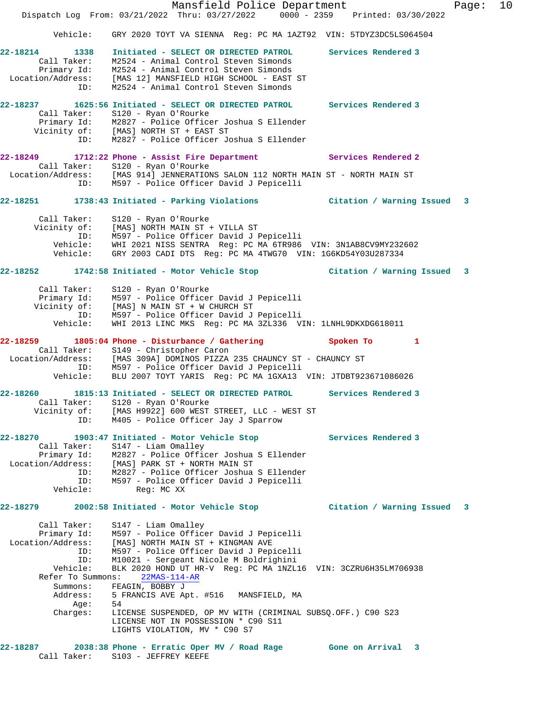Mansfield Police Department Fage: 10 Dispatch Log From: 03/21/2022 Thru: 03/27/2022 0000 - 2359 Printed: 03/30/2022 Vehicle: GRY 2020 TOYT VA SIENNA Reg: PC MA 1AZT92 VIN: 5TDYZ3DC5LS064504 **22-18214 1338 Initiated - SELECT OR DIRECTED PATROL Services Rendered 3**  Call Taker: M2524 - Animal Control Steven Simonds Primary Id: M2524 - Animal Control Steven Simonds Location/Address: [MAS 12] MANSFIELD HIGH SCHOOL - EAST ST ID: M2524 - Animal Control Steven Simonds **22-18237 1625:56 Initiated - SELECT OR DIRECTED PATROL Services Rendered 3**  Call Taker: S120 - Ryan O'Rourke Primary Id: M2827 - Police Officer Joshua S Ellender Vicinity of: [MAS] NORTH ST + EAST ST ID: M2827 - Police Officer Joshua S Ellender **22-18249 1712:22 Phone - Assist Fire Department Services Rendered 2**  Call Taker: S120 - Ryan O'Rourke Location/Address: [MAS 914] JENNERATIONS SALON 112 NORTH MAIN ST - NORTH MAIN ST ID: M597 - Police Officer David J Pepicelli **22-18251 1738:43 Initiated - Parking Violations Citation / Warning Issued 3** Call Taker: S120 - Ryan O'Rourke Vicinity of: [MAS] NORTH MAIN ST + VILLA ST ID: M597 - Police Officer David J Pepicelli Vehicle: WHI 2021 NISS SENTRA Reg: PC MA 6TR986 VIN: 3N1AB8CV9MY232602 Vehicle: GRY 2003 CADI DTS Reg: PC MA 4TWG70 VIN: 1G6KD54Y03U287334 **22-18252 1742:58 Initiated - Motor Vehicle Stop Citation / Warning Issued 3** Call Taker: S120 - Ryan O'Rourke Primary Id: M597 - Police Officer David J Pepicelli Vicinity of: [MAS] N MAIN ST + W CHURCH ST ID: M597 - Police Officer David J Pepicelli Vehicle: WHI 2013 LINC MKS Reg: PC MA 3ZL336 VIN: 1LNHL9DKXDG618011 **22-18259 1805:04 Phone - Disturbance / Gathering Spoken To 1**  Call Taker: S149 - Christopher Caron Location/Address: [MAS 309A] DOMINOS PIZZA 235 CHAUNCY ST - CHAUNCY ST ID: M597 - Police Officer David J Pepicelli Vehicle: BLU 2007 TOYT YARIS Reg: PC MA 1GXA13 VIN: JTDBT923671086026 **22-18260 1815:13 Initiated - SELECT OR DIRECTED PATROL Services Rendered 3**  Call Taker: S120 - Ryan O'Rourke Vicinity of: [MAS H9922] 600 WEST STREET, LLC - WEST ST ID: M405 - Police Officer Jay J Sparrow **22-18270 1903:47 Initiated - Motor Vehicle Stop Services Rendered 3**  Call Taker: S147 - Liam Omalley Primary Id: M2827 - Police Officer Joshua S Ellender Location/Address: [MAS] PARK ST + NORTH MAIN ST ID: M2827 - Police Officer Joshua S Ellender ID: M597 - Police Officer David J Pepicelli Vehicle: Reg: MC XX **22-18279 2002:58 Initiated - Motor Vehicle Stop Citation / Warning Issued 3** Call Taker: S147 - Liam Omalley Primary Id: M597 - Police Officer David J Pepicelli Location/Address: [MAS] NORTH MAIN ST + KINGMAN AVE ID: M597 - Police Officer David J Pepicelli ID: M10021 - Sergeant Nicole M Boldrighini Vehicle: BLK 2020 HOND UT HR-V Reg: PC MA 1NZL16 VIN: 3CZRU6H35LM706938 Refer To Summons: 22MAS-114-AR Summons: FEAGIN, BOBBY J Address: 5 FRANCIS AVE Apt. #516 MANSFIELD, MA Age: 54 Charges: LICENSE SUSPENDED, OP MV WITH (CRIMINAL SUBSQ.OFF.) C90 S23 LICENSE NOT IN POSSESSION \* C90 S11 LIGHTS VIOLATION, MV \* C90 S7 **22-18287 2038:38 Phone - Erratic Oper MV / Road Rage Gone on Arrival 3**  Call Taker: S103 - JEFFREY KEEFE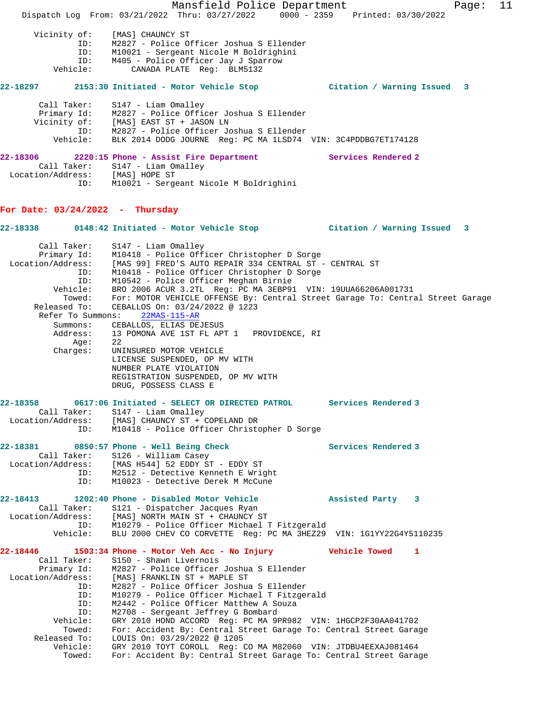Mansfield Police Department Fage: 11 Dispatch Log From: 03/21/2022 Thru: 03/27/2022 0000 - 2359 Printed: 03/30/2022 Vicinity of: [MAS] CHAUNCY ST ID: M2827 - Police Officer Joshua S Ellender ID: M10021 - Sergeant Nicole M Boldrighini ID: M405 - Police Officer Jay J Sparrow Vehicle: CANADA PLATE Reg: BLM5132 **22-18297 2153:30 Initiated - Motor Vehicle Stop Citation / Warning Issued 3** Call Taker: S147 - Liam Omalley Primary Id: M2827 - Police Officer Joshua S Ellender Vicinity of: [MAS] EAST ST + JASON LN ID: M2827 - Police Officer Joshua S Ellender Vehicle: BLK 2014 DODG JOURNE Reg: PC MA 1LSD74 VIN: 3C4PDDBG7ET174128 **22-18306** 2220:15 Phone - Assist Fire Department Services Rendered 2 Call Taker: S147 - Liam Omalley Location/Address: [MAS] HOPE ST ID: M10021 - Sergeant Nicole M Boldrighini **For Date: 03/24/2022 - Thursday 22-18338 0148:42 Initiated - Motor Vehicle Stop Citation / Warning Issued 3** Call Taker: S147 - Liam Omalley Primary Id: M10418 - Police Officer Christopher D Sorge Location/Address: [MAS 99] FRED'S AUTO REPAIR 334 CENTRAL ST - CENTRAL ST ID: M10418 - Police Officer Christopher D Sorge ID: M10542 - Police Officer Meghan Birnie Vehicle: BRO 2006 ACUR 3.2TL Reg: PC MA 3EBP91 VIN: 19UUA66206A001731 Towed: For: MOTOR VEHICLE OFFENSE By: Central Street Garage To: Central Street Garage Released To: CEBALLOS On: 03/24/2022 @ 1223 Refer To Summons: 22MAS-115-AR Summons: CEBALLOS, ELIAS DEJESUS Address: 13 POMONA AVE 1ST FL APT 1 PROVIDENCE, RI Age: 22<br>Charges: UNI UNINSURED MOTOR VEHICLE LICENSE SUSPENDED, OP MV WITH NUMBER PLATE VIOLATION REGISTRATION SUSPENDED, OP MV WITH DRUG, POSSESS CLASS E **22-18358 0617:06 Initiated - SELECT OR DIRECTED PATROL Services Rendered 3**  Call Taker: S147 - Liam Omalley Location/Address: [MAS] CHAUNCY ST + COPELAND DR ID: M10418 - Police Officer Christopher D Sorge 22-18381 0850:57 Phone - Well Being Check **Services Rendered 3**  Call Taker: S126 - William Casey Location/Address: [MAS H544] 52 EDDY ST - EDDY ST ID: M2512 - Detective Kenneth E Wright ID: M10023 - Detective Derek M McCune **22-18413 1202:40 Phone - Disabled Motor Vehicle Assisted Party 3**  Call Taker: S121 - Dispatcher Jacques Ryan Location/Address: [MAS] NORTH MAIN ST + CHAUNCY ST ID: M10279 - Police Officer Michael T Fitzgerald Vehicle: BLU 2000 CHEV CO CORVETTE Reg: PC MA 3HEZ29 VIN: 1G1YY22G4Y5110235 **22-18446 1503:34 Phone - Motor Veh Acc - No Injury Vehicle Towed 1**  Call Taker: S150 - Shawn Livernois Primary Id: M2827 - Police Officer Joshua S Ellender Location/Address: [MAS] FRANKLIN ST + MAPLE ST ID: M2827 - Police Officer Joshua S Ellender ID: M10279 - Police Officer Michael T Fitzgerald ID: M2442 - Police Officer Matthew A Souza ID: M2708 - Sergeant Jeffrey G Bombard Vehicle: GRY 2010 HOND ACCORD Reg: PC MA 9PR982 VIN: 1HGCP2F30AA041702 Towed: For: Accident By: Central Street Garage To: Central Street Garage Released To: LOUIS On:  $03/29/2022$  @ 1205 Vehicle: GRY 2010 TOYT COROLL Reg: CO MA M82060 VIN: JTDBU4EEXAJ081464 Towed: For: Accident By: Central Street Garage To: Central Street Garage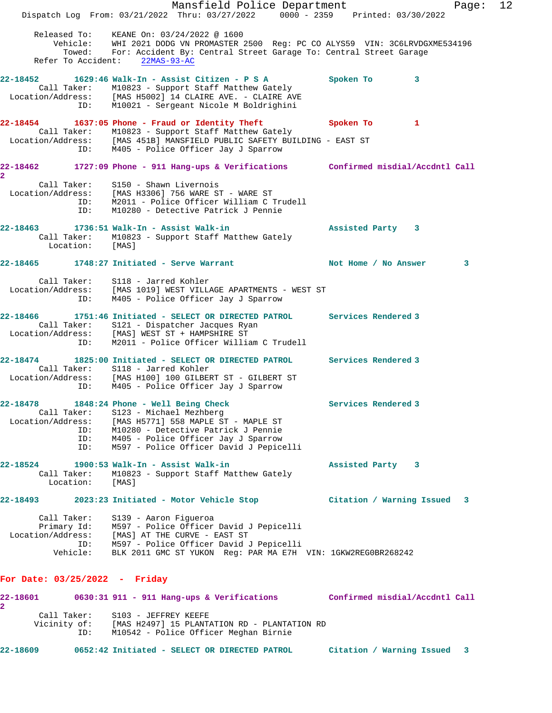Mansfield Police Department Form Page: 12 Dispatch Log From: 03/21/2022 Thru: 03/27/2022 0000 - 2359 Printed: 03/30/2022 Released To: KEANE On: 03/24/2022 @ 1600 Vehicle: WHI 2021 DODG VN PROMASTER 2500 Reg: PC CO ALYS59 VIN: 3C6LRVDGXME534196 Towed: For: Accident By: Central Street Garage To: Central Street Garage Refer To Accident: 22MAS-93-AC **22-18452 1629:46 Walk-In - Assist Citizen - P S A Spoken To 3**  Call Taker: M10823 - Support Staff Matthew Gately Location/Address: [MAS H5002] 14 CLAIRE AVE. - CLAIRE AVE ID: M10021 - Sergeant Nicole M Boldrighini **22-18454 1637:05 Phone - Fraud or Identity Theft Spoken To 1**  Call Taker: M10823 - Support Staff Matthew Gately Location/Address: [MAS 451B] MANSFIELD PUBLIC SAFETY BUILDING - EAST ST ID: M405 - Police Officer Jay J Sparrow **22-18462 1727:09 Phone - 911 Hang-ups & Verifications Confirmed misdial/Accdntl Call 2**  Call Taker: S150 - Shawn Livernois Location/Address: [MAS H3306] 756 WARE ST - WARE ST ID: M2011 - Police Officer William C Trudell ID: M10280 - Detective Patrick J Pennie **22-18463 1736:51 Walk-In - Assist Walk-in Assisted Party 3**  Call Taker: M10823 - Support Staff Matthew Gately Location: [MAS] **22-18465 1748:27 Initiated - Serve Warrant Not Home / No Answer 3** Call Taker: S118 - Jarred Kohler Location/Address: [MAS 1019] WEST VILLAGE APARTMENTS - WEST ST ID: M405 - Police Officer Jay J Sparrow **22-18466 1751:46 Initiated - SELECT OR DIRECTED PATROL Services Rendered 3**  Call Taker: S121 - Dispatcher Jacques Ryan Location/Address: [MAS] WEST ST + HAMPSHIRE ST ID: M2011 - Police Officer William C Trudell **22-18474 1825:00 Initiated - SELECT OR DIRECTED PATROL Services Rendered 3**  Call Taker: S118 - Jarred Kohler Location/Address: [MAS H100] 100 GILBERT ST - GILBERT ST ID: M405 - Police Officer Jay J Sparrow **22-18478 1848:24 Phone - Well Being Check Services Rendered 3**  Call Taker: S123 - Michael Mezhberg Location/Address: [MAS H5771] 558 MAPLE ST - MAPLE ST ID: M10280 - Detective Patrick J Pennie ID: M405 - Police Officer Jay J Sparrow ID: M597 - Police Officer David J Pepicelli **22-18524 1900:53 Walk-In - Assist Walk-in Assisted Party 3**  Call Taker: M10823 - Support Staff Matthew Gately Location: [MAS] **22-18493 2023:23 Initiated - Motor Vehicle Stop Citation / Warning Issued 3** Call Taker: S139 - Aaron Figueroa Primary Id: M597 - Police Officer David J Pepicelli Location/Address: [MAS] AT THE CURVE - EAST ST ID: M597 - Police Officer David J Pepicelli Vehicle: BLK 2011 GMC ST YUKON Reg: PAR MA E7H VIN: 1GKW2REG0BR268242 **For Date: 03/25/2022 - Friday 22-18601 0630:31 911 - 911 Hang-ups & Verifications Confirmed misdial/Accdntl Call 2**  Call Taker: S103 - JEFFREY KEEFE Vicinity of: [MAS H2497] 15 PLANTATION RD - PLANTATION RD ID: M10542 - Police Officer Meghan Birnie **22-18609 0652:42 Initiated - SELECT OR DIRECTED PATROL Citation / Warning Issued 3**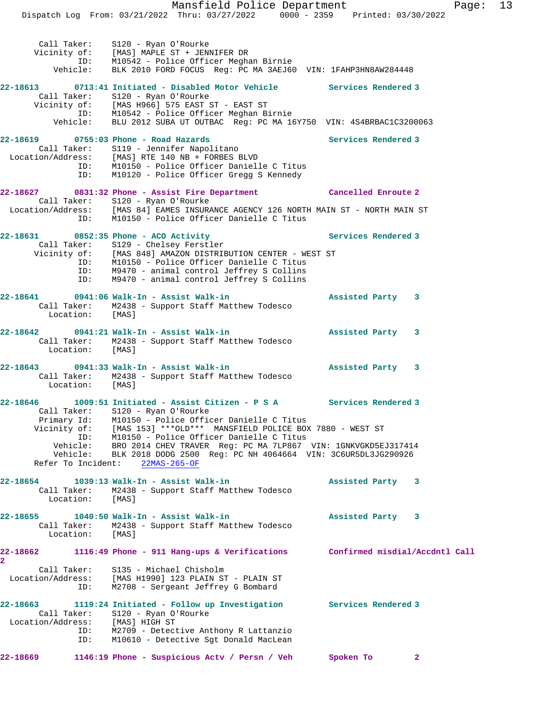Mansfield Police Department Fage: 13 Dispatch Log From: 03/21/2022 Thru: 03/27/2022 0000 - 2359 Printed: 03/30/2022 Call Taker: S120 - Ryan O'Rourke Vicinity of: [MAS] MAPLE ST + JENNIFER DR ID: M10542 - Police Officer Meghan Birnie Vehicle: BLK 2010 FORD FOCUS Reg: PC MA 3AEJ60 VIN: 1FAHP3HN8AW284448 **22-18613 0713:41 Initiated - Disabled Motor Vehicle Services Rendered 3**  Call Taker: S120 - Ryan O'Rourke Vicinity of: [MAS H966] 575 EAST ST - EAST ST ID: M10542 - Police Officer Meghan Birnie Vehicle: BLU 2012 SUBA UT OUTBAC Reg: PC MA 16Y750 VIN: 4S4BRBAC1C3200063 22-18619 **0755:03 Phone - Road Hazards** Services Rendered 3 Call Taker: S119 - Jennifer Napolitano Location/Address: [MAS] RTE 140 NB + FORBES BLVD ID: M10150 - Police Officer Danielle C Titus ID: M10120 - Police Officer Gregg S Kennedy **22-18627 0831:32 Phone - Assist Fire Department Cancelled Enroute 2**  Call Taker: S120 - Ryan O'Rourke Location/Address: [MAS 84] EAMES INSURANCE AGENCY 126 NORTH MAIN ST - NORTH MAIN ST ID: M10150 - Police Officer Danielle C Titus 22-18631 0852:35 Phone - ACO Activity **Services Rendered 3 Services** Rendered 3 Call Taker: S129 - Chelsey Ferstler Vicinity of: [MAS 848] AMAZON DISTRIBUTION CENTER - WEST ST ID: M10150 - Police Officer Danielle C Titus ID: M9470 - animal control Jeffrey S Collins ID: M9470 - animal control Jeffrey S Collins **22-18641 0941:06 Walk-In - Assist Walk-in Assisted Party 3**  Call Taker: M2438 - Support Staff Matthew Todesco Location: [MAS] **22-18642 0941:21 Walk-In - Assist Walk-in Assisted Party 3**  Call Taker: M2438 - Support Staff Matthew Todesco Location: [MAS] **22-18643 0941:33 Walk-In - Assist Walk-in Assisted Party 3**  Call Taker: M2438 - Support Staff Matthew Todesco Location: [MAS] **22-18646 1009:51 Initiated - Assist Citizen - P S A Services Rendered 3**  Call Taker: S120 - Ryan O'Rourke Primary Id: M10150 - Police Officer Danielle C Titus Vicinity of: [MAS 153] \*\*\*OLD\*\*\* MANSFIELD POLICE BOX 7880 - WEST ST ID: M10150 - Police Officer Danielle C Titus Vehicle: BRO 2014 CHEV TRAVER Reg: PC MA 7LP867 VIN: 1GNKVGKD5EJ317414 Vehicle: BLK 2018 DODG 2500 Reg: PC NH 4064664 VIN: 3C6UR5DL3JG290926 Refer To Incident: 22MAS-265-OF **22-18654 1039:13 Walk-In - Assist Walk-in Assisted Party 3**  Call Taker: M2438 - Support Staff Matthew Todesco Location: [MAS] **22-18655 1040:50 Walk-In - Assist Walk-in Assisted Party 3**  Call Taker: M2438 - Support Staff Matthew Todesco Location: [MAS] **22-18662 1116:49 Phone - 911 Hang-ups & Verifications Confirmed misdial/Accdntl Call 2**  Call Taker: S135 - Michael Chisholm Location/Address: [MAS H1990] 123 PLAIN ST - PLAIN ST ID: M2708 - Sergeant Jeffrey G Bombard **22-18663 1119:24 Initiated - Follow up Investigation Services Rendered 3**  Call Taker: S120 - Ryan O'Rourke Location/Address: [MAS] HIGH ST ID: M2709 - Detective Anthony R Lattanzio ID: M10610 - Detective Sgt Donald MacLean **22-18669 1146:19 Phone - Suspicious Actv / Persn / Veh Spoken To 2**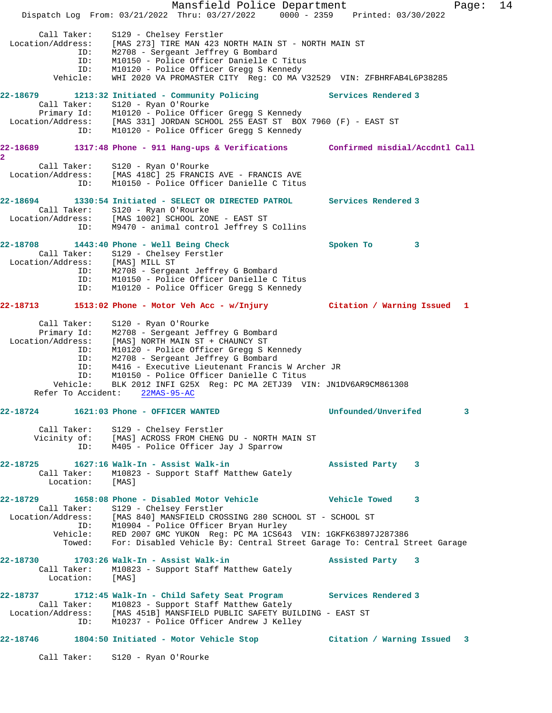|                                                                                                               | Mansfield Police Department<br>Dispatch Log From: 03/21/2022 Thru: 03/27/2022 0000 - 2359 Printed: 03/30/2022                                                                                                                                                                                                                                                  |                                   | 14<br>Page: |  |
|---------------------------------------------------------------------------------------------------------------|----------------------------------------------------------------------------------------------------------------------------------------------------------------------------------------------------------------------------------------------------------------------------------------------------------------------------------------------------------------|-----------------------------------|-------------|--|
| Call Taker:<br>Location/Address:<br>ID:<br>ID:<br>ID:<br>Vehicle:                                             | S129 - Chelsey Ferstler<br>[MAS 273] TIRE MAN 423 NORTH MAIN ST - NORTH MAIN ST<br>M2708 - Sergeant Jeffrey G Bombard<br>M10150 - Police Officer Danielle C Titus<br>M10120 - Police Officer Gregg S Kennedy<br>WHI 2020 VA PROMASTER CITY Reg: CO MA V32529 VIN: ZFBHRFAB4L6P38285                                                                            |                                   |             |  |
| 22-18679<br>Call Taker:<br>ID:                                                                                | 1213:32 Initiated - Community Policing<br>S120 - Ryan O'Rourke<br>Primary Id: M10120 - Police Officer Gregg S Kennedy<br>Location/Address: [MAS 331] JORDAN SCHOOL 255 EAST ST BOX 7960 (F) - EAST ST<br>M10120 - Police Officer Gregg S Kennedy                                                                                                               | <b>Services Rendered 3</b>        |             |  |
| 22-18689<br>$\overline{\mathbf{2}}$                                                                           | 1317:48 Phone - 911 Hang-ups & Verifications Confirmed misdial/Accdntl Call                                                                                                                                                                                                                                                                                    |                                   |             |  |
| ID:                                                                                                           | Call Taker: S120 - Ryan O'Rourke<br>Location/Address: [MAS 418C] 25 FRANCIS AVE - FRANCIS AVE<br>M10150 - Police Officer Danielle C Titus                                                                                                                                                                                                                      |                                   |             |  |
| 22-18694<br>ID:                                                                                               | 1330:54 Initiated - SELECT OR DIRECTED PATROL<br>Call Taker: S120 - Ryan O'Rourke<br>Location/Address: [MAS 1002] SCHOOL ZONE - EAST ST<br>M9470 - animal control Jeffrey S Collins                                                                                                                                                                            | Services Rendered 3               |             |  |
| 22-18708<br>Location/Address: [MAS] MILL ST<br>ID:<br>ID:<br>ID:                                              | 1443:40 Phone - Well Being Check<br>Call Taker: S129 - Chelsey Ferstler<br>M2708 - Sergeant Jeffrey G Bombard<br>M10150 - Police Officer Danielle C Titus<br>M10120 - Police Officer Gregg S Kennedy                                                                                                                                                           | Spoken To<br>3                    |             |  |
| 22-18713                                                                                                      | 1513:02 Phone - Motor Veh Acc - w/Injury                                                                                                                                                                                                                                                                                                                       | Citation / Warning Issued 1       |             |  |
| Call Taker:<br>Primary Id:<br>Location/Address:<br>ID:<br>ID:<br>ID:<br>ID:<br>Vehicle:<br>Refer To Accident: | S120 - Ryan O'Rourke<br>M2708 - Sergeant Jeffrey G Bombard<br>[MAS] NORTH MAIN ST + CHAUNCY ST<br>M10120 - Police Officer Gregg S Kennedy<br>M2708 - Sergeant Jeffrey G Bombard<br>M416 - Executive Lieutenant Francis W Archer JR<br>M10150 - Police Officer Danielle C Titus<br>BLK 2012 INFI G25X Reg: PC MA 2ETJ39 VIN: JN1DV6AR9CM861308<br>$22MAS-95-AC$ |                                   |             |  |
| 22-18724                                                                                                      | 1621:03 Phone - OFFICER WANTED                                                                                                                                                                                                                                                                                                                                 | Unfounded/Unverifed               | 3           |  |
| Call Taker:<br>Vicinity of:<br>ID:                                                                            | S129 - Chelsey Ferstler<br>[MAS] ACROSS FROM CHENG DU - NORTH MAIN ST<br>M405 - Police Officer Jay J Sparrow                                                                                                                                                                                                                                                   |                                   |             |  |
| Call Taker:<br>Location:                                                                                      | M10823 - Support Staff Matthew Gately<br>[MAS]                                                                                                                                                                                                                                                                                                                 | Assisted Party 3                  |             |  |
| 22-18729<br>Towed:                                                                                            | 1658:08 Phone - Disabled Motor Vehicle<br>Call Taker: S129 - Chelsey Ferstler<br>Location/Address: [MAS 840] MANSFIELD CROSSING 280 SCHOOL ST - SCHOOL ST<br>ID: M10904 - Police Officer Bryan Hurley<br>Vehicle: RED 2007 GMC YUKON Reg: PC MA 1CS643 VIN: 1GKFK63897J287386<br>For: Disabled Vehicle By: Central Street Garage To: Central Street Garage     | <b>Example 12 Vehicle Towed</b> 3 |             |  |
| Location:                                                                                                     | 22-18730 1703:26 Walk-In - Assist Walk-in<br>Call Taker: M10823 - Support Staff Matthew Gately<br>[MAS]                                                                                                                                                                                                                                                        | Assisted Party 3                  |             |  |
| 22-18737                                                                                                      | 1712:45 Walk-In - Child Safety Seat Program Services Rendered 3<br>Call Taker: M10823 - Support Staff Matthew Gately<br>Location/Address: [MAS 451B] MANSFIELD PUBLIC SAFETY BUILDING - EAST ST<br>ID: M10237 - Police Officer Andrew J Kelley                                                                                                                 |                                   |             |  |
|                                                                                                               | 22-18746 1804:50 Initiated - Motor Vehicle Stop                                                                                                                                                                                                                                                                                                                | Citation / Warning Issued 3       |             |  |
|                                                                                                               | Call Taker: S120 - Ryan O'Rourke                                                                                                                                                                                                                                                                                                                               |                                   |             |  |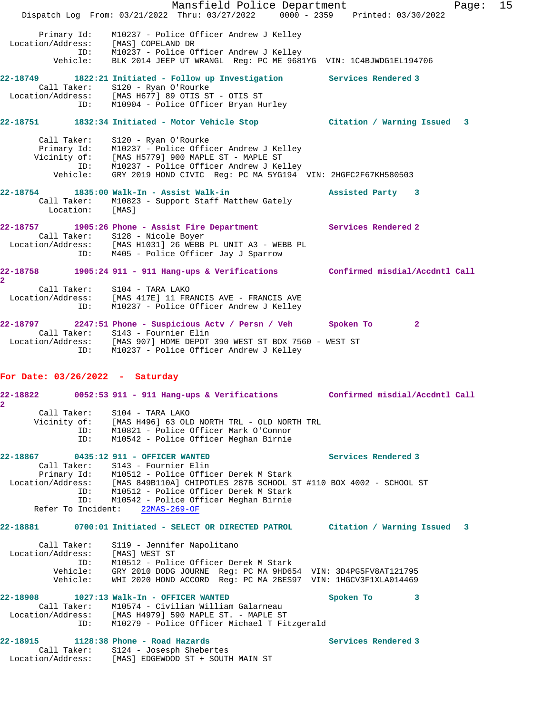Mansfield Police Department Fage: 15 Dispatch Log From: 03/21/2022 Thru: 03/27/2022 0000 - 2359 Printed: 03/30/2022 Primary Id: M10237 - Police Officer Andrew J Kelley Location/Address: [MAS] COPELAND DR ID: M10237 - Police Officer Andrew J Kelley Vehicle: BLK 2014 JEEP UT WRANGL Reg: PC ME 9681YG VIN: 1C4BJWDG1EL194706 **22-18749 1822:21 Initiated - Follow up Investigation Services Rendered 3**  Call Taker: S120 - Ryan O'Rourke Location/Address: [MAS H677] 89 OTIS ST - OTIS ST ID: M10904 - Police Officer Bryan Hurley **22-18751 1832:34 Initiated - Motor Vehicle Stop Citation / Warning Issued 3** Call Taker: S120 - Ryan O'Rourke Primary Id: M10237 - Police Officer Andrew J Kelley Vicinity of: [MAS H5779] 900 MAPLE ST - MAPLE ST ID: M10237 - Police Officer Andrew J Kelley Vehicle: GRY 2019 HOND CIVIC Reg: PC MA 5YG194 VIN: 2HGFC2F67KH580503 **22-18754 1835:00 Walk-In - Assist Walk-in Assisted Party 3**  Call Taker: M10823 - Support Staff Matthew Gately Location: [MAS] **22-18757 1905:26 Phone - Assist Fire Department Services Rendered 2**  Call Taker: S128 - Nicole Boyer Location/Address: [MAS H1031] 26 WEBB PL UNIT A3 - WEBB PL ID: M405 - Police Officer Jay J Sparrow **22-18758 1905:24 911 - 911 Hang-ups & Verifications Confirmed misdial/Accdntl Call 2**  Call Taker: S104 - TARA LAKO Location/Address: [MAS 417E] 11 FRANCIS AVE - FRANCIS AVE ID: M10237 - Police Officer Andrew J Kelley **22-18797 2247:51 Phone - Suspicious Actv / Persn / Veh Spoken To 2**  Call Taker: S143 - Fournier Elin Location/Address: [MAS 907] HOME DEPOT 390 WEST ST BOX 7560 - WEST ST ID: M10237 - Police Officer Andrew J Kelley **For Date: 03/26/2022 - Saturday 22-18822 0052:53 911 - 911 Hang-ups & Verifications Confirmed misdial/Accdntl Call 2**  Call Taker: S104 - TARA LAKO Vicinity of: [MAS H496] 63 OLD NORTH TRL - OLD NORTH TRL ID: M10821 - Police Officer Mark O'Connor

ID: M10542 - Police Officer Meghan Birnie

### **22-18867 0435:12 911 - OFFICER WANTED Services Rendered 3**

 Call Taker: S143 - Fournier Elin Primary Id: M10512 - Police Officer Derek M Stark Location/Address: [MAS 849B110A] CHIPOTLES 287B SCHOOL ST #110 BOX 4002 - SCHOOL ST ID: M10512 - Police Officer Derek M Stark ID: M10542 - Police Officer Meghan Birnie Refer To Incident: 22MAS-269-OF

### **22-18881 0700:01 Initiated - SELECT OR DIRECTED PATROL Citation / Warning Issued 3**

| Call Taker:       | S119 - Jennifer Napolitano                                    |
|-------------------|---------------------------------------------------------------|
| Location/Address: | [MAS] WEST ST                                                 |
| TD:               | M10512 - Police Officer Derek M Stark                         |
| Vehicle:          | GRY 2010 DODG JOURNE Req: PC MA 9HD654 VIN: 3D4PG5FV8AT121795 |
| Vehicle:          | WHI 2020 HOND ACCORD Req: PC MA 2BES97 VIN: 1HGCV3F1XLA014469 |
|                   |                                                               |

#### **22-18908 1027:13 Walk-In - OFFICER WANTED Spoken To 3**  Call Taker: M10574 - Civilian William Galarneau Location/Address: [MAS H4979] 590 MAPLE ST. - MAPLE ST ID: M10279 - Police Officer Michael T Fitzgerald

# 22-18915 1128:38 Phone - Road Hazards **Services Rendered 3**

 Call Taker: S124 - Josesph Shebertes Location/Address: [MAS] EDGEWOOD ST + SOUTH MAIN ST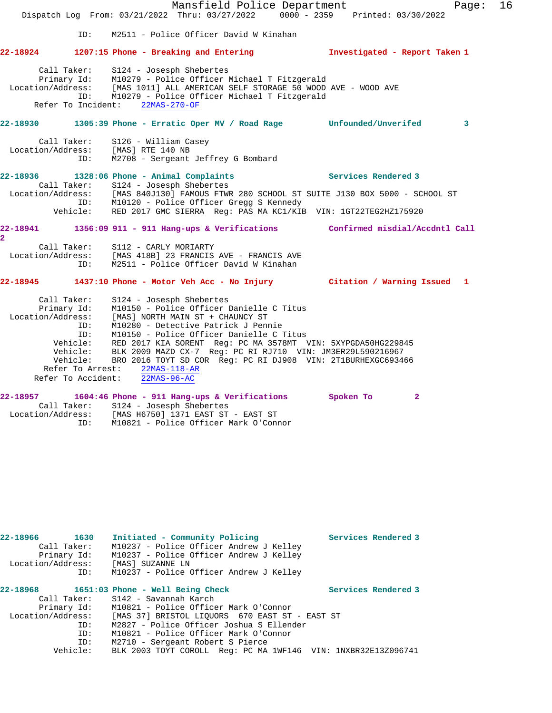Mansfield Police Department Fage: 16 Dispatch Log From: 03/21/2022 Thru: 03/27/2022 0000 - 2359 Printed: 03/30/2022 ID: M2511 - Police Officer David W Kinahan **22-18924 1207:15 Phone - Breaking and Entering Investigated - Report Taken 1** Call Taker: S124 - Josesph Shebertes Primary Id: M10279 - Police Officer Michael T Fitzgerald Location/Address: [MAS 1011] ALL AMERICAN SELF STORAGE 50 WOOD AVE - WOOD AVE ID: M10279 - Police Officer Michael T Fitzgerald Refer To Incident: 22MAS-270-OF **22-18930 1305:39 Phone - Erratic Oper MV / Road Rage Unfounded/Unverifed 3** Call Taker: S126 - William Casey Location/Address: [MAS] RTE 140 NB ID: M2708 - Sergeant Jeffrey G Bombard **22-18936 1328:06 Phone - Animal Complaints Services Rendered 3**  Call Taker: S124 - Josesph Shebertes Location/Address: [MAS 840J130] FAMOUS FTWR 280 SCHOOL ST SUITE J130 BOX 5000 - SCHOOL ST ID: M10120 - Police Officer Gregg S Kennedy Vehicle: RED 2017 GMC SIERRA Reg: PAS MA KC1/KIB VIN: 1GT22TEG2HZ175920 **22-18941 1356:09 911 - 911 Hang-ups & Verifications Confirmed misdial/Accdntl Call 2**  Call Taker: S112 - CARLY MORIARTY Location/Address: [MAS 418B] 23 FRANCIS AVE - FRANCIS AVE ID: M2511 - Police Officer David W Kinahan **22-18945 1437:10 Phone - Motor Veh Acc - No Injury Citation / Warning Issued 1** Call Taker: S124 - Josesph Shebertes Primary Id: M10150 - Police Officer Danielle C Titus Location/Address: [MAS] NORTH MAIN ST + CHAUNCY ST ID: M10280 - Detective Patrick J Pennie ID: M10150 - Police Officer Danielle C Titus Vehicle: RED 2017 KIA SORENT Reg: PC MA 3578MT VIN: 5XYPGDA50HG229845 Vehicle: BLK 2009 MAZD CX-7 Reg: PC RI RJ710 VIN: JM3ER29L590216967 Vehicle: BRO 2016 TOYT SD COR Reg: PC RI DJ908 VIN: 2T1BURHEXGC693466 Refer To Arrest:  $\frac{22MAS-118-AR}{22MAS-96-AC}$ Refer To Accident: **22-18957 1604:46 Phone - 911 Hang-ups & Verifications Spoken To 2**  Call Taker: S124 - Josesph Shebertes Location/Address: [MAS H6750] 1371 EAST ST - EAST ST ID: M10821 - Police Officer Mark O'Connor

| 22-18966 1630<br>Call Taker:<br>Primary Id:<br>Location/Address:<br>ID: | Initiated - Community Policing<br>M10237 - Police Officer Andrew J Kelley<br>M10237 - Police Officer Andrew J Kelley<br>[MAS] SUZANNE LN<br>M10237 - Police Officer Andrew J Kelley | Services Rendered 3 |
|-------------------------------------------------------------------------|-------------------------------------------------------------------------------------------------------------------------------------------------------------------------------------|---------------------|
|                                                                         | 22-18968 1651:03 Phone - Well Being Check                                                                                                                                           | Services Rendered 3 |
|                                                                         | Call Taker: S142 - Savannah Karch                                                                                                                                                   |                     |
|                                                                         | Primary Id: M10821 - Police Officer Mark O'Connor                                                                                                                                   |                     |
| Location/Address:                                                       | [MAS 37] BRISTOL LIOUORS 670 EAST ST - EAST ST                                                                                                                                      |                     |
| ID:                                                                     | M2827 - Police Officer Joshua S Ellender                                                                                                                                            |                     |
| ID:                                                                     | M10821 - Police Officer Mark O'Connor                                                                                                                                               |                     |
| ID:                                                                     | M2710 - Sergeant Robert S Pierce                                                                                                                                                    |                     |
| Vehicle:                                                                | BLK 2003 TOYT COROLL Req: PC MA 1WF146 VIN: 1NXBR32E13Z096741                                                                                                                       |                     |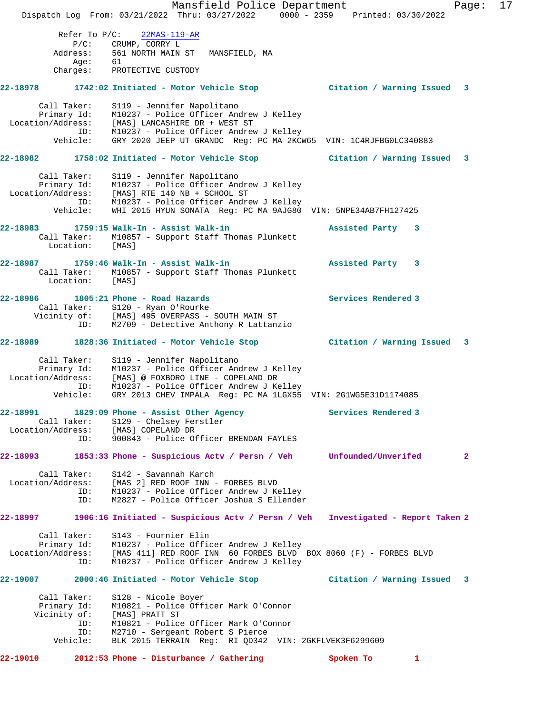Mansfield Police Department Page: 17 Dispatch Log From: 03/21/2022 Thru: 03/27/2022 0000 - 2359 Printed: 03/30/2022 Refer To P/C: 22MAS-119-AR P/C: CRUMP, CORRY L Address: 561 NORTH MAIN ST MANSFIELD, MA Age: 61 Charges: PROTECTIVE CUSTODY **22-18978 1742:02 Initiated - Motor Vehicle Stop Citation / Warning Issued 3** Call Taker: S119 - Jennifer Napolitano Primary Id: M10237 - Police Officer Andrew J Kelley Location/Address: [MAS] LANCASHIRE DR + WEST ST ID: M10237 - Police Officer Andrew J Kelley Vehicle: GRY 2020 JEEP UT GRANDC Reg: PC MA 2KCW65 VIN: 1C4RJFBG0LC340883 **22-18982 1758:02 Initiated - Motor Vehicle Stop Citation / Warning Issued 3** Call Taker: S119 - Jennifer Napolitano Primary Id: M10237 - Police Officer Andrew J Kelley Location/Address: [MAS] RTE 140 NB + SCHOOL ST ID: M10237 - Police Officer Andrew J Kelley Vehicle: WHI 2015 HYUN SONATA Reg: PC MA 9AJG80 VIN: 5NPE34AB7FH127425 **22-18983 1759:15 Walk-In - Assist Walk-in Assisted Party 3**  Call Taker: M10857 - Support Staff Thomas Plunkett Location: [MAS] **22-18987 1759:46 Walk-In - Assist Walk-in Assisted Party 3**  Call Taker: M10857 - Support Staff Thomas Plunkett Location: [MAS] **22-18986 1805:21 Phone - Road Hazards Services Rendered 3**  Call Taker: S120 - Ryan O'Rourke Vicinity of: [MAS] 495 OVERPASS - SOUTH MAIN ST ID: M2709 - Detective Anthony R Lattanzio **22-18989 1828:36 Initiated - Motor Vehicle Stop Citation / Warning Issued 3** Call Taker: S119 - Jennifer Napolitano Primary Id: M10237 - Police Officer Andrew J Kelley Location/Address: [MAS] @ FOXBORO LINE - COPELAND DR ID: M10237 - Police Officer Andrew J Kelley Vehicle: GRY 2013 CHEV IMPALA Reg: PC MA 1LGX55 VIN: 2G1WG5E31D1174085 **22-18991 1829:09 Phone - Assist Other Agency Services Rendered 3**  Call Taker: S129 - Chelsey Ferstler Location/Address: [MAS] COPELAND DR ID: 900843 - Police Officer BRENDAN FAYLES **22-18993 1853:33 Phone - Suspicious Actv / Persn / Veh Unfounded/Unverifed 2** Call Taker: S142 - Savannah Karch Location/Address: [MAS 2] RED ROOF INN - FORBES BLVD ID: M10237 - Police Officer Andrew J Kelley ID: M2827 - Police Officer Joshua S Ellender **22-18997 1906:16 Initiated - Suspicious Actv / Persn / Veh Investigated - Report Taken 2** Call Taker: S143 - Fournier Elin Primary Id: M10237 - Police Officer Andrew J Kelley Location/Address: [MAS 411] RED ROOF INN 60 FORBES BLVD BOX 8060 (F) - FORBES BLVD ID: M10237 - Police Officer Andrew J Kelley **22-19007 2000:46 Initiated - Motor Vehicle Stop Citation / Warning Issued 3** Call Taker: S128 - Nicole Boyer Primary Id: M10821 - Police Officer Mark O'Connor Vicinity of: [MAS] PRATT ST ID: M10821 - Police Officer Mark O'Connor ID: M2710 - Sergeant Robert S Pierce Vehicle: BLK 2015 TERRAIN Reg: RI QD342 VIN: 2GKFLVEK3F6299609 **22-19010 2012:53 Phone - Disturbance / Gathering Spoken To 1**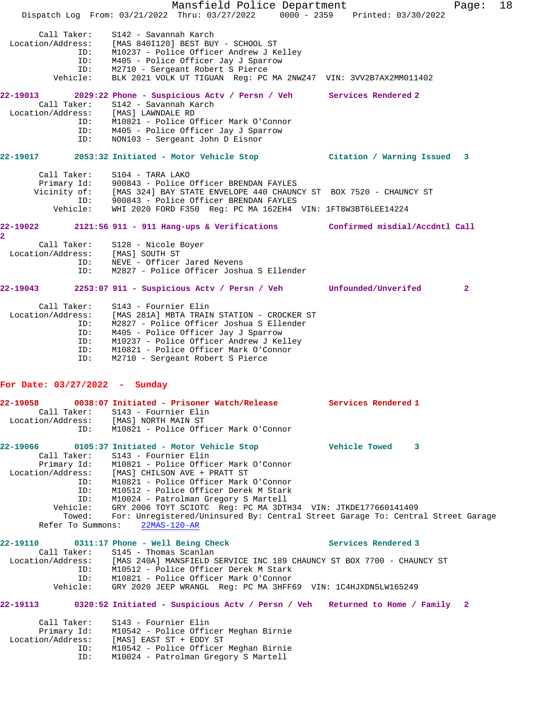Mansfield Police Department Fage: 18 Dispatch Log From: 03/21/2022 Thru: 03/27/2022 0000 - 2359 Printed: 03/30/2022 Call Taker: S142 - Savannah Karch Location/Address: [MAS 840I120] BEST BUY - SCHOOL ST ID: M10237 - Police Officer Andrew J Kelley ID: M405 - Police Officer Jay J Sparrow ID: M2710 - Sergeant Robert S Pierce Vehicle: BLK 2021 VOLK UT TIGUAN Reg: PC MA 2NWZ47 VIN: 3VV2B7AX2MM011402 **22-19013 2029:22 Phone - Suspicious Actv / Persn / Veh Services Rendered 2**  Call Taker: S142 - Savannah Karch Location/Address: [MAS] LAWNDALE RD ID: M10821 - Police Officer Mark O'Connor ID: M405 - Police Officer Jay J Sparrow ID: NON103 - Sergeant John D Eisnor **22-19017 2053:32 Initiated - Motor Vehicle Stop Citation / Warning Issued 3** Call Taker: S104 - TARA LAKO Primary Id: 900843 - Police Officer BRENDAN FAYLES Vicinity of: [MAS 324] BAY STATE ENVELOPE 440 CHAUNCY ST BOX 7520 - CHAUNCY ST ID: 900843 - Police Officer BRENDAN FAYLES Vehicle: WHI 2020 FORD F350 Reg: PC MA 162EH4 VIN: 1FT8W3BT6LEE14224 **22-19022 2121:56 911 - 911 Hang-ups & Verifications Confirmed misdial/Accdntl Call 2**  Call Taker: S128 - Nicole Boyer Location/Address: [MAS] SOUTH ST ID: NEVE - Officer Jared Nevens ID: M2827 - Police Officer Joshua S Ellender **22-19043 2253:07 911 - Suspicious Actv / Persn / Veh Unfounded/Unverifed 2** Call Taker: S143 - Fournier Elin Location/Address: [MAS 281A] MBTA TRAIN STATION - CROCKER ST ID: M2827 - Police Officer Joshua S Ellender ID: M405 - Police Officer Jay J Sparrow ID: M10237 - Police Officer Andrew J Kelley ID: M10821 - Police Officer Mark O'Connor ID: M2710 - Sergeant Robert S Pierce **For Date: 03/27/2022 - Sunday 22-19058 0038:07 Initiated - Prisoner Watch/Release Services Rendered 1**  Call Taker: S143 - Fournier Elin Location/Address: [MAS] NORTH MAIN ST ID: M10821 - Police Officer Mark O'Connor **22-19066 0105:37 Initiated - Motor Vehicle Stop Vehicle Towed 3**  Call Taker: S143 - Fournier Elin Primary Id: M10821 - Police Officer Mark O'Connor Location/Address: [MAS] CHILSON AVE + PRATT ST ID: M10821 - Police Officer Mark O'Connor ID: M10512 - Police Officer Derek M Stark ID: M10024 - Patrolman Gregory S Martell Vehicle: GRY 2006 TOYT SCIOTC Reg: PC MA 3DTH34 VIN: JTKDE177660141409 Towed: For: Unregistered/Uninsured By: Central Street Garage To: Central Street Garage Refer To Summons: 22MAS-120-AR **22-19110 0311:17 Phone - Well Being Check Services Rendered 3**  Call Taker: S145 - Thomas Scanlan<br>Location/Address: [MAS 240A] MANSFIELD S [MAS 240A] MANSFIELD SERVICE INC 189 CHAUNCY ST BOX 7700 - CHAUNCY ST ID: M10512 - Police Officer Derek M Stark ID: M10821 - Police Officer Mark O'Connor Vehicle: GRY 2020 JEEP WRANGL Reg: PC MA 3HFF69 VIN: 1C4HJXDN5LW165249 **22-19113 0320:52 Initiated - Suspicious Actv / Persn / Veh Returned to Home / Family 2** Call Taker: S143 - Fournier Elin Primary Id: M10542 - Police Officer Meghan Birnie Location/Address: [MAS] EAST ST + EDDY ST ID: M10542 - Police Officer Meghan Birnie ID: M10024 - Patrolman Gregory S Martell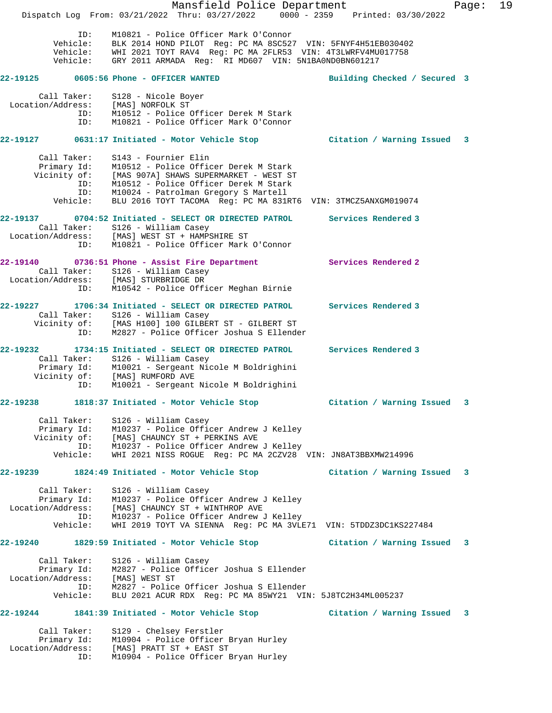Mansfield Police Department Fage: 19 Dispatch Log From: 03/21/2022 Thru: 03/27/2022 0000 - 2359 Printed: 03/30/2022 ID: M10821 - Police Officer Mark O'Connor Vehicle: BLK 2014 HOND PILOT Reg: PC MA 8SC527 VIN: 5FNYF4H51EB030402 Vehicle: WHI 2021 TOYT RAV4 Reg: PC MA 2FLR53 VIN: 4T3LWRFV4MU017758 Vehicle: GRY 2011 ARMADA Reg: RI MD607 VIN: 5N1BA0ND0BN601217 **22-19125 0605:56 Phone - OFFICER WANTED Building Checked / Secured 3** Call Taker: S128 - Nicole Boyer Location/Address: [MAS] NORFOLK ST ID: M10512 - Police Officer Derek M Stark ID: M10821 - Police Officer Mark O'Connor **22-19127 0631:17 Initiated - Motor Vehicle Stop Citation / Warning Issued 3** Call Taker: S143 - Fournier Elin Primary Id: M10512 - Police Officer Derek M Stark Vicinity of: [MAS 907A] SHAWS SUPERMARKET - WEST ST ID: M10512 - Police Officer Derek M Stark ID: M10024 - Patrolman Gregory S Martell Vehicle: BLU 2016 TOYT TACOMA Reg: PC MA 831RT6 VIN: 3TMCZ5ANXGM019074 **22-19137 0704:52 Initiated - SELECT OR DIRECTED PATROL Services Rendered 3**  Call Taker: S126 - William Casey Location/Address: [MAS] WEST ST + HAMPSHIRE ST ID: M10821 - Police Officer Mark O'Connor **22-19140 0736:51 Phone - Assist Fire Department Services Rendered 2**  Call Taker: S126 - William Casey Location/Address: [MAS] STURBRIDGE DR ID: M10542 - Police Officer Meghan Birnie **22-19227 1706:34 Initiated - SELECT OR DIRECTED PATROL Services Rendered 3**  Call Taker: S126 - William Casey Vicinity of: [MAS H100] 100 GILBERT ST - GILBERT ST ID: M2827 - Police Officer Joshua S Ellender **22-19232 1734:15 Initiated - SELECT OR DIRECTED PATROL Services Rendered 3**  Call Taker: S126 - William Casey Primary Id: M10021 - Sergeant Nicole M Boldrighini Vicinity of: [MAS] RUMFORD AVE ID: M10021 - Sergeant Nicole M Boldrighini **22-19238 1818:37 Initiated - Motor Vehicle Stop Citation / Warning Issued 3** Call Taker: S126 - William Casey Primary Id: M10237 - Police Officer Andrew J Kelley Vicinity of: [MAS] CHAUNCY ST + PERKINS AVE ID: M10237 - Police Officer Andrew J Kelley Vehicle: WHI 2021 NISS ROGUE Reg: PC MA 2CZV28 VIN: JN8AT3BBXMW214996 **22-19239 1824:49 Initiated - Motor Vehicle Stop Citation / Warning Issued 3** Call Taker: S126 - William Casey Primary Id: M10237 - Police Officer Andrew J Kelley Location/Address: [MAS] CHAUNCY ST + WINTHROP AVE ID: M10237 - Police Officer Andrew J Kelley Vehicle: WHI 2019 TOYT VA SIENNA Reg: PC MA 3VLE71 VIN: 5TDDZ3DC1KS227484 **22-19240 1829:59 Initiated - Motor Vehicle Stop Citation / Warning Issued 3** Call Taker: S126 - William Casey Primary Id: M2827 - Police Officer Joshua S Ellender Location/Address: [MAS] WEST ST ID: M2827 - Police Officer Joshua S Ellender Vehicle: BLU 2021 ACUR RDX Reg: PC MA 85WY21 VIN: 5J8TC2H34ML005237 **22-19244 1841:39 Initiated - Motor Vehicle Stop Citation / Warning Issued 3** Call Taker: S129 - Chelsey Ferstler Primary Id: M10904 - Police Officer Bryan Hurley Location/Address: [MAS] PRATT ST + EAST ST ID: M10904 - Police Officer Bryan Hurley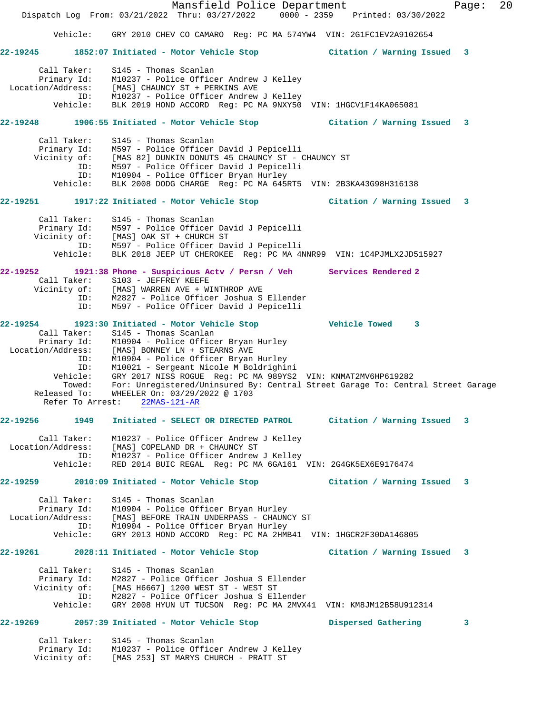|                                  | Mansfield Police Department<br>Dispatch Log From: 03/21/2022 Thru: 03/27/2022 0000 - 2359 Printed: 03/30/2022 |                             | 20<br>Page: |
|----------------------------------|---------------------------------------------------------------------------------------------------------------|-----------------------------|-------------|
| Vehicle:                         | GRY 2010 CHEV CO CAMARO Req: PC MA 574YW4 VIN: 2G1FC1EV2A9102654                                              |                             |             |
|                                  |                                                                                                               |                             |             |
|                                  | 22-19245 1852:07 Initiated - Motor Vehicle Stop                                                               | Citation / Warning Issued 3 |             |
| Call Taker:<br>Primary Id:       | S145 - Thomas Scanlan<br>M10237 - Police Officer Andrew J Kelley                                              |                             |             |
|                                  | Location/Address: [MAS] CHAUNCY ST + PERKINS AVE                                                              |                             |             |
| ID:<br>Vehicle:                  | M10237 - Police Officer Andrew J Kelley<br>BLK 2019 HOND ACCORD Reg: PC MA 9NXY50 VIN: 1HGCV1F14KA065081      |                             |             |
|                                  | 22-19248 1906:55 Initiated - Motor Vehicle Stop                                                               | Citation / Warning Issued 3 |             |
| Call Taker:                      | S145 - Thomas Scanlan                                                                                         |                             |             |
| Primary Id:                      | M597 - Police Officer David J Pepicelli                                                                       |                             |             |
| Vicinity of:                     | [MAS 82] DUNKIN DONUTS 45 CHAUNCY ST - CHAUNCY ST                                                             |                             |             |
| ID:<br>ID:                       | M597 - Police Officer David J Pepicelli<br>M10904 - Police Officer Bryan Hurley                               |                             |             |
| Vehicle:                         | BLK 2008 DODG CHARGE Reg: PC MA 645RT5 VIN: 2B3KA43G98H316138                                                 |                             |             |
|                                  | 22-19251               1917:22 Initiated - Motor Vehicle Stop                                                 | Citation / Warning Issued 3 |             |
| Call Taker:                      | S145 - Thomas Scanlan                                                                                         |                             |             |
|                                  | Primary Id: M597 - Police Officer David J Pepicelli<br>Vicinity of: [MAS] OAK ST + CHURCH ST                  |                             |             |
| ID:                              | M597 - Police Officer David J Pepicelli                                                                       |                             |             |
| Vehicle:                         | BLK 2018 JEEP UT CHEROKEE Req: PC MA 4NNR99 VIN: 1C4PJMLX2JD515927                                            |                             |             |
|                                  | 22-19252 1921:38 Phone - Suspicious Actv / Persn / Veh Services Rendered 2                                    |                             |             |
| Call Taker:                      | S103 - JEFFREY KEEFE                                                                                          |                             |             |
| ID:                              | Vicinity of: [MAS] WARREN AVE + WINTHROP AVE<br>M2827 - Police Officer Joshua S Ellender                      |                             |             |
| ID:                              | M597 - Police Officer David J Pepicelli                                                                       |                             |             |
|                                  | 22-19254 1923:30 Initiated - Motor Vehicle Stop 5 7 Vehicle Towed 3                                           |                             |             |
| Call Taker:                      | S145 - Thomas Scanlan                                                                                         |                             |             |
| Primary Id:                      | M10904 - Police Officer Bryan Hurley                                                                          |                             |             |
| Location/Address:<br>ID:         | [MAS] BONNEY LN + STEARNS AVE<br>M10904 - Police Officer Bryan Hurley                                         |                             |             |
| ID:                              | M10021 - Sergeant Nicole M Boldrighini                                                                        |                             |             |
| Vehicle:                         | GRY 2017 NISS ROGUE Reg: PC MA 989YS2 VIN: KNMAT2MV6HP619282                                                  |                             |             |
| Towed:                           | For: Unregistered/Uninsured By: Central Street Garage To: Central Street Garage                               |                             |             |
| Released To:                     | WHEELER On: 03/29/2022 @ 1703<br>Refer To Arrest: 22MAS-121-AR                                                |                             |             |
|                                  |                                                                                                               |                             |             |
| 22-19256 1949                    | Initiated - SELECT OR DIRECTED PATROL Citation / Warning Issued                                               |                             | 3           |
| Call Taker:<br>Location/Address: | M10237 - Police Officer Andrew J Kelley<br>[MAS] COPELAND DR + CHAUNCY ST                                     |                             |             |
| ID:                              | M10237 - Police Officer Andrew J Kelley                                                                       |                             |             |
| Vehicle:                         | RED 2014 BUIC REGAL Req: PC MA 6GA161 VIN: 2G4GK5EX6E9176474                                                  |                             |             |
|                                  | 22-19259 2010:09 Initiated - Motor Vehicle Stop                                                               | Citation / Warning Issued 3 |             |
| Call Taker:                      | S145 - Thomas Scanlan                                                                                         |                             |             |
|                                  | Primary Id: M10904 - Police Officer Bryan Hurley                                                              |                             |             |
| ID:                              | Location/Address: [MAS] BEFORE TRAIN UNDERPASS - CHAUNCY ST<br>M10904 - Police Officer Bryan Hurley           |                             |             |
| Vehicle:                         | GRY 2013 HOND ACCORD Req: PC MA 2HMB41 VIN: 1HGCR2F30DA146805                                                 |                             |             |
|                                  |                                                                                                               | Citation / Warning Issued 3 |             |
| Call Taker:                      | S145 - Thomas Scanlan                                                                                         |                             |             |
|                                  | Primary Id: M2827 - Police Officer Joshua S Ellender                                                          |                             |             |
|                                  | Vicinity of: [MAS H6667] 1200 WEST ST - WEST ST                                                               |                             |             |
| ID:<br>Vehicle:                  | M2827 - Police Officer Joshua S Ellender<br>GRY 2008 HYUN UT TUCSON Req: PC MA 2MVX41 VIN: KM8JM12B58U912314  |                             |             |
|                                  |                                                                                                               |                             |             |
|                                  | 22-19269 2057:39 Initiated - Motor Vehicle Stop                                                               | Dispersed Gathering         | 3           |
| Call Taker:                      | S145 - Thomas Scanlan                                                                                         |                             |             |
|                                  | Primary Id: M10237 - Police Officer Andrew J Kelley<br>Vicinity of: [MAS 253] ST MARYS CHURCH - PRATT ST      |                             |             |
|                                  |                                                                                                               |                             |             |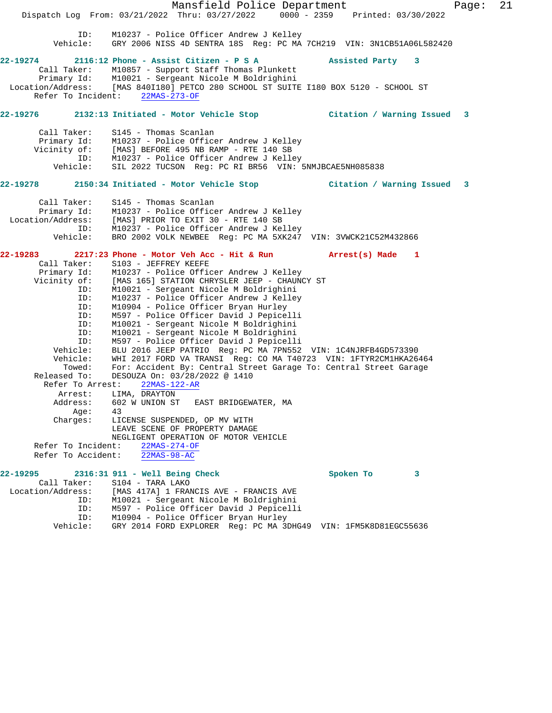Mansfield Police Department Page: 21 Dispatch Log From: 03/21/2022 Thru: 03/27/2022 0000 - 2359 Printed: 03/30/2022 ID: M10237 - Police Officer Andrew J Kelley Vehicle: GRY 2006 NISS 4D SENTRA 18S Reg: PC MA 7CH219 VIN: 3N1CB51A06L582420 **22-19274 2116:12 Phone - Assist Citizen - P S A Assisted Party 3**  Call Taker: M10857 - Support Staff Thomas Plunkett Primary Id: M10021 - Sergeant Nicole M Boldrighini Location/Address: [MAS 840I180] PETCO 280 SCHOOL ST SUITE I180 BOX 5120 - SCHOOL ST<br>Refer To Incident: 22MAS-273-OF Refer To Incident: **22-19276 2132:13 Initiated - Motor Vehicle Stop Citation / Warning Issued 3** Call Taker: S145 - Thomas Scanlan Primary Id: M10237 - Police Officer Andrew J Kelley Vicinity of: [MAS] BEFORE 495 NB RAMP - RTE 140 SB ID: M10237 - Police Officer Andrew J Kelley<br>Vehicle: SIL 2022 TUCSON Reg: PC RI BR56 VIN: SIL 2022 TUCSON Reg: PC RI BR56 VIN: 5NMJBCAE5NH085838 **22-19278 2150:34 Initiated - Motor Vehicle Stop Citation / Warning Issued 3** Call Taker: S145 - Thomas Scanlan Primary Id: M10237 - Police Officer Andrew J Kelley Location/Address: [MAS] PRIOR TO EXIT 30 - RTE 140 SB ID: M10237 - Police Officer Andrew J Kelley Vehicle: BRO 2002 VOLK NEWBEE Reg: PC MA 5XK247 VIN: 3VWCK21C52M432866 **22-19283 2217:23 Phone - Motor Veh Acc - Hit & Run Arrest(s) Made 1**  Call Taker: S103 - JEFFREY KEEFE<br>Primary Id: M10237 - Police Offic M10237 - Police Officer Andrew J Kelley Vicinity of: [MAS 165] STATION CHRYSLER JEEP - CHAUNCY ST ID: M10021 - Sergeant Nicole M Boldrighini ID: M10237 - Police Officer Andrew J Kelley ID: M10904 - Police Officer Bryan Hurley ID: M597 - Police Officer David J Pepicelli ID: M10021 - Sergeant Nicole M Boldrighini M10021 - Sergeant Nicole M Boldrighini ID: M597 - Police Officer David J Pepicelli Vehicle: BLU 2016 JEEP PATRIO Reg: PC MA 7PN552 VIN: 1C4NJRFB4GD573390 Vehicle: WHI 2017 FORD VA TRANSI Reg: CO MA T40723 VIN: 1FTYR2CM1HKA26464 Towed: For: Accident By: Central Street Garage To: Central Street Garage Released To: DESOUZA On: 03/28/2022 @ 1410 Refer To Arrest: 22MAS-122-AR Arrest: LIMA, DRAYTON Address: 602 W UNION ST EAST BRIDGEWATER, MA<br>Age: 43 Age: Charges: LICENSE SUSPENDED, OP MV WITH LEAVE SCENE OF PROPERTY DAMAGE NEGLIGENT OPERATION OF MOTOR VEHICLE<br>nt: 22MAS-274-OF Refer To Incident: 22MAS-274-0<br>Refer To Accident: 22MAS-98-AC Refer To Accident: **22-19295 2316:31 911 - Well Being Check Spoken To 3**  Call Taker: S104 - TARA LAKO<br>Location/Address: [MAS 417A] 1 FRAM [MAS 417A] 1 FRANCIS AVE - FRANCIS AVE ID: M10021 - Sergeant Nicole M Boldrighini ID: M597 - Police Officer David J Pepicelli ID: M10904 - Police Officer Bryan Hurley Vehicle: GRY 2014 FORD EXPLORER Reg: PC MA 3DHG49 VIN: 1FM5K8D81EGC55636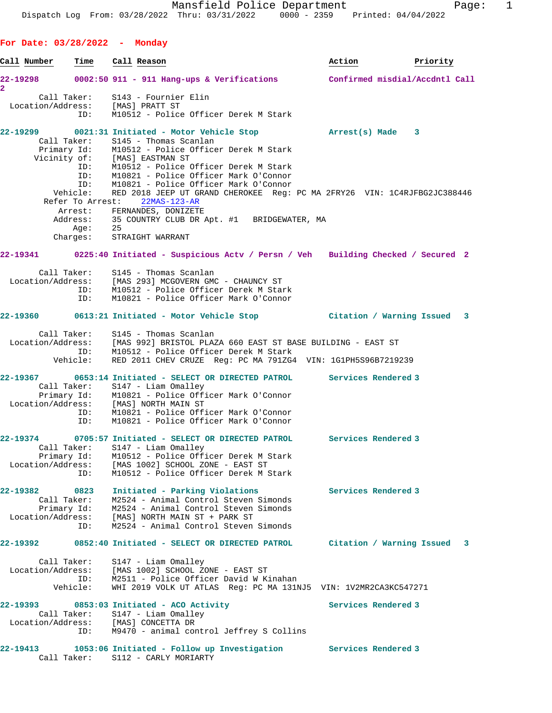**For Date: 03/28/2022 - Monday Call Number Time Call Reason Action Priority 22-19298 0002:50 911 - 911 Hang-ups & Verifications Confirmed misdial/Accdntl Call 2**  Call Taker: S143 - Fournier Elin Location/Address: [MAS] PRATT ST ID: M10512 - Police Officer Derek M Stark **22-19299 0021:31 Initiated - Motor Vehicle Stop Arrest(s) Made 3**  Call Taker: S145 - Thomas Scanlan Primary Id: M10512 - Police Officer Derek M Stark Vicinity of: [MAS] EASTMAN ST ID: M10512 - Police Officer Derek M Stark ID: M10821 - Police Officer Mark O'Connor ID: M10821 - Police Officer Mark O'Connor Vehicle: RED 2018 JEEP UT GRAND CHEROKEE Reg: PC MA 2FRY26 VIN: 1C4RJFBG2JC388446 Refer To Arrest: 22MAS-123-AR Arrest: FERNANDES, DONIZETE Address: 35 COUNTRY CLUB DR Apt. #1 BRIDGEWATER, MA Age: 25 Charges: STRAIGHT WARRANT **22-19341 0225:40 Initiated - Suspicious Actv / Persn / Veh Building Checked / Secured 2** Call Taker: S145 - Thomas Scanlan Location/Address: [MAS 293] MCGOVERN GMC - CHAUNCY ST ID: M10512 - Police Officer Derek M Stark ID: M10821 - Police Officer Mark O'Connor **22-19360 0613:21 Initiated - Motor Vehicle Stop Citation / Warning Issued 3** Call Taker: S145 - Thomas Scanlan Location/Address: [MAS 992] BRISTOL PLAZA 660 EAST ST BASE BUILDING - EAST ST ID: M10512 - Police Officer Derek M Stark Vehicle: RED 2011 CHEV CRUZE Reg: PC MA 791ZG4 VIN: 1G1PH5S96B7219239 **22-19367 0653:14 Initiated - SELECT OR DIRECTED PATROL Services Rendered 3**  Call Taker: S147 - Liam Omalley Primary Id: M10821 - Police Officer Mark O'Connor Location/Address: [MAS] NORTH MAIN ST ID: M10821 - Police Officer Mark O'Connor ID: M10821 - Police Officer Mark O'Connor **22-19374 0705:57 Initiated - SELECT OR DIRECTED PATROL Services Rendered 3**  Call Taker: S147 - Liam Omalley Primary Id: M10512 - Police Officer Derek M Stark Location/Address: [MAS 1002] SCHOOL ZONE - EAST ST ID: M10512 - Police Officer Derek M Stark **22-19382 0823 Initiated - Parking Violations Services Rendered 3**  Call Taker: M2524 - Animal Control Steven Simonds Primary Id: M2524 - Animal Control Steven Simonds Location/Address: [MAS] NORTH MAIN ST + PARK ST ID: M2524 - Animal Control Steven Simonds **22-19392 0852:40 Initiated - SELECT OR DIRECTED PATROL Citation / Warning Issued 3** Call Taker: S147 - Liam Omalley Location/Address: [MAS 1002] SCHOOL ZONE - EAST ST ID: M2511 - Police Officer David W Kinahan Vehicle: WHI 2019 VOLK UT ATLAS Reg: PC MA 131NJ5 VIN: 1V2MR2CA3KC547271 **22-19393 0853:03 Initiated - ACO Activity Services Rendered 3**  Call Taker: S147 - Liam Omalley Location/Address: [MAS] CONCETTA DR ID: M9470 - animal control Jeffrey S Collins **22-19413 1053:06 Initiated - Follow up Investigation Services Rendered 3**  Call Taker: S112 - CARLY MORIARTY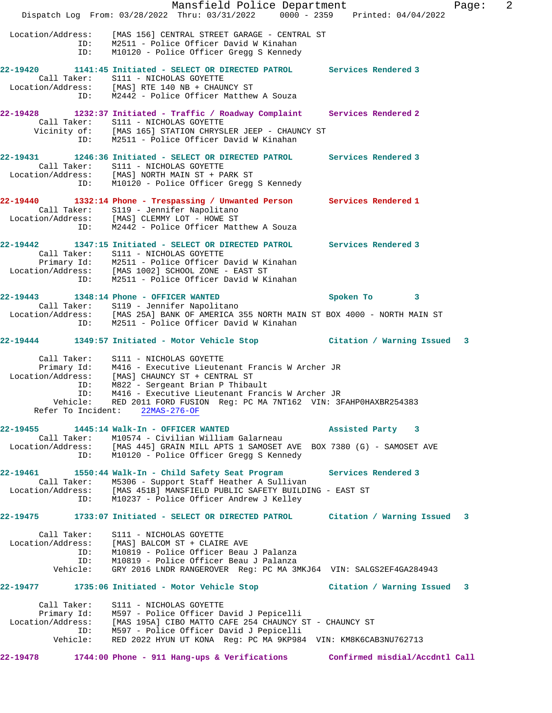Mansfield Police Department Fage: 2 Dispatch Log From: 03/28/2022 Thru: 03/31/2022 0000 - 2359 Printed: 04/04/2022 Location/Address: [MAS 156] CENTRAL STREET GARAGE - CENTRAL ST ID: M2511 - Police Officer David W Kinahan ID: M10120 - Police Officer Gregg S Kennedy **22-19420 1141:45 Initiated - SELECT OR DIRECTED PATROL Services Rendered 3**  Call Taker: S111 - NICHOLAS GOYETTE Location/Address: [MAS] RTE 140 NB + CHAUNCY ST ID: M2442 - Police Officer Matthew A Souza **22-19428 1232:37 Initiated - Traffic / Roadway Complaint Services Rendered 2**  Call Taker: S111 - NICHOLAS GOYETTE Vicinity of: [MAS 165] STATION CHRYSLER JEEP - CHAUNCY ST ID: M2511 - Police Officer David W Kinahan **22-19431 1246:36 Initiated - SELECT OR DIRECTED PATROL Services Rendered 3**  Call Taker: S111 - NICHOLAS GOYETTE Location/Address: [MAS] NORTH MAIN ST + PARK ST ID: M10120 - Police Officer Gregg S Kennedy **22-19440 1332:14 Phone - Trespassing / Unwanted Person Services Rendered 1**  Call Taker: S119 - Jennifer Napolitano Location/Address: [MAS] CLEMMY LOT - HOWE ST ID: M2442 - Police Officer Matthew A Souza **22-19442 1347:15 Initiated - SELECT OR DIRECTED PATROL Services Rendered 3**  Call Taker: S111 - NICHOLAS GOYETTE Primary Id: M2511 - Police Officer David W Kinahan Location/Address: [MAS 1002] SCHOOL ZONE - EAST ST ID: M2511 - Police Officer David W Kinahan **22-19443 1348:14 Phone - OFFICER WANTED Spoken To 3**  Call Taker: S119 - Jennifer Napolitano Location/Address: [MAS 25A] BANK OF AMERICA 355 NORTH MAIN ST BOX 4000 - NORTH MAIN ST ID: M2511 - Police Officer David W Kinahan **22-19444 1349:57 Initiated - Motor Vehicle Stop Citation / Warning Issued 3** Call Taker: S111 - NICHOLAS GOYETTE Primary Id: M416 - Executive Lieutenant Francis W Archer JR Location/Address: [MAS] CHAUNCY ST + CENTRAL ST ID: M822 - Sergeant Brian P Thibault ID: M416 - Executive Lieutenant Francis W Archer JR Vehicle: RED 2011 FORD FUSION Reg: PC MA 7NT162 VIN: 3FAHP0HAXBR254383 Refer To Incident: 22MAS-276-OF **22-19455 1445:14 Walk-In - OFFICER WANTED Assisted Party 3**  Call Taker: M10574 - Civilian William Galarneau Location/Address: [MAS 445] GRAIN MILL APTS 1 SAMOSET AVE BOX 7380 (G) - SAMOSET AVE ID: M10120 - Police Officer Gregg S Kennedy **22-19461 1550:44 Walk-In - Child Safety Seat Program Services Rendered 3**  Call Taker: M5306 - Support Staff Heather A Sullivan Location/Address: [MAS 451B] MANSFIELD PUBLIC SAFETY BUILDING - EAST ST ID: M10237 - Police Officer Andrew J Kelley **22-19475 1733:07 Initiated - SELECT OR DIRECTED PATROL Citation / Warning Issued 3** Call Taker: S111 - NICHOLAS GOYETTE Location/Address: [MAS] BALCOM ST + CLAIRE AVE ID: M10819 - Police Officer Beau J Palanza ID: M10819 - Police Officer Beau J Palanza Vehicle: GRY 2016 LNDR RANGEROVER Reg: PC MA 3MKJ64 VIN: SALGS2EF4GA284943 **22-19477 1735:06 Initiated - Motor Vehicle Stop Citation / Warning Issued 3** Call Taker: S111 - NICHOLAS GOYETTE Primary Id: M597 - Police Officer David J Pepicelli Location/Address: [MAS 195A] CIBO MATTO CAFE 254 CHAUNCY ST - CHAUNCY ST ID: M597 - Police Officer David J Pepicelli Vehicle: RED 2022 HYUN UT KONA Reg: PC MA 9KP984 VIN: KM8K6CAB3NU762713 **22-19478 1744:00 Phone - 911 Hang-ups & Verifications Confirmed misdial/Accdntl Call**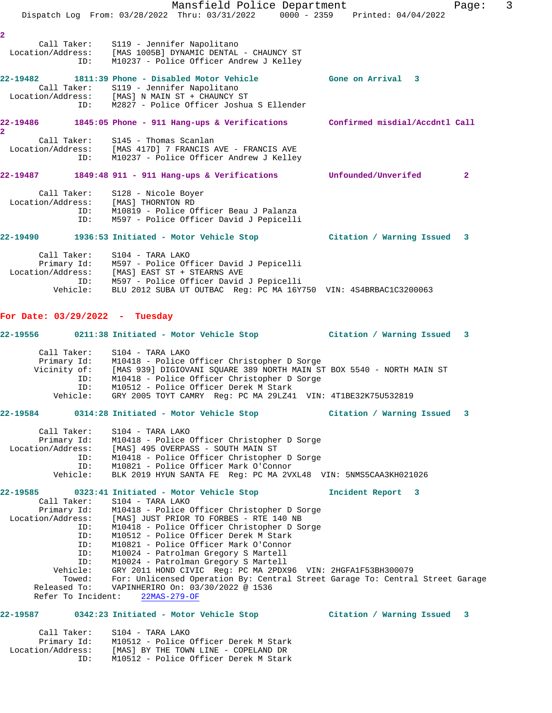Mansfield Police Department Fage: 3 Dispatch Log From: 03/28/2022 Thru: 03/31/2022 0000 - 2359 Printed: 04/04/2022 **2**  Call Taker: S119 - Jennifer Napolitano Location/Address: [MAS 1005B] DYNAMIC DENTAL - CHAUNCY ST ID: M10237 - Police Officer Andrew J Kelley **22-19482 1811:39 Phone - Disabled Motor Vehicle Gone on Arrival 3**  Call Taker: S119 - Jennifer Napolitano Location/Address: [MAS] N MAIN ST + CHAUNCY ST ID: M2827 - Police Officer Joshua S Ellender **22-19486 1845:05 Phone - 911 Hang-ups & Verifications Confirmed misdial/Accdntl Call 2**  Call Taker: S145 - Thomas Scanlan Location/Address: [MAS 417D] 7 FRANCIS AVE - FRANCIS AVE ID: M10237 - Police Officer Andrew J Kelley **22-19487 1849:48 911 - 911 Hang-ups & Verifications Unfounded/Unverifed 2** Call Taker: S128 - Nicole Boyer Location/Address: [MAS] THORNTON RD ID: M10819 - Police Officer Beau J Palanza ID: M597 - Police Officer David J Pepicelli **22-19490 1936:53 Initiated - Motor Vehicle Stop Citation / Warning Issued 3** Call Taker: S104 - TARA LAKO Primary Id: M597 - Police Officer David J Pepicelli Location/Address: [MAS] EAST ST + STEARNS AVE ID: M597 - Police Officer David J Pepicelli Vehicle: BLU 2012 SUBA UT OUTBAC Reg: PC MA 16Y750 VIN: 4S4BRBAC1C3200063 **For Date: 03/29/2022 - Tuesday 22-19556 0211:38 Initiated - Motor Vehicle Stop Citation / Warning Issued 3** Call Taker: S104 - TARA LAKO Primary Id: M10418 - Police Officer Christopher D Sorge<br>Vicinity of: [MAS 939] DIGIOVANI SQUARE 389 NORTH MAIN ST [MAS 939] DIGIOVANI SQUARE 389 NORTH MAIN ST BOX 5540 - NORTH MAIN ST ID: M10418 - Police Officer Christopher D Sorge ID: M10512 - Police Officer Derek M Stark Vehicle: GRY 2005 TOYT CAMRY Reg: PC MA 29LZ41 VIN: 4T1BE32K75U532819 **22-19584 0314:28 Initiated - Motor Vehicle Stop Citation / Warning Issued 3** Call Taker: S104 - TARA LAKO Primary Id: M10418 - Police Officer Christopher D Sorge Location/Address: [MAS] 495 OVERPASS - SOUTH MAIN ST ID: M10418 - Police Officer Christopher D Sorge ID: M10821 - Police Officer Mark O'Connor Vehicle: BLK 2019 HYUN SANTA FE Reg: PC MA 2VXL48 VIN: 5NMS5CAA3KH021026 **22-19585 0323:41 Initiated - Motor Vehicle Stop Incident Report 3**  Call Taker: S104 - TARA LAKO Primary Id: M10418 - Police Officer Christopher D Sorge Location/Address: [MAS] JUST PRIOR TO FORBES - RTE 140 NB ID: M10418 - Police Officer Christopher D Sorge ID: M10512 - Police Officer Derek M Stark ID: M10821 - Police Officer Mark O'Connor ID: M10024 - Patrolman Gregory S Martell ID: M10024 - Patrolman Gregory S Martell Vehicle: GRY 2011 HOND CIVIC Reg: PC MA 2PDX96 VIN: 2HGFA1F53BH300079 Towed: For: Unlicensed Operation By: Central Street Garage To: Central Street Garage Released To: VAPINHERIRO On: 03/30/2022 @ 1536 Refer To Incident: 22MAS-279-OF **22-19587 0342:23 Initiated - Motor Vehicle Stop Citation / Warning Issued 3**

| Call Taker:       | S104 - TARA LAKO                      |
|-------------------|---------------------------------------|
| Primary Id:       | M10512 - Police Officer Derek M Stark |
| Location/Address: | [MAS] BY THE TOWN LINE - COPELAND DR  |
| TD:               | M10512 - Police Officer Derek M Stark |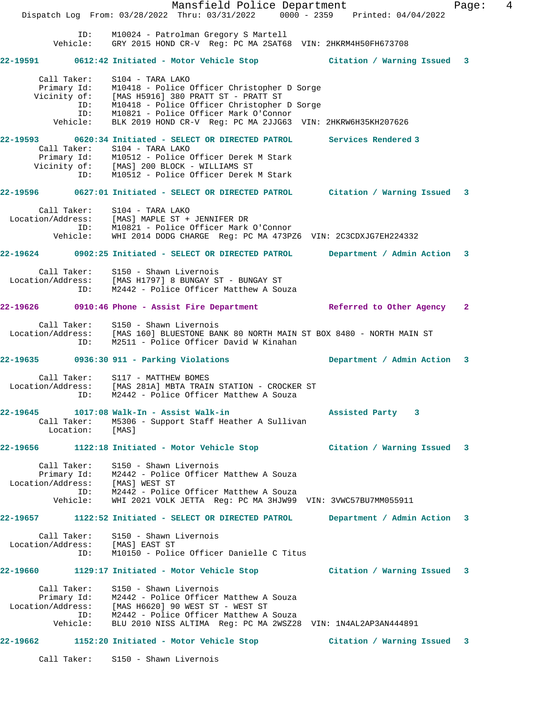Mansfield Police Department Fage: 4 Dispatch Log From: 03/28/2022 Thru: 03/31/2022 0000 - 2359 Printed: 04/04/2022 ID: M10024 - Patrolman Gregory S Martell Vehicle: GRY 2015 HOND CR-V Reg: PC MA 2SAT68 VIN: 2HKRM4H50FH673708 **22-19591 0612:42 Initiated - Motor Vehicle Stop Citation / Warning Issued 3** Call Taker: S104 - TARA LAKO Primary Id: M10418 - Police Officer Christopher D Sorge Vicinity of: [MAS H5916] 380 PRATT ST - PRATT ST ID: M10418 - Police Officer Christopher D Sorge ID: M10821 - Police Officer Mark O'Connor Vehicle: BLK 2019 HOND CR-V Reg: PC MA 2JJG63 VIN: 2HKRW6H35KH207626 **22-19593 0620:34 Initiated - SELECT OR DIRECTED PATROL Services Rendered 3**  Call Taker: S104 - TARA LAKO Primary Id: M10512 - Police Officer Derek M Stark Vicinity of: [MAS] 200 BLOCK - WILLIAMS ST ID: M10512 - Police Officer Derek M Stark **22-19596 0627:01 Initiated - SELECT OR DIRECTED PATROL Citation / Warning Issued 3** Call Taker: S104 - TARA LAKO Location/Address: [MAS] MAPLE ST + JENNIFER DR ID: M10821 - Police Officer Mark O'Connor Vehicle: WHI 2014 DODG CHARGE Reg: PC MA 473PZ6 VIN: 2C3CDXJG7EH224332 **22-19624 0902:25 Initiated - SELECT OR DIRECTED PATROL Department / Admin Action 3** Call Taker: S150 - Shawn Livernois Location/Address: [MAS H1797] 8 BUNGAY ST - BUNGAY ST ID: M2442 - Police Officer Matthew A Souza **22-19626 0910:46 Phone - Assist Fire Department Referred to Other Agency 2** Call Taker: S150 - Shawn Livernois Location/Address: [MAS 160] BLUESTONE BANK 80 NORTH MAIN ST BOX 8480 - NORTH MAIN ST ID: M2511 - Police Officer David W Kinahan **22-19635 0936:30 911 - Parking Violations Department / Admin Action 3** Call Taker: S117 - MATTHEW BOMES Location/Address: [MAS 281A] MBTA TRAIN STATION - CROCKER ST ID: M2442 - Police Officer Matthew A Souza **22-19645 1017:08 Walk-In - Assist Walk-in Assisted Party 3**  Call Taker: M5306 - Support Staff Heather A Sullivan Location: [MAS] **22-19656 1122:18 Initiated - Motor Vehicle Stop Citation / Warning Issued 3** Call Taker: S150 - Shawn Livernois Primary Id: M2442 - Police Officer Matthew A Souza Location/Address: [MAS] WEST ST ID: M2442 - Police Officer Matthew A Souza Vehicle: WHI 2021 VOLK JETTA Reg: PC MA 3HJW99 VIN: 3VWC57BU7MM055911 **22-19657 1122:52 Initiated - SELECT OR DIRECTED PATROL Department / Admin Action 3** Call Taker: S150 - Shawn Livernois Location/Address: [MAS] EAST ST ID: M10150 - Police Officer Danielle C Titus **22-19660 1129:17 Initiated - Motor Vehicle Stop Citation / Warning Issued 3** Call Taker: S150 - Shawn Livernois Primary Id: M2442 - Police Officer Matthew A Souza Location/Address: [MAS H6620] 90 WEST ST - WEST ST ID: M2442 - Police Officer Matthew A Souza Vehicle: BLU 2010 NISS ALTIMA Reg: PC MA 2WSZ28 VIN: 1N4AL2AP3AN444891 **22-19662 1152:20 Initiated - Motor Vehicle Stop Citation / Warning Issued 3**

Call Taker: S150 - Shawn Livernois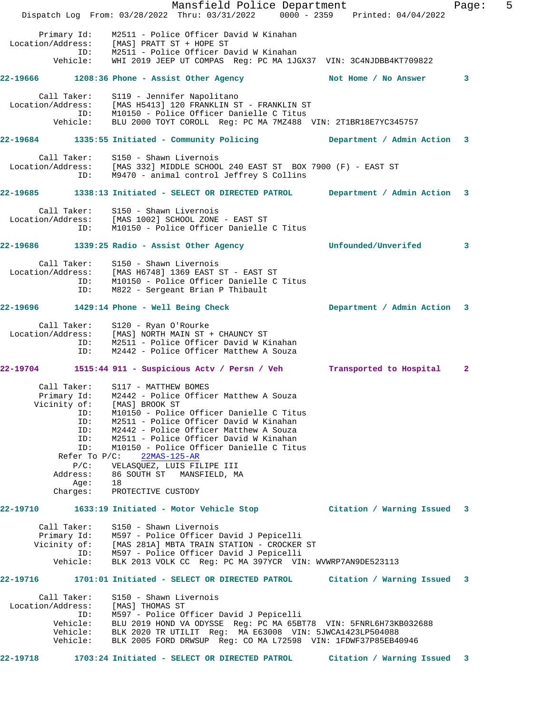|                   |                  |                                                                                                                                            | Mansfield Police Department |                     |  |                             | Page:        | 5 |
|-------------------|------------------|--------------------------------------------------------------------------------------------------------------------------------------------|-----------------------------|---------------------|--|-----------------------------|--------------|---|
|                   |                  | Dispatch Log From: 03/28/2022 Thru: 03/31/2022 0000 - 2359 Printed: 04/04/2022                                                             |                             |                     |  |                             |              |   |
| Location/Address: | Primary Id:      | M2511 - Police Officer David W Kinahan<br>[MAS] PRATT ST + HOPE ST                                                                         |                             |                     |  |                             |              |   |
|                   |                  | ID: M2511 - Police Officer David W Kinahan                                                                                                 |                             |                     |  |                             |              |   |
|                   |                  | Vehicle: WHI 2019 JEEP UT COMPAS Reg: PC MA 1JGX37 VIN: 3C4NJDBB4KT709822                                                                  |                             |                     |  |                             |              |   |
|                   |                  | 22-19666 1208:36 Phone - Assist Other Agency Not Home / No Answer                                                                          |                             |                     |  |                             | 3            |   |
|                   |                  | Call Taker: S119 - Jennifer Napolitano                                                                                                     |                             |                     |  |                             |              |   |
|                   | ID:              | Location/Address: [MAS H5413] 120 FRANKLIN ST - FRANKLIN ST<br>M10150 - Police Officer Danielle C Titus                                    |                             |                     |  |                             |              |   |
|                   |                  | Vehicle: BLU 2000 TOYT COROLL Reg: PC MA 7MZ488 VIN: 2T1BR18E7YC345757                                                                     |                             |                     |  |                             |              |   |
|                   |                  | 22-19684 1335:55 Initiated - Community Policing                                                                                            |                             |                     |  | Department / Admin Action 3 |              |   |
|                   |                  | Call Taker: S150 - Shawn Livernois<br>Location/Address: [MAS 332] MIDDLE SCHOOL 240 EAST ST BOX 7900 (F) - EAST ST                         |                             |                     |  |                             |              |   |
|                   |                  | ID: M9470 - animal control Jeffrey S Collins                                                                                               |                             |                     |  |                             |              |   |
|                   |                  | 22-19685 1338:13 Initiated - SELECT OR DIRECTED PATROL Department / Admin Action 3                                                         |                             |                     |  |                             |              |   |
|                   |                  | Call Taker: S150 - Shawn Livernois                                                                                                         |                             |                     |  |                             |              |   |
|                   |                  | Location/Address: [MAS 1002] SCHOOL ZONE - EAST ST                                                                                         |                             |                     |  |                             |              |   |
|                   | ID:              | M10150 - Police Officer Danielle C Titus                                                                                                   |                             |                     |  |                             |              |   |
|                   |                  | 22-19686 1339:25 Radio - Assist Other Agency                                                                                               |                             | Unfounded/Unverifed |  |                             | 3            |   |
|                   |                  | Call Taker: S150 - Shawn Livernois                                                                                                         |                             |                     |  |                             |              |   |
|                   |                  | Location/Address: [MAS H6748] 1369 EAST ST - EAST ST<br>ID: M10150 - Police Officer Danielle C<br>M10150 - Police Officer Danielle C Titus |                             |                     |  |                             |              |   |
|                   | ID:              | M822 - Sergeant Brian P Thibault                                                                                                           |                             |                     |  |                             |              |   |
|                   |                  | 22-19696 1429:14 Phone - Well Being Check                                                                                                  |                             |                     |  | Department / Admin Action 3 |              |   |
|                   |                  | Call Taker: S120 - Ryan O'Rourke<br>Location/Address: [MAS] NORTH MAIN ST + CHAUNCY ST                                                     |                             |                     |  |                             |              |   |
|                   |                  |                                                                                                                                            |                             |                     |  |                             |              |   |
|                   | ID:              | ID: M2511 - Police Officer David W Kinahan<br>M2442 - Police Officer Matthew A Souza                                                       |                             |                     |  |                             |              |   |
|                   |                  | 22-19704 1515:44 911 - Suspicious Actv / Persn / Veh Transported to Hospital                                                               |                             |                     |  |                             | $\mathbf{2}$ |   |
|                   |                  |                                                                                                                                            |                             |                     |  |                             |              |   |
|                   |                  | Call Taker: S117 - MATTHEW BOMES<br>Primary Id: M2442 - Police Officer Matthew A Souza                                                     |                             |                     |  |                             |              |   |
|                   |                  | Vicinity of: [MAS] BROOK ST                                                                                                                |                             |                     |  |                             |              |   |
|                   | ID:              | M10150 - Police Officer Danielle C Titus                                                                                                   |                             |                     |  |                             |              |   |
|                   | ID:              | M2511 - Police Officer David W Kinahan                                                                                                     |                             |                     |  |                             |              |   |
|                   |                  | ID: M2442 - Police Officer Matthew A Souza                                                                                                 |                             |                     |  |                             |              |   |
|                   | ID:<br>ID:       | M2511 - Police Officer David W Kinahan<br>M10150 - Police Officer Danielle C Titus                                                         |                             |                     |  |                             |              |   |
|                   | Refer To $P/C$ : | $22MAS-125-AR$                                                                                                                             |                             |                     |  |                             |              |   |
|                   | $P/C$ :          | VELASQUEZ, LUIS FILIPE III                                                                                                                 |                             |                     |  |                             |              |   |
|                   | Address:         | 86 SOUTH ST MANSFIELD, MA                                                                                                                  |                             |                     |  |                             |              |   |
|                   | Age:             | 18                                                                                                                                         |                             |                     |  |                             |              |   |
|                   | Charges:         | PROTECTIVE CUSTODY                                                                                                                         |                             |                     |  |                             |              |   |
| 22-19710          |                  | 1633:19 Initiated - Motor Vehicle Stop                                                                                                     |                             |                     |  | Citation / Warning Issued 3 |              |   |
|                   | Call Taker:      | S150 - Shawn Livernois                                                                                                                     |                             |                     |  |                             |              |   |
|                   |                  | Primary Id: M597 - Police Officer David J Pepicelli<br>Vicinity of: [MAS 281A] MBTA TRAIN STATION - CROCKER ST                             |                             |                     |  |                             |              |   |
|                   | ID:              | M597 - Police Officer David J Pepicelli                                                                                                    |                             |                     |  |                             |              |   |
|                   | Vehicle:         | BLK 2013 VOLK CC Req: PC MA 397YCR VIN: WVWRP7AN9DE523113                                                                                  |                             |                     |  |                             |              |   |
| 22-19716          |                  | 1701:01 Initiated - SELECT OR DIRECTED PATROL Citation / Warning Issued 3                                                                  |                             |                     |  |                             |              |   |
|                   | Call Taker:      | S150 - Shawn Livernois                                                                                                                     |                             |                     |  |                             |              |   |
| Location/Address: | ID:              | [MAS] THOMAS ST                                                                                                                            |                             |                     |  |                             |              |   |
|                   | Vehicle:         | M597 - Police Officer David J Pepicelli<br>BLU 2019 HOND VA ODYSSE Reg: PC MA 65BT78 VIN: 5FNRL6H73KB032688                                |                             |                     |  |                             |              |   |
|                   | Vehicle:         | BLK 2020 TR UTILIT Reg: MA E63008 VIN: 5JWCA1423LP504088                                                                                   |                             |                     |  |                             |              |   |
|                   | Vehicle:         | BLK 2005 FORD DRWSUP Req: CO MA L72598 VIN: 1FDWF37P85EB40946                                                                              |                             |                     |  |                             |              |   |
| 22-19718          |                  | 1703:24 Initiated - SELECT OR DIRECTED PATROL                                                                                              |                             |                     |  | Citation / Warning Issued 3 |              |   |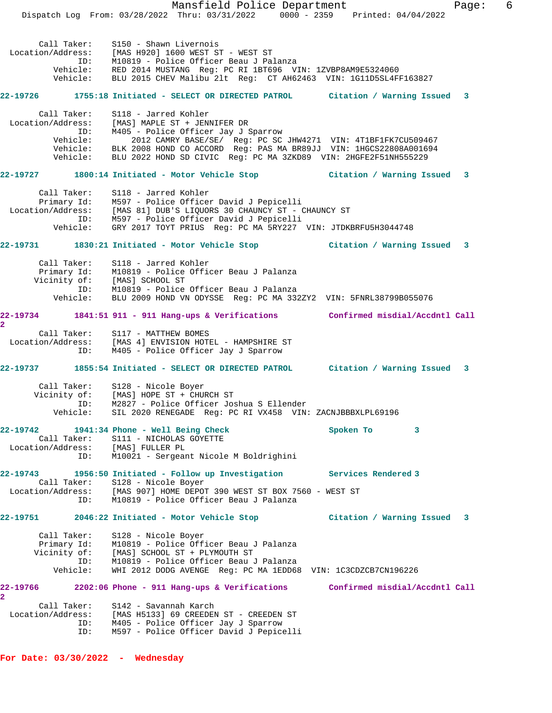|                                                                                                      |                 | Dispatch Log From: 03/28/2022 Thru: 03/31/2022 0000 - 2359 Printed: 04/04/2022                                                        | Mansfield Police Department                                   |  |           |                     |                           | Page: | 6 |
|------------------------------------------------------------------------------------------------------|-----------------|---------------------------------------------------------------------------------------------------------------------------------------|---------------------------------------------------------------|--|-----------|---------------------|---------------------------|-------|---|
|                                                                                                      |                 |                                                                                                                                       |                                                               |  |           |                     |                           |       |   |
| Call Taker:                                                                                          |                 | S150 - Shawn Livernois                                                                                                                |                                                               |  |           |                     |                           |       |   |
| Location/Address: [MAS H920] 1600 WEST ST - WEST ST                                                  |                 |                                                                                                                                       |                                                               |  |           |                     |                           |       |   |
|                                                                                                      | ID:             | M10819 - Police Officer Beau J Palanza                                                                                                |                                                               |  |           |                     |                           |       |   |
|                                                                                                      | Vehicle:        | Vehicle: RED 2014 MUSTANG Reg: PC RI 1BT696 VIN: 1ZVBP8AM9E5324060<br>BLU 2015 CHEV Malibu 21t Reg: CT AH62463 VIN: 1G11D5SL4FF163827 |                                                               |  |           |                     |                           |       |   |
|                                                                                                      |                 |                                                                                                                                       |                                                               |  |           |                     |                           |       |   |
| 22-19726 1755:18 Initiated - SELECT OR DIRECTED PATROL Citation / Warning Issued 3                   |                 |                                                                                                                                       |                                                               |  |           |                     |                           |       |   |
| Call Taker:                                                                                          |                 | S118 - Jarred Kohler                                                                                                                  |                                                               |  |           |                     |                           |       |   |
| Location/Address:                                                                                    |                 | [MAS] MAPLE ST + JENNIFER DR                                                                                                          |                                                               |  |           |                     |                           |       |   |
|                                                                                                      | ID:<br>Vehicle: | M405 - Police Officer Jay J Sparrow                                                                                                   | 2012 CAMRY BASE/SE/ Reg: PC SC JHW4271 VIN: 4T1BF1FK7CU509467 |  |           |                     |                           |       |   |
|                                                                                                      |                 | Vehicle: BLK 2008 HOND CO ACCORD Reg: PAS MA BR89JJ VIN: 1HGCS22808A001694                                                            |                                                               |  |           |                     |                           |       |   |
|                                                                                                      | Vehicle:        | BLU 2022 HOND SD CIVIC Reg: PC MA 3ZKD89 VIN: 2HGFE2F51NH555229                                                                       |                                                               |  |           |                     |                           |       |   |
| 22-19727 1800:14 Initiated - Motor Vehicle Stop [11] Citation / Warning Issued 3                     |                 |                                                                                                                                       |                                                               |  |           |                     |                           |       |   |
|                                                                                                      |                 |                                                                                                                                       |                                                               |  |           |                     |                           |       |   |
| Call Taker:                                                                                          |                 | S118 - Jarred Kohler<br>Primary Id: M597 - Police Officer David J Pepicelli                                                           |                                                               |  |           |                     |                           |       |   |
| Location/Address: [MAS 81] DUB'S LIQUORS 30 CHAUNCY ST - CHAUNCY ST                                  |                 |                                                                                                                                       |                                                               |  |           |                     |                           |       |   |
|                                                                                                      |                 | ID: M597 - Police Officer David J Pepicelli                                                                                           |                                                               |  |           |                     |                           |       |   |
|                                                                                                      | Vehicle:        | GRY 2017 TOYT PRIUS Reg: PC MA 5RY227 VIN: JTDKBRFU5H3044748                                                                          |                                                               |  |           |                     |                           |       |   |
| 22-19731 1830:21 Initiated - Motor Vehicle Stop 6 (itation / Warning Issued 3                        |                 |                                                                                                                                       |                                                               |  |           |                     |                           |       |   |
| Call Taker:                                                                                          |                 | S118 - Jarred Kohler                                                                                                                  |                                                               |  |           |                     |                           |       |   |
|                                                                                                      |                 | Primary Id: M10819 - Police Officer Beau J Palanza                                                                                    |                                                               |  |           |                     |                           |       |   |
|                                                                                                      |                 | Vicinity of: [MAS] SCHOOL ST                                                                                                          |                                                               |  |           |                     |                           |       |   |
|                                                                                                      |                 | ID: M10819 - Police Officer Beau J Palanza                                                                                            |                                                               |  |           |                     |                           |       |   |
|                                                                                                      | Vehicle:        | BLU 2009 HOND VN ODYSSE Reg: PC MA 332ZY2 VIN: 5FNRL38799B055076                                                                      |                                                               |  |           |                     |                           |       |   |
| 22-19734 1841:51 911 - 911 Hang-ups & Verifications Confirmed misdial/Accdntl Call<br>$\overline{2}$ |                 |                                                                                                                                       |                                                               |  |           |                     |                           |       |   |
| Call Taker:                                                                                          |                 | S117 - MATTHEW BOMES                                                                                                                  |                                                               |  |           |                     |                           |       |   |
| Location/Address: [MAS 4] ENVISION HOTEL - HAMPSHIRE ST                                              |                 |                                                                                                                                       |                                                               |  |           |                     |                           |       |   |
|                                                                                                      | ID:             | M405 - Police Officer Jay J Sparrow                                                                                                   |                                                               |  |           |                     |                           |       |   |
| 22-19737 1855:54 Initiated - SELECT OR DIRECTED PATROL Citation / Warning Issued 3                   |                 |                                                                                                                                       |                                                               |  |           |                     |                           |       |   |
| Call Taker:                                                                                          |                 | S128 - Nicole Boyer                                                                                                                   |                                                               |  |           |                     |                           |       |   |
| Vicinity of:                                                                                         |                 | [MAS] HOPE ST + CHURCH ST                                                                                                             |                                                               |  |           |                     |                           |       |   |
|                                                                                                      | ID:             | M2827 - Police Officer Joshua S Ellender                                                                                              |                                                               |  |           |                     |                           |       |   |
|                                                                                                      | Vehicle:        | SIL 2020 RENEGADE Reg: PC RI VX458 VIN: ZACNJBBBXLPL69196                                                                             |                                                               |  |           |                     |                           |       |   |
| 22-19742                                                                                             |                 | 1941:34 Phone - Well Being Check                                                                                                      |                                                               |  | Spoken To |                     | 3                         |       |   |
| Call Taker:                                                                                          |                 | S111 - NICHOLAS GOYETTE                                                                                                               |                                                               |  |           |                     |                           |       |   |
| Location/Address: [MAS] FULLER PL                                                                    |                 |                                                                                                                                       |                                                               |  |           |                     |                           |       |   |
|                                                                                                      | ID:             | M10021 - Sergeant Nicole M Boldrighini                                                                                                |                                                               |  |           |                     |                           |       |   |
| 22-19743                                                                                             |                 | 1956:50 Initiated - Follow up Investigation                                                                                           |                                                               |  |           | Services Rendered 3 |                           |       |   |
| Call Taker:                                                                                          |                 | S128 - Nicole Boyer                                                                                                                   |                                                               |  |           |                     |                           |       |   |
| Location/Address: [MAS 907] HOME DEPOT 390 WEST ST BOX 7560 - WEST ST                                |                 |                                                                                                                                       |                                                               |  |           |                     |                           |       |   |
|                                                                                                      | ID:             | M10819 - Police Officer Beau J Palanza                                                                                                |                                                               |  |           |                     |                           |       |   |
| 22-19751                                                                                             |                 | 2046:22 Initiated - Motor Vehicle Stop                                                                                                |                                                               |  |           |                     | Citation / Warning Issued | 3     |   |
| Call Taker:                                                                                          |                 | S128 - Nicole Boyer                                                                                                                   |                                                               |  |           |                     |                           |       |   |
| Primary Id:                                                                                          |                 | M10819 - Police Officer Beau J Palanza                                                                                                |                                                               |  |           |                     |                           |       |   |
| Vicinity of:                                                                                         |                 | [MAS] SCHOOL ST + PLYMOUTH ST                                                                                                         |                                                               |  |           |                     |                           |       |   |
|                                                                                                      | ID:             | M10819 - Police Officer Beau J Palanza                                                                                                |                                                               |  |           |                     |                           |       |   |
|                                                                                                      | Vehicle:        | WHI 2012 DODG AVENGE Reg: PC MA 1EDD68 VIN: 1C3CDZCB7CN196226                                                                         |                                                               |  |           |                     |                           |       |   |
| 22-19766                                                                                             |                 | 2202:06 Phone - 911 Hang-ups & Verifications Confirmed misdial/Accdntl Call                                                           |                                                               |  |           |                     |                           |       |   |
| 2                                                                                                    |                 |                                                                                                                                       |                                                               |  |           |                     |                           |       |   |
| Call Taker:                                                                                          |                 | S142 - Savannah Karch                                                                                                                 |                                                               |  |           |                     |                           |       |   |
| Location/Address:                                                                                    |                 | [MAS H5133] 69 CREEDEN ST - CREEDEN ST                                                                                                |                                                               |  |           |                     |                           |       |   |
|                                                                                                      | ID:<br>ID:      | M405 - Police Officer Jay J Sparrow<br>M597 - Police Officer David J Pepicelli                                                        |                                                               |  |           |                     |                           |       |   |
|                                                                                                      |                 |                                                                                                                                       |                                                               |  |           |                     |                           |       |   |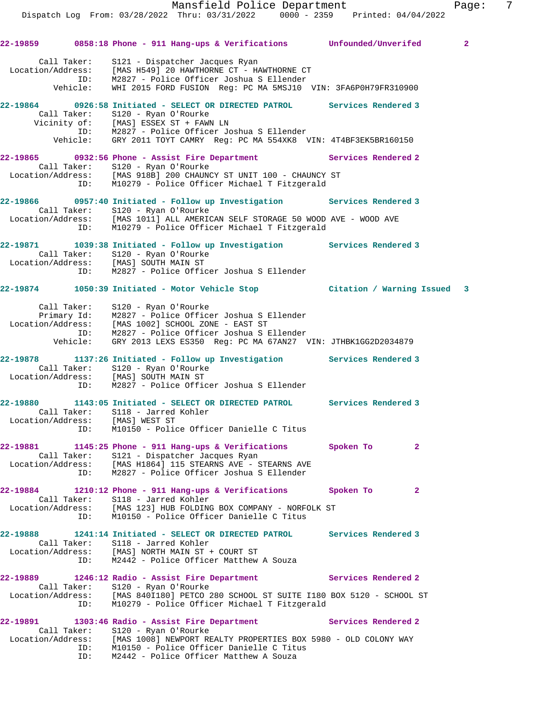Mansfield Police Department Fage: 7 Dispatch Log From: 03/28/2022 Thru: 03/31/2022 0000 - 2359 Printed: 04/04/2022 **22-19859 0858:18 Phone - 911 Hang-ups & Verifications Unfounded/Unverifed 2** Call Taker: S121 - Dispatcher Jacques Ryan Location/Address: [MAS H549] 20 HAWTHORNE CT - HAWTHORNE CT ID: M2827 - Police Officer Joshua S Ellender Vehicle: WHI 2015 FORD FUSION Reg: PC MA 5MSJ10 VIN: 3FA6P0H79FR310900 **22-19864 0926:58 Initiated - SELECT OR DIRECTED PATROL Services Rendered 3**  Call Taker: S120 - Ryan O'Rourke Vicinity of: [MAS] ESSEX ST + FAWN LN ID: M2827 - Police Officer Joshua S Ellender Vehicle: GRY 2011 TOYT CAMRY Reg: PC MA 554XK8 VIN: 4T4BF3EK5BR160150 **22-19865 0932:56 Phone - Assist Fire Department Services Rendered 2**  Call Taker: S120 - Ryan O'Rourke Location/Address: [MAS 918B] 200 CHAUNCY ST UNIT 100 - CHAUNCY ST ID: M10279 - Police Officer Michael T Fitzgerald **22-19866 0957:40 Initiated - Follow up Investigation Services Rendered 3**  Call Taker: S120 - Ryan O'Rourke Location/Address: [MAS 1011] ALL AMERICAN SELF STORAGE 50 WOOD AVE - WOOD AVE ID: M10279 - Police Officer Michael T Fitzgerald **22-19871 1039:38 Initiated - Follow up Investigation Services Rendered 3**  Call Taker: S120 - Ryan O'Rourke Location/Address: [MAS] SOUTH MAIN ST ID: M2827 - Police Officer Joshua S Ellender **22-19874 1050:39 Initiated - Motor Vehicle Stop Citation / Warning Issued 3** Call Taker: S120 - Ryan O'Rourke Primary Id: M2827 - Police Officer Joshua S Ellender Location/Address: [MAS 1002] SCHOOL ZONE - EAST ST ID: M2827 - Police Officer Joshua S Ellender Vehicle: GRY 2013 LEXS ES350 Reg: PC MA 67AN27 VIN: JTHBK1GG2D2034879 **22-19878 1137:26 Initiated - Follow up Investigation Services Rendered 3**  Call Taker: S120 - Ryan O'Rourke Location/Address: [MAS] SOUTH MAIN ST ID: M2827 - Police Officer Joshua S Ellender

**22-19880 1143:05 Initiated - SELECT OR DIRECTED PATROL Services Rendered 3**  Call Taker: S118 - Jarred Kohler Location/Address: [MAS] WEST ST ID: M10150 - Police Officer Danielle C Titus

**22-19881 1145:25 Phone - 911 Hang-ups & Verifications Spoken To 2**  Call Taker: S121 - Dispatcher Jacques Ryan Location/Address: [MAS H1864] 115 STEARNS AVE - STEARNS AVE ID: M2827 - Police Officer Joshua S Ellender

**22-19884 1210:12 Phone - 911 Hang-ups & Verifications Spoken To 2**  Call Taker: S118 - Jarred Kohler Location/Address: [MAS 123] HUB FOLDING BOX COMPANY - NORFOLK ST ID: M10150 - Police Officer Danielle C Titus

**22-19888 1241:14 Initiated - SELECT OR DIRECTED PATROL Services Rendered 3**  Call Taker: S118 - Jarred Kohler Location/Address: [MAS] NORTH MAIN ST + COURT ST ID: M2442 - Police Officer Matthew A Souza

**22-19889 1246:12 Radio - Assist Fire Department Services Rendered 2**  Call Taker: S120 - Ryan O'Rourke Location/Address: [MAS 840I180] PETCO 280 SCHOOL ST SUITE I180 BOX 5120 - SCHOOL ST ID: M10279 - Police Officer Michael T Fitzgerald

**22-19891 1303:46 Radio - Assist Fire Department Services Rendered 2**  Call Taker: S120 - Ryan O'Rourke Location/Address: [MAS 1008] NEWPORT REALTY PROPERTIES BOX 5980 - OLD COLONY WAY ID: M10150 - Police Officer Danielle C Titus ID: M2442 - Police Officer Matthew A Souza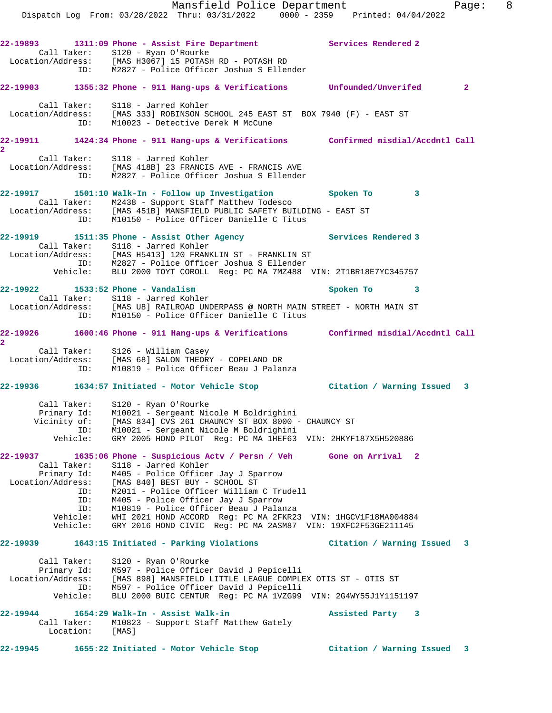**22-19893 1311:09 Phone - Assist Fire Department Services Rendered 2**  Call Taker: S120 - Ryan O'Rourke Location/Address: [MAS H3067] 15 POTASH RD - POTASH RD ID: M2827 - Police Officer Joshua S Ellender **22-19903 1355:32 Phone - 911 Hang-ups & Verifications Unfounded/Unverifed 2** Call Taker: S118 - Jarred Kohler Location/Address: [MAS 333] ROBINSON SCHOOL 245 EAST ST BOX 7940 (F) - EAST ST ID: M10023 - Detective Derek M McCune **22-19911 1424:34 Phone - 911 Hang-ups & Verifications Confirmed misdial/Accdntl Call 2**  Call Taker: S118 - Jarred Kohler Location/Address: [MAS 418B] 23 FRANCIS AVE - FRANCIS AVE ID: M2827 - Police Officer Joshua S Ellender **22-19917 1501:10 Walk-In - Follow up Investigation Spoken To 3**  Call Taker: M2438 - Support Staff Matthew Todesco Location/Address: [MAS 451B] MANSFIELD PUBLIC SAFETY BUILDING - EAST ST ID: M10150 - Police Officer Danielle C Titus **22-19919 1511:35 Phone - Assist Other Agency Services Rendered 3**  Call Taker: S118 - Jarred Kohler Location/Address: [MAS H5413] 120 FRANKLIN ST - FRANKLIN ST ID: M2827 - Police Officer Joshua S Ellender Vehicle: BLU 2000 TOYT COROLL Reg: PC MA 7MZ488 VIN: 2T1BR18E7YC345757 **22-19922 1533:52 Phone - Vandalism Spoken To 3**  Call Taker: S118 - Jarred Kohler Location/Address: [MAS U8] RAILROAD UNDERPASS @ NORTH MAIN STREET - NORTH MAIN ST ID: M10150 - Police Officer Danielle C Titus **22-19926 1600:46 Phone - 911 Hang-ups & Verifications Confirmed misdial/Accdntl Call 2**  Call Taker: S126 - William Casey Location/Address: [MAS 68] SALON THEORY - COPELAND DR ID: M10819 - Police Officer Beau J Palanza **22-19936 1634:57 Initiated - Motor Vehicle Stop Citation / Warning Issued 3** Call Taker: S120 - Ryan O'Rourke Primary Id: M10021 - Sergeant Nicole M Boldrighini Vicinity of: [MAS 834] CVS 261 CHAUNCY ST BOX 8000 - CHAUNCY ST ID: M10021 - Sergeant Nicole M Boldrighini Vehicle: GRY 2005 HOND PILOT Reg: PC MA 1HEF63 VIN: 2HKYF187X5H520886 **22-19937 1635:06 Phone - Suspicious Actv / Persn / Veh Gone on Arrival 2**  Call Taker: S118 - Jarred Kohler Primary Id: M405 - Police Officer Jay J Sparrow Location/Address: [MAS 840] BEST BUY - SCHOOL ST ID: M2011 - Police Officer William C Trudell ID: M405 - Police Officer Jay J Sparrow ID: M10819 - Police Officer Beau J Palanza Vehicle: WHI 2021 HOND ACCORD Reg: PC MA 2FKR23 VIN: 1HGCV1F18MA004884 Vehicle: GRY 2016 HOND CIVIC Reg: PC MA 2ASM87 VIN: 19XFC2F53GE211145 **22-19939 1643:15 Initiated - Parking Violations Citation / Warning Issued 3** Call Taker: S120 - Ryan O'Rourke Primary Id: M597 - Police Officer David J Pepicelli Location/Address: [MAS 898] MANSFIELD LITTLE LEAGUE COMPLEX OTIS ST - OTIS ST ID: M597 - Police Officer David J Pepicelli Vehicle: BLU 2000 BUIC CENTUR Reg: PC MA 1VZG99 VIN: 2G4WY55J1Y1151197 **22-19944 1654:29 Walk-In - Assist Walk-in Assisted Party 3**  Call Taker: M10823 - Support Staff Matthew Gately Location: [MAS] **22-19945 1655:22 Initiated - Motor Vehicle Stop Citation / Warning Issued 3**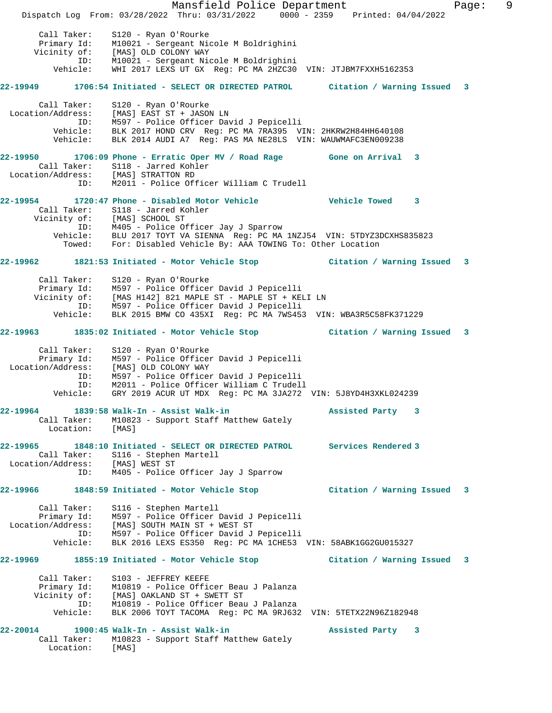Mansfield Police Department Fage: 9 Dispatch Log From: 03/28/2022 Thru: 03/31/2022 0000 - 2359 Printed: 04/04/2022 Call Taker: S120 - Ryan O'Rourke Primary Id: M10021 - Sergeant Nicole M Boldrighini Vicinity of: [MAS] OLD COLONY WAY ID: M10021 - Sergeant Nicole M Boldrighini Vehicle: WHI 2017 LEXS UT GX Reg: PC MA 2HZC30 VIN: JTJBM7FXXH5162353 **22-19949 1706:54 Initiated - SELECT OR DIRECTED PATROL Citation / Warning Issued 3** Call Taker: S120 - Ryan O'Rourke Location/Address: [MAS] EAST ST + JASON LN ID: M597 - Police Officer David J Pepicelli Vehicle: BLK 2017 HOND CRV Reg: PC MA 7RA395 VIN: 2HKRW2H84HH640108 Vehicle: BLK 2014 AUDI A7 Reg: PAS MA NE28LS VIN: WAUWMAFC3EN009238 **22-19950 1706:09 Phone - Erratic Oper MV / Road Rage Gone on Arrival 3**  Call Taker: S118 - Jarred Kohler Location/Address: [MAS] STRATTON RD ID: M2011 - Police Officer William C Trudell **22-19954 1720:47 Phone - Disabled Motor Vehicle Vehicle Towed 3**  Call Taker: S118 - Jarred Kohler Vicinity of: [MAS] SCHOOL ST ID: M405 - Police Officer Jay J Sparrow Vehicle: BLU 2017 TOYT VA SIENNA Reg: PC MA 1NZJ54 VIN: 5TDYZ3DCXHS835823 Towed: For: Disabled Vehicle By: AAA TOWING To: Other Location **22-19962 1821:53 Initiated - Motor Vehicle Stop Citation / Warning Issued 3** Call Taker: S120 - Ryan O'Rourke Primary Id: M597 - Police Officer David J Pepicelli Vicinity of: [MAS H142] 821 MAPLE ST - MAPLE ST + KELI LN ID: M597 - Police Officer David J Pepicelli Vehicle: BLK 2015 BMW CO 435XI Reg: PC MA 7WS453 VIN: WBA3R5C58FK371229 **22-19963 1835:02 Initiated - Motor Vehicle Stop Citation / Warning Issued 3** Call Taker: S120 - Ryan O'Rourke Primary Id: M597 - Police Officer David J Pepicelli Location/Address: [MAS] OLD COLONY WAY ID: M597 - Police Officer David J Pepicelli ID: M2011 - Police Officer William C Trudell Vehicle: GRY 2019 ACUR UT MDX Reg: PC MA 3JA272 VIN: 5J8YD4H3XKL024239 **22-19964 1839:58 Walk-In - Assist Walk-in Assisted Party 3**  Call Taker: M10823 - Support Staff Matthew Gately Location: [MAS] **22-19965 1848:10 Initiated - SELECT OR DIRECTED PATROL Services Rendered 3**  Call Taker: S116 - Stephen Martell Location/Address: [MAS] WEST ST ID: M405 - Police Officer Jay J Sparrow **22-19966 1848:59 Initiated - Motor Vehicle Stop Citation / Warning Issued 3** Call Taker: S116 - Stephen Martell Primary Id: M597 - Police Officer David J Pepicelli Location/Address: [MAS] SOUTH MAIN ST + WEST ST ID: M597 - Police Officer David J Pepicelli Vehicle: BLK 2016 LEXS ES350 Reg: PC MA 1CHE53 VIN: 58ABK1GG2GU015327 **22-19969 1855:19 Initiated - Motor Vehicle Stop Citation / Warning Issued 3** Call Taker: S103 - JEFFREY KEEFE Primary Id: M10819 - Police Officer Beau J Palanza Vicinity of: [MAS] OAKLAND ST + SWETT ST ID: M10819 - Police Officer Beau J Palanza Vehicle: BLK 2006 TOYT TACOMA Reg: PC MA 9RJ632 VIN: 5TETX22N96Z182948 **22-20014 1900:45 Walk-In - Assist Walk-in Assisted Party 3**  Call Taker: M10823 - Support Staff Matthew Gately Location: [MAS]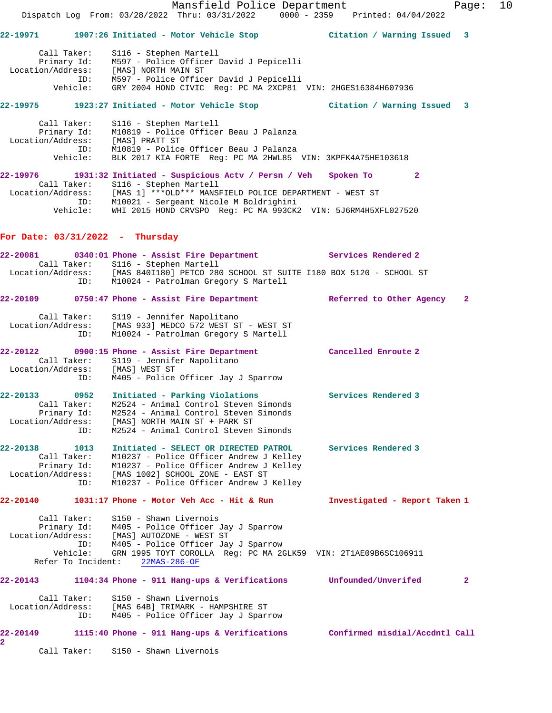|                                                                       |                 | Mansfield Police Department<br>Dispatch Log From: 03/28/2022 Thru: 03/31/2022 0000 - 2359 Printed: 04/04/2022                                                                                                                                                                                                     |                                | 10<br>Page:  |
|-----------------------------------------------------------------------|-----------------|-------------------------------------------------------------------------------------------------------------------------------------------------------------------------------------------------------------------------------------------------------------------------------------------------------------------|--------------------------------|--------------|
|                                                                       |                 | 22-19971 1907:26 Initiated - Motor Vehicle Stop Citation / Warning Issued 3                                                                                                                                                                                                                                       |                                |              |
| Call Taker:                                                           |                 | S116 - Stephen Martell<br>Primary Id: M597 - Police Officer David J Pepicelli<br>Location/Address: [MAS] NORTH MAIN ST<br>ID: M597 - Police Officer David J Pepicelli<br>Vehicle: GRY 2004 HOND CIVIC Reg: PC MA 2XCP81 VIN: 2HGES16384H607936                                                                    |                                |              |
|                                                                       |                 | 22-19975 1923:27 Initiated - Motor Vehicle Stop               Citation / Warning Issued 3                                                                                                                                                                                                                         |                                |              |
| Call Taker:                                                           | Vehicle:        | S116 - Stephen Martell<br>Primary Id: M10819 - Police Officer Beau J Palanza<br>Location/Address: [MAS] PRATT ST<br>ID: M10819 - Police Officer Beau J Palanza<br>BLK 2017 KIA FORTE Reg: PC MA 2HWL85 VIN: 3KPFK4A75HE103618                                                                                     |                                |              |
|                                                                       |                 | 22-19976 1931:32 Initiated - Suspicious Actv / Persn / Veh Spoken To 2<br>Call Taker: S116 - Stephen Martell<br>Location/Address: [MAS 1] ***OLD*** MANSFIELD POLICE DEPARTMENT - WEST ST<br>ID: M10021 - Sergeant Nicole M Boldrighini<br>Vehicle: WHI 2015 HOND CRVSPO Reg: PC MA 993CK2 VIN: 5J6RM4H5XFL027520 |                                |              |
| For Date: $03/31/2022 - Thursday$                                     |                 |                                                                                                                                                                                                                                                                                                                   |                                |              |
|                                                                       |                 | 22-20081 0340:01 Phone - Assist Fire Department Services Rendered 2<br>Call Taker: S116 - Stephen Martell                                                                                                                                                                                                         |                                |              |
|                                                                       |                 | Location/Address: [MAS 840I180] PETCO 280 SCHOOL ST SUITE I180 BOX 5120 - SCHOOL ST<br>ID: M10024 - Patrolman Gregory S Martell                                                                                                                                                                                   |                                |              |
|                                                                       |                 | 22-20109 0750:47 Phone - Assist Fire Department Referred to Other Agency                                                                                                                                                                                                                                          |                                | $\mathbf{2}$ |
|                                                                       | ID:             | Call Taker: S119 - Jennifer Napolitano<br>Location/Address: [MAS 933] MEDCO 572 WEST ST - WEST ST<br>M10024 - Patrolman Gregory S Martell                                                                                                                                                                         |                                |              |
|                                                                       |                 | 22-20122 0900:15 Phone - Assist Fire Department Cancelled Enroute 2<br>Call Taker: S119 - Jennifer Napolitano<br>Location/Address: [MAS] WEST ST<br>ID: M405 - Police Officer Jay J Sparrow                                                                                                                       |                                |              |
| Call Taker:<br>Primary Id:<br>Location/Address:                       | ID:             | 22-20133 0952 Initiated - Parking Violations<br>M2524 - Animal Control Steven Simonds<br>M2524 - Animal Control Steven Simonds<br>[MAS] NORTH MAIN ST + PARK ST<br>M2524 - Animal Control Steven Simonds                                                                                                          | <b>Services Rendered 3</b>     |              |
| 22-20138<br>Call Taker:<br>Primary Id:<br>Location/Address:           | 1013<br>ID:     | Initiated - SELECT OR DIRECTED PATROL<br>M10237 - Police Officer Andrew J Kelley<br>M10237 - Police Officer Andrew J Kelley<br>[MAS 1002] SCHOOL ZONE - EAST ST<br>M10237 - Police Officer Andrew J Kelley                                                                                                        | Services Rendered 3            |              |
| 22-20140                                                              |                 | $1031:17$ Phone - Motor Veh Acc - Hit & Run                                                                                                                                                                                                                                                                       | Investigated - Report Taken 1  |              |
| Call Taker:<br>Primary Id:<br>Location/Address:<br>Refer To Incident: | ID:<br>Vehicle: | S150 - Shawn Livernois<br>M405 - Police Officer Jay J Sparrow<br>[MAS] AUTOZONE - WEST ST<br>M405 - Police Officer Jay J Sparrow<br>GRN 1995 TOYT COROLLA Reg: PC MA 2GLK59 VIN: 2T1AE09B6SC106911<br>$22MAS-286$ -OF                                                                                             |                                |              |
| 22-20143                                                              |                 | $1104:34$ Phone - 911 Hang-ups & Verifications                                                                                                                                                                                                                                                                    | Unfounded/Unverifed            | $\mathbf{2}$ |
| Call Taker:<br>Location/Address:                                      | ID:             | S150 - Shawn Livernois<br>[MAS 64B] TRIMARK - HAMPSHIRE ST<br>M405 - Police Officer Jay J Sparrow                                                                                                                                                                                                                 |                                |              |
| 22-20149<br>2                                                         |                 | 1115:40 Phone - 911 Hang-ups & Verifications                                                                                                                                                                                                                                                                      | Confirmed misdial/Accdntl Call |              |
| Call Taker:                                                           |                 | S150 - Shawn Livernois                                                                                                                                                                                                                                                                                            |                                |              |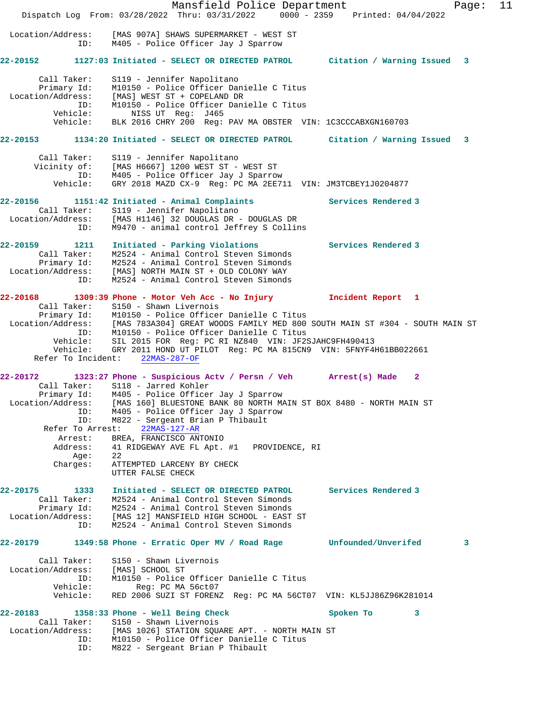Mansfield Police Department Fage: 11 Dispatch Log From: 03/28/2022 Thru: 03/31/2022 0000 - 2359 Printed: 04/04/2022 Location/Address: [MAS 907A] SHAWS SUPERMARKET - WEST ST ID: M405 - Police Officer Jay J Sparrow **22-20152 1127:03 Initiated - SELECT OR DIRECTED PATROL Citation / Warning Issued 3** Call Taker: S119 - Jennifer Napolitano Primary Id: M10150 - Police Officer Danielle C Titus Location/Address: [MAS] WEST ST + COPELAND DR ID: M10150 - Police Officer Danielle C Titus Vehicle: NISS UT Reg: J465 Vehicle: BLK 2016 CHRY 200 Reg: PAV MA OBSTER VIN: 1C3CCCABXGN160703 **22-20153 1134:20 Initiated - SELECT OR DIRECTED PATROL Citation / Warning Issued 3** Call Taker: S119 - Jennifer Napolitano Vicinity of: [MAS H6667] 1200 WEST ST - WEST ST ID: M405 - Police Officer Jay J Sparrow Vehicle: GRY 2018 MAZD CX-9 Reg: PC MA 2EE711 VIN: JM3TCBEY1J0204877 **22-20156 1151:42 Initiated - Animal Complaints Services Rendered 3**  Call Taker: S119 - Jennifer Napolitano Location/Address: [MAS H1146] 32 DOUGLAS DR - DOUGLAS DR ID: M9470 - animal control Jeffrey S Collins **22-20159 1211 Initiated - Parking Violations Services Rendered 3**  Call Taker: M2524 - Animal Control Steven Simonds Primary Id: M2524 - Animal Control Steven Simonds Location/Address: [MAS] NORTH MAIN ST + OLD COLONY WAY ID: M2524 - Animal Control Steven Simonds **22-20168 1309:39 Phone - Motor Veh Acc - No Injury Incident Report 1**  Call Taker: S150 - Shawn Livernois Primary Id: M10150 - Police Officer Danielle C Titus Location/Address: [MAS 783A304] GREAT WOODS FAMILY MED 800 SOUTH MAIN ST #304 - SOUTH MAIN ST ID: M10150 - Police Officer Danielle C Titus Vehicle: SIL 2015 FOR Reg: PC RI NZ840 VIN: JF2SJAHC9FH490413 Vehicle: GRY 2011 HOND UT PILOT Reg: PC MA 815CN9 VIN: 5FNYF4H61BB022661 Refer To Incident: 22MAS-287-OF **22-20172 1323:27 Phone - Suspicious Actv / Persn / Veh Arrest(s) Made 2**  Call Taker: S118 - Jarred Kohler Primary Id: M405 - Police Officer Jay J Sparrow Location/Address: [MAS 160] BLUESTONE BANK 80 NORTH MAIN ST BOX 8480 - NORTH MAIN ST ID: M405 - Police Officer Jay J Sparrow ID: M822 - Sergeant Brian P Thibault Refer To Arrest: 22MAS-127-AR Arrest: BREA, FRANCISCO ANTONIO Address: 41 RIDGEWAY AVE FL Apt. #1 PROVIDENCE, RI Age: 22 Charges: ATTEMPTED LARCENY BY CHECK UTTER FALSE CHECK **22-20175 1333 Initiated - SELECT OR DIRECTED PATROL Services Rendered 3**  Call Taker: M2524 - Animal Control Steven Simonds Primary Id: M2524 - Animal Control Steven Simonds Location/Address: [MAS 12] MANSFIELD HIGH SCHOOL - EAST ST ID: M2524 - Animal Control Steven Simonds **22-20179 1349:58 Phone - Erratic Oper MV / Road Rage Unfounded/Unverifed 3** Call Taker: S150 - Shawn Livernois Location/Address: [MAS] SCHOOL ST ID: M10150 - Police Officer Danielle C Titus Vehicle: Reg: PC MA 56ct07 Vehicle: RED 2006 SUZI ST FORENZ Reg: PC MA 56CT07 VIN: KL5JJ86Z96K281014 **22-20183 1358:33 Phone - Well Being Check Spoken To 3**  Call Taker: S150 - Shawn Livernois Location/Address: [MAS 1026] STATION SQUARE APT. - NORTH MAIN ST ID: M10150 - Police Officer Danielle C Titus ID: M822 - Sergeant Brian P Thibault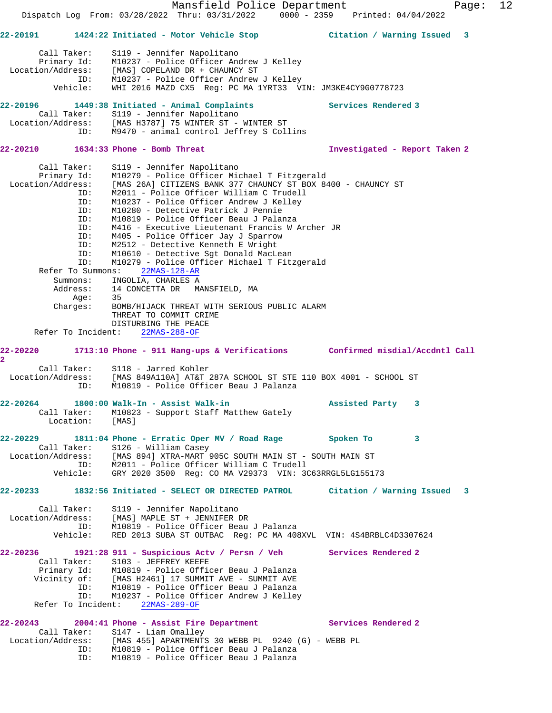Mansfield Police Department Fage: 12 Dispatch Log From: 03/28/2022 Thru: 03/31/2022 0000 - 2359 Printed: 04/04/2022 **22-20191 1424:22 Initiated - Motor Vehicle Stop Citation / Warning Issued 3** Call Taker: S119 - Jennifer Napolitano Primary Id: M10237 - Police Officer Andrew J Kelley Location/Address: [MAS] COPELAND DR + CHAUNCY ST ID: M10237 - Police Officer Andrew J Kelley Vehicle: WHI 2016 MAZD CX5 Reg: PC MA 1YRT33 VIN: JM3KE4CY9G0778723 **22-20196 1449:38 Initiated - Animal Complaints Services Rendered 3**  Call Taker: S119 - Jennifer Napolitano<br>Location/Address: [MAS H3787] 75 WINTER ST -[MAS H3787] 75 WINTER ST - WINTER ST ID: M9470 - animal control Jeffrey S Collins **22-20210 1634:33 Phone - Bomb Threat Investigated - Report Taken 2** Call Taker: S119 - Jennifer Napolitano Primary Id: M10279 - Police Officer Michael T Fitzgerald Location/Address: [MAS 26A] CITIZENS BANK 377 CHAUNCY ST BOX 8400 - CHAUNCY ST ID: M2011 - Police Officer William C Trudell ID: M10237 - Police Officer Andrew J Kelley ID: M10280 - Detective Patrick J Pennie ID: M10819 - Police Officer Beau J Palanza<br>ID: M416 - Executive Lieutenant Francis W J ID: M416 - Executive Lieutenant Francis W Archer JR M405 - Police Officer Jay J Sparrow ID: M2512 - Detective Kenneth E Wright ID: M10610 - Detective Sgt Donald MacLean ID: M10279 - Police Officer Michael T Fitzgerald Refer To Summons: 22MAS-128-AR Summons: INGOLIA, CHARLES A Address: 14 CONCETTA DR MANSFIELD, MA Age: 35 Charges: BOMB/HIJACK THREAT WITH SERIOUS PUBLIC ALARM THREAT TO COMMIT CRIME DISTURBING THE PEACE Refer To Incident: 22MAS-288-OF **22-20220 1713:10 Phone - 911 Hang-ups & Verifications Confirmed misdial/Accdntl Call 2**  Call Taker: S118 - Jarred Kohler Location/Address: [MAS 849A110A] AT&T 287A SCHOOL ST STE 110 BOX 4001 - SCHOOL ST ID: M10819 - Police Officer Beau J Palanza **22-20264 1800:00 Walk-In - Assist Walk-in Assisted Party 3**  Call Taker: M10823 - Support Staff Matthew Gately Location: [MAS] **22-20229 1811:04 Phone - Erratic Oper MV / Road Rage Spoken To 3**  Call Taker: S126 - William Casey Location/Address: [MAS 894] XTRA-MART 905C SOUTH MAIN ST - SOUTH MAIN ST ID: M2011 - Police Officer William C Trudell Vehicle: GRY 2020 3500 Reg: CO MA V29373 VIN: 3C63RRGL5LG155173 **22-20233 1832:56 Initiated - SELECT OR DIRECTED PATROL Citation / Warning Issued 3** Call Taker: S119 - Jennifer Napolitano Location/Address: [MAS] MAPLE ST + JENNIFER DR ID: M10819 - Police Officer Beau J Palanza Vehicle: RED 2013 SUBA ST OUTBAC Reg: PC MA 408XVL VIN: 4S4BRBLC4D3307624 **22-20236 1921:28 911 - Suspicious Actv / Persn / Veh Services Rendered 2**  Call Taker: S103 - JEFFREY KEEFE<br>Primary Id: M10819 - Police Offic Primary Id: M10819 - Police Officer Beau J Palanza<br>Vicinity of: [MAS H2461] 17 SUMMIT AVE - SUMMIT AVE [MAS H2461] 17 SUMMIT AVE - SUMMIT AVE ID: M10819 - Police Officer Beau J Palanza ID: M10237 - Police Officer Andrew J Kelley Refer To Incident: 22MAS-289-OF **22-20243 2004:41 Phone - Assist Fire Department Services Rendered 2**  Call Taker: S147 - Liam Omalley Location/Address: [MAS 455] APARTMENTS 30 WEBB PL 9240 (G) - WEBB PL ID: M10819 - Police Officer Beau J Palanza ID: M10819 - Police Officer Beau J Palanza